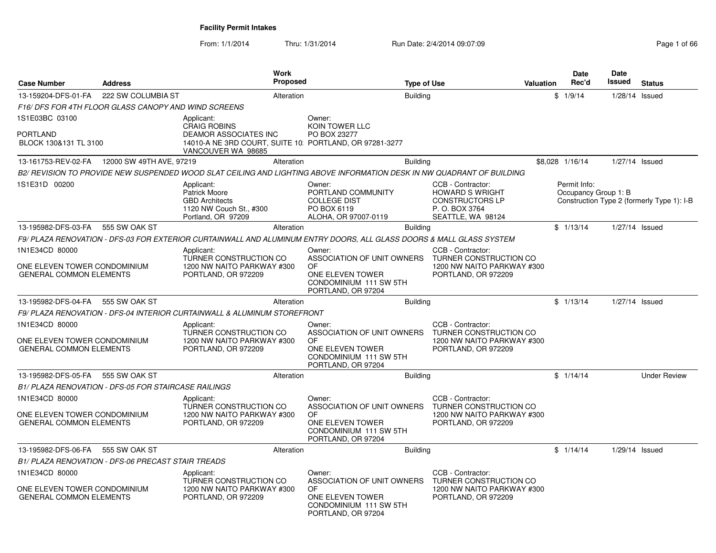From: 1/1/2014Thru: 1/31/2014 Run Date: 2/4/2014 09:07:09 Rege 1 of 66

| <b>Case Number</b>                                                               | <b>Address</b>                                              | <b>Work</b><br><b>Proposed</b>                                                                                                       |                                                                                                                       | <b>Type of Use</b> |                                                                                                              | <b>Valuation</b> | <b>Date</b><br>Rec'd                 | Date<br>Issued   | <b>Status</b>                              |
|----------------------------------------------------------------------------------|-------------------------------------------------------------|--------------------------------------------------------------------------------------------------------------------------------------|-----------------------------------------------------------------------------------------------------------------------|--------------------|--------------------------------------------------------------------------------------------------------------|------------------|--------------------------------------|------------------|--------------------------------------------|
| 13-159204-DFS-01-FA                                                              | 222 SW COLUMBIA ST                                          | Alteration                                                                                                                           |                                                                                                                       | <b>Building</b>    |                                                                                                              |                  | \$1/9/14                             | $1/28/14$ Issued |                                            |
|                                                                                  | F16/DFS FOR 4TH FLOOR GLASS CANOPY AND WIND SCREENS         |                                                                                                                                      |                                                                                                                       |                    |                                                                                                              |                  |                                      |                  |                                            |
| 1S1E03BC 03100                                                                   |                                                             | Applicant:                                                                                                                           | Owner:                                                                                                                |                    |                                                                                                              |                  |                                      |                  |                                            |
| <b>PORTLAND</b><br>BLOCK 130&131 TL 3100                                         |                                                             | <b>CRAIG ROBINS</b><br><b>DEAMOR ASSOCIATES INC</b><br>14010-A NE 3RD COURT, SUITE 10: PORTLAND, OR 97281-3277<br>VANCOUVER WA 98685 | KOIN TOWER LLC<br>PO BOX 23277                                                                                        |                    |                                                                                                              |                  |                                      |                  |                                            |
|                                                                                  | 13-161753-REV-02-FA  12000 SW 49TH AVE, 97219               | Alteration                                                                                                                           |                                                                                                                       | <b>Building</b>    |                                                                                                              |                  | \$8,028 1/16/14                      | 1/27/14 Issued   |                                            |
|                                                                                  |                                                             | B2/ REVISION TO PROVIDE NEW SUSPENDED WOOD SLAT CEILING AND LIGHTING ABOVE INFORMATION DESK IN NW QUADRANT OF BUILDING               |                                                                                                                       |                    |                                                                                                              |                  |                                      |                  |                                            |
| 1S1E31D 00200                                                                    |                                                             | Applicant:<br><b>Patrick Moore</b><br><b>GBD Architects</b><br>1120 NW Couch St., #300<br>Portland, OR 97209                         | Owner:<br>PORTLAND COMMUNITY<br><b>COLLEGE DIST</b><br>PO BOX 6119<br>ALOHA, OR 97007-0119                            |                    | CCB - Contractor:<br><b>HOWARD S WRIGHT</b><br><b>CONSTRUCTORS LP</b><br>P. O. BOX 3764<br>SEATTLE, WA 98124 |                  | Permit Info:<br>Occupancy Group 1: B |                  | Construction Type 2 (formerly Type 1): I-B |
| 13-195982-DFS-03-FA                                                              | 555 SW OAK ST                                               | Alteration                                                                                                                           |                                                                                                                       | <b>Building</b>    |                                                                                                              |                  | \$1/13/14                            | 1/27/14 Issued   |                                            |
|                                                                                  |                                                             | F9/ PLAZA RENOVATION - DFS-03 FOR EXTERIOR CURTAINWALL AND ALUMINUM ENTRY DOORS, ALL GLASS DOORS & MALL GLASS SYSTEM                 |                                                                                                                       |                    |                                                                                                              |                  |                                      |                  |                                            |
| 1N1E34CD 80000<br>ONE ELEVEN TOWER CONDOMINIUM<br><b>GENERAL COMMON ELEMENTS</b> |                                                             | Applicant:<br>TURNER CONSTRUCTION CO<br>1200 NW NAITO PARKWAY #300<br>PORTLAND, OR 972209                                            | Owner:<br>ASSOCIATION OF UNIT OWNERS<br><b>OF</b><br>ONE ELEVEN TOWER<br>CONDOMINIUM 111 SW 5TH<br>PORTLAND, OR 97204 |                    | CCB - Contractor:<br>TURNER CONSTRUCTION CO<br>1200 NW NAITO PARKWAY #300<br>PORTLAND, OR 972209             |                  |                                      |                  |                                            |
| 13-195982-DFS-04-FA                                                              | 555 SW OAK ST                                               | Alteration                                                                                                                           |                                                                                                                       | <b>Building</b>    |                                                                                                              |                  | \$1/13/14                            | $1/27/14$ Issued |                                            |
|                                                                                  |                                                             | F9/PLAZA RENOVATION - DFS-04 INTERIOR CURTAINWALL & ALUMINUM STOREFRONT                                                              |                                                                                                                       |                    |                                                                                                              |                  |                                      |                  |                                            |
| 1N1E34CD 80000<br>ONE ELEVEN TOWER CONDOMINIUM<br><b>GENERAL COMMON ELEMENTS</b> |                                                             | Applicant:<br><b>TURNER CONSTRUCTION CO</b><br>1200 NW NAITO PARKWAY #300<br>PORTLAND, OR 972209                                     | Owner:<br>ASSOCIATION OF UNIT OWNERS<br><b>OF</b><br>ONE ELEVEN TOWER<br>CONDOMINIUM 111 SW 5TH<br>PORTLAND, OR 97204 |                    | CCB - Contractor:<br>TURNER CONSTRUCTION CO<br>1200 NW NAITO PARKWAY #300<br>PORTLAND, OR 972209             |                  |                                      |                  |                                            |
| 13-195982-DFS-05-FA                                                              | 555 SW OAK ST                                               | Alteration                                                                                                                           |                                                                                                                       | <b>Building</b>    |                                                                                                              |                  | \$1/14/14                            |                  | <b>Under Review</b>                        |
|                                                                                  | <b>B1/ PLAZA RENOVATION - DFS-05 FOR STAIRCASE RAILINGS</b> |                                                                                                                                      |                                                                                                                       |                    |                                                                                                              |                  |                                      |                  |                                            |
| 1N1E34CD 80000                                                                   |                                                             | Applicant:                                                                                                                           | Owner:                                                                                                                |                    | CCB - Contractor:                                                                                            |                  |                                      |                  |                                            |
| ONE ELEVEN TOWER CONDOMINIUM<br><b>GENERAL COMMON ELEMENTS</b>                   |                                                             | <b>TURNER CONSTRUCTION CO</b><br>1200 NW NAITO PARKWAY #300<br>PORTLAND, OR 972209                                                   | ASSOCIATION OF UNIT OWNERS<br><b>OF</b><br>ONE ELEVEN TOWER<br>CONDOMINIUM 111 SW 5TH<br>PORTLAND, OR 97204           |                    | <b>TURNER CONSTRUCTION CO</b><br>1200 NW NAITO PARKWAY #300<br>PORTLAND, OR 972209                           |                  |                                      |                  |                                            |
| 13-195982-DFS-06-FA                                                              | 555 SW OAK ST                                               | Alteration                                                                                                                           |                                                                                                                       | <b>Building</b>    |                                                                                                              |                  | \$1/14/14                            | 1/29/14 Issued   |                                            |
|                                                                                  | B1/ PLAZA RENOVATION - DFS-06 PRECAST STAIR TREADS          |                                                                                                                                      |                                                                                                                       |                    |                                                                                                              |                  |                                      |                  |                                            |
| 1N1E34CD 80000                                                                   |                                                             | Applicant:                                                                                                                           | Owner:                                                                                                                |                    | CCB - Contractor:                                                                                            |                  |                                      |                  |                                            |
| ONE ELEVEN TOWER CONDOMINIUM<br><b>GENERAL COMMON ELEMENTS</b>                   |                                                             | TURNER CONSTRUCTION CO<br>1200 NW NAITO PARKWAY #300<br>PORTLAND, OR 972209                                                          | ASSOCIATION OF UNIT OWNERS<br>OF.<br>ONE ELEVEN TOWER<br>CONDOMINIUM 111 SW 5TH<br>PORTLAND, OR 97204                 |                    | TURNER CONSTRUCTION CO<br>1200 NW NAITO PARKWAY #300<br>PORTLAND, OR 972209                                  |                  |                                      |                  |                                            |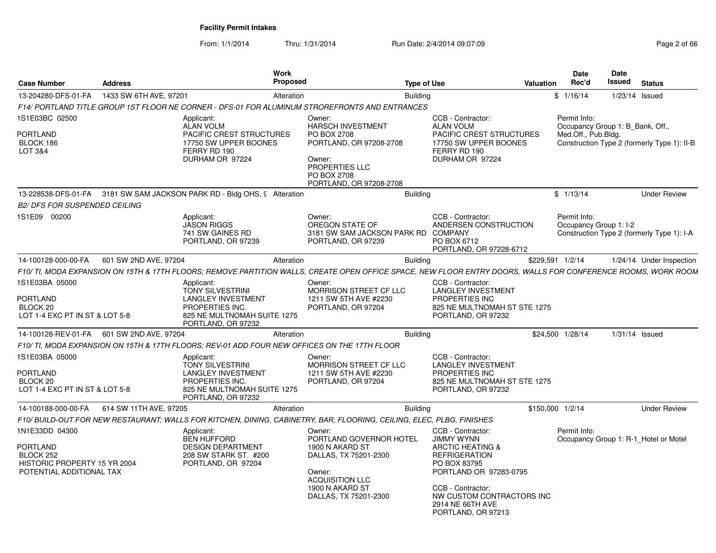From: 1/1/2014Thru: 1/31/2014 Run Date: 2/4/2014 09:07:09 Rege 2 of 66

| <b>Case Number</b>                                                                                  | <b>Address</b>                               | Work<br><b>Proposed</b>                                                                                                                                       |                                                                                                                                                               | <b>Type of Use</b>                                                                                                                                                           | Valuation                                                | Date<br>Rec'd                          | Date<br>Issued                   | <b>Status</b>                               |
|-----------------------------------------------------------------------------------------------------|----------------------------------------------|---------------------------------------------------------------------------------------------------------------------------------------------------------------|---------------------------------------------------------------------------------------------------------------------------------------------------------------|------------------------------------------------------------------------------------------------------------------------------------------------------------------------------|----------------------------------------------------------|----------------------------------------|----------------------------------|---------------------------------------------|
| 13-204280-DFS-01-FA                                                                                 | 1433 SW 6TH AVE, 97201                       | Alteration                                                                                                                                                    |                                                                                                                                                               | <b>Building</b>                                                                                                                                                              |                                                          | \$1/16/14                              |                                  | $1/23/14$ Issued                            |
|                                                                                                     |                                              | F14/ PORTLAND TITLE GROUP 1ST FLOOR NE CORNER - DFS-01 FOR ALUMINUM STROREFRONTS AND ENTRANCES                                                                |                                                                                                                                                               |                                                                                                                                                                              |                                                          |                                        |                                  |                                             |
| IS1E03BC 02500<br>PORTLAND<br>BLOCK 186<br>LOT 3&4                                                  |                                              | Applicant:<br>ALAN VOLM<br><b>PACIFIC CREST STRUCTURES</b><br>17750 SW UPPER BOONES<br>FERRY RD 190<br>DURHAM OR 97224                                        | Owner:<br><b>HARSCH INVESTMENT</b><br>PO BOX 2708<br>PORTLAND, OR 97208-2708<br>Owner:<br>PROPERTIES LLC<br>PO BOX 2708<br>PORTLAND, OR 97208-2708            | CCB - Contractor:<br><b>ALAN VOLM</b><br>FERRY RD 190<br>DURHAM OR 97224                                                                                                     | <b>PACIFIC CREST STRUCTURES</b><br>17750 SW UPPER BOONES | Permit Info:<br>Med.Off., Pub.Bldg.    | Occupancy Group 1: B Bank, Off., | Construction Type 2 (formerly Type 1): II-B |
|                                                                                                     |                                              | 13-228538-DFS-01-FA 3181 SW SAM JACKSON PARK RD - Bldg OHS, 9 Alteration                                                                                      |                                                                                                                                                               | <b>Building</b>                                                                                                                                                              |                                                          | \$1/13/14                              |                                  | <b>Under Review</b>                         |
| <b>B2/ DFS FOR SUSPENDED CEILING</b>                                                                |                                              |                                                                                                                                                               |                                                                                                                                                               |                                                                                                                                                                              |                                                          |                                        |                                  |                                             |
| 1S1E09 00200                                                                                        |                                              | Applicant:<br><b>JASON RIGGS</b><br>741 SW GAINES RD<br>PORTLAND, OR 97239                                                                                    | Owner:<br>OREGON STATE OF<br>3181 SW SAM JACKSON PARK RD<br>PORTLAND, OR 97239                                                                                | CCB - Contractor:<br><b>COMPANY</b><br>PO BOX 6712                                                                                                                           | ANDERSEN CONSTRUCTION<br>PORTLAND, OR 97228-6712         | Permit Info:<br>Occupancy Group 1: I-2 |                                  | Construction Type 2 (formerly Type 1): I-A  |
| 14-100128-000-00-FA                                                                                 | 601 SW 2ND AVE, 97204                        | Alteration                                                                                                                                                    |                                                                                                                                                               | Building                                                                                                                                                                     |                                                          | \$229,591 1/2/14                       |                                  | 1/24/14 Under Inspection                    |
|                                                                                                     |                                              | F10/ TI, MODA EXPANSION ON 15TH & 17TH FLOORS; REMOVE PARTITION WALLS, CREATE OPEN OFFICE SPACE, NEW FLOOR ENTRY DOORS, WALLS FOR CONFERENCE ROOMS, WORK ROOM |                                                                                                                                                               |                                                                                                                                                                              |                                                          |                                        |                                  |                                             |
| 1S1E03BA 05000<br>PORTLAND<br>BLOCK 20<br>LOT 1-4 EXC PT IN ST & LOT 5-8                            |                                              | Applicant:<br><b>TONY SILVESTRINI</b><br><b>LANGLEY INVESTMENT</b><br>PROPERTIES INC.<br>825 NE MULTNOMAH SUITE 1275<br>PORTLAND, OR 97232                    | Owner:<br>MORRISON STREET CF LLC<br>1211 SW 5TH AVE #2230<br>PORTLAND, OR 97204                                                                               | CCB - Contractor:<br><b>LANGLEY INVESTMENT</b><br>PROPERTIES INC<br>PORTLAND, OR 97232                                                                                       | 825 NE MULTNOMAH ST STE 1275                             |                                        |                                  |                                             |
|                                                                                                     | 14-100128-REV-01-FA    601 SW 2ND AVE, 97204 | Alteration                                                                                                                                                    |                                                                                                                                                               | Building                                                                                                                                                                     |                                                          | \$24.500 1/28/14                       |                                  | $1/31/14$ Issued                            |
|                                                                                                     |                                              | F10/ TI, MODA EXPANSION ON 15TH & 17TH FLOORS; REV-01 ADD FOUR NEW OFFICES ON THE 17TH FLOOR                                                                  |                                                                                                                                                               |                                                                                                                                                                              |                                                          |                                        |                                  |                                             |
| IS1E03BA 05000<br>PORTLAND<br>BLOCK 20<br>LOT 1-4 EXC PT IN ST & LOT 5-8                            |                                              | Applicant:<br><b>TONY SILVESTRINI</b><br><b>LANGLEY INVESTMENT</b><br>PROPERTIES INC.<br>825 NE MULTNOMAH SUITE 1275<br>PORTLAND, OR 97232                    | Owner:<br>MORRISON STREET CF LLC<br>1211 SW 5TH AVE #2230<br>PORTLAND, OR 97204                                                                               | CCB - Contractor:<br><b>LANGLEY INVESTMENT</b><br>PROPERTIES INC<br>PORTLAND, OR 97232                                                                                       | 825 NE MULTNOMAH ST STE 1275                             |                                        |                                  |                                             |
| 14-100188-000-00-FA                                                                                 | 614 SW 11TH AVE, 97205                       | Alteration                                                                                                                                                    |                                                                                                                                                               | Building                                                                                                                                                                     |                                                          | \$150,000 1/2/14                       |                                  | <b>Under Review</b>                         |
|                                                                                                     |                                              | F10/ BUILD-OUT FOR NEW RESTAURANT; WALLS FOR KITCHEN, DINING, CABINETRY, BAR, FLOORING, CEILING, ELEC, PLBG, FINISHES                                         |                                                                                                                                                               |                                                                                                                                                                              |                                                          |                                        |                                  |                                             |
| 1N1E33DD 04300<br>PORTLAND<br>BLOCK 252<br>HISTORIC PROPERTY 15 YR 2004<br>POTENTIAL ADDITIONAL TAX |                                              | Applicant:<br><b>BEN HUFFORD</b><br><b>DESIGN DEPARTMENT</b><br>208 SW STARK ST. #200<br>PORTLAND, OR 97204                                                   | Owner:<br>PORTLAND GOVERNOR HOTEL<br>1900 N AKARD ST<br>DALLAS, TX 75201-2300<br>Owner:<br><b>ACQUISITION LLC</b><br>1900 N AKARD ST<br>DALLAS, TX 75201-2300 | CCB - Contractor:<br><b>JIMMY WYNN</b><br><b>ARCTIC HEATING &amp;</b><br><b>REFRIGERATION</b><br>PO BOX 83795<br>CCB - Contractor:<br>2914 NE 66TH AVE<br>PORTLAND, OR 97213 | PORTLAND OR 97283-0795<br>NW CUSTOM CONTRACTORS INC      | Permit Info:                           |                                  | Occupancy Group 1: R-1 Hotel or Motel       |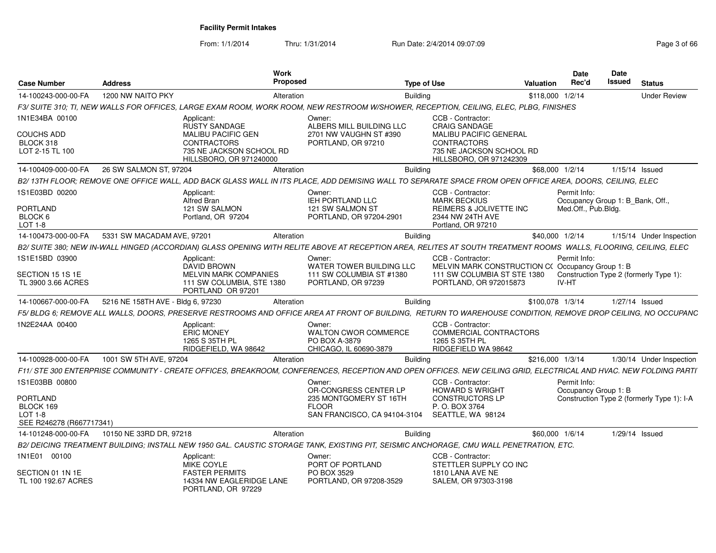From: 1/1/2014Thru: 1/31/2014 Run Date: 2/4/2014 09:07:09

| Page 3 of 66 |  |  |
|--------------|--|--|
|              |  |  |

| <b>Case Number</b>                                                    | <b>Address</b>                    | Work<br><b>Proposed</b>                                                                                                                                          |                                                                                  | <b>Type of Use</b> |                                                                                                            | <b>Valuation</b> | <b>Date</b><br>Rec'd                             | Date<br><b>Issued</b> | <b>Status</b>                              |
|-----------------------------------------------------------------------|-----------------------------------|------------------------------------------------------------------------------------------------------------------------------------------------------------------|----------------------------------------------------------------------------------|--------------------|------------------------------------------------------------------------------------------------------------|------------------|--------------------------------------------------|-----------------------|--------------------------------------------|
| 14-100243-000-00-FA                                                   | 1200 NW NAITO PKY                 | Alteration                                                                                                                                                       |                                                                                  | <b>Building</b>    |                                                                                                            |                  | \$118,000 1/2/14                                 |                       | <b>Under Review</b>                        |
|                                                                       |                                   | F3/ SUITE 310; TI, NEW WALLS FOR OFFICES, LARGE EXAM ROOM, WORK ROOM, NEW RESTROOM W/SHOWER, RECEPTION, CEILING, ELEC, PLBG, FINISHES                            |                                                                                  |                    |                                                                                                            |                  |                                                  |                       |                                            |
| 1N1E34BA 00100                                                        |                                   | Applicant:<br><b>RUSTY SANDAGE</b>                                                                                                                               | Owner:<br>ALBERS MILL BUILDING LLC                                               |                    | CCB - Contractor:<br><b>CRAIG SANDAGE</b>                                                                  |                  |                                                  |                       |                                            |
| <b>COUCHS ADD</b><br>BLOCK 318<br>LOT 2-15 TL 100                     |                                   | <b>MALIBU PACIFIC GEN</b><br><b>CONTRACTORS</b><br>735 NE JACKSON SCHOOL RD<br><b>HILLSBORO, OR 971240000</b>                                                    | 2701 NW VAUGHN ST #390<br>PORTLAND, OR 97210                                     |                    | <b>MALIBU PACIFIC GENERAL</b><br><b>CONTRACTORS</b><br>735 NE JACKSON SCHOOL RD<br>HILLSBORO, OR 971242309 |                  |                                                  |                       |                                            |
| 14-100409-000-00-FA                                                   | 26 SW SALMON ST, 97204            | Alteration                                                                                                                                                       |                                                                                  | <b>Building</b>    |                                                                                                            |                  | \$68,000 1/2/14                                  |                       | 1/15/14 Issued                             |
|                                                                       |                                   | B2/13TH FLOOR; REMOVE ONE OFFICE WALL, ADD BACK GLASS WALL IN ITS PLACE, ADD DEMISING WALL TO SEPARATE SPACE FROM OPEN OFFICE AREA, DOORS, CEILING, ELEC         |                                                                                  |                    |                                                                                                            |                  |                                                  |                       |                                            |
| 1S1E03BD 00200                                                        |                                   | Applicant:<br>Alfred Bran                                                                                                                                        | Owner:<br><b>IEH PORTLAND LLC</b>                                                |                    | CCB - Contractor:<br><b>MARK BECKIUS</b>                                                                   |                  | Permit Info:<br>Occupancy Group 1: B_Bank, Off., |                       |                                            |
| <b>PORTLAND</b><br>BLOCK 6<br>LOT 1-8                                 |                                   | 121 SW SALMON<br>Portland, OR 97204                                                                                                                              | 121 SW SALMON ST<br>PORTLAND, OR 97204-2901                                      |                    | REIMERS & JOLIVETTE INC<br>2344 NW 24TH AVE<br>Portland, OR 97210                                          |                  | Med.Off., Pub.Bldg.                              |                       |                                            |
| 14-100473-000-00-FA                                                   | 5331 SW MACADAM AVE, 97201        | Alteration                                                                                                                                                       |                                                                                  | <b>Building</b>    |                                                                                                            |                  | \$40,000 1/2/14                                  |                       | 1/15/14 Under Inspection                   |
|                                                                       |                                   | B2/ SUITE 380; NEW IN-WALL HINGED (ACCORDIAN) GLASS OPENING WITH RELITE ABOVE AT RECEPTION AREA, RELITES AT SOUTH TREATMENT ROOMS WALLS, FLOORING, CEILING, ELEC |                                                                                  |                    |                                                                                                            |                  |                                                  |                       |                                            |
| 1S1E15BD 03900                                                        |                                   | Applicant:<br><b>DAVID BROWN</b>                                                                                                                                 | Owner:<br>WATER TOWER BUILDING LLC                                               |                    | CCB - Contractor:<br>MELVIN MARK CONSTRUCTION C(Occupancy Group 1: B                                       |                  | Permit Info:                                     |                       |                                            |
| SECTION 15 1S 1E<br>TL 3900 3.66 ACRES                                |                                   | <b>MELVIN MARK COMPANIES</b><br>111 SW COLUMBIA, STE 1380<br>PORTLAND OR 97201                                                                                   | 111 SW COLUMBIA ST #1380<br>PORTLAND, OR 97239                                   |                    | 111 SW COLUMBIA ST STE 1380<br>PORTLAND, OR 972015873                                                      |                  | <b>IV-HT</b>                                     |                       | Construction Type 2 (formerly Type 1):     |
| 14-100667-000-00-FA                                                   | 5216 NE 158TH AVE - Bldg 6, 97230 | Alteration                                                                                                                                                       |                                                                                  | <b>Building</b>    |                                                                                                            |                  | \$100,078 1/3/14                                 |                       | 1/27/14 Issued                             |
|                                                                       |                                   | F5/ BLDG 6; REMOVE ALL WALLS, DOORS, PRESERVE RESTROOMS AND OFFICE AREA AT FRONT OF BUILDING, RETURN TO WAREHOUSE CONDITION, REMOVE DROP CEILING, NO OCCUPANC    |                                                                                  |                    |                                                                                                            |                  |                                                  |                       |                                            |
| 1N2E24AA 00400                                                        |                                   | Applicant:<br><b>ERIC MONEY</b><br>1265 S 35TH PL<br>RIDGEFIELD, WA 98642                                                                                        | Owner:<br><b>WALTON CWOR COMMERCE</b><br>PO BOX A-3879<br>CHICAGO, IL 60690-3879 |                    | CCB - Contractor:<br>COMMERCIAL CONTRACTORS<br>1265 S 35TH PL<br>RIDGEFIELD WA 98642                       |                  |                                                  |                       |                                            |
| 14-100928-000-00-FA                                                   | 1001 SW 5TH AVE, 97204            | Alteration                                                                                                                                                       |                                                                                  | <b>Building</b>    |                                                                                                            |                  | \$216,000 1/3/14                                 |                       | 1/30/14 Under Inspection                   |
|                                                                       |                                   | F11/STE 300 ENTERPRISE COMMUNITY - CREATE OFFICES, BREAKROOM, CONFERENCES, RECEPTION AND OPEN OFFICES. NEW CEILING GRID, ELECTRICAL AND HVAC. NEW FOLDING PARTI  |                                                                                  |                    |                                                                                                            |                  |                                                  |                       |                                            |
| 1S1E03BB 00800                                                        |                                   |                                                                                                                                                                  | Owner:<br>OR-CONGRESS CENTER LP                                                  |                    | CCB - Contractor:<br><b>HOWARD S WRIGHT</b>                                                                |                  | Permit Info:<br>Occupancy Group 1: B             |                       |                                            |
| <b>PORTLAND</b><br>BLOCK 169<br>$LOT 1-8$<br>SEE R246278 (R667717341) |                                   |                                                                                                                                                                  | 235 MONTGOMERY ST 16TH<br><b>FLOOR</b><br>SAN FRANCISCO, CA 94104-3104           |                    | <b>CONSTRUCTORS LP</b><br>P. O. BOX 3764<br>SEATTLE, WA 98124                                              |                  |                                                  |                       | Construction Type 2 (formerly Type 1): I-A |
| 14-101248-000-00-FA                                                   | 10150 NE 33RD DR, 97218           | Alteration                                                                                                                                                       |                                                                                  | <b>Building</b>    |                                                                                                            |                  | \$60,000 1/6/14                                  |                       | $1/29/14$ Issued                           |
|                                                                       |                                   | B2/ DEICING TREATMENT BUILDING; INSTALL NEW 1950 GAL. CAUSTIC STORAGE TANK, EXISTING PIT, SEISMIC ANCHORAGE, CMU WALL PENETRATION, ETC.                          |                                                                                  |                    |                                                                                                            |                  |                                                  |                       |                                            |
| 1N1E01 00100                                                          |                                   | Applicant:<br><b>MIKE COYLE</b>                                                                                                                                  | Owner:<br>PORT OF PORTLAND                                                       |                    | CCB - Contractor:<br>STETTLER SUPPLY CO INC                                                                |                  |                                                  |                       |                                            |
| SECTION 01 1N 1E<br>TL 100 192.67 ACRES                               |                                   | <b>FASTER PERMITS</b><br>14334 NW EAGLERIDGE LANE<br>PORTLAND, OR 97229                                                                                          | PO BOX 3529<br>PORTLAND, OR 97208-3529                                           |                    | 1810 LANA AVE NE<br>SALEM, OR 97303-3198                                                                   |                  |                                                  |                       |                                            |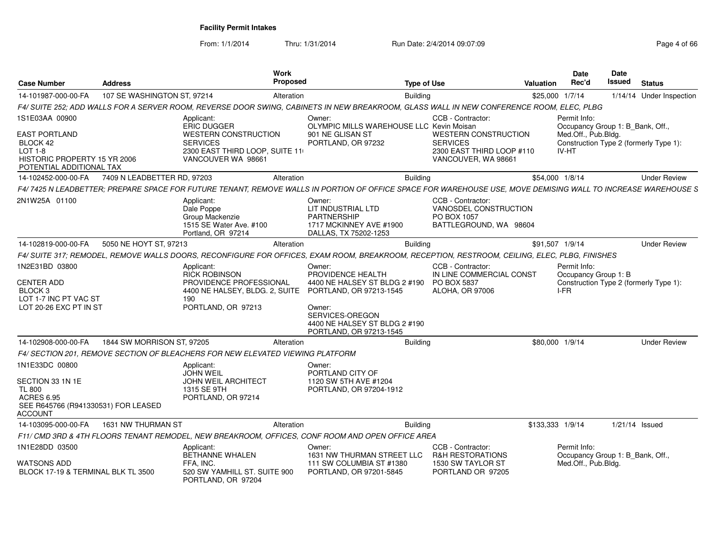From: 1/1/2014Thru: 1/31/2014 Run Date: 2/4/2014 09:07:09 Research 2010 12:00 Page 4 of 66

| <b>Case Number</b>                                                                                                                | <b>Address</b>              | Work<br><b>Proposed</b>                                                                                                                                      |                                                                                                                                                       | <b>Type of Use</b>                                                                                 | <b>Valuation</b> | Date<br>Rec'd                                                           | Date<br>Issued | <b>Status</b>                          |
|-----------------------------------------------------------------------------------------------------------------------------------|-----------------------------|--------------------------------------------------------------------------------------------------------------------------------------------------------------|-------------------------------------------------------------------------------------------------------------------------------------------------------|----------------------------------------------------------------------------------------------------|------------------|-------------------------------------------------------------------------|----------------|----------------------------------------|
| 14-101987-000-00-FA                                                                                                               | 107 SE WASHINGTON ST, 97214 | Alteration                                                                                                                                                   | <b>Building</b>                                                                                                                                       |                                                                                                    | \$25,000 1/7/14  |                                                                         |                | 1/14/14 Under Inspection               |
|                                                                                                                                   |                             | F4/ SUITE 252; ADD WALLS FOR A SERVER ROOM, REVERSE DOOR SWING, CABINETS IN NEW BREAKROOM, GLASS WALL IN NEW CONFERENCE ROOM, ELEC, PLBG                     |                                                                                                                                                       |                                                                                                    |                  |                                                                         |                |                                        |
| 1S1E03AA 00900                                                                                                                    |                             | Applicant:<br><b>ERIC DUGGER</b>                                                                                                                             | Owner:<br>OLYMPIC MILLS WAREHOUSE LLC Kevin Moisan                                                                                                    | CCB - Contractor:                                                                                  |                  | Permit Info:<br>Occupancy Group 1: B_Bank, Off.,                        |                |                                        |
| EAST PORTLAND<br>BLOCK 42<br>LOT 1-8<br><b>HISTORIC PROPERTY 15 YR 2006</b><br>POTENTIAL ADDITIONAL TAX                           |                             | <b>WESTERN CONSTRUCTION</b><br><b>SERVICES</b><br>2300 EAST THIRD LOOP, SUITE 11<br>VANCOUVER WA 98661                                                       | 901 NE GLISAN ST<br>PORTLAND, OR 97232                                                                                                                | <b>WESTERN CONSTRUCTION</b><br><b>SERVICES</b><br>2300 EAST THIRD LOOP #110<br>VANCOUVER, WA 98661 |                  | Med.Off., Pub.Bldg.<br>IV-HT                                            |                | Construction Type 2 (formerly Type 1): |
| 14-102452-000-00-FA                                                                                                               | 7409 N LEADBETTER RD, 97203 | Alteration                                                                                                                                                   | <b>Building</b>                                                                                                                                       |                                                                                                    | \$54,000 1/8/14  |                                                                         |                | <b>Under Review</b>                    |
|                                                                                                                                   |                             | F4/7425 N LEADBETTER; PREPARE SPACE FOR FUTURE TENANT, REMOVE WALLS IN PORTION OF OFFICE SPACE FOR WAREHOUSE USE, MOVE DEMISING WALL TO INCREASE WAREHOUSE S |                                                                                                                                                       |                                                                                                    |                  |                                                                         |                |                                        |
| 2N1W25A 01100                                                                                                                     |                             | Applicant:<br>Dale Poppe<br>Group Mackenzie<br>1515 SE Water Ave. #100<br>Portland, OR 97214                                                                 | Owner:<br>LIT INDUSTRIAL LTD<br><b>PARTNERSHIP</b><br>1717 MCKINNEY AVE #1900<br>DALLAS, TX 75202-1253                                                | CCB - Contractor:<br>VANOSDEL CONSTRUCTION<br>PO BOX 1057<br>BATTLEGROUND, WA 98604                |                  |                                                                         |                |                                        |
| 14-102819-000-00-FA                                                                                                               | 5050 NE HOYT ST, 97213      | Alteration                                                                                                                                                   | <b>Building</b>                                                                                                                                       |                                                                                                    |                  | \$91,507 1/9/14                                                         |                | <b>Under Review</b>                    |
|                                                                                                                                   |                             | F4/ SUITE 317; REMODEL, REMOVE WALLS DOORS, RECONFIGURE FOR OFFICES, EXAM ROOM, BREAKROOM, RECEPTION, RESTROOM, CEILING, ELEC, PLBG, FINISHES                |                                                                                                                                                       |                                                                                                    |                  |                                                                         |                |                                        |
| 1N2E31BD 03800<br><b>CENTER ADD</b><br>BLOCK <sub>3</sub><br>LOT 1-7 INC PT VAC ST<br>LOT 20-26 EXC PT IN ST                      |                             | Applicant:<br><b>RICK ROBINSON</b><br>PROVIDENCE PROFESSIONAL<br>4400 NE HALSEY, BLDG. 2, SUITE PORTLAND, OR 97213-1545<br>190<br>PORTLAND, OR 97213         | Owner:<br>PROVIDENCE HEALTH<br>4400 NE HALSEY ST BLDG 2 #190<br>Owner:<br>SERVICES-OREGON<br>4400 NE HALSEY ST BLDG 2 #190<br>PORTLAND, OR 97213-1545 | CCB - Contractor:<br>IN LINE COMMERCIAL CONST<br><b>PO BOX 5837</b><br><b>ALOHA, OR 97006</b>      |                  | Permit Info:<br>Occupancy Group 1: B<br>I-FR                            |                | Construction Type 2 (formerly Type 1): |
| 14-102908-000-00-FA                                                                                                               | 1844 SW MORRISON ST, 97205  | Alteration                                                                                                                                                   | <b>Building</b>                                                                                                                                       |                                                                                                    | \$80,000 1/9/14  |                                                                         |                | <b>Under Review</b>                    |
|                                                                                                                                   |                             | F4/ SECTION 201, REMOVE SECTION OF BLEACHERS FOR NEW ELEVATED VIEWING PLATFORM                                                                               |                                                                                                                                                       |                                                                                                    |                  |                                                                         |                |                                        |
| 1N1E33DC 00800<br>SECTION 33 1N 1E<br><b>TL 800</b><br><b>ACRES 6.95</b><br>SEE R645766 (R941330531) FOR LEASED<br><b>ACCOUNT</b> |                             | Applicant:<br><b>JOHN WEIL</b><br><b>JOHN WEIL ARCHITECT</b><br>1315 SE 9TH<br>PORTLAND, OR 97214                                                            | Owner:<br>PORTLAND CITY OF<br>1120 SW 5TH AVE #1204<br>PORTLAND, OR 97204-1912                                                                        |                                                                                                    |                  |                                                                         |                |                                        |
| 14-103095-000-00-FA                                                                                                               | 1631 NW THURMAN ST          | Alteration                                                                                                                                                   | <b>Building</b>                                                                                                                                       |                                                                                                    | \$133,333 1/9/14 |                                                                         | 1/21/14 Issued |                                        |
|                                                                                                                                   |                             | F11/ CMD 3RD & 4TH FLOORS TENANT REMODEL, NEW BREAKROOM, OFFICES, CONF ROOM AND OPEN OFFICE AREA                                                             |                                                                                                                                                       |                                                                                                    |                  |                                                                         |                |                                        |
| 1N1E28DD 03500<br>WATSONS ADD<br>BLOCK 17-19 & TERMINAL BLK TL 3500                                                               |                             | Applicant:<br><b>BETHANNE WHALEN</b><br>FFA, INC.<br>520 SW YAMHILL ST. SUITE 900<br>PORTLAND, OR 97204                                                      | Owner:<br>1631 NW THURMAN STREET LLC<br>111 SW COLUMBIA ST #1380<br>PORTLAND, OR 97201-5845                                                           | CCB - Contractor:<br><b>R&amp;H RESTORATIONS</b><br>1530 SW TAYLOR ST<br>PORTLAND OR 97205         |                  | Permit Info:<br>Occupancy Group 1: B Bank, Off.,<br>Med.Off., Pub.Bldg. |                |                                        |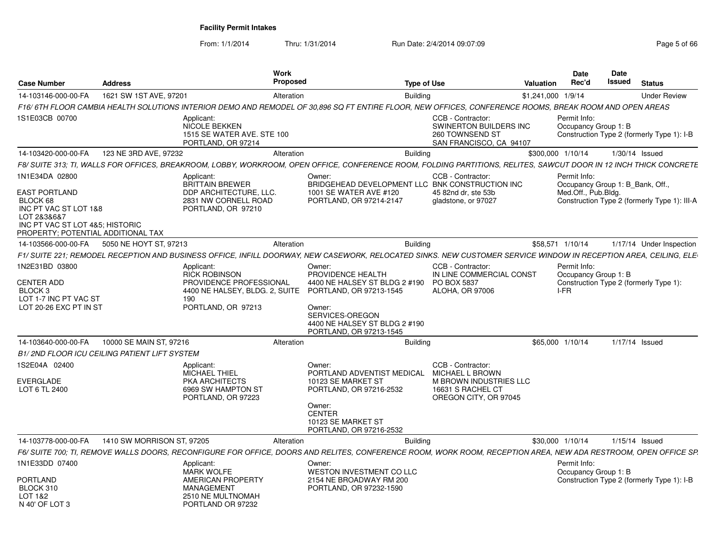From: 1/1/2014Thru: 1/31/2014 Run Date: 2/4/2014 09:07:09 Rege 5 of 66

| <b>Case Number</b>                                                                                                                                           | <b>Address</b>                                                                                                                                                     | Work<br><b>Proposed</b>                                                                                                                          | <b>Type of Use</b>                                                                                                                                              | <b>Valuation</b>   | Date<br>Rec'd                                                           | <b>Date</b><br>Issued | <b>Status</b>                                |
|--------------------------------------------------------------------------------------------------------------------------------------------------------------|--------------------------------------------------------------------------------------------------------------------------------------------------------------------|--------------------------------------------------------------------------------------------------------------------------------------------------|-----------------------------------------------------------------------------------------------------------------------------------------------------------------|--------------------|-------------------------------------------------------------------------|-----------------------|----------------------------------------------|
| 14-103146-000-00-FA                                                                                                                                          | 1621 SW 1ST AVE, 97201                                                                                                                                             | Alteration                                                                                                                                       | <b>Building</b>                                                                                                                                                 | \$1,241,000 1/9/14 |                                                                         |                       | <b>Under Review</b>                          |
|                                                                                                                                                              | F16/6TH FLOOR CAMBIA HEALTH SOLUTIONS INTERIOR DEMO AND REMODEL OF 30,896 SQ FT ENTIRE FLOOR, NEW OFFICES, CONFERENCE ROOMS, BREAK ROOM AND OPEN AREAS             |                                                                                                                                                  |                                                                                                                                                                 |                    |                                                                         |                       |                                              |
| 1S1E03CB 00700                                                                                                                                               | Applicant:<br>NICOLE BEKKEN<br>1515 SE WATER AVE. STE 100<br>PORTLAND, OR 97214                                                                                    |                                                                                                                                                  | CCB - Contractor:<br>SWINERTON BUILDERS INC<br>260 TOWNSEND ST<br>SAN FRANCISCO, CA 94107                                                                       |                    | Permit Info:<br>Occupancy Group 1: B                                    |                       | Construction Type 2 (formerly Type 1): I-B   |
| 14-103420-000-00-FA                                                                                                                                          | 123 NE 3RD AVE, 97232                                                                                                                                              | Alteration                                                                                                                                       | <b>Building</b>                                                                                                                                                 |                    | \$300,000 1/10/14                                                       |                       | $1/30/14$ Issued                             |
|                                                                                                                                                              | F8/ SUITE 313: TI. WALLS FOR OFFICES. BREAKROOM. LOBBY. WORKROOM. OPEN OFFICE. CONFERENCE ROOM. FOLDING PARTITIONS. RELITES. SAWCUT DOOR IN 12 INCH THICK CONCRETE |                                                                                                                                                  |                                                                                                                                                                 |                    |                                                                         |                       |                                              |
| 1N1E34DA 02800<br>EAST PORTLAND<br>BLOCK 68<br>INC PT VAC ST LOT 1&8<br>LOT 2&3&6&7<br>INC PT VAC ST LOT 4&5; HISTORIC<br>PROPERTY: POTENTIAL ADDITIONAL TAX | Applicant:<br><b>BRITTAIN BREWER</b><br>DDP ARCHITECTURE, LLC.<br>2831 NW CORNELL ROAD<br>PORTLAND, OR 97210                                                       | Owner:<br>1001 SE WATER AVE #120<br>PORTLAND, OR 97214-2147                                                                                      | CCB - Contractor:<br>BRIDGEHEAD DEVELOPMENT LLC BNK CONSTRUCTION INC<br>45 82nd dr. ste 53b<br>gladstone, or 97027                                              |                    | Permit Info:<br>Occupancy Group 1: B_Bank, Off.,<br>Med.Off., Pub.Bldg. |                       | Construction Type 2 (formerly Type 1): III-A |
| 14-103566-000-00-FA                                                                                                                                          | 5050 NE HOYT ST, 97213                                                                                                                                             | Alteration                                                                                                                                       | <b>Building</b>                                                                                                                                                 |                    | \$58.571 1/10/14                                                        |                       | 1/17/14 Under Inspection                     |
|                                                                                                                                                              | F1/ SUITE 221; REMODEL RECEPTION AND BUSINESS OFFICE, INFILL DOORWAY, NEW CASEWORK, RELOCATED SINKS. NEW CUSTOMER SERVICE WINDOW IN RECEPTION AREA, CEILING, ELE   |                                                                                                                                                  |                                                                                                                                                                 |                    |                                                                         |                       |                                              |
| 1N2E31BD 03800<br><b>CENTER ADD</b><br>BLOCK <sub>3</sub><br>LOT 1-7 INC PT VAC ST<br>LOT 20-26 EXC PT IN ST                                                 | Applicant:<br><b>RICK ROBINSON</b><br>PROVIDENCE PROFESSIONAL<br>190<br>PORTLAND, OR 97213                                                                         | Owner:<br>PROVIDENCE HEALTH<br>4400 NE HALSEY, BLDG. 2, SUITE<br>PORTLAND, OR 97213-1545<br>Owner:<br>SERVICES-OREGON<br>PORTLAND, OR 97213-1545 | CCB - Contractor:<br>IN LINE COMMERCIAL CONST<br>4400 NE HALSEY ST BLDG 2 #190<br><b>PO BOX 5837</b><br><b>ALOHA, OR 97006</b><br>4400 NE HALSEY ST BLDG 2 #190 |                    | Permit Info:<br>Occupancy Group 1: B<br>I-FR                            |                       | Construction Type 2 (formerly Type 1):       |
| 14-103640-000-00-FA                                                                                                                                          | 10000 SE MAIN ST, 97216                                                                                                                                            | Alteration                                                                                                                                       | <b>Building</b>                                                                                                                                                 |                    | \$65,000 1/10/14                                                        |                       | 1/17/14 Issued                               |
|                                                                                                                                                              | <b>B1/2ND FLOOR ICU CEILING PATIENT LIFT SYSTEM</b>                                                                                                                |                                                                                                                                                  |                                                                                                                                                                 |                    |                                                                         |                       |                                              |
| 1S2E04A 02400<br><b>EVERGLADE</b><br>LOT 6 TL 2400                                                                                                           | Applicant:<br><b>MICHAEL THIEL</b><br>PKA ARCHITECTS<br>6969 SW HAMPTON ST<br>PORTLAND, OR 97223                                                                   | Owner:<br>10123 SE MARKET ST<br>PORTLAND, OR 97216-2532<br>Owner:<br><b>CENTER</b><br>10123 SE MARKET ST<br>PORTLAND, OR 97216-2532              | CCB - Contractor:<br>MICHAEL L BROWN<br>PORTLAND ADVENTIST MEDICAL<br><b>M BROWN INDUSTRIES LLC</b><br>16631 S RACHEL CT<br>OREGON CITY, OR 97045               |                    |                                                                         |                       |                                              |
| 14-103778-000-00-FA                                                                                                                                          | 1410 SW MORRISON ST. 97205                                                                                                                                         | Alteration                                                                                                                                       | <b>Building</b>                                                                                                                                                 |                    | \$30,000 1/10/14                                                        |                       | $1/15/14$ Issued                             |
|                                                                                                                                                              | F6/ SUITE 700; TI, REMOVE WALLS DOORS, RECONFIGURE FOR OFFICE, DOORS AND RELITES, CONFERENCE ROOM, WORK ROOM, RECEPTION AREA, NEW ADA RESTROOM, OPEN OFFICE SP.    |                                                                                                                                                  |                                                                                                                                                                 |                    |                                                                         |                       |                                              |
| 1N1E33DD 07400<br><b>PORTLAND</b><br>BLOCK 310<br>LOT 1&2<br>N 40' OF LOT 3                                                                                  | Applicant:<br><b>MARK WOLFE</b><br><b>AMERICAN PROPERTY</b><br><b>MANAGEMENT</b><br>2510 NE MULTNOMAH<br>PORTLAND OR 97232                                         | Owner:<br>2154 NE BROADWAY RM 200<br>PORTLAND, OR 97232-1590                                                                                     | WESTON INVESTMENT CO LLC                                                                                                                                        |                    | Permit Info:<br>Occupancy Group 1: B                                    |                       | Construction Type 2 (formerly Type 1): I-B   |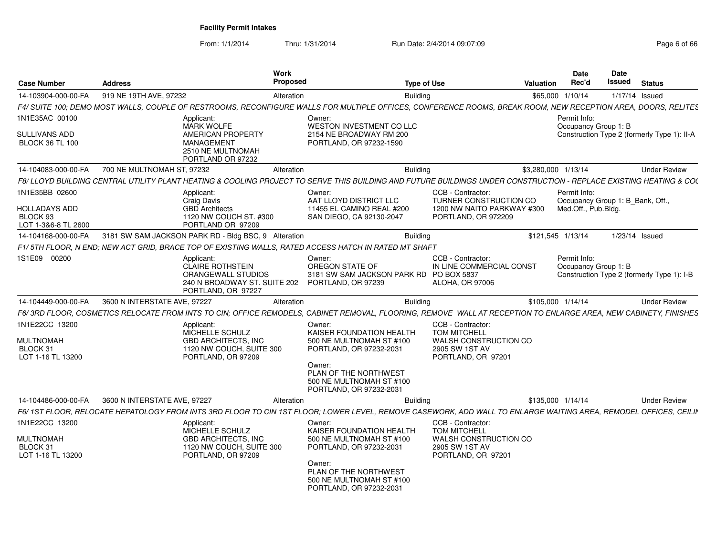From: 1/1/2014Thru: 1/31/2014 Run Date: 2/4/2014 09:07:09 Rege 6 of 66

| <b>Case Number</b>                                      | <b>Address</b>                                                                                                                                                     | <b>Work</b><br>Proposed                                                                    | <b>Type of Use</b>                                                   | Valuation           | Date<br>Rec'd                                    | <b>Date</b><br>Issued | <b>Status</b>                               |
|---------------------------------------------------------|--------------------------------------------------------------------------------------------------------------------------------------------------------------------|--------------------------------------------------------------------------------------------|----------------------------------------------------------------------|---------------------|--------------------------------------------------|-----------------------|---------------------------------------------|
| 14-103904-000-00-FA                                     | 919 NE 19TH AVE, 97232                                                                                                                                             | Alteration                                                                                 | Building                                                             |                     | \$65,000 1/10/14                                 |                       | 1/17/14 Issued                              |
|                                                         | F4/ SUITE 100; DEMO MOST WALLS, COUPLE OF RESTROOMS, RECONFIGURE WALLS FOR MULTIPLE OFFICES, CONFERENCE ROOMS, BREAK ROOM, NEW RECEPTION AREA, DOORS, RELITES      |                                                                                            |                                                                      |                     |                                                  |                       |                                             |
| 1N1E35AC 00100                                          | Applicant:<br><b>MARK WOLFE</b>                                                                                                                                    | Owner:<br>WESTON INVESTMENT CO LLC                                                         |                                                                      |                     | Permit Info:<br>Occupancy Group 1: B             |                       |                                             |
| <b>SULLIVANS ADD</b><br><b>BLOCK 36 TL 100</b>          | AMERICAN PROPERTY<br><b>MANAGEMENT</b><br>2510 NE MULTNOMAH<br>PORTLAND OR 97232                                                                                   | 2154 NE BROADWAY RM 200<br>PORTLAND, OR 97232-1590                                         |                                                                      |                     |                                                  |                       | Construction Type 2 (formerly Type 1): II-A |
| 14-104083-000-00-FA                                     | 700 NE MULTNOMAH ST, 97232                                                                                                                                         | Alteration                                                                                 | <b>Building</b>                                                      | \$3,280,000 1/13/14 |                                                  |                       | <b>Under Review</b>                         |
|                                                         | F8/ LLOYD BUILDING CENTRAL UTILITY PLANT HEATING & COOLING PROJECT TO SERVE THIS BUILDING AND FUTURE BUILDINGS UNDER CONSTRUCTION - REPLACE EXISTING HEATING & COO |                                                                                            |                                                                      |                     |                                                  |                       |                                             |
| 1N1E35BB 02600                                          | Applicant:<br>Craig Davis                                                                                                                                          | Owner:<br>AAT LLOYD DISTRICT LLC                                                           | CCB - Contractor:<br>TURNER CONSTRUCTION CO                          |                     | Permit Info:<br>Occupancy Group 1: B_Bank, Off., |                       |                                             |
| <b>HOLLADAYS ADD</b><br>BLOCK 93<br>LOT 1-3&6-8 TL 2600 | <b>GBD Architects</b><br>1120 NW COUCH ST. #300<br>PORTLAND OR 97209                                                                                               | 11455 EL CAMINO REAL #200<br>SAN DIEGO, CA 92130-2047                                      | 1200 NW NAITO PARKWAY #300<br>PORTLAND, OR 972209                    |                     | Med.Off., Pub.Blda.                              |                       |                                             |
| 14-104168-000-00-FA                                     | 3181 SW SAM JACKSON PARK RD - Bldg BSC, 9 Alteration                                                                                                               |                                                                                            | <b>Building</b>                                                      |                     | \$121,545 1/13/14                                |                       | 1/23/14 Issued                              |
|                                                         | F1/ 5TH FLOOR. N END: NEW ACT GRID. BRACE TOP OF EXISTING WALLS. RATED ACCESS HATCH IN RATED MT SHAFT                                                              |                                                                                            |                                                                      |                     |                                                  |                       |                                             |
| 1S1E09 00200                                            | Applicant:<br><b>CLAIRE ROTHSTEIN</b><br>ORANGEWALL STUDIOS<br>240 N BROADWAY ST. SUITE 202<br>PORTLAND, OR 97227                                                  | Owner:<br>OREGON STATE OF<br>3181 SW SAM JACKSON PARK RD PO BOX 5837<br>PORTLAND, OR 97239 | CCB - Contractor:<br>IN LINE COMMERCIAL CONST<br>ALOHA, OR 97006     |                     | Permit Info:<br>Occupancy Group 1: B             |                       | Construction Type 2 (formerly Type 1): I-B  |
| 14-104449-000-00-FA                                     | 3600 N INTERSTATE AVE, 97227                                                                                                                                       | Alteration                                                                                 | <b>Building</b>                                                      |                     | \$105,000 1/14/14                                |                       | <b>Under Review</b>                         |
|                                                         | F6/3RD FLOOR, COSMETICS RELOCATE FROM INTS TO CIN; OFFICE REMODELS, CABINET REMOVAL, FLOORING, REMOVE WALL AT RECEPTION TO ENLARGE AREA, NEW CABINETY, FINISHES    |                                                                                            |                                                                      |                     |                                                  |                       |                                             |
| 1N1E22CC 13200                                          | Applicant:<br>MICHELLE SCHULZ                                                                                                                                      | Owner:<br>KAISER FOUNDATION HEALTH                                                         | CCB - Contractor:<br><b>TOM MITCHELL</b>                             |                     |                                                  |                       |                                             |
| <b>MULTNOMAH</b><br>BLOCK 31<br>LOT 1-16 TL 13200       | <b>GBD ARCHITECTS. INC</b><br>1120 NW COUCH, SUITE 300<br>PORTLAND, OR 97209                                                                                       | 500 NE MULTNOMAH ST #100<br>PORTLAND, OR 97232-2031                                        | <b>WALSH CONSTRUCTION CO</b><br>2905 SW 1ST AV<br>PORTLAND, OR 97201 |                     |                                                  |                       |                                             |
|                                                         |                                                                                                                                                                    | Owner:<br>PLAN OF THE NORTHWEST<br>500 NE MULTNOMAH ST #100<br>PORTLAND, OR 97232-2031     |                                                                      |                     |                                                  |                       |                                             |
| 14-104486-000-00-FA                                     | 3600 N INTERSTATE AVE, 97227                                                                                                                                       | Alteration                                                                                 | <b>Building</b>                                                      |                     | \$135,000 1/14/14                                |                       | <b>Under Review</b>                         |
|                                                         | F6/1ST FLOOR, RELOCATE HEPATOLOGY FROM INTS 3RD FLOOR TO CIN 1ST FLOOR; LOWER LEVEL, REMOVE CASEWORK, ADD WALL TO ENLARGE WAITING AREA, REMODEL OFFICES, CEILII    |                                                                                            |                                                                      |                     |                                                  |                       |                                             |
| 1N1E22CC 13200                                          | Applicant:<br>MICHELLE SCHULZ                                                                                                                                      | Owner:<br>KAISER FOUNDATION HEALTH                                                         | CCB - Contractor:<br><b>TOM MITCHELL</b>                             |                     |                                                  |                       |                                             |
| <b>MULTNOMAH</b><br>BLOCK 31<br>LOT 1-16 TL 13200       | <b>GBD ARCHITECTS. INC</b><br>1120 NW COUCH, SUITE 300<br>PORTLAND, OR 97209                                                                                       | 500 NE MULTNOMAH ST #100<br>PORTLAND, OR 97232-2031                                        | <b>WALSH CONSTRUCTION CO</b><br>2905 SW 1ST AV<br>PORTLAND, OR 97201 |                     |                                                  |                       |                                             |
|                                                         |                                                                                                                                                                    | Owner:<br>PLAN OF THE NORTHWEST<br>500 NE MULTNOMAH ST #100<br>PORTLAND, OR 97232-2031     |                                                                      |                     |                                                  |                       |                                             |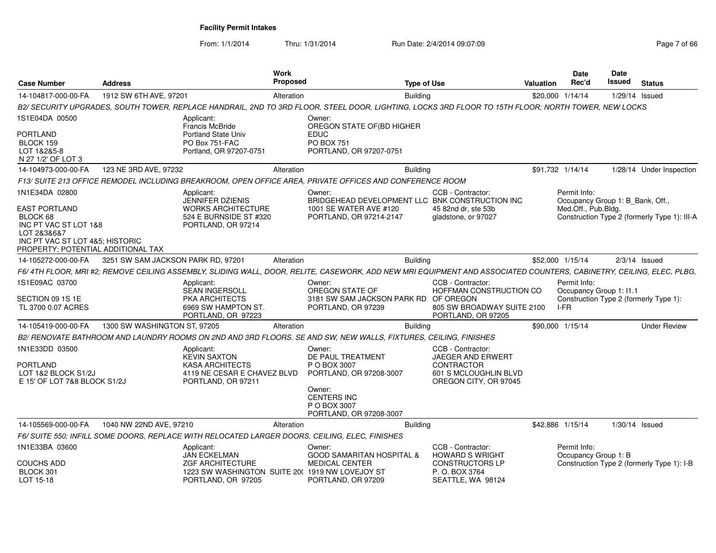From: 1/1/2014Thru: 1/31/2014 Run Date: 2/4/2014 09:07:09 Rege 7 of 66

| <b>Case Number</b>                                                                                                                                           | <b>Address</b>                     | Work<br>Proposed                                                                                                                                                    |                                                                                               | <b>Type of Use</b>                                                                                                 | <b>Valuation</b> | Date<br>Rec'd                        | <b>Date</b><br>Issued            | <b>Status</b>                                |
|--------------------------------------------------------------------------------------------------------------------------------------------------------------|------------------------------------|---------------------------------------------------------------------------------------------------------------------------------------------------------------------|-----------------------------------------------------------------------------------------------|--------------------------------------------------------------------------------------------------------------------|------------------|--------------------------------------|----------------------------------|----------------------------------------------|
| 14-104817-000-00-FA                                                                                                                                          | 1912 SW 6TH AVE, 97201             | Alteration                                                                                                                                                          |                                                                                               | <b>Building</b>                                                                                                    |                  | \$20,000 1/14/14                     |                                  | $1/29/14$ Issued                             |
|                                                                                                                                                              |                                    | B2/ SECURITY UPGRADES, SOUTH TOWER, REPLACE HANDRAIL, 2ND TO 3RD FLOOR, STEEL DOOR, LIGHTING, LOCKS 3RD FLOOR TO 15TH FLOOR; NORTH TOWER, NEW LOCKS                 |                                                                                               |                                                                                                                    |                  |                                      |                                  |                                              |
| 1S1E04DA 00500                                                                                                                                               |                                    | Applicant:<br>Francis McBride                                                                                                                                       | Owner:<br>OREGON STATE OF(BD HIGHER                                                           |                                                                                                                    |                  |                                      |                                  |                                              |
| PORTLAND<br>BLOCK 159<br>LOT 1&2&5-8<br>N 27 1/2' OF LOT 3                                                                                                   |                                    | <b>Portland State Univ</b><br>PO Box 751-FAC<br>Portland, OR 97207-0751                                                                                             | <b>EDUC</b><br><b>PO BOX 751</b><br>PORTLAND, OR 97207-0751                                   |                                                                                                                    |                  |                                      |                                  |                                              |
| 14-104973-000-00-FA                                                                                                                                          | 123 NE 3RD AVE, 97232              | Alteration                                                                                                                                                          |                                                                                               | Building                                                                                                           |                  | \$91,732 1/14/14                     |                                  | 1/28/14 Under Inspection                     |
|                                                                                                                                                              |                                    | F13/ SUITE 213 OFFICE REMODEL INCLUDING BREAKROOM, OPEN OFFICE AREA, PRIVATE OFFICES AND CONFERENCE ROOM                                                            |                                                                                               |                                                                                                                    |                  |                                      |                                  |                                              |
| 1N1E34DA 02800<br>EAST PORTLAND<br>BLOCK 68<br>INC PT VAC ST LOT 1&8<br>LOT 2&3&6&7<br>INC PT VAC ST LOT 4&5; HISTORIC<br>PROPERTY; POTENTIAL ADDITIONAL TAX |                                    | Applicant:<br><b>JENNIFER DZIENIS</b><br><b>WORKS ARCHITECTURE</b><br>524 E BURNSIDE ST #320<br>PORTLAND, OR 97214                                                  | Owner:<br>1001 SE WATER AVE #120<br>PORTLAND, OR 97214-2147                                   | CCB - Contractor:<br>BRIDGEHEAD DEVELOPMENT LLC BNK CONSTRUCTION INC<br>45 82nd dr. ste 53b<br>gladstone, or 97027 |                  | Permit Info:<br>Med.Off., Pub.Bldg.  | Occupancy Group 1: B Bank, Off., | Construction Type 2 (formerly Type 1): III-A |
| 14-105272-000-00-FA                                                                                                                                          | 3251 SW SAM JACKSON PARK RD, 97201 | Alteration                                                                                                                                                          |                                                                                               | <b>Building</b>                                                                                                    |                  | \$52,000 1/15/14                     |                                  | $2/3/14$ Issued                              |
|                                                                                                                                                              |                                    | F6/4TH FLOOR, MRI #2; REMOVE CEILING ASSEMBLY, SLIDING WALL, DOOR, RELITE, CASEWORK, ADD NEW MRI EQUIPMENT AND ASSOCIATED COUNTERS, CABINETRY, CEILING, ELEC, PLBG, |                                                                                               |                                                                                                                    |                  |                                      |                                  |                                              |
| 1S1E09AC 03700<br>SECTION 09 1S 1E<br>TL 3700 0.07 ACRES                                                                                                     |                                    | Applicant:<br>SEAN INGERSOLL<br>PKA ARCHITECTS<br>6969 SW HAMPTON ST.<br>PORTLAND, OR 97223                                                                         | Owner:<br>OREGON STATE OF<br>3181 SW SAM JACKSON PARK RD<br>PORTLAND, OR 97239                | CCB - Contractor:<br>HOFFMAN CONSTRUCTION CO<br>OF OREGON<br>805 SW BROADWAY SUITE 2100<br>PORTLAND, OR 97205      |                  | Permit Info:<br>I-FR                 | Occupancy Group 1: I1.1          | Construction Type 2 (formerly Type 1):       |
| 14-105419-000-00-FA                                                                                                                                          | 1300 SW WASHINGTON ST, 97205       | Alteration                                                                                                                                                          |                                                                                               | <b>Building</b>                                                                                                    |                  | \$90,000 1/15/14                     |                                  | <b>Under Review</b>                          |
|                                                                                                                                                              |                                    | B2/ RENOVATE BATHROOM AND LAUNDRY ROOMS ON 2ND AND 3RD FLOORS. SE AND SW, NEW WALLS, FIXTURES, CEILING, FINISHES                                                    |                                                                                               |                                                                                                                    |                  |                                      |                                  |                                              |
| 1N1E33DD 03500<br>PORTLAND<br>LOT 1&2 BLOCK S1/2J<br>E 15' OF LOT 7&8 BLOCK S1/2J                                                                            |                                    | Applicant:<br><b>KEVIN SAXTON</b><br><b>KASA ARCHITECTS</b><br>4119 NE CESAR E CHAVEZ BLVD<br>PORTLAND, OR 97211                                                    | Owner:<br>DE PAUL TREATMENT<br>P O BOX 3007<br>PORTLAND, OR 97208-3007<br>Owner:              | CCB - Contractor:<br>JAEGER AND ERWERT<br><b>CONTRACTOR</b><br>601 S MCLOUGHLIN BLVD<br>OREGON CITY, OR 97045      |                  |                                      |                                  |                                              |
|                                                                                                                                                              |                                    |                                                                                                                                                                     | <b>CENTERS INC</b><br>P O BOX 3007<br>PORTLAND, OR 97208-3007                                 |                                                                                                                    |                  |                                      |                                  |                                              |
| 14-105569-000-00-FA                                                                                                                                          | 1040 NW 22ND AVE, 97210            | Alteration                                                                                                                                                          |                                                                                               | <b>Building</b>                                                                                                    |                  | \$42,886 1/15/14                     |                                  | $1/30/14$ Issued                             |
|                                                                                                                                                              |                                    | F6/ SUITE 550; INFILL SOME DOORS, REPLACE WITH RELOCATED LARGER DOORS, CEILING, ELEC, FINISHES                                                                      |                                                                                               |                                                                                                                    |                  |                                      |                                  |                                              |
| 1N1E33BA 03600<br>COUCHS ADD<br>BLOCK 301<br>LOT 15-18                                                                                                       |                                    | Applicant:<br><b>JAN ECKELMAN</b><br><b>ZGF ARCHITECTURE</b><br>1223 SW WASHINGTON SUITE 20( 1919 NW LOVEJOY ST<br>PORTLAND, OR 97205                               | Owner:<br><b>GOOD SAMARITAN HOSPITAL &amp;</b><br><b>MEDICAL CENTER</b><br>PORTLAND, OR 97209 | CCB - Contractor:<br><b>HOWARD S WRIGHT</b><br><b>CONSTRUCTORS LP</b><br>P. O. BOX 3764<br>SEATTLE, WA 98124       |                  | Permit Info:<br>Occupancy Group 1: B |                                  | Construction Type 2 (formerly Type 1): I-B   |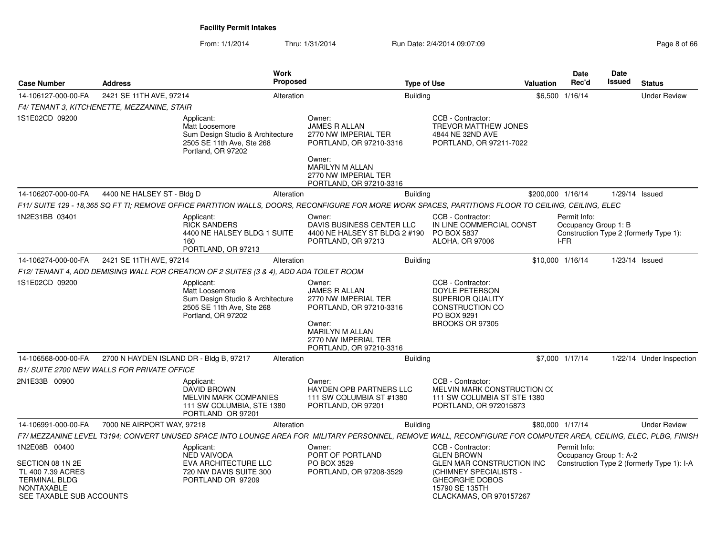From: 1/1/2014Thru: 1/31/2014 Run Date: 2/4/2014 09:07:09 Rege 8 of 66

| <b>Case Number</b>                                                                                                              | <b>Address</b>                              | <b>Work</b><br><b>Proposed</b>                                                                                                                                   |                                                                                                                                                                          | <b>Type of Use</b> |                                                                                                                                                                     | <b>Valuation</b>  | <b>Date</b><br>Rec'd                         | Date<br><b>Issued</b> | <b>Status</b>                              |
|---------------------------------------------------------------------------------------------------------------------------------|---------------------------------------------|------------------------------------------------------------------------------------------------------------------------------------------------------------------|--------------------------------------------------------------------------------------------------------------------------------------------------------------------------|--------------------|---------------------------------------------------------------------------------------------------------------------------------------------------------------------|-------------------|----------------------------------------------|-----------------------|--------------------------------------------|
| 14-106127-000-00-FA                                                                                                             | 2421 SE 11TH AVE, 97214                     | Alteration                                                                                                                                                       |                                                                                                                                                                          | <b>Building</b>    |                                                                                                                                                                     |                   | \$6,500 1/16/14                              |                       | <b>Under Review</b>                        |
|                                                                                                                                 | F4/ TENANT 3, KITCHENETTE, MEZZANINE, STAIR |                                                                                                                                                                  |                                                                                                                                                                          |                    |                                                                                                                                                                     |                   |                                              |                       |                                            |
| 1S1E02CD 09200                                                                                                                  |                                             | Applicant:<br>Matt Loosemore<br>Sum Design Studio & Architecture<br>2505 SE 11th Ave, Ste 268<br>Portland, OR 97202                                              | Owner:<br><b>JAMES R ALLAN</b><br>2770 NW IMPERIAL TER<br>PORTLAND, OR 97210-3316<br>Owner:<br><b>MARILYN M ALLAN</b><br>2770 NW IMPERIAL TER<br>PORTLAND, OR 97210-3316 |                    | CCB - Contractor:<br>TREVOR MATTHEW JONES<br>4844 NE 32ND AVE<br>PORTLAND, OR 97211-7022                                                                            |                   |                                              |                       |                                            |
| 14-106207-000-00-FA                                                                                                             | 4400 NE HALSEY ST - Bldg D                  | Alteration                                                                                                                                                       |                                                                                                                                                                          | <b>Building</b>    |                                                                                                                                                                     | \$200,000 1/16/14 |                                              | 1/29/14 Issued        |                                            |
|                                                                                                                                 |                                             | F11/ SUITE 129 - 18.365 SQ FT TI: REMOVE OFFICE PARTITION WALLS. DOORS. RECONFIGURE FOR MORE WORK SPACES. PARTITIONS FLOOR TO CEILING. CEILING. ELEC             |                                                                                                                                                                          |                    |                                                                                                                                                                     |                   |                                              |                       |                                            |
| 1N2E31BB 03401                                                                                                                  |                                             | Applicant:<br><b>RICK SANDERS</b><br>4400 NE HALSEY BLDG 1 SUITE<br>160<br>PORTLAND, OR 97213                                                                    | Owner:<br>DAVIS BUSINESS CENTER LLC<br>4400 NE HALSEY ST BLDG 2 #190<br>PORTLAND, OR 97213                                                                               |                    | CCB - Contractor:<br>IN LINE COMMERCIAL CONST<br>PO BOX 5837<br>ALOHA, OR 97006                                                                                     |                   | Permit Info:<br>Occupancy Group 1: B<br>I-FR |                       | Construction Type 2 (formerly Type 1):     |
| 14-106274-000-00-FA                                                                                                             | 2421 SE 11TH AVE, 97214                     | Alteration                                                                                                                                                       |                                                                                                                                                                          | <b>Building</b>    |                                                                                                                                                                     | \$10,000 1/16/14  |                                              | $1/23/14$ Issued      |                                            |
|                                                                                                                                 |                                             | F12/ TENANT 4, ADD DEMISING WALL FOR CREATION OF 2 SUITES (3 & 4), ADD ADA TOILET ROOM                                                                           |                                                                                                                                                                          |                    |                                                                                                                                                                     |                   |                                              |                       |                                            |
| 1S1E02CD 09200                                                                                                                  |                                             | Applicant:<br>Matt Loosemore<br>Sum Design Studio & Architecture<br>2505 SE 11th Ave, Ste 268<br>Portland, OR 97202                                              | Owner:<br><b>JAMES R ALLAN</b><br>2770 NW IMPERIAL TER<br>PORTLAND, OR 97210-3316<br>Owner:<br>MARILYN M ALLAN<br>2770 NW IMPERIAL TER<br>PORTLAND, OR 97210-3316        |                    | CCB - Contractor:<br><b>DOYLE PETERSON</b><br>SUPERIOR QUALITY<br>CONSTRUCTION CO<br>PO BOX 9291<br>BROOKS OR 97305                                                 |                   |                                              |                       |                                            |
| 14-106568-000-00-FA                                                                                                             | 2700 N HAYDEN ISLAND DR - Bldg B, 97217     | Alteration                                                                                                                                                       |                                                                                                                                                                          | <b>Building</b>    |                                                                                                                                                                     |                   | \$7,000 1/17/14                              |                       | 1/22/14 Under Inspection                   |
|                                                                                                                                 | B1/ SUITE 2700 NEW WALLS FOR PRIVATE OFFICE |                                                                                                                                                                  |                                                                                                                                                                          |                    |                                                                                                                                                                     |                   |                                              |                       |                                            |
| 2N1E33B 00900                                                                                                                   |                                             | Applicant:<br>DAVID BROWN<br><b>MELVIN MARK COMPANIES</b><br>111 SW COLUMBIA, STE 1380<br>PORTLAND OR 97201                                                      | Owner:<br>HAYDEN OPB PARTNERS LLC<br>111 SW COLUMBIA ST #1380<br>PORTLAND, OR 97201                                                                                      |                    | CCB - Contractor:<br>MELVIN MARK CONSTRUCTION CO<br>111 SW COLUMBIA ST STE 1380<br>PORTLAND, OR 972015873                                                           |                   |                                              |                       |                                            |
| 14-106991-000-00-FA                                                                                                             | 7000 NE AIRPORT WAY, 97218                  | Alteration                                                                                                                                                       |                                                                                                                                                                          | <b>Building</b>    |                                                                                                                                                                     | \$80,000 1/17/14  |                                              |                       | <b>Under Review</b>                        |
|                                                                                                                                 |                                             | F7/ MEZZANINE LEVEL T3194: CONVERT UNUSED SPACE INTO LOUNGE AREA FOR MILITARY PERSONNEL. REMOVE WALL. RECONFIGURE FOR COMPUTER AREA. CEILING. ELEC. PLBG. FINISH |                                                                                                                                                                          |                    |                                                                                                                                                                     |                   |                                              |                       |                                            |
| 1N2E08B 00400<br>SECTION 08 1N 2E<br>TL 400 7.39 ACRES<br><b>TERMINAL BLDG</b><br><b>NONTAXABLE</b><br>SEE TAXABLE SUB ACCOUNTS |                                             | Applicant:<br><b>NED VAIVODA</b><br>EVA ARCHITECTURE LLC<br>720 NW DAVIS SUITE 300<br>PORTLAND OR 97209                                                          | Owner:<br>PORT OF PORTLAND<br>PO BOX 3529<br>PORTLAND, OR 97208-3529                                                                                                     |                    | CCB - Contractor:<br><b>GLEN BROWN</b><br>GLEN MAR CONSTRUCTION INC<br>(CHIMNEY SPECIALISTS -<br><b>GHEORGHE DOBOS</b><br>15790 SE 135TH<br>CLACKAMAS, OR 970157267 |                   | Permit Info:<br>Occupancy Group 1: A-2       |                       | Construction Type 2 (formerly Type 1): I-A |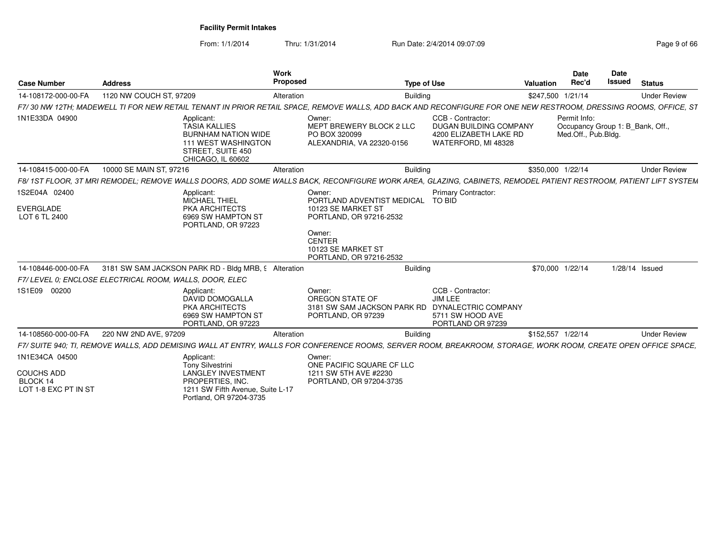From: 1/1/2014

Thru: 1/31/2014 Run Date: 2/4/2014 09:07:09 Research 2010 12:00 Page 9 of 66

| <b>Case Number</b>                                    | <b>Address</b>                                                                                                                                                  | <b>Work</b><br>Proposed                                                  | <b>Type of Use</b>                                                                                                                                           | Valuation         | <b>Date</b><br>Rec'd                | Date<br><b>Issued</b> | <b>Status</b>                    |
|-------------------------------------------------------|-----------------------------------------------------------------------------------------------------------------------------------------------------------------|--------------------------------------------------------------------------|--------------------------------------------------------------------------------------------------------------------------------------------------------------|-------------------|-------------------------------------|-----------------------|----------------------------------|
| 14-108172-000-00-FA                                   | 1120 NW COUCH ST, 97209                                                                                                                                         | Alteration                                                               | <b>Building</b>                                                                                                                                              | \$247,500 1/21/14 |                                     |                       | <b>Under Review</b>              |
|                                                       | F7/30 NW 12TH; MADEWELL TI FOR NEW RETAIL TENANT IN PRIOR RETAIL SPACE, REMOVE WALLS, ADD BACK AND RECONFIGURE FOR ONE NEW RESTROOM, DRESSING ROOMS, OFFICE, ST |                                                                          |                                                                                                                                                              |                   |                                     |                       |                                  |
| 1N1E33DA 04900                                        | Applicant:<br><b>TASIA KALLIES</b><br><b>BURNHAM NATION WIDE</b><br><b>111 WEST WASHINGTON</b><br>STREET. SUITE 450<br>CHICAGO, IL 60602                        | Owner:<br>PO BOX 320099                                                  | CCB - Contractor:<br>MEPT BREWERY BLOCK 2 LLC<br><b>DUGAN BUILDING COMPANY</b><br>4200 ELIZABETH LAKE RD<br>WATERFORD, MI 48328<br>ALEXANDRIA, VA 22320-0156 |                   | Permit Info:<br>Med.Off., Pub.Bldg. |                       | Occupancy Group 1: B_Bank, Off., |
| 14-108415-000-00-FA                                   | 10000 SE MAIN ST, 97216                                                                                                                                         | Alteration                                                               | <b>Building</b>                                                                                                                                              | \$350,000 1/22/14 |                                     |                       | <b>Under Review</b>              |
|                                                       | F8/1ST FLOOR, 3T MRI REMODEL: REMOVE WALLS DOORS. ADD SOME WALLS BACK, RECONFIGURE WORK AREA, GLAZING, CABINETS, REMODEL PATIENT RESTROOM, PATIENT LIFT SYSTEM  |                                                                          |                                                                                                                                                              |                   |                                     |                       |                                  |
| 1S2E04A 02400                                         | Applicant:<br>MICHAEL THIEL                                                                                                                                     | Owner:                                                                   | Primary Contractor:<br>PORTLAND ADVENTIST MEDICAL<br>TO BID                                                                                                  |                   |                                     |                       |                                  |
| EVERGLADE<br>LOT 6 TL 2400                            | PKA ARCHITECTS<br>6969 SW HAMPTON ST<br>PORTLAND, OR 97223                                                                                                      | 10123 SE MARKET ST<br>PORTLAND, OR 97216-2532                            |                                                                                                                                                              |                   |                                     |                       |                                  |
|                                                       |                                                                                                                                                                 | Owner:<br><b>CENTER</b><br>10123 SE MARKET ST<br>PORTLAND, OR 97216-2532 |                                                                                                                                                              |                   |                                     |                       |                                  |
| 14-108446-000-00-FA                                   | 3181 SW SAM JACKSON PARK RD - Bldg MRB, 9 Alteration                                                                                                            |                                                                          | Buildina                                                                                                                                                     |                   | \$70,000 1/22/14                    |                       | 1/28/14 Issued                   |
|                                                       | F7/LEVEL 0: ENCLOSE ELECTRICAL ROOM. WALLS. DOOR. ELEC                                                                                                          |                                                                          |                                                                                                                                                              |                   |                                     |                       |                                  |
| 1S1E09 00200                                          | Applicant:<br><b>DAVID DOMOGALLA</b><br>PKA ARCHITECTS<br>6969 SW HAMPTON ST<br>PORTLAND, OR 97223                                                              | Owner:<br>OREGON STATE OF<br>PORTLAND, OR 97239                          | CCB - Contractor:<br>JIM LEE<br>3181 SW SAM JACKSON PARK RD<br>DYNALECTRIC COMPANY<br>5711 SW HOOD AVE<br>PORTLAND OR 97239                                  |                   |                                     |                       |                                  |
| 14-108560-000-00-FA                                   | 220 NW 2ND AVE, 97209                                                                                                                                           | Alteration                                                               | <b>Building</b>                                                                                                                                              | \$152,557 1/22/14 |                                     |                       | <b>Under Review</b>              |
|                                                       | F7/ SUITE 940: TI. REMOVE WALLS. ADD DEMISING WALL AT ENTRY. WALLS FOR CONFERENCE ROOMS. SERVER ROOM. BREAKROOM. STORAGE. WORK ROOM. CREATE OPEN OFFICE SPACE.  |                                                                          |                                                                                                                                                              |                   |                                     |                       |                                  |
| 1N1E34CA 04500                                        | Applicant:<br><b>Tony Silvestrini</b>                                                                                                                           | Owner:                                                                   | ONE PACIFIC SQUARE CF LLC                                                                                                                                    |                   |                                     |                       |                                  |
| <b>COUCHS ADD</b><br>BLOCK 14<br>LOT 1-8 EXC PT IN ST | <b>LANGLEY INVESTMENT</b><br>PROPERTIES. INC.<br>1211 SW Fifth Avenue, Suite L-17<br>Portland, OR 97204-3735                                                    | 1211 SW 5TH AVE #2230<br>PORTLAND, OR 97204-3735                         |                                                                                                                                                              |                   |                                     |                       |                                  |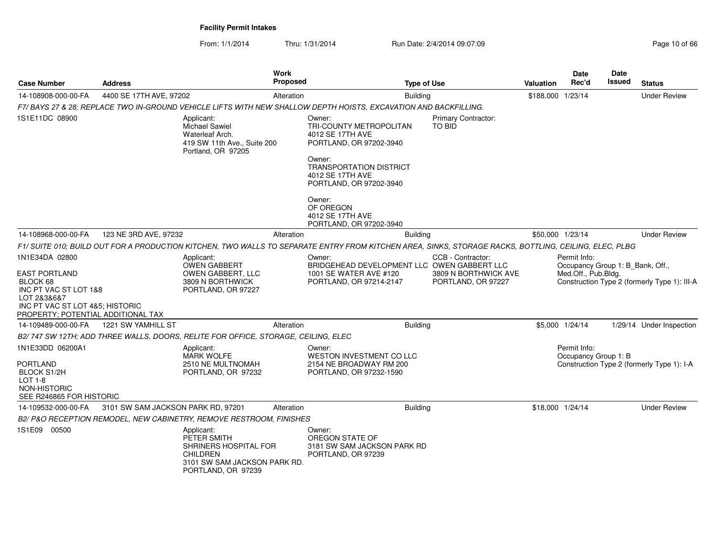From: 1/1/2014Thru: 1/31/2014 Run Date: 2/4/2014 09:07:09 Research 2010 06:06

| <b>Case Number</b>                                                                                                                         | Address                            | <b>Work</b><br><b>Proposed</b>                                                                                                                        | <b>Type of Use</b>                                                                                                                                                                    | Valuation                                   | Date<br>Rec'd     | Date<br>Issued                                   | <b>Status</b> |                                              |
|--------------------------------------------------------------------------------------------------------------------------------------------|------------------------------------|-------------------------------------------------------------------------------------------------------------------------------------------------------|---------------------------------------------------------------------------------------------------------------------------------------------------------------------------------------|---------------------------------------------|-------------------|--------------------------------------------------|---------------|----------------------------------------------|
| 14-108908-000-00-FA                                                                                                                        | 4400 SE 17TH AVE, 97202            | Alteration                                                                                                                                            |                                                                                                                                                                                       | <b>Building</b>                             | \$188,000 1/23/14 |                                                  |               | <b>Under Review</b>                          |
|                                                                                                                                            |                                    | F7/ BAYS 27 & 28; REPLACE TWO IN-GROUND VEHICLE LIFTS WITH NEW SHALLOW DEPTH HOISTS, EXCAVATION AND BACKFILLING.                                      |                                                                                                                                                                                       |                                             |                   |                                                  |               |                                              |
| 1S1E11DC 08900                                                                                                                             |                                    | Applicant:<br><b>Michael Sawiel</b><br>Waterleaf Arch.<br>419 SW 11th Ave., Suite 200<br>Portland, OR 97205                                           | Owner:<br>TRI-COUNTY METROPOLITAN<br>4012 SE 17TH AVE<br>PORTLAND, OR 97202-3940<br>Owner:<br><b>TRANSPORTATION DISTRICT</b><br>4012 SE 17TH AVE<br>PORTLAND, OR 97202-3940<br>Owner: | <b>Primary Contractor:</b><br><b>TO BID</b> |                   |                                                  |               |                                              |
|                                                                                                                                            |                                    |                                                                                                                                                       | OF OREGON<br>4012 SE 17TH AVE<br>PORTLAND, OR 97202-3940                                                                                                                              |                                             |                   |                                                  |               |                                              |
| 14-108968-000-00-FA                                                                                                                        | 123 NE 3RD AVE, 97232              | Alteration                                                                                                                                            |                                                                                                                                                                                       | <b>Building</b>                             |                   | \$50,000 1/23/14                                 |               | <b>Under Review</b>                          |
|                                                                                                                                            |                                    | F1/ SUITE 010; BUILD OUT FOR A PRODUCTION KITCHEN, TWO WALLS TO SEPARATE ENTRY FROM KITCHEN AREA, SINKS, STORAGE RACKS, BOTTLING, CEILING, ELEC, PLBG |                                                                                                                                                                                       |                                             |                   |                                                  |               |                                              |
| 1N1E34DA 02800                                                                                                                             |                                    | Applicant:<br>OWEN GABBERT                                                                                                                            | Owner:<br>BRIDGEHEAD DEVELOPMENT LLC OWEN GABBERT LLC                                                                                                                                 | CCB - Contractor:                           |                   | Permit Info:<br>Occupancy Group 1: B Bank, Off., |               |                                              |
| EAST PORTLAND<br>BLOCK 68<br>INC PT VAC ST LOT 1&8<br>LOT 2&3&6&7<br>INC PT VAC ST LOT 4&5; HISTORIC<br>PROPERTY; POTENTIAL ADDITIONAL TAX |                                    | OWEN GABBERT, LLC<br>3809 N BORTHWICK<br>PORTLAND, OR 97227                                                                                           | 1001 SE WATER AVE #120<br>PORTLAND, OR 97214-2147                                                                                                                                     | 3809 N BORTHWICK AVE<br>PORTLAND, OR 97227  |                   | Med.Off., Pub.Bldg.                              |               | Construction Type 2 (formerly Type 1): III-A |
| 14-109489-000-00-FA                                                                                                                        | 1221 SW YAMHILL ST                 | Alteration                                                                                                                                            |                                                                                                                                                                                       | <b>Building</b>                             |                   | \$5,000 1/24/14                                  |               | 1/29/14 Under Inspection                     |
|                                                                                                                                            |                                    | B2/747 SW 12TH; ADD THREE WALLS, DOORS, RELITE FOR OFFICE, STORAGE, CEILING, ELEC                                                                     |                                                                                                                                                                                       |                                             |                   |                                                  |               |                                              |
| 1N1E33DD 06200A1<br><b>PORTLAND</b><br><b>BLOCK S1/2H</b><br><b>LOT 1-8</b><br>NON-HISTORIC<br>SEE R246865 FOR HISTORIC                    |                                    | Applicant:<br><b>MARK WOLFE</b><br>2510 NE MULTNOMAH<br>PORTLAND, OR 97232                                                                            | Owner:<br><b>WESTON INVESTMENT CO LLC</b><br>2154 NE BROADWAY RM 200<br>PORTLAND, OR 97232-1590                                                                                       |                                             |                   | Permit Info:<br>Occupancy Group 1: B             |               | Construction Type 2 (formerly Type 1): I-A   |
| 14-109532-000-00-FA                                                                                                                        | 3101 SW SAM JACKSON PARK RD, 97201 | Alteration                                                                                                                                            |                                                                                                                                                                                       | Building                                    |                   | \$18,000 1/24/14                                 |               | <b>Under Review</b>                          |
|                                                                                                                                            |                                    | B2/ P&O RECEPTION REMODEL, NEW CABINETRY, REMOVE RESTROOM, FINISHES                                                                                   |                                                                                                                                                                                       |                                             |                   |                                                  |               |                                              |
| 1S1E09 00500                                                                                                                               |                                    | Applicant:<br>PETER SMITH<br>SHRINERS HOSPITAL FOR<br><b>CHILDREN</b><br>3101 SW SAM JACKSON PARK RD.<br>PORTLAND, OR 97239                           | Owner:<br>OREGON STATE OF<br>3181 SW SAM JACKSON PARK RD<br>PORTLAND, OR 97239                                                                                                        |                                             |                   |                                                  |               |                                              |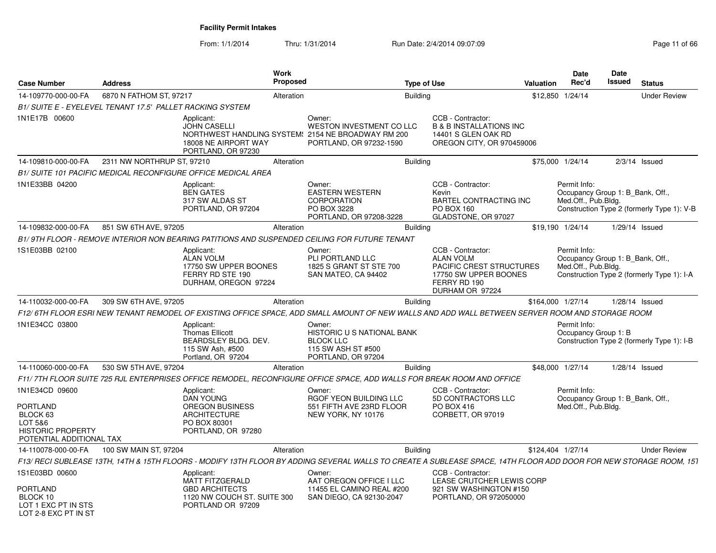From: 1/1/2014Thru: 1/31/2014 Run Date: 2/4/2014 09:07:09 Research 2010 12:00 Page 11 of 66

| <b>Case Number</b>                                                                                               | <b>Address</b>                                            |                                                                                                                       | <b>Work</b><br><b>Proposed</b> |                                                                                                                                                                   | <b>Type of Use</b>                                                                                                            | Valuation                 | <b>Date</b><br>Rec'd                 | Date<br><b>Issued</b> | <b>Status</b>                                                                  |
|------------------------------------------------------------------------------------------------------------------|-----------------------------------------------------------|-----------------------------------------------------------------------------------------------------------------------|--------------------------------|-------------------------------------------------------------------------------------------------------------------------------------------------------------------|-------------------------------------------------------------------------------------------------------------------------------|---------------------------|--------------------------------------|-----------------------|--------------------------------------------------------------------------------|
| 14-109770-000-00-FA                                                                                              | 6870 N FATHOM ST, 97217                                   |                                                                                                                       | Alteration                     |                                                                                                                                                                   | <b>Building</b>                                                                                                               |                           | \$12,850 1/24/14                     |                       | <b>Under Review</b>                                                            |
|                                                                                                                  | B1/ SUITE E - EYELEVEL TENANT 17.5' PALLET RACKING SYSTEM |                                                                                                                       |                                |                                                                                                                                                                   |                                                                                                                               |                           |                                      |                       |                                                                                |
| 1N1E17B 00600                                                                                                    |                                                           | Applicant:<br><b>JOHN CASELLI</b><br>18008 NE AIRPORT WAY<br>PORTLAND, OR 97230                                       |                                | Owner:<br>WESTON INVESTMENT CO LLC<br>NORTHWEST HANDLING SYSTEM: 2154 NE BROADWAY RM 200<br>PORTLAND, OR 97232-1590                                               | CCB - Contractor:<br><b>B &amp; B INSTALLATIONS INC</b><br>14401 S GLEN OAK RD<br>OREGON CITY, OR 970459006                   |                           |                                      |                       |                                                                                |
| 14-109810-000-00-FA                                                                                              | 2311 NW NORTHRUP ST, 97210                                |                                                                                                                       | Alteration                     |                                                                                                                                                                   | <b>Building</b>                                                                                                               |                           | \$75,000 1/24/14                     |                       | $2/3/14$ Issued                                                                |
|                                                                                                                  |                                                           | <b>B1/ SUITE 101 PACIFIC MEDICAL RECONFIGURE OFFICE MEDICAL AREA</b>                                                  |                                |                                                                                                                                                                   |                                                                                                                               |                           |                                      |                       |                                                                                |
| 1N1E33BB 04200                                                                                                   |                                                           | Applicant:<br><b>BEN GATES</b><br>317 SW ALDAS ST<br>PORTLAND, OR 97204                                               |                                | Owner:<br><b>EASTERN WESTERN</b><br>CORPORATION<br>PO BOX 3228<br>PORTLAND, OR 97208-3228                                                                         | CCB - Contractor:<br>Kevin<br><b>BARTEL CONTRACTING INC</b><br>PO BOX 160<br>GLADSTONE, OR 97027                              |                           | Permit Info:<br>Med.Off., Pub.Bldg.  |                       | Occupancy Group 1: B Bank, Off.,<br>Construction Type 2 (formerly Type 1): V-B |
| 14-109832-000-00-FA                                                                                              | 851 SW 6TH AVE, 97205                                     |                                                                                                                       | Alteration                     |                                                                                                                                                                   | <b>Building</b>                                                                                                               |                           | \$19,190 1/24/14                     |                       | 1/29/14 Issued                                                                 |
|                                                                                                                  |                                                           |                                                                                                                       |                                | B1/9TH FLOOR - REMOVE INTERIOR NON BEARING PATITIONS AND SUSPENDED CEILING FOR FUTURE TENANT                                                                      |                                                                                                                               |                           |                                      |                       |                                                                                |
| 1S1E03BB 02100                                                                                                   |                                                           | Applicant:<br><b>ALAN VOLM</b><br>17750 SW UPPER BOONES<br>FERRY RD STE 190<br>DURHAM, OREGON 97224                   |                                | Owner:<br>PLI PORTLAND LLC<br>1825 S GRANT ST STE 700<br>SAN MATEO, CA 94402                                                                                      | CCB - Contractor:<br><b>ALAN VOLM</b><br>PACIFIC CREST STRUCTURES<br>17750 SW UPPER BOONES<br>FERRY RD 190<br>DURHAM OR 97224 |                           | Permit Info:<br>Med.Off., Pub.Bldg.  |                       | Occupancy Group 1: B Bank, Off.,<br>Construction Type 2 (formerly Type 1): I-A |
| 14-110032-000-00-FA                                                                                              | 309 SW 6TH AVE, 97205                                     |                                                                                                                       | Alteration                     |                                                                                                                                                                   | <b>Building</b>                                                                                                               |                           | \$164,000 1/27/14                    |                       | 1/28/14 Issued                                                                 |
|                                                                                                                  |                                                           |                                                                                                                       |                                | F12/ 6TH FLOOR ESRI NEW TENANT REMODEL OF EXISTING OFFICE SPACE. ADD SMALL AMOUNT OF NEW WALLS AND ADD WALL BETWEEN SERVER ROOM AND STORAGE ROOM                  |                                                                                                                               |                           |                                      |                       |                                                                                |
| 1N1E34CC 03800                                                                                                   |                                                           | Applicant:<br><b>Thomas Ellicott</b><br>BEARDSLEY BLDG. DEV.<br>115 SW Ash, #500<br>Portland, OR 97204                |                                | Owner:<br><b>HISTORIC U S NATIONAL BANK</b><br><b>BLOCK LLC</b><br>115 SW ASH ST #500<br>PORTLAND, OR 97204                                                       |                                                                                                                               |                           | Permit Info:<br>Occupancy Group 1: B |                       | Construction Type 2 (formerly Type 1): I-B                                     |
| 14-110060-000-00-FA                                                                                              | 530 SW 5TH AVE, 97204                                     |                                                                                                                       | Alteration                     |                                                                                                                                                                   | <b>Building</b>                                                                                                               |                           | \$48,000 1/27/14                     |                       | $1/28/14$ Issued                                                               |
|                                                                                                                  |                                                           |                                                                                                                       |                                | F11/7TH FLOOR SUITE 725 RJL ENTERPRISES OFFICE REMODEL, RECONFIGURE OFFICE SPACE, ADD WALLS FOR BREAK ROOM AND OFFICE                                             |                                                                                                                               |                           |                                      |                       |                                                                                |
| 1N1E34CD 09600<br><b>PORTLAND</b><br>BLOCK 63<br>LOT 5&6<br><b>HISTORIC PROPERTY</b><br>POTENTIAL ADDITIONAL TAX |                                                           | Applicant:<br><b>DAN YOUNG</b><br><b>OREGON BUSINESS</b><br><b>ARCHITECTURE</b><br>PO BOX 80301<br>PORTLAND, OR 97280 |                                | Owner:<br>RGOF YEON BUILDING LLC<br>551 FIFTH AVE 23RD FLOOR<br>NEW YORK, NY 10176                                                                                | CCB - Contractor:<br>5D CONTRACTORS LLC<br>PO BOX 416<br>CORBETT, OR 97019                                                    |                           | Permit Info:<br>Med.Off., Pub.Bldg.  |                       | Occupancy Group 1: B_Bank, Off.,                                               |
| 14-110078-000-00-FA                                                                                              | 100 SW MAIN ST, 97204                                     |                                                                                                                       | Alteration                     |                                                                                                                                                                   | <b>Building</b>                                                                                                               |                           | \$124,404 1/27/14                    |                       | <b>Under Review</b>                                                            |
|                                                                                                                  |                                                           |                                                                                                                       |                                | F13/ RECI SUBLEASE 13TH, 14TH & 15TH FLOORS - MODIFY 13TH FLOOR BY ADDING SEVERAL WALLS TO CREATE A SUBLEASE SPACE, 14TH FLOOR ADD DOOR FOR NEW STORAGE ROOM, 151 |                                                                                                                               |                           |                                      |                       |                                                                                |
| 1S1E03BD 00600                                                                                                   |                                                           | Applicant:<br><b>MATT FITZGERALD</b>                                                                                  |                                | Owner:<br>AAT OREGON OFFICE I LLC                                                                                                                                 | CCB - Contractor:                                                                                                             | LEASE CRUTCHER LEWIS CORP |                                      |                       |                                                                                |
| PORTLAND<br>BLOCK 10<br>LOT 1 EXC PT IN STS<br>LOT 2-8 FXC PT IN ST                                              |                                                           | <b>GBD ARCHITECTS</b><br>1120 NW COUCH ST. SUITE 300<br>PORTLAND OR 97209                                             |                                | 11455 EL CAMINO REAL #200<br>SAN DIEGO, CA 92130-2047                                                                                                             | 921 SW WASHINGTON #150<br>PORTLAND, OR 972050000                                                                              |                           |                                      |                       |                                                                                |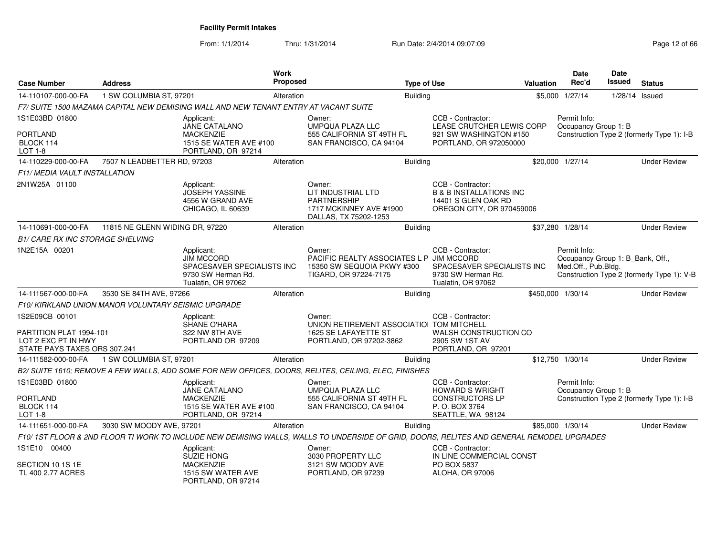From: 1/1/2014Thru: 1/31/2014 Run Date: 2/4/2014 09:07:09 Research 2006 06 Page 12 of 66

| <b>Case Number</b>                                                                               | <b>Address</b>                                      |                                                                                                           | Work<br>Proposed |                                                                                                                                           | <b>Type of Use</b> |                                                                                                             | Valuation | Date<br>Rec'd                                                           | <b>Date</b><br>Issued | <b>Status</b>                              |
|--------------------------------------------------------------------------------------------------|-----------------------------------------------------|-----------------------------------------------------------------------------------------------------------|------------------|-------------------------------------------------------------------------------------------------------------------------------------------|--------------------|-------------------------------------------------------------------------------------------------------------|-----------|-------------------------------------------------------------------------|-----------------------|--------------------------------------------|
| 14-110107-000-00-FA                                                                              | 1 SW COLUMBIA ST, 97201                             |                                                                                                           | Alteration       |                                                                                                                                           | <b>Building</b>    |                                                                                                             |           | \$5,000 1/27/14                                                         | 1/28/14 Issued        |                                            |
|                                                                                                  |                                                     | F7/ SUITE 1500 MAZAMA CAPITAL NEW DEMISING WALL AND NEW TENANT ENTRY AT VACANT SUITE                      |                  |                                                                                                                                           |                    |                                                                                                             |           |                                                                         |                       |                                            |
| 1S1E03BD 01800                                                                                   |                                                     | Applicant:<br>JANE CATALANO                                                                               |                  | Owner:<br><b>UMPQUA PLAZA LLC</b>                                                                                                         |                    | CCB - Contractor:<br>LEASE CRUTCHER LEWIS CORP                                                              |           | Permit Info:<br>Occupancy Group 1: B                                    |                       |                                            |
| <b>PORTLAND</b><br>BLOCK 114<br>LOT 1-8                                                          |                                                     | <b>MACKENZIE</b><br>1515 SE WATER AVE #100<br>PORTLAND, OR 97214                                          |                  | 555 CALIFORNIA ST 49TH FL<br>SAN FRANCISCO, CA 94104                                                                                      |                    | 921 SW WASHINGTON #150<br>PORTLAND, OR 972050000                                                            |           |                                                                         |                       | Construction Type 2 (formerly Type 1): I-B |
| 14-110229-000-00-FA                                                                              | 7507 N LEADBETTER RD, 97203                         |                                                                                                           | Alteration       |                                                                                                                                           | <b>Building</b>    |                                                                                                             |           | \$20,000 1/27/14                                                        |                       | <b>Under Review</b>                        |
| F11/ MEDIA VAULT INSTALLATION                                                                    |                                                     |                                                                                                           |                  |                                                                                                                                           |                    |                                                                                                             |           |                                                                         |                       |                                            |
| 2N1W25A 01100                                                                                    |                                                     | Applicant:<br><b>JOSEPH YASSINE</b><br>4556 W GRAND AVE<br>CHICAGO, IL 60639                              |                  | Owner:<br>LIT INDUSTRIAL LTD<br>PARTNERSHIP<br>1717 MCKINNEY AVE #1900<br>DALLAS, TX 75202-1253                                           |                    | CCB - Contractor:<br><b>B &amp; B INSTALLATIONS INC</b><br>14401 S GLEN OAK RD<br>OREGON CITY, OR 970459006 |           |                                                                         |                       |                                            |
| 14-110691-000-00-FA                                                                              | 11815 NE GLENN WIDING DR, 97220                     |                                                                                                           | Alteration       |                                                                                                                                           | <b>Building</b>    |                                                                                                             |           | \$37,280 1/28/14                                                        |                       | <b>Under Review</b>                        |
| B1/ CARE RX INC STORAGE SHELVING                                                                 |                                                     |                                                                                                           |                  |                                                                                                                                           |                    |                                                                                                             |           |                                                                         |                       |                                            |
| 1N2E15A 00201                                                                                    |                                                     | Applicant:<br><b>JIM MCCORD</b><br>SPACESAVER SPECIALISTS INC<br>9730 SW Herman Rd.<br>Tualatin, OR 97062 |                  | Owner:<br>PACIFIC REALTY ASSOCIATES L P JIM MCCORD<br>15350 SW SEQUOIA PKWY #300<br>TIGARD, OR 97224-7175                                 |                    | CCB - Contractor:<br>SPACESAVER SPECIALISTS INC<br>9730 SW Herman Rd.<br>Tualatin, OR 97062                 |           | Permit Info:<br>Occupancy Group 1: B_Bank, Off.,<br>Med.Off., Pub.Bldg. |                       | Construction Type 2 (formerly Type 1): V-B |
| 14-111567-000-00-FA                                                                              | 3530 SE 84TH AVE, 97266                             |                                                                                                           | Alteration       |                                                                                                                                           | <b>Building</b>    |                                                                                                             |           | \$450,000 1/30/14                                                       |                       | <b>Under Review</b>                        |
|                                                                                                  | F10/ KIRKLAND UNION MANOR VOLUNTARY SEISMIC UPGRADE |                                                                                                           |                  |                                                                                                                                           |                    |                                                                                                             |           |                                                                         |                       |                                            |
| 1S2E09CB 00101<br>PARTITION PLAT 1994-101<br>LOT 2 EXC PT IN HWY<br>STATE PAYS TAXES ORS 307.241 |                                                     | Applicant:<br><b>SHANE O'HARA</b><br>322 NW 8TH AVE<br>PORTLAND OR 97209                                  |                  | Owner:<br>UNION RETIREMENT ASSOCIATIOI TOM MITCHELL<br>1625 SE LAFAYETTE ST<br>PORTLAND, OR 97202-3862                                    |                    | CCB - Contractor:<br>WALSH CONSTRUCTION CO<br>2905 SW 1ST AV<br>PORTLAND, OR 97201                          |           |                                                                         |                       |                                            |
| 14-111582-000-00-FA                                                                              | 1 SW COLUMBIA ST, 97201                             |                                                                                                           | Alteration       |                                                                                                                                           | <b>Building</b>    |                                                                                                             |           | \$12,750 1/30/14                                                        |                       | <b>Under Review</b>                        |
|                                                                                                  |                                                     |                                                                                                           |                  | B2/ SUITE 1610; REMOVE A FEW WALLS, ADD SOME FOR NEW OFFICES, DOORS, RELITES, CEILING, ELEC, FINISHES                                     |                    |                                                                                                             |           |                                                                         |                       |                                            |
| 1S1E03BD 01800                                                                                   |                                                     | Applicant:<br><b>JANE CATALANO</b>                                                                        |                  | Owner:<br>UMPQUA PLAZA LLC                                                                                                                |                    | CCB - Contractor:<br><b>HOWARD S WRIGHT</b>                                                                 |           | Permit Info:<br>Occupancy Group 1: B                                    |                       |                                            |
| <b>PORTLAND</b><br>BLOCK 114<br><b>LOT 1-8</b>                                                   |                                                     | <b>MACKENZIE</b><br>1515 SE WATER AVE #100<br>PORTLAND, OR 97214                                          |                  | 555 CALIFORNIA ST 49TH FL<br>SAN FRANCISCO, CA 94104                                                                                      |                    | <b>CONSTRUCTORS LP</b><br>P. O. BOX 3764<br>SEATTLE, WA 98124                                               |           |                                                                         |                       | Construction Type 2 (formerly Type 1): I-B |
| 14-111651-000-00-FA                                                                              | 3030 SW MOODY AVE, 97201                            |                                                                                                           | Alteration       |                                                                                                                                           | <b>Building</b>    |                                                                                                             |           | \$85,000 1/30/14                                                        |                       | <b>Under Review</b>                        |
|                                                                                                  |                                                     |                                                                                                           |                  | F10/ 1ST FLOOR & 2ND FLOOR TI WORK TO INCLUDE NEW DEMISING WALLS, WALLS TO UNDERSIDE OF GRID, DOORS, RELITES AND GENERAL REMODEL UPGRADES |                    |                                                                                                             |           |                                                                         |                       |                                            |
| 1S1E10 00400                                                                                     |                                                     | Applicant:<br><b>SUZIE HONG</b>                                                                           |                  | Owner:<br>3030 PROPERTY LLC                                                                                                               |                    | CCB - Contractor:<br>IN LINE COMMERCIAL CONST                                                               |           |                                                                         |                       |                                            |
| SECTION 10 1S 1E<br>TL 400 2.77 ACRES                                                            |                                                     | <b>MACKENZIE</b><br>1515 SW WATER AVE<br>PORTLAND, OR 97214                                               |                  | 3121 SW MOODY AVE<br>PORTLAND, OR 97239                                                                                                   |                    | PO BOX 5837<br>ALOHA, OR 97006                                                                              |           |                                                                         |                       |                                            |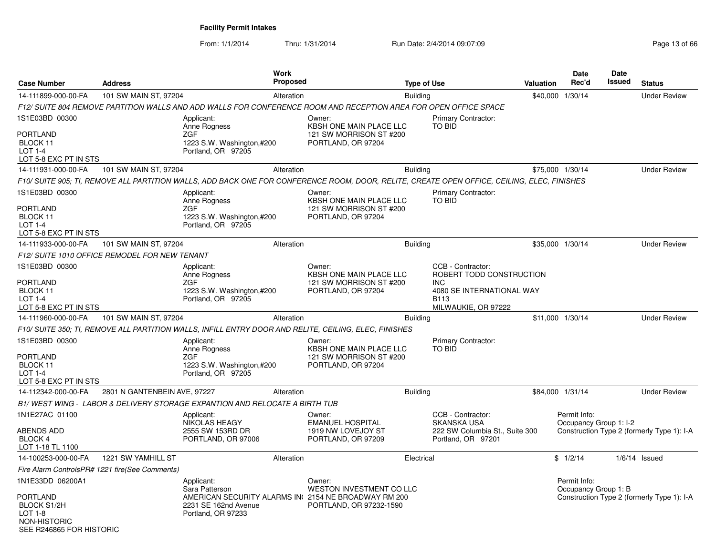From: 1/1/2014Thru: 1/31/2014 Run Date: 2/4/2014 09:07:09 Research 2010 13 of 66

| <b>Case Number</b>                                                                                               | <b>Address</b>                                 | Work<br>Proposed                                                                                                                            |                                                                                           | <b>Type of Use</b> |                                                                                                 | Valuation | Date<br>Rec'd                          | Date<br>Issued | <b>Status</b>                              |
|------------------------------------------------------------------------------------------------------------------|------------------------------------------------|---------------------------------------------------------------------------------------------------------------------------------------------|-------------------------------------------------------------------------------------------|--------------------|-------------------------------------------------------------------------------------------------|-----------|----------------------------------------|----------------|--------------------------------------------|
| 14-111899-000-00-FA                                                                                              | 101 SW MAIN ST, 97204                          | Alteration                                                                                                                                  |                                                                                           | <b>Building</b>    |                                                                                                 |           | \$40,000 1/30/14                       |                | <b>Under Review</b>                        |
|                                                                                                                  |                                                | F12/ SUITE 804 REMOVE PARTITION WALLS AND ADD WALLS FOR CONFERENCE ROOM AND RECEPTION AREA FOR OPEN OFFICE SPACE                            |                                                                                           |                    |                                                                                                 |           |                                        |                |                                            |
| 1S1E03BD 00300                                                                                                   |                                                | Applicant:<br>Anne Rogness                                                                                                                  | Owner:<br>KBSH ONE MAIN PLACE LLC                                                         |                    | <b>Primary Contractor:</b><br><b>TO BID</b>                                                     |           |                                        |                |                                            |
| PORTLAND<br>BLOCK 11<br><b>LOT 1-4</b><br>LOT 5-8 EXC PT IN STS                                                  |                                                | ZGF<br>1223 S.W. Washington,#200<br>Portland, OR 97205                                                                                      | 121 SW MORRISON ST #200<br>PORTLAND, OR 97204                                             |                    |                                                                                                 |           |                                        |                |                                            |
| 14-111931-000-00-FA                                                                                              | 101 SW MAIN ST, 97204                          | Alteration                                                                                                                                  |                                                                                           | <b>Building</b>    |                                                                                                 |           | \$75,000 1/30/14                       |                | <b>Under Review</b>                        |
|                                                                                                                  |                                                | F10/ SUITE 905; TI, REMOVE ALL PARTITION WALLS, ADD BACK ONE FOR CONFERENCE ROOM, DOOR, RELITE, CREATE OPEN OFFICE, CEILING, ELEC, FINISHES |                                                                                           |                    |                                                                                                 |           |                                        |                |                                            |
| 1S1E03BD 00300<br>PORTLAND<br>BLOCK 11<br><b>LOT 1-4</b><br>LOT 5-8 EXC PT IN STS                                |                                                | Applicant:<br>Anne Rogness<br><b>ZGF</b><br>1223 S.W. Washington,#200<br>Portland, OR 97205                                                 | Owner:<br><b>KBSH ONE MAIN PLACE LLC</b><br>121 SW MORRISON ST #200<br>PORTLAND, OR 97204 |                    | Primary Contractor:<br><b>TO BID</b>                                                            |           |                                        |                |                                            |
| 14-111933-000-00-FA                                                                                              | 101 SW MAIN ST, 97204                          | Alteration                                                                                                                                  |                                                                                           | <b>Building</b>    |                                                                                                 |           | \$35,000 1/30/14                       |                | <b>Under Review</b>                        |
|                                                                                                                  | F12/ SUITE 1010 OFFICE REMODEL FOR NEW TENANT  |                                                                                                                                             |                                                                                           |                    |                                                                                                 |           |                                        |                |                                            |
| 1S1E03BD 00300<br><b>PORTLAND</b><br>BLOCK 11                                                                    |                                                | Applicant:<br>Anne Rogness<br><b>ZGF</b><br>1223 S.W. Washington,#200                                                                       | Owner:<br><b>KBSH ONE MAIN PLACE LLC</b><br>121 SW MORRISON ST #200<br>PORTLAND, OR 97204 |                    | CCB - Contractor:<br>ROBERT TODD CONSTRUCTION<br><b>INC</b><br>4080 SE INTERNATIONAL WAY        |           |                                        |                |                                            |
| <b>LOT 1-4</b><br>LOT 5-8 EXC PT IN STS                                                                          |                                                | Portland, OR 97205                                                                                                                          |                                                                                           |                    | <b>B113</b><br>MILWAUKIE, OR 97222                                                              |           |                                        |                |                                            |
| 14-111960-000-00-FA                                                                                              | 101 SW MAIN ST, 97204                          | Alteration                                                                                                                                  |                                                                                           | <b>Building</b>    |                                                                                                 |           | \$11,000 1/30/14                       |                | <b>Under Review</b>                        |
|                                                                                                                  |                                                | F10/ SUITE 350: TI. REMOVE ALL PARTITION WALLS. INFILL ENTRY DOOR AND RELITE, CEILING, ELEC, FINISHES                                       |                                                                                           |                    |                                                                                                 |           |                                        |                |                                            |
| 1S1E03BD 00300<br>PORTLAND<br>BLOCK 11<br>$LOT 1-4$<br>LOT 5-8 EXC PT IN STS                                     |                                                | Applicant:<br>Anne Rogness<br><b>ZGF</b><br>1223 S.W. Washington,#200<br>Portland, OR 97205                                                 | Owner:<br>KBSH ONE MAIN PLACE LLC<br>121 SW MORRISON ST #200<br>PORTLAND, OR 97204        |                    | Primary Contractor:<br>TO BID                                                                   |           |                                        |                |                                            |
| 14-112342-000-00-FA                                                                                              | 2801 N GANTENBEIN AVE, 97227                   | Alteration                                                                                                                                  |                                                                                           | <b>Building</b>    |                                                                                                 |           | \$84,000 1/31/14                       |                | <b>Under Review</b>                        |
|                                                                                                                  |                                                | B1/WEST WING - LABOR & DELIVERY STORAGE EXPANTION AND RELOCATE A BIRTH TUB                                                                  |                                                                                           |                    |                                                                                                 |           |                                        |                |                                            |
| 1N1E27AC 01100<br>ABENDS ADD<br><b>BLOCK 4</b>                                                                   |                                                | Applicant:<br>NIKOLAS HEAGY<br>2555 SW 153RD DR<br>PORTLAND, OR 97006                                                                       | Owner:<br><b>EMANUEL HOSPITAL</b><br>1919 NW LOVEJOY ST<br>PORTLAND, OR 97209             |                    | CCB - Contractor:<br><b>SKANSKA USA</b><br>222 SW Columbia St., Suite 300<br>Portland, OR 97201 |           | Permit Info:<br>Occupancy Group 1: I-2 |                | Construction Type 2 (formerly Type 1): I-A |
| LOT 1-18 TL 1100                                                                                                 |                                                |                                                                                                                                             |                                                                                           |                    |                                                                                                 |           |                                        |                |                                            |
| 14-100253-000-00-FA                                                                                              | 1221 SW YAMHILL ST                             | Alteration                                                                                                                                  |                                                                                           | Electrical         |                                                                                                 |           | \$1/2/14                               |                | $1/6/14$ Issued                            |
|                                                                                                                  | Fire Alarm ControlsPR# 1221 fire(See Comments) |                                                                                                                                             |                                                                                           |                    |                                                                                                 |           |                                        |                |                                            |
| 1N1E33DD 06200A1<br>PORTLAND<br><b>BLOCK S1/2H</b><br><b>LOT 1-8</b><br>NON-HISTORIC<br>SEE R246865 FOR HISTORIC |                                                | Applicant:<br>Sara Patterson<br>AMERICAN SECURITY ALARMS IN(2154 NE BROADWAY RM 200<br>2231 SE 162nd Avenue<br>Portland, OR 97233           | Owner:<br>WESTON INVESTMENT CO LLC<br>PORTLAND, OR 97232-1590                             |                    |                                                                                                 |           | Permit Info:<br>Occupancy Group 1: B   |                | Construction Type 2 (formerly Type 1): I-A |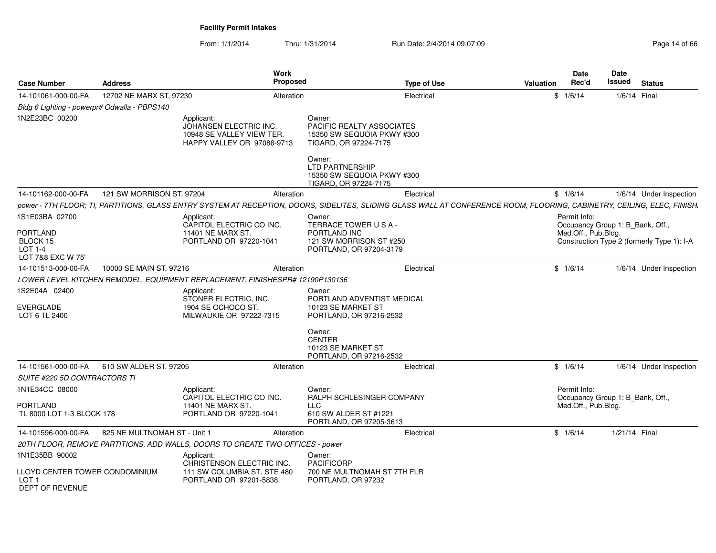From: 1/1/2014Thru: 1/31/2014 Run Date: 2/4/2014 09:07:09 Research 2010 12:00 Page 14 of 66

| <b>Case Number</b>                                                                   | <b>Address</b>               |                                                                                                  | <b>Work</b><br>Proposed | <b>Type of Use</b>                                                                                                                                                       | Valuation | <b>Date</b><br>Rec'd                | Date<br>Issued                   | <b>Status</b>                              |
|--------------------------------------------------------------------------------------|------------------------------|--------------------------------------------------------------------------------------------------|-------------------------|--------------------------------------------------------------------------------------------------------------------------------------------------------------------------|-----------|-------------------------------------|----------------------------------|--------------------------------------------|
| 14-101061-000-00-FA                                                                  | 12702 NE MARX ST, 97230      |                                                                                                  | Alteration              | Electrical                                                                                                                                                               |           | \$1/6/14                            | 1/6/14 Final                     |                                            |
| Bldg 6 Lighting - powerpr# Odwalla - PBPS140                                         |                              |                                                                                                  |                         |                                                                                                                                                                          |           |                                     |                                  |                                            |
| 1N2E23BC 00200                                                                       |                              | Applicant:<br>JOHANSEN ELECTRIC INC.<br>10948 SE VALLEY VIEW TER.<br>HAPPY VALLEY OR 97086-9713  |                         | Owner:<br>PACIFIC REALTY ASSOCIATES<br>15350 SW SEQUOIA PKWY #300<br>TIGARD, OR 97224-7175<br>Owner:                                                                     |           |                                     |                                  |                                            |
|                                                                                      |                              |                                                                                                  |                         | <b>LTD PARTNERSHIP</b><br>15350 SW SEQUOIA PKWY #300<br>TIGARD, OR 97224-7175                                                                                            |           |                                     |                                  |                                            |
| 14-101162-000-00-FA                                                                  | 121 SW MORRISON ST, 97204    |                                                                                                  | Alteration              | Electrical                                                                                                                                                               |           | \$1/6/14                            |                                  | 1/6/14 Under Inspection                    |
|                                                                                      |                              |                                                                                                  |                         | power - 7TH FLOOR; TI, PARTITIONS, GLASS ENTRY SYSTEM AT RECEPTION, DOORS, SIDELITES, SLIDING GLASS WALL AT CONFERENCE ROOM, FLOORING, CABINETRY, CEILING, ELEC, FINISH. |           |                                     |                                  |                                            |
| 1S1E03BA 02700<br><b>PORTLAND</b><br>BLOCK 15<br><b>LOT 1-4</b><br>LOT 7&8 EXC W 75' |                              | Applicant:<br>CAPITOL ELECTRIC CO INC.<br>11401 NE MARX ST.<br>PORTLAND OR 97220-1041            |                         | Owner:<br>TERRACE TOWER USA-<br>PORTLAND INC<br>121 SW MORRISON ST #250<br>PORTLAND, OR 97204-3179                                                                       |           | Permit Info:<br>Med.Off., Pub.Bldg. | Occupancy Group 1: B_Bank, Off., | Construction Type 2 (formerly Type 1): I-A |
| 14-101513-000-00-FA                                                                  | 10000 SE MAIN ST, 97216      |                                                                                                  | Alteration              | Electrical                                                                                                                                                               |           | \$1/6/14                            |                                  | 1/6/14 Under Inspection                    |
|                                                                                      |                              | LOWER LEVEL KITCHEN REMODEL. EQUIPMENT REPLACEMENT. FINISHESPR# 12190P130136                     |                         |                                                                                                                                                                          |           |                                     |                                  |                                            |
| 1S2E04A 02400<br><b>EVERGLADE</b><br>LOT 6 TL 2400                                   |                              | Applicant:<br>STONER ELECTRIC, INC.<br>1904 SE OCHOCO ST.<br>MILWAUKIE OR 97222-7315             |                         | Owner:<br>PORTLAND ADVENTIST MEDICAL<br>10123 SE MARKET ST<br>PORTLAND, OR 97216-2532                                                                                    |           |                                     |                                  |                                            |
|                                                                                      |                              |                                                                                                  |                         | Owner:<br><b>CENTER</b><br>10123 SE MARKET ST<br>PORTLAND, OR 97216-2532                                                                                                 |           |                                     |                                  |                                            |
| 14-101561-000-00-FA                                                                  | 610 SW ALDER ST, 97205       |                                                                                                  | Alteration              | Electrical                                                                                                                                                               |           | \$1/6/14                            |                                  | 1/6/14 Under Inspection                    |
| SUITE #220 5D CONTRACTORS TI                                                         |                              |                                                                                                  |                         |                                                                                                                                                                          |           |                                     |                                  |                                            |
| 1N1E34CC 08000<br>PORTLAND                                                           |                              | Applicant:<br>CAPITOL ELECTRIC CO INC.<br>11401 NE MARX ST.                                      |                         | Owner:<br>RALPH SCHLESINGER COMPANY<br>LLC.                                                                                                                              |           | Permit Info:                        | Occupancy Group 1: B_Bank, Off., |                                            |
| TL 8000 LOT 1-3 BLOCK 178                                                            |                              | PORTLAND OR 97220-1041                                                                           |                         | 610 SW ALDER ST #1221<br>PORTLAND, OR 97205-3613                                                                                                                         |           | Med.Off., Pub.Bldg.                 |                                  |                                            |
| 14-101596-000-00-FA                                                                  | 825 NE MULTNOMAH ST - Unit 1 |                                                                                                  | Alteration              | Electrical                                                                                                                                                               |           | \$1/6/14                            | 1/21/14 Final                    |                                            |
|                                                                                      |                              | 20TH FLOOR, REMOVE PARTITIONS, ADD WALLS, DOORS TO CREATE TWO OFFICES - power                    |                         |                                                                                                                                                                          |           |                                     |                                  |                                            |
| 1N1E35BB 90002<br>LLOYD CENTER TOWER CONDOMINIUM<br>LOT 1<br><b>DEPT OF REVENUE</b>  |                              | Applicant:<br>CHRISTENSON ELECTRIC INC.<br>111 SW COLUMBIA ST. STE 480<br>PORTLAND OR 97201-5838 |                         | Owner:<br><b>PACIFICORP</b><br>700 NE MULTNOMAH ST 7TH FLR<br>PORTLAND, OR 97232                                                                                         |           |                                     |                                  |                                            |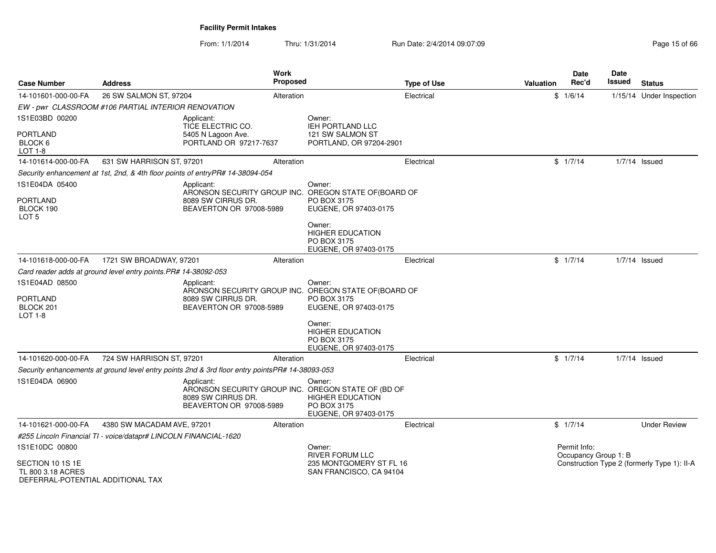From: 1/1/2014Thru: 1/31/2014 Run Date: 2/4/2014 09:07:09 Research 2010 15 of 66

| <b>Case Number</b>                                                         | <b>Address</b>                                                                                  | <b>Work</b><br><b>Proposed</b>                                                                         |                                                                           | <b>Type of Use</b> | Valuation | Date<br>Rec'd                        | Date<br>Issued | <b>Status</b>                               |
|----------------------------------------------------------------------------|-------------------------------------------------------------------------------------------------|--------------------------------------------------------------------------------------------------------|---------------------------------------------------------------------------|--------------------|-----------|--------------------------------------|----------------|---------------------------------------------|
| 14-101601-000-00-FA                                                        | 26 SW SALMON ST, 97204                                                                          | Alteration                                                                                             |                                                                           | Electrical         |           | \$1/6/14                             |                | 1/15/14 Under Inspection                    |
|                                                                            | EW - pwr CLASSROOM #106 PARTIAL INTERIOR RENOVATION                                             |                                                                                                        |                                                                           |                    |           |                                      |                |                                             |
| 1S1E03BD 00200                                                             | Applicant:                                                                                      | TICE ELECTRIC CO.                                                                                      | Owner:<br><b>IEH PORTLAND LLC</b>                                         |                    |           |                                      |                |                                             |
| <b>PORTLAND</b><br>BLOCK 6<br>LOT 1-8                                      |                                                                                                 | 5405 N Lagoon Ave.<br>PORTLAND OR 97217-7637                                                           | 121 SW SALMON ST<br>PORTLAND, OR 97204-2901                               |                    |           |                                      |                |                                             |
| 14-101614-000-00-FA                                                        | 631 SW HARRISON ST, 97201                                                                       | Alteration                                                                                             |                                                                           | Electrical         |           | \$1/7/14                             |                | $1/7/14$ Issued                             |
|                                                                            | Security enhancement at 1st, 2nd, & 4th floor points of entryPR# 14-38094-054                   |                                                                                                        |                                                                           |                    |           |                                      |                |                                             |
| 1S1E04DA 05400<br><b>PORTLAND</b>                                          | Applicant:                                                                                      | ARONSON SECURITY GROUP INC. OREGON STATE OF (BOARD OF<br>8089 SW CIRRUS DR.                            | Owner:<br>PO BOX 3175                                                     |                    |           |                                      |                |                                             |
| BLOCK 190<br>LOT <sub>5</sub>                                              |                                                                                                 | BEAVERTON OR 97008-5989                                                                                | EUGENE, OR 97403-0175                                                     |                    |           |                                      |                |                                             |
|                                                                            |                                                                                                 |                                                                                                        | Owner:<br><b>HIGHER EDUCATION</b><br>PO BOX 3175<br>EUGENE, OR 97403-0175 |                    |           |                                      |                |                                             |
| 14-101618-000-00-FA                                                        | 1721 SW BROADWAY, 97201                                                                         | Alteration                                                                                             |                                                                           | Electrical         |           | \$1/7/14                             |                | $1/7/14$ Issued                             |
|                                                                            | Card reader adds at ground level entry points. PR# 14-38092-053                                 |                                                                                                        |                                                                           |                    |           |                                      |                |                                             |
| 1S1E04AD 08500<br><b>PORTLAND</b><br>BLOCK 201<br>$LOT 1-8$                | Applicant:                                                                                      | ARONSON SECURITY GROUP INC. OREGON STATE OF (BOARD OF<br>8089 SW CIRRUS DR.<br>BEAVERTON OR 97008-5989 | Owner:<br>PO BOX 3175<br>EUGENE, OR 97403-0175                            |                    |           |                                      |                |                                             |
|                                                                            |                                                                                                 |                                                                                                        | Owner:<br><b>HIGHER EDUCATION</b><br>PO BOX 3175<br>EUGENE, OR 97403-0175 |                    |           |                                      |                |                                             |
| 14-101620-000-00-FA                                                        | 724 SW HARRISON ST, 97201                                                                       | Alteration                                                                                             |                                                                           | Electrical         |           | \$1/7/14                             |                | $1/7/14$ Issued                             |
|                                                                            | Security enhancements at ground level entry points 2nd & 3rd floor entry pointsPR# 14-38093-053 |                                                                                                        |                                                                           |                    |           |                                      |                |                                             |
| 1S1E04DA 06900                                                             | Applicant:                                                                                      | ARONSON SECURITY GROUP INC. OREGON STATE OF (BD OF<br>8089 SW CIRRUS DR.<br>BEAVERTON OR 97008-5989    | Owner:<br><b>HIGHER EDUCATION</b><br>PO BOX 3175<br>EUGENE, OR 97403-0175 |                    |           |                                      |                |                                             |
| 14-101621-000-00-FA                                                        | 4380 SW MACADAM AVE, 97201                                                                      | Alteration                                                                                             |                                                                           | Electrical         |           | \$1/7/14                             |                | <b>Under Review</b>                         |
|                                                                            | #255 Lincoln Financial TI - voice/datapr# LINCOLN FINANCIAL-1620                                |                                                                                                        |                                                                           |                    |           |                                      |                |                                             |
| 1S1E10DC 00800                                                             |                                                                                                 |                                                                                                        | Owner:<br><b>RIVER FORUM LLC</b>                                          |                    |           | Permit Info:<br>Occupancy Group 1: B |                |                                             |
| SECTION 10 1S 1E<br>TL 800 3.18 ACRES<br>DEFERRAI-POTENTIAI ADDITIONAI TAX |                                                                                                 |                                                                                                        | 235 MONTGOMERY ST FL 16<br>SAN FRANCISCO, CA 94104                        |                    |           |                                      |                | Construction Type 2 (formerly Type 1): II-A |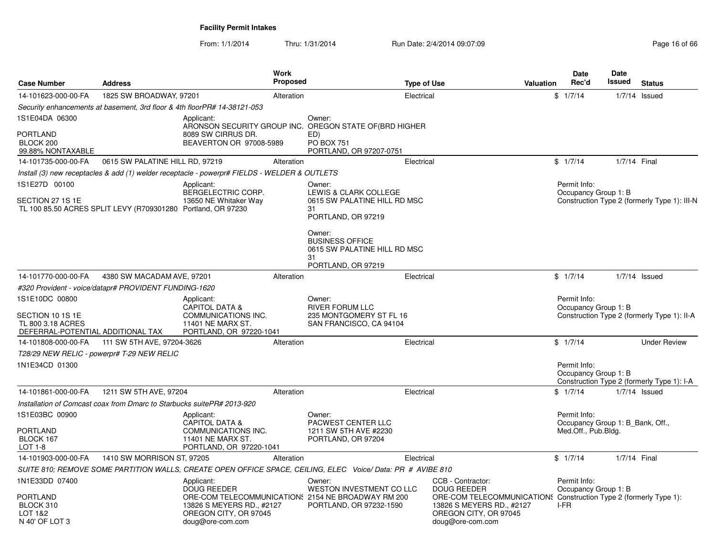From: 1/1/2014Thru: 1/31/2014 Run Date: 2/4/2014 09:07:09 Research 2010 13:07:09

| <b>Case Number</b>                                                                           | <b>Address</b>                                                         |                                                                                                                | <b>Work</b><br><b>Proposed</b> |                                                                                                                                 | <b>Type of Use</b> | <b>Valuation</b>                                                                                                                                                                       |      | <b>Date</b><br>Rec'd                                                    | <b>Date</b><br>Issued | <b>Status</b>                                |
|----------------------------------------------------------------------------------------------|------------------------------------------------------------------------|----------------------------------------------------------------------------------------------------------------|--------------------------------|---------------------------------------------------------------------------------------------------------------------------------|--------------------|----------------------------------------------------------------------------------------------------------------------------------------------------------------------------------------|------|-------------------------------------------------------------------------|-----------------------|----------------------------------------------|
| 14-101623-000-00-FA                                                                          | 1825 SW BROADWAY, 97201                                                |                                                                                                                | Alteration                     |                                                                                                                                 | Electrical         |                                                                                                                                                                                        |      | \$1/7/14                                                                | 1/7/14                | Issued                                       |
|                                                                                              |                                                                        | Security enhancements at basement, 3rd floor & 4th floorPR# 14-38121-053                                       |                                |                                                                                                                                 |                    |                                                                                                                                                                                        |      |                                                                         |                       |                                              |
| 1S1E04DA 06300<br><b>PORTLAND</b><br>BLOCK 200                                               |                                                                        | Applicant:<br>ARONSON SECURITY GROUP INC.<br>8089 SW CIRRUS DR.<br>BEAVERTON OR 97008-5989                     |                                | Owner:<br>OREGON STATE OF (BRD HIGHER<br>ED)<br><b>PO BOX 751</b>                                                               |                    |                                                                                                                                                                                        |      |                                                                         |                       |                                              |
| 99.88% NONTAXABLE                                                                            |                                                                        |                                                                                                                |                                | PORTLAND, OR 97207-0751                                                                                                         |                    |                                                                                                                                                                                        |      |                                                                         |                       |                                              |
| 14-101735-000-00-FA                                                                          | 0615 SW PALATINE HILL RD, 97219                                        |                                                                                                                | Alteration                     |                                                                                                                                 | Electrical         |                                                                                                                                                                                        |      | \$1/7/14                                                                | 1/7/14 Final          |                                              |
|                                                                                              |                                                                        | Install (3) new receptacles & add (1) welder receptacle - powerpr# FIELDS - WELDER & OUTLETS                   |                                |                                                                                                                                 |                    |                                                                                                                                                                                        |      |                                                                         |                       |                                              |
| 1S1E27D 00100<br>SECTION 27 1S 1E                                                            | TL 100 85.50 ACRES SPLIT LEVY (R709301280 Portland, OR 97230           | Applicant:<br>BERGELECTRIC CORP.<br>13650 NE Whitaker Way                                                      |                                | Owner:<br>LEWIS & CLARK COLLEGE<br>0615 SW PALATINE HILL RD MSC<br>31<br>PORTLAND, OR 97219<br>Owner:<br><b>BUSINESS OFFICE</b> |                    |                                                                                                                                                                                        |      | Permit Info:<br>Occupancy Group 1: B                                    |                       | Construction Type 2 (formerly Type 1): III-N |
|                                                                                              |                                                                        |                                                                                                                |                                | 0615 SW PALATINE HILL RD MSC<br>31<br>PORTLAND, OR 97219                                                                        |                    |                                                                                                                                                                                        |      |                                                                         |                       |                                              |
| 14-101770-000-00-FA                                                                          | 4380 SW MACADAM AVE, 97201                                             |                                                                                                                | Alteration                     |                                                                                                                                 | Electrical         |                                                                                                                                                                                        |      | \$1/7/14                                                                |                       | $1/7/14$ Issued                              |
|                                                                                              | #320 Provident - voice/datapr# PROVIDENT FUNDING-1620                  |                                                                                                                |                                |                                                                                                                                 |                    |                                                                                                                                                                                        |      |                                                                         |                       |                                              |
| 1S1E10DC 00800<br>SECTION 10 1S 1E<br>TL 800 3.18 ACRES<br>DEFERRAL-POTENTIAL ADDITIONAL TAX |                                                                        | Applicant:<br><b>CAPITOL DATA &amp;</b><br>COMMUNICATIONS INC.<br>11401 NE MARX ST.<br>PORTLAND, OR 97220-1041 |                                | Owner:<br><b>RIVER FORUM LLC</b><br>235 MONTGOMERY ST FL 16<br>SAN FRANCISCO, CA 94104                                          |                    |                                                                                                                                                                                        |      | Permit Info:<br>Occupancy Group 1: B                                    |                       | Construction Type 2 (formerly Type 1): II-A  |
| 14-101808-000-00-FA                                                                          | 111 SW 5TH AVE, 97204-3626                                             |                                                                                                                | Alteration                     |                                                                                                                                 | Electrical         |                                                                                                                                                                                        |      | \$1/7/14                                                                |                       | <b>Under Review</b>                          |
|                                                                                              | T28/29 NEW RELIC - powerpr# T-29 NEW RELIC                             |                                                                                                                |                                |                                                                                                                                 |                    |                                                                                                                                                                                        |      |                                                                         |                       |                                              |
| 1N1E34CD 01300                                                                               |                                                                        |                                                                                                                |                                |                                                                                                                                 |                    |                                                                                                                                                                                        |      | Permit Info:<br>Occupancy Group 1: B                                    |                       | Construction Type 2 (formerly Type 1): I-A   |
| 14-101861-000-00-FA                                                                          | 1211 SW 5TH AVE, 97204                                                 |                                                                                                                | Alteration                     |                                                                                                                                 | Electrical         |                                                                                                                                                                                        |      | \$1/7/14                                                                |                       | $1/7/14$ Issued                              |
|                                                                                              | Installation of Comcast coax from Dmarc to Starbucks suitePR# 2013-920 |                                                                                                                |                                |                                                                                                                                 |                    |                                                                                                                                                                                        |      |                                                                         |                       |                                              |
| 1S1E03BC 00900<br><b>PORTLAND</b><br>BLOCK 167                                               |                                                                        | Applicant:<br><b>CAPITOL DATA &amp;</b><br>COMMUNICATIONS INC.<br>11401 NE MARX ST.                            |                                | Owner:<br>PACWEST CENTER LLC<br>1211 SW 5TH AVE #2230<br>PORTLAND, OR 97204                                                     |                    |                                                                                                                                                                                        |      | Permit Info:<br>Occupancy Group 1: B Bank, Off.,<br>Med.Off., Pub.Bldg. |                       |                                              |
| LOT 1-8                                                                                      |                                                                        | PORTLAND, OR 97220-1041                                                                                        |                                |                                                                                                                                 |                    |                                                                                                                                                                                        |      |                                                                         |                       |                                              |
| 14-101903-000-00-FA                                                                          | 1410 SW MORRISON ST, 97205                                             |                                                                                                                | Alteration                     |                                                                                                                                 | Electrical         |                                                                                                                                                                                        |      | \$1/7/14                                                                | 1/7/14 Final          |                                              |
|                                                                                              |                                                                        |                                                                                                                |                                | SUITE 810; REMOVE SOME PARTITION WALLS, CREATE OPEN OFFICE SPACE, CEILING, ELEC Voice/Data: PR # AVIBE 810                      |                    |                                                                                                                                                                                        |      |                                                                         |                       |                                              |
| 1N1E33DD 07400<br>PORTLAND<br>BLOCK 310<br>LOT 1&2<br>N 40' OF LOT 3                         |                                                                        | Applicant:<br><b>DOUG REEDER</b><br>13826 S MEYERS RD., #2127<br>OREGON CITY, OR 97045<br>doug@ore-com.com     |                                | Owner:<br>WESTON INVESTMENT CO LLC<br>ORE-COM TELECOMMUNICATION § 2154 NE BROADWAY RM 200<br>PORTLAND, OR 97232-1590            |                    | CCB - Contractor:<br><b>DOUG REEDER</b><br>ORE-COM TELECOMMUNICATION: Construction Type 2 (formerly Type 1):<br>13826 S MEYERS RD., #2127<br>OREGON CITY, OR 97045<br>doug@ore-com.com | I-FR | Permit Info:<br>Occupancy Group 1: B                                    |                       |                                              |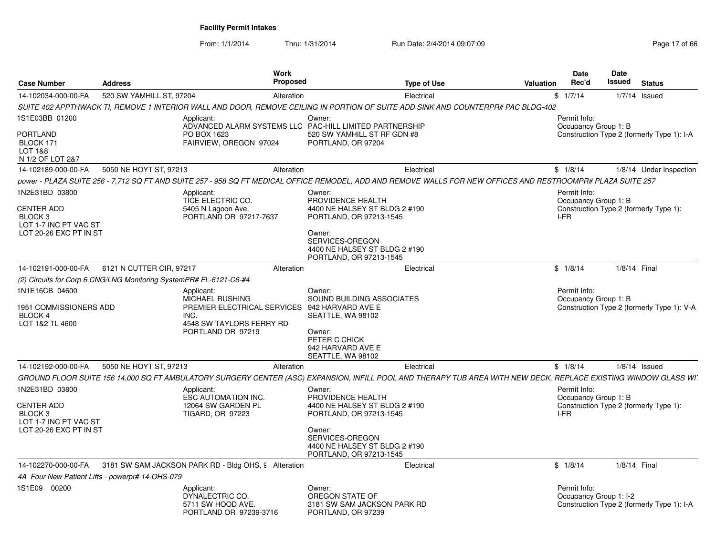From: 1/1/2014Thru: 1/31/2014 Run Date: 2/4/2014 09:07:09 Research 2010 17:06 66

| <b>Case Number</b>                                                                         | <b>Address</b>                                                     | Work<br>Proposed                                                                                                         | <b>Type of Use</b>                                                                                                                                                               | Valuation | Date<br>Rec'd                          | Date<br>Issued | <b>Status</b>                              |
|--------------------------------------------------------------------------------------------|--------------------------------------------------------------------|--------------------------------------------------------------------------------------------------------------------------|----------------------------------------------------------------------------------------------------------------------------------------------------------------------------------|-----------|----------------------------------------|----------------|--------------------------------------------|
| 14-102034-000-00-FA                                                                        | 520 SW YAMHILL ST, 97204                                           | Alteration                                                                                                               | Electrical                                                                                                                                                                       |           | \$1/7/14                               |                | $1/7/14$ Issued                            |
|                                                                                            |                                                                    |                                                                                                                          | SUITE 402 APPTHWACK TI, REMOVE 1 INTERIOR WALL AND DOOR, REMOVE CEILING IN PORTION OF SUITE ADD SINK AND COUNTERPR# PAC BLDG-402                                                 |           |                                        |                |                                            |
| 1S1E03BB 01200                                                                             | Applicant:                                                         |                                                                                                                          | Owner:<br>ADVANCED ALARM SYSTEMS LLC PAC-HILL LIMITED PARTNERSHIP                                                                                                                |           | Permit Info:<br>Occupancy Group 1: B   |                |                                            |
| PORTLAND<br>BLOCK 171<br>LOT 1&8<br>N 1/2 OF LOT 2&7                                       | PO BOX 1623                                                        | FAIRVIEW, OREGON 97024                                                                                                   | 520 SW YAMHILL ST RF GDN #8<br>PORTLAND, OR 97204                                                                                                                                |           |                                        |                | Construction Type 2 (formerly Type 1): I-A |
| 14-102189-000-00-FA                                                                        | 5050 NE HOYT ST, 97213                                             | Alteration                                                                                                               | Electrical                                                                                                                                                                       |           | \$1/8/14                               |                | 1/8/14 Under Inspection                    |
|                                                                                            |                                                                    |                                                                                                                          | power - PLAZA SUITE 256 - 7,712 SQ FT AND SUITE 257 - 958 SQ FT MEDICAL OFFICE REMODEL, ADD AND REMOVE WALLS FOR NEW OFFICES AND RESTROOMPR# PLAZA SUITE 257                     |           |                                        |                |                                            |
| 1N2E31BD 03800<br>CENTER ADD<br>BLOCK <sub>3</sub>                                         | Applicant:                                                         | TICE ELECTRIC CO.<br>5405 N Lagoon Ave.<br>PORTLAND OR 97217-7637                                                        | Owner:<br>PROVIDENCE HEALTH<br>4400 NE HALSEY ST BLDG 2 #190<br>PORTLAND, OR 97213-1545                                                                                          | I-FR      | Permit Info:<br>Occupancy Group 1: B   |                | Construction Type 2 (formerly Type 1):     |
| LOT 1-7 INC PT VAC ST<br>LOT 20-26 EXC PT IN ST                                            |                                                                    |                                                                                                                          | Owner:<br>SERVICES-OREGON<br>4400 NE HALSEY ST BLDG 2 #190<br>PORTLAND, OR 97213-1545                                                                                            |           |                                        |                |                                            |
| 14-102191-000-00-FA                                                                        | 6121 N CUTTER CIR, 97217                                           | Alteration                                                                                                               | Electrical                                                                                                                                                                       |           | \$1/8/14                               | 1/8/14 Final   |                                            |
|                                                                                            | (2) Circuits for Corp 6 CNG/LNG Monitoring SystemPR# FL-6121-C6-#4 |                                                                                                                          |                                                                                                                                                                                  |           |                                        |                |                                            |
| 1N1E16CB 04600<br>1951 COMMISSIONERS ADD<br><b>BLOCK 4</b><br>LOT 1&2 TL 4600              | Applicant:<br>INC.                                                 | <b>MICHAEL RUSHING</b><br>PREMIER ELECTRICAL SERVICES 942 HARVARD AVE E<br>4548 SW TAYLORS FERRY RD<br>PORTLAND OR 97219 | Owner:<br>SOUND BUILDING ASSOCIATES<br>SEATTLE, WA 98102<br>Owner:<br>PETER C CHICK<br>942 HARVARD AVE E<br>SEATTLE, WA 98102                                                    |           | Permit Info:<br>Occupancy Group 1: B   |                | Construction Type 2 (formerly Type 1): V-A |
| 14-102192-000-00-FA                                                                        | 5050 NE HOYT ST, 97213                                             | Alteration                                                                                                               | Electrical                                                                                                                                                                       |           | \$1/8/14                               |                | $1/8/14$ Issued                            |
|                                                                                            |                                                                    |                                                                                                                          | GROUND FLOOR SUITE 156 14,000 SQ FT AMBULATORY SURGERY CENTER (ASC) EXPANSION, INFILL POOL AND THERAPY TUB AREA WITH NEW DECK, REPLACE EXISTING WINDOW GLASS WI                  |           |                                        |                |                                            |
| 1N2E31BD 03800<br>CENTER ADD<br>BLOCK 3<br>LOT 1-7 INC PT VAC ST<br>LOT 20-26 EXC PT IN ST | Applicant:                                                         | <b>ESC AUTOMATION INC.</b><br>12064 SW GARDEN PL<br>TIGARD, OR 97223                                                     | Owner:<br>PROVIDENCE HEALTH<br>4400 NE HALSEY ST BLDG 2 #190<br>PORTLAND, OR 97213-1545<br>Owner:<br>SERVICES-OREGON<br>4400 NE HALSEY ST BLDG 2 #190<br>PORTLAND, OR 97213-1545 | I-FR      | Permit Info:<br>Occupancy Group 1: B   |                | Construction Type 2 (formerly Type 1):     |
| 14-102270-000-00-FA                                                                        | 3181 SW SAM JACKSON PARK RD - Bldg OHS, 9 Alteration               |                                                                                                                          | Electrical                                                                                                                                                                       |           | \$1/8/14                               | 1/8/14 Final   |                                            |
|                                                                                            | 4A Four New Patient Lifts - powerpr# 14-OHS-079                    |                                                                                                                          |                                                                                                                                                                                  |           |                                        |                |                                            |
| 1S1E09 00200                                                                               | Applicant:                                                         | DYNALECTRIC CO.<br>5711 SW HOOD AVE.<br>PORTLAND OR 97239-3716                                                           | Owner:<br>OREGON STATE OF<br>3181 SW SAM JACKSON PARK RD<br>PORTLAND, OR 97239                                                                                                   |           | Permit Info:<br>Occupancy Group 1: I-2 |                | Construction Type 2 (formerly Type 1): I-A |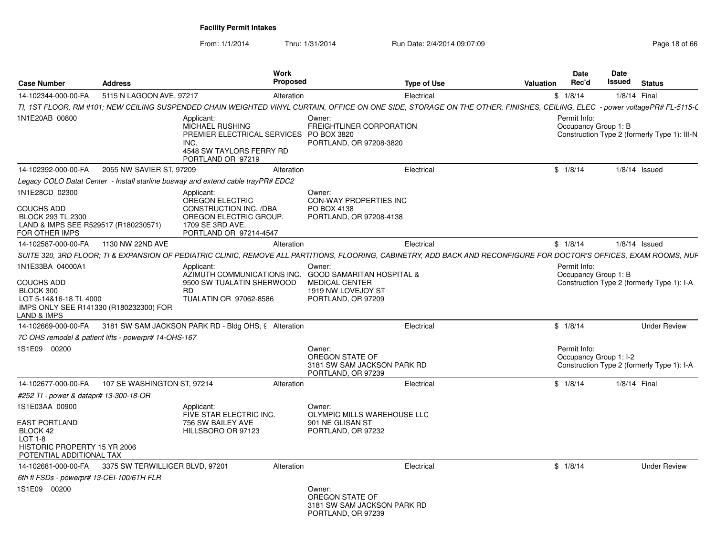From: 1/1/2014Thru: 1/31/2014 Run Date: 2/4/2014 09:07:09 Research 2010 18:00 Page 18 of 66

| <b>Case Number</b>                                                                                                                    | <b>Address</b>                  | Work<br><b>Proposed</b>                                                                                                                                                    |                                                                                                                     | <b>Type of Use</b> | <b>Valuation</b>                                                                   | <b>Date</b><br>Rec'd                   | Date<br>Issued | <b>Status</b>                                |
|---------------------------------------------------------------------------------------------------------------------------------------|---------------------------------|----------------------------------------------------------------------------------------------------------------------------------------------------------------------------|---------------------------------------------------------------------------------------------------------------------|--------------------|------------------------------------------------------------------------------------|----------------------------------------|----------------|----------------------------------------------|
| 14-102344-000-00-FA                                                                                                                   | 5115 N LAGOON AVE, 97217        | Alteration                                                                                                                                                                 |                                                                                                                     | Electrical         |                                                                                    | \$1/8/14                               |                | 1/8/14 Final                                 |
|                                                                                                                                       |                                 | TI, 1ST FLOOR, RM #101; NEW CEILING SUSPENDED CHAIN WEIGHTED VINYL CURTAIN, OFFICE ON ONE SIDE, STORAGE ON THE OTHER, FINISHES, CEILING, ELEC - power voltagePR# FL-5115-( |                                                                                                                     |                    |                                                                                    |                                        |                |                                              |
| 1N1E20AB 00800                                                                                                                        |                                 | Applicant:<br><b>MICHAEL RUSHING</b><br>PREMIER ELECTRICAL SERVICES<br>INC.<br>4548 SW TAYLORS FERRY RD<br>PORTLAND OR 97219                                               | Owner:<br><b>FREIGHTLINER CORPORATION</b><br>PO BOX 3820<br>PORTLAND, OR 97208-3820                                 |                    |                                                                                    | Permit Info:<br>Occupancy Group 1: B   |                | Construction Type 2 (formerly Type 1): III-N |
| 14-102392-000-00-FA                                                                                                                   | 2055 NW SAVIER ST, 97209        | Alteration                                                                                                                                                                 |                                                                                                                     | Electrical         |                                                                                    | \$1/8/14                               |                | $1/8/14$ Issued                              |
|                                                                                                                                       |                                 | Legacy COLO Datat Center - Install starline busway and extend cable trayPR# EDC2                                                                                           |                                                                                                                     |                    |                                                                                    |                                        |                |                                              |
| 1N1E28CD 02300<br><b>COUCHS ADD</b><br><b>BLOCK 293 TL 2300</b><br>LAND & IMPS SEE R529517 (R180230571)<br>FOR OTHER IMPS             |                                 | Applicant:<br><b>OREGON ELECTRIC</b><br>CONSTRUCTION INC. /DBA<br>OREGON ELECTRIC GROUP.<br>1709 SE 3RD AVE.<br>PORTLAND OR 97214-4547                                     | Owner:<br><b>CON-WAY PROPERTIES INC</b><br>PO BOX 4138<br>PORTLAND, OR 97208-4138                                   |                    |                                                                                    |                                        |                |                                              |
| 14-102587-000-00-FA                                                                                                                   | 1130 NW 22ND AVE                | Alteration                                                                                                                                                                 |                                                                                                                     | Electrical         |                                                                                    | \$1/8/14                               |                | $1/8/14$ Issued                              |
|                                                                                                                                       |                                 | SUITE 320, 3RD FLOOR; TI & EXPANSION OF PEDIATRIC CLINIC, REMOVE ALL PARTITIONS, FLOORING, CABINETRY, ADD BACK AND RECONFIGURE FOR DOCTOR'S OFFICES, EXAM ROOMS, NUF       |                                                                                                                     |                    |                                                                                    |                                        |                |                                              |
| 1N1E33BA 04000A1<br><b>COUCHS ADD</b><br>BLOCK 300<br>LOT 5-14&16-18 TL 4000<br>IMPS ONLY SEE R141330 (R180232300) FOR<br>LAND & IMPS |                                 | Applicant<br>AZIMUTH COMMUNICATIONS INC.<br>9500 SW TUALATIN SHERWOOD<br><b>RD</b><br>TUALATIN OR 97062-8586                                                               | Owner:<br><b>GOOD SAMARITAN HOSPITAL &amp;</b><br><b>MEDICAL CENTER</b><br>1919 NW LOVEJOY ST<br>PORTLAND, OR 97209 |                    | Permit Info:<br>Occupancy Group 1: B<br>Construction Type 2 (formerly Type 1): I-A |                                        |                |                                              |
| 14-102669-000-00-FA                                                                                                                   |                                 | 3181 SW SAM JACKSON PARK RD - Bldg OHS, 9 Alteration                                                                                                                       |                                                                                                                     | Electrical         |                                                                                    | \$1/8/14                               |                | <b>Under Review</b>                          |
| 7C OHS remodel & patient lifts - powerpr# 14-OHS-167                                                                                  |                                 |                                                                                                                                                                            |                                                                                                                     |                    |                                                                                    |                                        |                |                                              |
| 1S1E09 00200                                                                                                                          |                                 |                                                                                                                                                                            | Owner:<br>OREGON STATE OF<br>3181 SW SAM JACKSON PARK RD<br>PORTLAND, OR 97239                                      |                    |                                                                                    | Permit Info:<br>Occupancy Group 1: I-2 |                | Construction Type 2 (formerly Type 1): I-A   |
| 14-102677-000-00-FA                                                                                                                   | 107 SE WASHINGTON ST, 97214     | Alteration                                                                                                                                                                 |                                                                                                                     | Electrical         |                                                                                    | \$1/8/14                               |                | 1/8/14 Final                                 |
| #252 TI - power & datapr# 13-300-18-OR                                                                                                |                                 |                                                                                                                                                                            |                                                                                                                     |                    |                                                                                    |                                        |                |                                              |
| 1S1E03AA 00900<br>EAST PORTLAND<br>BLOCK 42<br>LOT 1-8<br>HISTORIC PROPERTY 15 YR 2006<br>POTENTIAL ADDITIONAL TAX                    |                                 | Applicant:<br>FIVE STAR ELECTRIC INC.<br>756 SW BAILEY AVE<br>HILLSBORO OR 97123                                                                                           | Owner:<br>OLYMPIC MILLS WAREHOUSE LLC<br>901 NE GLISAN ST<br>PORTLAND, OR 97232                                     |                    |                                                                                    |                                        |                |                                              |
| 14-102681-000-00-FA                                                                                                                   | 3375 SW TERWILLIGER BLVD, 97201 | Alteration                                                                                                                                                                 |                                                                                                                     | Electrical         |                                                                                    | \$1/8/14                               |                | <b>Under Review</b>                          |
| 6th fl FSDs - powerpr# 13-CEI-100/6TH FLR                                                                                             |                                 |                                                                                                                                                                            |                                                                                                                     |                    |                                                                                    |                                        |                |                                              |
| 1S1E09 00200                                                                                                                          |                                 |                                                                                                                                                                            | Owner:<br>OREGON STATE OF<br>3181 SW SAM JACKSON PARK RD<br>PORTLAND, OR 97239                                      |                    |                                                                                    |                                        |                |                                              |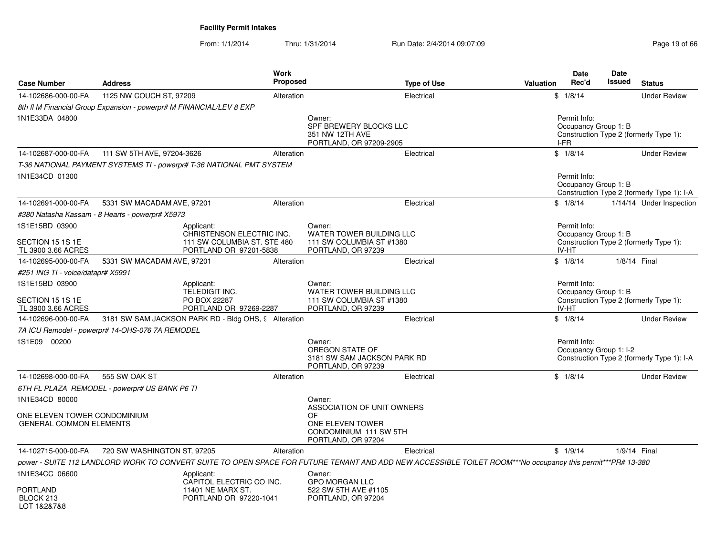From: 1/1/2014Thru: 1/31/2014 Run Date: 2/4/2014 09:07:09 Research 2010 19:06 Page 19 of 66

| <b>Case Number</b>                                             | <b>Address</b>                                                      | Work<br><b>Proposed</b>                                                               |                                 | <b>Type of Use</b>                                                                                                                                          | <b>Valuation</b> | Date<br>Rec'd                                 | Date<br><b>Issued</b> | <b>Status</b>                              |
|----------------------------------------------------------------|---------------------------------------------------------------------|---------------------------------------------------------------------------------------|---------------------------------|-------------------------------------------------------------------------------------------------------------------------------------------------------------|------------------|-----------------------------------------------|-----------------------|--------------------------------------------|
| 14-102686-000-00-FA                                            | 1125 NW COUCH ST, 97209                                             | Alteration                                                                            |                                 | Electrical                                                                                                                                                  |                  | \$1/8/14                                      |                       | <b>Under Review</b>                        |
|                                                                | 8th fl M Financial Group Expansion - powerpr# M FINANCIAL/LEV 8 EXP |                                                                                       |                                 |                                                                                                                                                             |                  |                                               |                       |                                            |
| 1N1E33DA 04800                                                 |                                                                     |                                                                                       | Owner:<br>351 NW 12TH AVE       | SPF BREWERY BLOCKS LLC<br>PORTLAND, OR 97209-2905                                                                                                           |                  | Permit Info:<br>Occupancy Group 1: B<br>I-FR  |                       | Construction Type 2 (formerly Type 1):     |
| 14-102687-000-00-FA                                            | 111 SW 5TH AVE, 97204-3626                                          | Alteration                                                                            |                                 | Electrical                                                                                                                                                  |                  | \$1/8/14                                      |                       | <b>Under Review</b>                        |
|                                                                |                                                                     | T-36 NATIONAL PAYMENT SYSTEMS TI - powerpr# T-36 NATIONAL PMT SYSTEM                  |                                 |                                                                                                                                                             |                  |                                               |                       |                                            |
| 1N1E34CD 01300                                                 |                                                                     |                                                                                       |                                 |                                                                                                                                                             |                  | Permit Info:<br>Occupancy Group 1: B          |                       | Construction Type 2 (formerly Type 1): I-A |
| 14-102691-000-00-FA                                            | 5331 SW MACADAM AVE, 97201                                          | Alteration                                                                            |                                 | Electrical                                                                                                                                                  |                  | \$1/8/14                                      |                       | 1/14/14 Under Inspection                   |
|                                                                | #380 Natasha Kassam - 8 Hearts - powerpr# X5973                     |                                                                                       |                                 |                                                                                                                                                             |                  |                                               |                       |                                            |
| 1S1E15BD 03900                                                 |                                                                     | Applicant:                                                                            | Owner:                          |                                                                                                                                                             |                  | Permit Info:                                  |                       |                                            |
| SECTION 15 1S 1E<br>TL 3900 3.66 ACRES                         |                                                                     | CHRISTENSON ELECTRIC INC.<br>111 SW COLUMBIA ST. STE 480<br>PORTLAND OR 97201-5838    |                                 | WATER TOWER BUILDING LLC<br>111 SW COLUMBIA ST #1380<br>PORTLAND, OR 97239                                                                                  |                  | Occupancy Group 1: B<br>IV-HT                 |                       | Construction Type 2 (formerly Type 1):     |
| 14-102695-000-00-FA                                            | 5331 SW MACADAM AVE, 97201                                          | Alteration                                                                            |                                 | Electrical                                                                                                                                                  |                  | \$1/8/14                                      | 1/8/14 Final          |                                            |
| #251 ING TI - voice/datapr# X5991                              |                                                                     |                                                                                       |                                 |                                                                                                                                                             |                  |                                               |                       |                                            |
| 1S1E15BD 03900<br>SECTION 15 1S 1E<br>TL 3900 3.66 ACRES       |                                                                     | Applicant:<br><b>TELEDIGIT INC.</b><br>PO BOX 22287<br>PORTLAND OR 97269-2287         | Owner:                          | WATER TOWER BUILDING LLC<br>111 SW COLUMBIA ST #1380<br>PORTLAND, OR 97239                                                                                  |                  | Permit Info:<br>Occupancy Group 1: B<br>IV-HT |                       | Construction Type 2 (formerly Type 1):     |
| 14-102696-000-00-FA                                            |                                                                     | 3181 SW SAM JACKSON PARK RD - Bldg OHS, 9 Alteration                                  |                                 | Electrical                                                                                                                                                  |                  | \$1/8/14                                      |                       | <b>Under Review</b>                        |
|                                                                | 7A ICU Remodel - powerpr# 14-OHS-076 7A REMODEL                     |                                                                                       |                                 |                                                                                                                                                             |                  |                                               |                       |                                            |
| 1S1E09 00200                                                   |                                                                     |                                                                                       | Owner:<br>OREGON STATE OF       | 3181 SW SAM JACKSON PARK RD<br>PORTLAND, OR 97239                                                                                                           |                  | Permit Info:<br>Occupancy Group 1: I-2        |                       | Construction Type 2 (formerly Type 1): I-A |
| 14-102698-000-00-FA                                            | 555 SW OAK ST                                                       | Alteration                                                                            |                                 | Electrical                                                                                                                                                  |                  | \$1/8/14                                      |                       | <b>Under Review</b>                        |
|                                                                | 6TH FL PLAZA REMODEL - powerpr# US BANK P6 TI                       |                                                                                       |                                 |                                                                                                                                                             |                  |                                               |                       |                                            |
| 1N1E34CD 80000                                                 |                                                                     |                                                                                       | Owner:                          | ASSOCIATION OF UNIT OWNERS                                                                                                                                  |                  |                                               |                       |                                            |
| ONE ELEVEN TOWER CONDOMINIUM<br><b>GENERAL COMMON ELEMENTS</b> |                                                                     |                                                                                       | OF                              | ONE ELEVEN TOWER<br>CONDOMINIUM 111 SW 5TH<br>PORTLAND, OR 97204                                                                                            |                  |                                               |                       |                                            |
| 14-102715-000-00-FA                                            | 720 SW WASHINGTON ST, 97205                                         | Alteration                                                                            |                                 | Electrical                                                                                                                                                  |                  | \$1/9/14                                      | 1/9/14 Final          |                                            |
|                                                                |                                                                     |                                                                                       |                                 | power - SUITE 112 LANDLORD WORK TO CONVERT SUITE TO OPEN SPACE FOR FUTURE TENANT AND ADD NEW ACCESSIBLE TOILET ROOM***No occupancy this permit***PR# 13-380 |                  |                                               |                       |                                            |
| 1N1E34CC 06600<br>PORTLAND<br>BLOCK 213                        |                                                                     | Applicant:<br>CAPITOL ELECTRIC CO INC.<br>11401 NE MARX ST.<br>PORTLAND OR 97220-1041 | Owner:<br><b>GPO MORGAN LLC</b> | 522 SW 5TH AVE #1105<br>PORTLAND, OR 97204                                                                                                                  |                  |                                               |                       |                                            |
| LOT 1&2&7&8                                                    |                                                                     |                                                                                       |                                 |                                                                                                                                                             |                  |                                               |                       |                                            |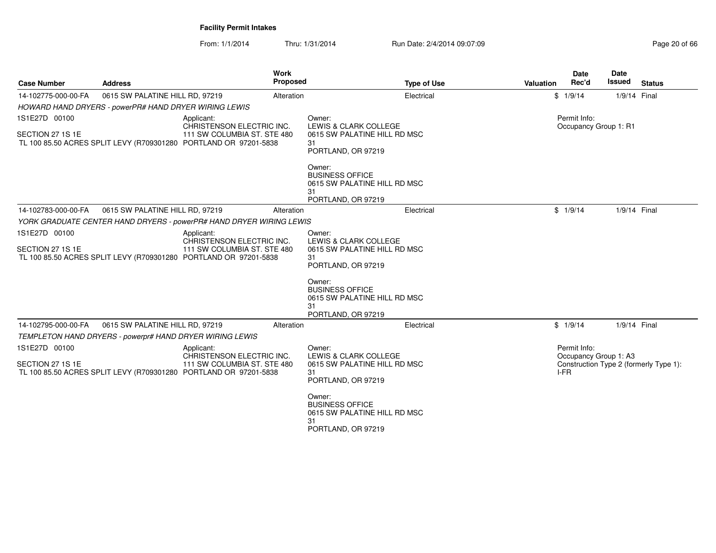From: 1/1/2014Thru: 1/31/2014 Run Date: 2/4/2014 09:07:09 Research 20 of 66

| <b>Case Number</b>                                                                   | <b>Address</b>                                                                                                                             | <b>Work</b><br>Proposed                                                                                                                    | <b>Type of Use</b>                                                                                                                                                                     | <b>Valuation</b> | <b>Date</b><br>Rec'd                  | <b>Date</b><br><b>Issued</b> | <b>Status</b> |
|--------------------------------------------------------------------------------------|--------------------------------------------------------------------------------------------------------------------------------------------|--------------------------------------------------------------------------------------------------------------------------------------------|----------------------------------------------------------------------------------------------------------------------------------------------------------------------------------------|------------------|---------------------------------------|------------------------------|---------------|
| 14-102775-000-00-FA                                                                  | 0615 SW PALATINE HILL RD, 97219                                                                                                            | Alteration                                                                                                                                 | Electrical                                                                                                                                                                             |                  | \$1/9/14                              | 1/9/14 Final                 |               |
|                                                                                      | HOWARD HAND DRYERS - powerPR# HAND DRYER WIRING LEWIS                                                                                      |                                                                                                                                            |                                                                                                                                                                                        |                  |                                       |                              |               |
| 1S1E27D 00100<br>SECTION 27 1S 1E                                                    |                                                                                                                                            | Applicant:<br>CHRISTENSON ELECTRIC INC.<br>111 SW COLUMBIA ST. STE 480<br>TL 100 85.50 ACRES SPLIT LEVY (R709301280 PORTLAND OR 97201-5838 | Owner:<br>LEWIS & CLARK COLLEGE<br>0615 SW PALATINE HILL RD MSC<br>31<br>PORTLAND, OR 97219                                                                                            |                  | Permit Info:<br>Occupancy Group 1: R1 |                              |               |
|                                                                                      |                                                                                                                                            |                                                                                                                                            | Owner:<br><b>BUSINESS OFFICE</b><br>0615 SW PALATINE HILL RD MSC<br>31<br>PORTLAND, OR 97219                                                                                           |                  |                                       |                              |               |
| 14-102783-000-00-FA                                                                  | 0615 SW PALATINE HILL RD, 97219                                                                                                            | Alteration                                                                                                                                 | Electrical                                                                                                                                                                             |                  | \$1/9/14                              | 1/9/14 Final                 |               |
|                                                                                      |                                                                                                                                            | YORK GRADUATE CENTER HAND DRYERS - powerPR# HAND DRYER WIRING LEWIS                                                                        |                                                                                                                                                                                        |                  |                                       |                              |               |
| 1S1E27D 00100                                                                        | Applicant:                                                                                                                                 |                                                                                                                                            | Owner:                                                                                                                                                                                 |                  |                                       |                              |               |
| SECTION 27 1S 1E<br>TL 100 85.50 ACRES SPLIT LEVY (R709301280 PORTLAND OR 97201-5838 |                                                                                                                                            | CHRISTENSON ELECTRIC INC.<br>111 SW COLUMBIA ST. STE 480                                                                                   | LEWIS & CLARK COLLEGE<br>0615 SW PALATINE HILL RD MSC<br>31<br>PORTLAND, OR 97219                                                                                                      |                  |                                       |                              |               |
|                                                                                      |                                                                                                                                            |                                                                                                                                            | Owner:<br><b>BUSINESS OFFICE</b><br>0615 SW PALATINE HILL RD MSC<br>31<br>PORTLAND, OR 97219                                                                                           |                  |                                       |                              |               |
| 14-102795-000-00-FA                                                                  | 0615 SW PALATINE HILL RD, 97219                                                                                                            | Alteration                                                                                                                                 | Electrical                                                                                                                                                                             |                  | \$1/9/14                              | 1/9/14 Final                 |               |
|                                                                                      | TEMPLETON HAND DRYERS - powerpr# HAND DRYER WIRING LEWIS                                                                                   |                                                                                                                                            |                                                                                                                                                                                        |                  |                                       |                              |               |
| 1S1E27D 00100<br>SECTION 27 1S 1E                                                    | Applicant:<br>CHRISTENSON ELECTRIC INC.<br>111 SW COLUMBIA ST. STE 480<br>TL 100 85.50 ACRES SPLIT LEVY (R709301280 PORTLAND OR 97201-5838 |                                                                                                                                            | Permit Info:<br>Owner:<br>LEWIS & CLARK COLLEGE<br>Occupancy Group 1: A3<br>Construction Type 2 (formerly Type 1):<br>0615 SW PALATINE HILL RD MSC<br>I-FR<br>31<br>PORTLAND, OR 97219 |                  |                                       |                              |               |
|                                                                                      |                                                                                                                                            |                                                                                                                                            | Owner:<br><b>BUSINESS OFFICE</b><br>0615 SW PALATINE HILL RD MSC<br>31<br>PORTLAND, OR 97219                                                                                           |                  |                                       |                              |               |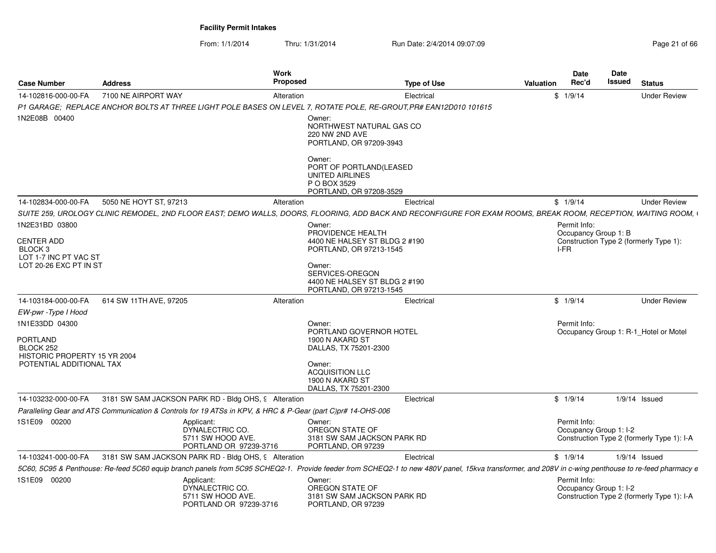From: 1/1/2014Thru: 1/31/2014 Run Date: 2/4/2014 09:07:09 Research 2010 12:00 Page 21 of 66

| <b>Case Number</b>                                                                         | <b>Address</b>                                                                                                   | Work<br>Proposed                                               |                                                                                                                                                                        | <b>Type of Use</b>                                                                                                                                                                                 | <b>Valuation</b> | <b>Date</b><br>Rec'd         | Date<br>Issued         | <b>Status</b>                              |
|--------------------------------------------------------------------------------------------|------------------------------------------------------------------------------------------------------------------|----------------------------------------------------------------|------------------------------------------------------------------------------------------------------------------------------------------------------------------------|----------------------------------------------------------------------------------------------------------------------------------------------------------------------------------------------------|------------------|------------------------------|------------------------|--------------------------------------------|
| 14-102816-000-00-FA                                                                        | 7100 NE AIRPORT WAY                                                                                              | Alteration                                                     |                                                                                                                                                                        | Electrical                                                                                                                                                                                         |                  | \$1/9/14                     |                        | <b>Under Review</b>                        |
|                                                                                            | P1 GARAGE: REPLACE ANCHOR BOLTS AT THREE LIGHT POLE BASES ON LEVEL 7, ROTATE POLE, RE-GROUT PR# EAN12D010 101615 |                                                                |                                                                                                                                                                        |                                                                                                                                                                                                    |                  |                              |                        |                                            |
| 1N2E08B 00400                                                                              |                                                                                                                  |                                                                | Owner:<br>NORTHWEST NATURAL GAS CO<br>220 NW 2ND AVE<br>PORTLAND, OR 97209-3943                                                                                        |                                                                                                                                                                                                    |                  |                              |                        |                                            |
|                                                                                            |                                                                                                                  |                                                                | Owner:<br>PORT OF PORTLAND(LEASED<br>UNITED AIRLINES<br>P O BOX 3529<br>PORTLAND, OR 97208-3529                                                                        |                                                                                                                                                                                                    |                  |                              |                        |                                            |
| 14-102834-000-00-FA                                                                        | 5050 NE HOYT ST, 97213                                                                                           | Alteration                                                     |                                                                                                                                                                        | Electrical                                                                                                                                                                                         |                  | \$1/9/14                     |                        | <b>Under Review</b>                        |
|                                                                                            |                                                                                                                  |                                                                |                                                                                                                                                                        | SUITE 259, UROLOGY CLINIC REMODEL, 2ND FLOOR EAST; DEMO WALLS, DOORS, FLOORING, ADD BACK AND RECONFIGURE FOR EXAM ROOMS, BREAK ROOM, RECEPTION, WAITING ROOM, I                                    |                  |                              |                        |                                            |
| 1N2E31BD 03800                                                                             |                                                                                                                  |                                                                | Owner:                                                                                                                                                                 |                                                                                                                                                                                                    |                  | Permit Info:                 |                        |                                            |
| <b>CENTER ADD</b><br>BLOCK <sub>3</sub><br>LOT 1-7 INC PT VAC ST<br>LOT 20-26 EXC PT IN ST |                                                                                                                  |                                                                | PROVIDENCE HEALTH<br>4400 NE HALSEY ST BLDG 2 #190<br>PORTLAND, OR 97213-1545<br>Owner:<br>SERVICES-OREGON<br>4400 NE HALSEY ST BLDG 2 #190<br>PORTLAND, OR 97213-1545 |                                                                                                                                                                                                    |                  | Occupancy Group 1: B<br>I-FR |                        | Construction Type 2 (formerly Type 1):     |
| 14-103184-000-00-FA                                                                        | 614 SW 11TH AVE, 97205                                                                                           | Alteration                                                     |                                                                                                                                                                        | Electrical                                                                                                                                                                                         |                  | \$1/9/14                     |                        | <b>Under Review</b>                        |
| EW-pwr - Type I Hood                                                                       |                                                                                                                  |                                                                |                                                                                                                                                                        |                                                                                                                                                                                                    |                  |                              |                        |                                            |
| 1N1E33DD 04300<br>PORTLAND<br>BLOCK 252<br>HISTORIC PROPERTY 15 YR 2004                    |                                                                                                                  |                                                                | Owner:<br>PORTLAND GOVERNOR HOTEL<br>1900 N AKARD ST<br>DALLAS, TX 75201-2300                                                                                          |                                                                                                                                                                                                    |                  | Permit Info:                 |                        | Occupancy Group 1: R-1 Hotel or Motel      |
| POTENTIAL ADDITIONAL TAX                                                                   |                                                                                                                  |                                                                | Owner:<br><b>ACQUISITION LLC</b><br>1900 N AKARD ST<br>DALLAS, TX 75201-2300                                                                                           |                                                                                                                                                                                                    |                  |                              |                        |                                            |
| 14-103232-000-00-FA                                                                        | 3181 SW SAM JACKSON PARK RD - Bldg OHS, 9 Alteration                                                             |                                                                |                                                                                                                                                                        | Electrical                                                                                                                                                                                         |                  | \$1/9/14                     |                        | $1/9/14$ Issued                            |
|                                                                                            | Paralleling Gear and ATS Communication & Controls for 19 ATSs in KPV, & HRC & P-Gear (part C)pr# 14-OHS-006      |                                                                |                                                                                                                                                                        |                                                                                                                                                                                                    |                  |                              |                        |                                            |
| 1S1E09 00200                                                                               | Applicant:                                                                                                       | DYNALECTRIC CO.<br>5711 SW HOOD AVE.<br>PORTLAND OR 97239-3716 | Owner:<br>OREGON STATE OF<br>3181 SW SAM JACKSON PARK RD<br>PORTLAND, OR 97239                                                                                         |                                                                                                                                                                                                    |                  | Permit Info:                 | Occupancy Group 1: I-2 | Construction Type 2 (formerly Type 1): I-A |
| 14-103241-000-00-FA                                                                        | 3181 SW SAM JACKSON PARK RD - Bldg OHS, 9 Alteration                                                             |                                                                |                                                                                                                                                                        | Electrical                                                                                                                                                                                         |                  | \$1/9/14                     |                        | $1/9/14$ Issued                            |
|                                                                                            |                                                                                                                  |                                                                |                                                                                                                                                                        | 5C60, 5C95 & Penthouse: Re-feed 5C60 equip branch panels from 5C95 SCHEQ2-1. Provide feeder from SCHEQ2-1 to new 480V panel, 15kva transformer, and 208V in c-wing penthouse to re-feed pharmacy e |                  |                              |                        |                                            |
| 1S1E09 00200                                                                               | Applicant:                                                                                                       | DYNALECTRIC CO.<br>5711 SW HOOD AVE.<br>PORTLAND OR 97239-3716 | Owner:<br>OREGON STATE OF<br>3181 SW SAM JACKSON PARK RD<br>PORTLAND, OR 97239                                                                                         |                                                                                                                                                                                                    |                  | Permit Info:                 | Occupancy Group 1: I-2 | Construction Type 2 (formerly Type 1): I-A |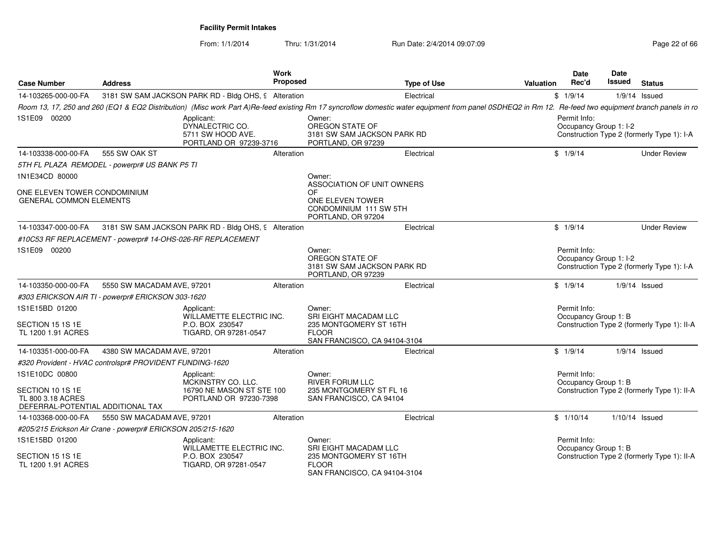From: 1/1/2014

Thru: 1/31/2014 Run Date: 2/4/2014 09:07:09 Research 2010 22 of 66

| <b>Case Number</b>                                                         | <b>Address</b>                                                                                                                                                                                        |                                                                | Work<br><b>Proposed</b> |                                                                                | <b>Type of Use</b> | Valuation | Date<br>Rec'd                          | Date<br>Issued   | <b>Status</b>                               |
|----------------------------------------------------------------------------|-------------------------------------------------------------------------------------------------------------------------------------------------------------------------------------------------------|----------------------------------------------------------------|-------------------------|--------------------------------------------------------------------------------|--------------------|-----------|----------------------------------------|------------------|---------------------------------------------|
| 14-103265-000-00-FA                                                        | 3181 SW SAM JACKSON PARK RD - Bldg OHS, 9 Alteration                                                                                                                                                  |                                                                |                         |                                                                                | Electrical         |           | \$1/9/14                               | $1/9/14$ Issued  |                                             |
|                                                                            | Room 13, 17, 250 and 260 (EQ1 & EQ2 Distribution) (Misc work Part A)Re-feed existing Rm 17 syncroflow domestic water equipment from panel 0SDHEQ2 in Rm 12. Re-feed two equipment branch panels in ro |                                                                |                         |                                                                                |                    |           |                                        |                  |                                             |
| 1S1E09 00200                                                               | Applicant:                                                                                                                                                                                            | DYNALECTRIC CO.<br>5711 SW HOOD AVE.<br>PORTLAND OR 97239-3716 |                         | Owner:<br>OREGON STATE OF<br>3181 SW SAM JACKSON PARK RD<br>PORTLAND, OR 97239 |                    |           | Permit Info:<br>Occupancy Group 1: I-2 |                  | Construction Type 2 (formerly Type 1): I-A  |
| 14-103338-000-00-FA                                                        | 555 SW OAK ST                                                                                                                                                                                         |                                                                | Alteration              |                                                                                | Electrical         |           | \$1/9/14                               |                  | <b>Under Review</b>                         |
|                                                                            | 5TH FL PLAZA REMODEL - powerpr# US BANK P5 TI                                                                                                                                                         |                                                                |                         |                                                                                |                    |           |                                        |                  |                                             |
| 1N1E34CD 80000                                                             |                                                                                                                                                                                                       |                                                                |                         | Owner:<br>ASSOCIATION OF UNIT OWNERS                                           |                    |           |                                        |                  |                                             |
| ONE ELEVEN TOWER CONDOMINIUM<br><b>GENERAL COMMON ELEMENTS</b>             |                                                                                                                                                                                                       |                                                                |                         | OF<br>ONE ELEVEN TOWER<br>CONDOMINIUM 111 SW 5TH<br>PORTLAND, OR 97204         |                    |           |                                        |                  |                                             |
| 14-103347-000-00-FA                                                        | 3181 SW SAM JACKSON PARK RD - Bldg OHS, 9 Alteration                                                                                                                                                  |                                                                |                         |                                                                                | Electrical         |           | \$1/9/14                               |                  | <b>Under Review</b>                         |
|                                                                            | #10C53 RF REPLACEMENT - powerpr# 14-OHS-026-RF REPLACEMENT                                                                                                                                            |                                                                |                         |                                                                                |                    |           |                                        |                  |                                             |
| 1S1E09 00200                                                               |                                                                                                                                                                                                       |                                                                |                         | Owner:<br>OREGON STATE OF<br>3181 SW SAM JACKSON PARK RD<br>PORTLAND, OR 97239 |                    |           | Permit Info:<br>Occupancy Group 1: I-2 |                  | Construction Type 2 (formerly Type 1): I-A  |
| 14-103350-000-00-FA                                                        | 5550 SW MACADAM AVE, 97201                                                                                                                                                                            |                                                                | Alteration              |                                                                                | Electrical         |           | \$1/9/14                               | $1/9/14$ Issued  |                                             |
|                                                                            | #303 ERICKSON AIR TI - powerpr# ERICKSON 303-1620                                                                                                                                                     |                                                                |                         |                                                                                |                    |           |                                        |                  |                                             |
| 1S1E15BD 01200<br>SECTION 15 1S 1E                                         | Applicant:                                                                                                                                                                                            | WILLAMETTE ELECTRIC INC.<br>P.O. BOX 230547                    |                         | Owner:<br>SRI EIGHT MACADAM LLC<br>235 MONTGOMERY ST 16TH                      |                    |           | Permit Info:<br>Occupancy Group 1: B   |                  | Construction Type 2 (formerly Type 1): II-A |
| TL 1200 1.91 ACRES                                                         |                                                                                                                                                                                                       | TIGARD, OR 97281-0547                                          |                         | <b>FLOOR</b><br>SAN FRANCISCO, CA 94104-3104                                   |                    |           |                                        |                  |                                             |
| 14-103351-000-00-FA                                                        | 4380 SW MACADAM AVE, 97201                                                                                                                                                                            |                                                                | Alteration              |                                                                                | Electrical         |           | \$1/9/14                               | $1/9/14$ Issued  |                                             |
|                                                                            | #320 Provident - HVAC controlspr# PROVIDENT FUNDING-1620                                                                                                                                              |                                                                |                         |                                                                                |                    |           |                                        |                  |                                             |
| 1S1E10DC 00800                                                             | Applicant:                                                                                                                                                                                            | MCKINSTRY CO. LLC.                                             |                         | Owner:<br><b>RIVER FORUM LLC</b>                                               |                    |           | Permit Info:<br>Occupancy Group 1: B   |                  |                                             |
| SECTION 10 1S 1E<br>TL 800 3.18 ACRES<br>DEFERRAL-POTENTIAL ADDITIONAL TAX |                                                                                                                                                                                                       | 16790 NE MASON ST STE 100<br>PORTLAND OR 97230-7398            |                         | 235 MONTGOMERY ST FL 16<br>SAN FRANCISCO, CA 94104                             |                    |           |                                        |                  | Construction Type 2 (formerly Type 1): II-A |
| 14-103368-000-00-FA                                                        | 5550 SW MACADAM AVE, 97201                                                                                                                                                                            |                                                                | Alteration              |                                                                                | Electrical         |           | \$1/10/14                              | $1/10/14$ Issued |                                             |
|                                                                            | #205/215 Erickson Air Crane - powerpr# ERICKSON 205/215-1620                                                                                                                                          |                                                                |                         |                                                                                |                    |           |                                        |                  |                                             |
| 1S1E15BD 01200                                                             | Applicant:                                                                                                                                                                                            | WILLAMETTE ELECTRIC INC.                                       |                         | Owner:<br><b>SRI EIGHT MACADAM LLC</b>                                         |                    |           | Permit Info:<br>Occupancy Group 1: B   |                  |                                             |
| SECTION 15 1S 1E<br>TL 1200 1.91 ACRES                                     |                                                                                                                                                                                                       | P.O. BOX 230547<br>TIGARD, OR 97281-0547                       |                         | 235 MONTGOMERY ST 16TH<br><b>FLOOR</b><br>SAN FRANCISCO, CA 94104-3104         |                    |           |                                        |                  | Construction Type 2 (formerly Type 1): II-A |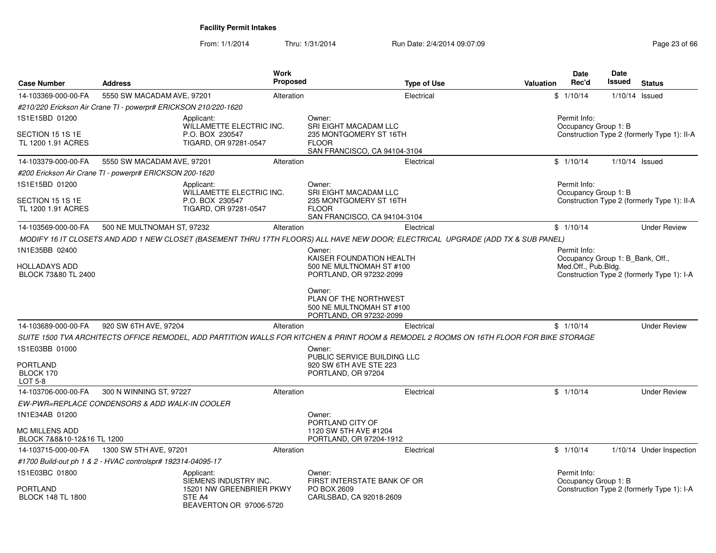From: 1/1/2014Thru: 1/31/2014 Run Date: 2/4/2014 09:07:09 Research 2010 12:00 Page 23 of 66

| <b>Case Number</b>                                  | <b>Address</b>                                                  | <b>Work</b><br><b>Proposed</b> | <b>Type of Use</b>                                                                                                                      | Valuation                                   | <b>Date</b><br>Rec'd                                    | Date<br>Issued   | <b>Status</b>                               |
|-----------------------------------------------------|-----------------------------------------------------------------|--------------------------------|-----------------------------------------------------------------------------------------------------------------------------------------|---------------------------------------------|---------------------------------------------------------|------------------|---------------------------------------------|
| 14-103369-000-00-FA                                 | 5550 SW MACADAM AVE, 97201                                      | Alteration                     | Electrical                                                                                                                              |                                             | \$1/10/14                                               | $1/10/14$ Issued |                                             |
|                                                     | #210/220 Erickson Air Crane TI - powerpr# ERICKSON 210/220-1620 |                                |                                                                                                                                         |                                             |                                                         |                  |                                             |
| 1S1E15BD 01200                                      | Applicant:<br><b>WILLAMETTE ELECTRIC INC.</b>                   |                                | Owner:<br><b>SRI EIGHT MACADAM LLC</b>                                                                                                  |                                             | Permit Info:<br>Occupancy Group 1: B                    |                  |                                             |
| SECTION 15 1S 1E<br>TL 1200 1.91 ACRES              | P.O. BOX 230547<br>TIGARD, OR 97281-0547                        |                                | 235 MONTGOMERY ST 16TH<br><b>FLOOR</b><br>SAN FRANCISCO, CA 94104-3104                                                                  | Construction Type 2 (formerly Type 1): II-A |                                                         |                  |                                             |
| 14-103379-000-00-FA                                 | 5550 SW MACADAM AVE, 97201                                      | Alteration                     | Electrical                                                                                                                              |                                             | \$1/10/14                                               | $1/10/14$ Issued |                                             |
|                                                     | #200 Erickson Air Crane TI - powerpr# ERICKSON 200-1620         |                                |                                                                                                                                         |                                             |                                                         |                  |                                             |
| 1S1E15BD 01200                                      | Applicant:<br>WILLAMETTE ELECTRIC INC.                          |                                | Owner:<br>SRI EIGHT MACADAM LLC                                                                                                         |                                             | Permit Info:                                            |                  |                                             |
| SECTION 15 1S 1E<br>TL 1200 1.91 ACRES              | P.O. BOX 230547<br>TIGARD, OR 97281-0547                        |                                | 235 MONTGOMERY ST 16TH<br><b>FLOOR</b><br>SAN FRANCISCO, CA 94104-3104                                                                  |                                             | Occupancy Group 1: B                                    |                  | Construction Type 2 (formerly Type 1): II-A |
| 14-103569-000-00-FA                                 | 500 NE MULTNOMAH ST, 97232                                      | Alteration                     | Electrical                                                                                                                              |                                             | \$1/10/14                                               |                  | <b>Under Review</b>                         |
|                                                     |                                                                 |                                | MODIFY 16 IT CLOSETS AND ADD 1 NEW CLOSET (BASEMENT THRU 17TH FLOORS) ALL HAVE NEW DOOR; ELECTRICAL UPGRADE (ADD TX & SUB PANEL)        |                                             |                                                         |                  |                                             |
| 1N1E35BB 02400                                      |                                                                 |                                | Owner:                                                                                                                                  |                                             | Permit Info:                                            |                  |                                             |
| HOLLADAYS ADD                                       |                                                                 |                                | KAISER FOUNDATION HEALTH<br>500 NE MULTNOMAH ST #100                                                                                    |                                             | Occupancy Group 1: B_Bank, Off.,<br>Med.Off., Pub.Bldg. |                  |                                             |
| BLOCK 73&80 TL 2400                                 |                                                                 |                                | PORTLAND, OR 97232-2099                                                                                                                 |                                             |                                                         |                  | Construction Type 2 (formerly Type 1): I-A  |
|                                                     |                                                                 |                                | Owner:<br>PLAN OF THE NORTHWEST<br>500 NE MULTNOMAH ST #100<br>PORTLAND, OR 97232-2099                                                  |                                             |                                                         |                  |                                             |
| 14-103689-000-00-FA                                 | 920 SW 6TH AVE, 97204                                           | Alteration                     | Electrical                                                                                                                              |                                             | \$1/10/14                                               |                  | <b>Under Review</b>                         |
|                                                     |                                                                 |                                | SUITE 1500 TVA ARCHITECTS OFFICE REMODEL, ADD PARTITION WALLS FOR KITCHEN & PRINT ROOM & REMODEL 2 ROOMS ON 16TH FLOOR FOR BIKE STORAGE |                                             |                                                         |                  |                                             |
| 1S1E03BB 01000                                      |                                                                 |                                | Owner:<br>PUBLIC SERVICE BUILDING LLC                                                                                                   |                                             |                                                         |                  |                                             |
| <b>PORTLAND</b><br>BLOCK 170<br>LOT 5-8             |                                                                 |                                | 920 SW 6TH AVE STE 223<br>PORTLAND, OR 97204                                                                                            |                                             |                                                         |                  |                                             |
| 14-103706-000-00-FA                                 | 300 N WINNING ST, 97227                                         | Alteration                     | Electrical                                                                                                                              |                                             | \$1/10/14                                               |                  | <b>Under Review</b>                         |
|                                                     | EW-PWR=REPLACE CONDENSORS & ADD WALK-IN COOLER                  |                                |                                                                                                                                         |                                             |                                                         |                  |                                             |
| 1N1E34AB 01200                                      |                                                                 |                                | Owner:<br>PORTLAND CITY OF                                                                                                              |                                             |                                                         |                  |                                             |
| <b>MC MILLENS ADD</b><br>BLOCK 7&8&10-12&16 TL 1200 |                                                                 |                                | 1120 SW 5TH AVE #1204<br>PORTLAND, OR 97204-1912                                                                                        |                                             |                                                         |                  |                                             |
| 14-103715-000-00-FA                                 | 1300 SW 5TH AVE, 97201                                          | Alteration                     | Electrical                                                                                                                              |                                             | \$1/10/14                                               |                  | 1/10/14 Under Inspection                    |
|                                                     | #1700 Build-out ph 1 & 2 - HVAC controlspr# 192314-04095-17     |                                |                                                                                                                                         |                                             |                                                         |                  |                                             |
| 1S1E03BC 01800                                      | Applicant:<br>SIEMENS INDUSTRY INC.                             |                                | Owner:<br>FIRST INTERSTATE BANK OF OR                                                                                                   |                                             | Permit Info:<br>Occupancy Group 1: B                    |                  |                                             |
| <b>PORTLAND</b><br><b>BLOCK 148 TL 1800</b>         | 15201 NW GREENBRIER PKWY<br>STE A4<br>BEAVERTON OR 97006-5720   |                                | PO BOX 2609<br>CARLSBAD, CA 92018-2609                                                                                                  |                                             |                                                         |                  | Construction Type 2 (formerly Type 1): I-A  |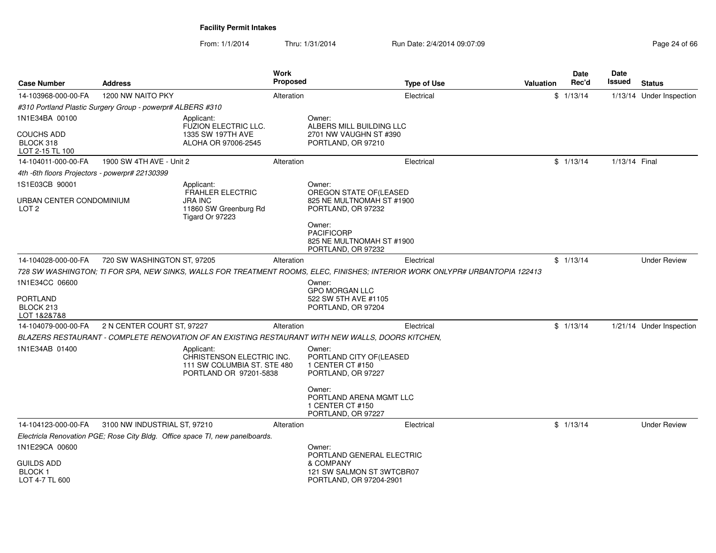From: 1/1/2014Thru: 1/31/2014 Run Date: 2/4/2014 09:07:09 Research 2010 12:00 Page 24 of 66

| <b>Case Number</b>                                | <b>Address</b>                                             |                                                                                                  | Work<br><b>Proposed</b> |                                                                                                                              | <b>Type of Use</b> | <b>Valuation</b> | Date<br>Rec'd | <b>Date</b><br>Issued | <b>Status</b>            |
|---------------------------------------------------|------------------------------------------------------------|--------------------------------------------------------------------------------------------------|-------------------------|------------------------------------------------------------------------------------------------------------------------------|--------------------|------------------|---------------|-----------------------|--------------------------|
| 14-103968-000-00-FA                               | 1200 NW NAITO PKY                                          |                                                                                                  | Alteration              |                                                                                                                              | Electrical         |                  | \$1/13/14     |                       | 1/13/14 Under Inspection |
|                                                   | #310 Portland Plastic Surgery Group - powerpr# ALBERS #310 |                                                                                                  |                         |                                                                                                                              |                    |                  |               |                       |                          |
| 1N1E34BA 00100                                    |                                                            | Applicant:<br>FUZION ELECTRIC LLC.                                                               |                         | Owner:<br>ALBERS MILL BUILDING LLC                                                                                           |                    |                  |               |                       |                          |
| <b>COUCHS ADD</b><br>BLOCK 318<br>LOT 2-15 TL 100 |                                                            | 1335 SW 197TH AVE<br>ALOHA OR 97006-2545                                                         |                         | 2701 NW VAUGHN ST #390<br>PORTLAND, OR 97210                                                                                 |                    |                  |               |                       |                          |
| 14-104011-000-00-FA                               | 1900 SW 4TH AVE - Unit 2                                   |                                                                                                  | Alteration              |                                                                                                                              | Electrical         |                  | \$1/13/14     | 1/13/14 Final         |                          |
| 4th -6th floors Projectors - powerpr# 22130399    |                                                            |                                                                                                  |                         |                                                                                                                              |                    |                  |               |                       |                          |
| 1S1E03CB 90001                                    |                                                            | Applicant:                                                                                       |                         | Owner:                                                                                                                       |                    |                  |               |                       |                          |
| URBAN CENTER CONDOMINIUM<br>LOT <sub>2</sub>      |                                                            | <b>FRAHLER ELECTRIC</b><br><b>JRA INC</b><br>11860 SW Greenburg Rd<br>Tigard Or 97223            |                         | OREGON STATE OF (LEASED<br>825 NE MULTNOMAH ST #1900<br>PORTLAND, OR 97232                                                   |                    |                  |               |                       |                          |
|                                                   |                                                            |                                                                                                  |                         | Owner:<br><b>PACIFICORP</b><br>825 NE MULTNOMAH ST #1900<br>PORTLAND, OR 97232                                               |                    |                  |               |                       |                          |
| 14-104028-000-00-FA                               | 720 SW WASHINGTON ST, 97205                                |                                                                                                  | Alteration              |                                                                                                                              | Electrical         |                  | \$1/13/14     |                       | <b>Under Review</b>      |
|                                                   |                                                            |                                                                                                  |                         | 728 SW WASHINGTON; TI FOR SPA, NEW SINKS, WALLS FOR TREATMENT ROOMS, ELEC, FINISHES; INTERIOR WORK ONLYPR# URBANTOPIA 122413 |                    |                  |               |                       |                          |
| 1N1E34CC 06600                                    |                                                            |                                                                                                  |                         | Owner:<br><b>GPO MORGAN LLC</b>                                                                                              |                    |                  |               |                       |                          |
| <b>PORTLAND</b><br>BLOCK 213<br>LOT 1&2&7&8       |                                                            |                                                                                                  |                         | 522 SW 5TH AVE #1105<br>PORTLAND, OR 97204                                                                                   |                    |                  |               |                       |                          |
| 14-104079-000-00-FA                               | 2 N CENTER COURT ST, 97227                                 |                                                                                                  | Alteration              |                                                                                                                              | Electrical         |                  | \$1/13/14     |                       | 1/21/14 Under Inspection |
|                                                   |                                                            |                                                                                                  |                         | BLAZERS RESTAURANT - COMPLETE RENOVATION OF AN EXISTING RESTAURANT WITH NEW WALLS, DOORS KITCHEN,                            |                    |                  |               |                       |                          |
| 1N1E34AB 01400                                    |                                                            | Applicant:<br>CHRISTENSON ELECTRIC INC.<br>111 SW COLUMBIA ST. STE 480<br>PORTLAND OR 97201-5838 |                         | Owner:<br>PORTLAND CITY OF(LEASED<br>1 CENTER CT #150<br>PORTLAND, OR 97227                                                  |                    |                  |               |                       |                          |
|                                                   |                                                            |                                                                                                  |                         | Owner:<br>PORTLAND ARENA MGMT LLC<br>1 CENTER CT #150<br>PORTLAND, OR 97227                                                  |                    |                  |               |                       |                          |
| 14-104123-000-00-FA                               | 3100 NW INDUSTRIAL ST, 97210                               |                                                                                                  | Alteration              |                                                                                                                              | Electrical         |                  | \$1/13/14     |                       | <b>Under Review</b>      |
|                                                   |                                                            | Electricla Renovation PGE; Rose City Bldg. Office space TI, new panelboards.                     |                         |                                                                                                                              |                    |                  |               |                       |                          |
| 1N1E29CA 00600                                    |                                                            |                                                                                                  |                         | Owner:<br>PORTLAND GENERAL ELECTRIC                                                                                          |                    |                  |               |                       |                          |
| GUILDS ADD<br>BLOCK 1<br>LOT 4-7 TL 600           |                                                            |                                                                                                  |                         | & COMPANY<br>121 SW SALMON ST 3WTCBR07<br>PORTLAND, OR 97204-2901                                                            |                    |                  |               |                       |                          |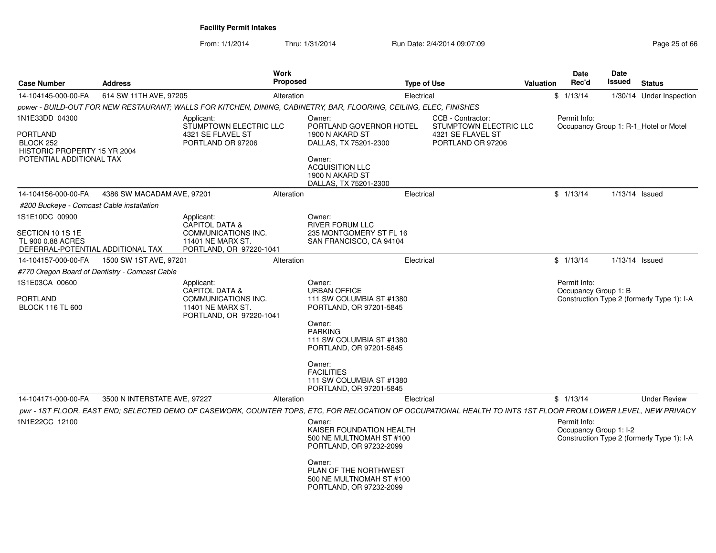From: 1/1/2014Thru: 1/31/2014 Run Date: 2/4/2014 09:07:09 Research 2010 25 of 66

| <b>Case Number</b>                                                                           | <b>Address</b>                                 |                                                                                                            | Work<br><b>Proposed</b> | <b>Type of Use</b>                                                                                                                                                                                                                                            |                                             | Valuation | Date<br>Rec'd                        | <b>Date</b><br>Issued | <b>Status</b>                              |
|----------------------------------------------------------------------------------------------|------------------------------------------------|------------------------------------------------------------------------------------------------------------|-------------------------|---------------------------------------------------------------------------------------------------------------------------------------------------------------------------------------------------------------------------------------------------------------|---------------------------------------------|-----------|--------------------------------------|-----------------------|--------------------------------------------|
| 14-104145-000-00-FA                                                                          | 614 SW 11TH AVE, 97205                         |                                                                                                            | Alteration              | Electrical                                                                                                                                                                                                                                                    |                                             |           | \$1/13/14                            |                       | 1/30/14 Under Inspection                   |
|                                                                                              |                                                |                                                                                                            |                         | power - BUILD-OUT FOR NEW RESTAURANT; WALLS FOR KITCHEN, DINING, CABINETRY, BAR, FLOORING, CEILING, ELEC, FINISHES                                                                                                                                            |                                             |           |                                      |                       |                                            |
| 1N1E33DD 04300                                                                               |                                                | Applicant:<br>STUMPTOWN ELECTRIC LLC                                                                       |                         | Owner:<br>PORTLAND GOVERNOR HOTEL                                                                                                                                                                                                                             | CCB - Contractor:<br>STUMPTOWN ELECTRIC LLC |           | Permit Info:                         |                       | Occupancy Group 1: R-1_Hotel or Motel      |
| PORTLAND<br>BLOCK 252<br>HISTORIC PROPERTY 15 YR 2004<br>POTENTIAL ADDITIONAL TAX            |                                                | 4321 SE FLAVEL ST<br>PORTLAND OR 97206                                                                     |                         | 1900 N AKARD ST<br>DALLAS, TX 75201-2300<br>Owner:<br><b>ACQUISITION LLC</b><br>1900 N AKARD ST<br>DALLAS, TX 75201-2300                                                                                                                                      | 4321 SE FLAVEL ST<br>PORTLAND OR 97206      |           |                                      |                       |                                            |
| 14-104156-000-00-FA                                                                          | 4386 SW MACADAM AVE, 97201                     |                                                                                                            | Alteration              | Electrical                                                                                                                                                                                                                                                    |                                             |           | \$1/13/14                            | 1/13/14 Issued        |                                            |
| #200 Buckeye - Comcast Cable installation                                                    |                                                |                                                                                                            |                         |                                                                                                                                                                                                                                                               |                                             |           |                                      |                       |                                            |
| 1S1E10DC 00900<br>SECTION 10 1S 1E<br>TL 900 0.88 ACRES<br>DEFERRAL-POTENTIAL ADDITIONAL TAX |                                                | Applicant:<br>CAPITOL DATA &<br>COMMUNICATIONS INC.<br>11401 NE MARX ST.<br>PORTLAND, OR 97220-1041        |                         | Owner:<br><b>RIVER FORUM LLC</b><br>235 MONTGOMERY ST FL 16<br>SAN FRANCISCO, CA 94104                                                                                                                                                                        |                                             |           |                                      |                       |                                            |
| 14-104157-000-00-FA                                                                          | 1500 SW 1ST AVE, 97201                         |                                                                                                            | Alteration              | Electrical                                                                                                                                                                                                                                                    |                                             |           | \$1/13/14                            | 1/13/14 Issued        |                                            |
|                                                                                              | #770 Oregon Board of Dentistry - Comcast Cable |                                                                                                            |                         |                                                                                                                                                                                                                                                               |                                             |           |                                      |                       |                                            |
| 1S1E03CA 00600<br><b>PORTLAND</b><br><b>BLOCK 116 TL 600</b>                                 |                                                | Applicant:<br>CAPITOL DATA &<br><b>COMMUNICATIONS INC.</b><br>11401 NE MARX ST.<br>PORTLAND, OR 97220-1041 |                         | Owner:<br><b>URBAN OFFICE</b><br>111 SW COLUMBIA ST #1380<br>PORTLAND, OR 97201-5845<br>Owner:<br><b>PARKING</b><br>111 SW COLUMBIA ST #1380<br>PORTLAND, OR 97201-5845<br>Owner:<br><b>FACILITIES</b><br>111 SW COLUMBIA ST #1380<br>PORTLAND, OR 97201-5845 |                                             |           | Permit Info:<br>Occupancy Group 1: B |                       | Construction Type 2 (formerly Type 1): I-A |
| 14-104171-000-00-FA                                                                          | 3500 N INTERSTATE AVE, 97227                   |                                                                                                            | Alteration              | Electrical                                                                                                                                                                                                                                                    |                                             |           | \$1/13/14                            |                       | <b>Under Review</b>                        |
| 1N1E22CC 12100                                                                               |                                                |                                                                                                            |                         | pwr - 1ST FLOOR, EAST END; SELECTED DEMO OF CASEWORK, COUNTER TOPS, ETC, FOR RELOCATION OF OCCUPATIONAL HEALTH TO INTS 1ST FLOOR FROM LOWER LEVEL, NEW PRIVACY<br>Owner:                                                                                      |                                             |           | Permit Info:                         |                       |                                            |
|                                                                                              |                                                |                                                                                                            |                         | KAISER FOUNDATION HEALTH<br>500 NE MULTNOMAH ST #100<br>PORTLAND, OR 97232-2099                                                                                                                                                                               |                                             |           | Occupancy Group 1: I-2               |                       | Construction Type 2 (formerly Type 1): I-A |
|                                                                                              |                                                |                                                                                                            |                         | Owner:<br>PLAN OF THE NORTHWEST<br>500 NE MULTNOMAH ST #100<br>PORTLAND, OR 97232-2099                                                                                                                                                                        |                                             |           |                                      |                       |                                            |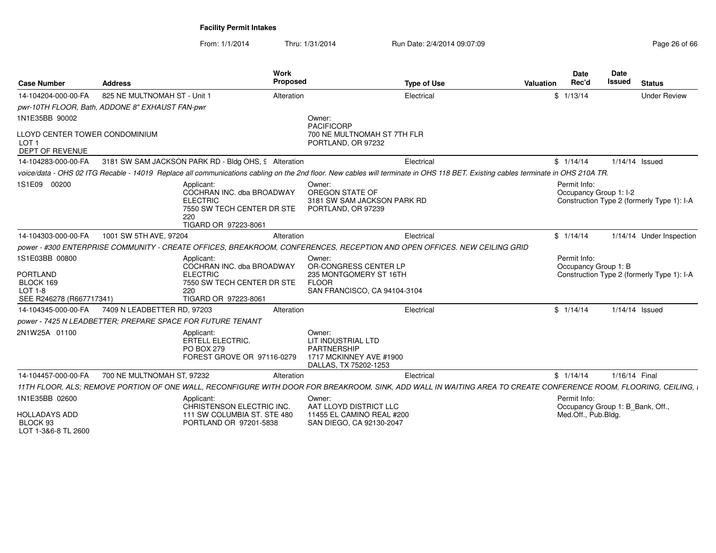From: 1/1/2014Thru: 1/31/2014 Run Date: 2/4/2014 09:07:09 Research 2010 26 of 66

| <b>Case Number</b>                                                                           | <b>Address</b>                                             | Work<br><b>Proposed</b>                                                                                          |                                                                                                           | <b>Type of Use</b>                                                                                                                                                               | <b>Valuation</b> | <b>Date</b><br>Rec'd                             | Date<br><b>Issued</b> | <b>Status</b>                              |
|----------------------------------------------------------------------------------------------|------------------------------------------------------------|------------------------------------------------------------------------------------------------------------------|-----------------------------------------------------------------------------------------------------------|----------------------------------------------------------------------------------------------------------------------------------------------------------------------------------|------------------|--------------------------------------------------|-----------------------|--------------------------------------------|
| 14-104204-000-00-FA                                                                          | 825 NE MULTNOMAH ST - Unit 1                               | Alteration                                                                                                       |                                                                                                           | Electrical                                                                                                                                                                       |                  | \$1/13/14                                        |                       | <b>Under Review</b>                        |
|                                                                                              | pwr-10TH FLOOR, Bath, ADDONE 8" EXHAUST FAN-pwr            |                                                                                                                  |                                                                                                           |                                                                                                                                                                                  |                  |                                                  |                       |                                            |
| 1N1E35BB 90002                                                                               |                                                            |                                                                                                                  | Owner:<br><b>PACIFICORP</b>                                                                               |                                                                                                                                                                                  |                  |                                                  |                       |                                            |
| LLOYD CENTER TOWER CONDOMINIUM<br>LOT <sub>1</sub><br><b>DEPT OF REVENUE</b>                 |                                                            |                                                                                                                  | 700 NE MULTNOMAH ST 7TH FLR<br>PORTLAND, OR 97232                                                         |                                                                                                                                                                                  |                  |                                                  |                       |                                            |
| 14-104283-000-00-FA                                                                          |                                                            | 3181 SW SAM JACKSON PARK RD - Bldg OHS, 9 Alteration                                                             |                                                                                                           | Electrical                                                                                                                                                                       |                  | \$1/14/14                                        |                       | 1/14/14 Issued                             |
|                                                                                              |                                                            |                                                                                                                  |                                                                                                           | voice/data - OHS 02 ITG Recable - 14019 Replace all communications cabling on the 2nd floor. New cables will terminate in OHS 118 BET. Existing cables terminate in OHS 210A TR. |                  |                                                  |                       |                                            |
| 1S1E09 00200                                                                                 | 220                                                        | Applicant:<br>COCHRAN INC. dba BROADWAY<br><b>ELECTRIC</b><br>7550 SW TECH CENTER DR STE<br>TIGARD OR 97223-8061 | Owner:<br>OREGON STATE OF<br>3181 SW SAM JACKSON PARK RD<br>PORTLAND, OR 97239                            |                                                                                                                                                                                  |                  | Permit Info:<br>Occupancy Group 1: I-2           |                       | Construction Type 2 (formerly Type 1): I-A |
| 14-104303-000-00-FA                                                                          | 1001 SW 5TH AVE, 97204                                     | Alteration                                                                                                       |                                                                                                           | Electrical                                                                                                                                                                       |                  | \$1/14/14                                        |                       | 1/14/14 Under Inspection                   |
|                                                                                              |                                                            |                                                                                                                  |                                                                                                           | power - #300 ENTERPRISE COMMUNITY - CREATE OFFICES, BREAKROOM, CONFERENCES, RECEPTION AND OPEN OFFICES. NEW CEILING GRID                                                         |                  |                                                  |                       |                                            |
| 1S1E03BB 00800<br><b>PORTLAND</b><br>BLOCK 169<br><b>LOT 1-8</b><br>SEE R246278 (R667717341) | 220                                                        | Applicant:<br>COCHRAN INC. dba BROADWAY<br><b>ELECTRIC</b><br>7550 SW TECH CENTER DR STE<br>TIGARD OR 97223-8061 | Owner:<br>OR-CONGRESS CENTER LP<br>235 MONTGOMERY ST 16TH<br><b>FLOOR</b><br>SAN FRANCISCO, CA 94104-3104 |                                                                                                                                                                                  |                  | Permit Info:<br>Occupancy Group 1: B             |                       | Construction Type 2 (formerly Type 1): I-A |
| 14-104345-000-00-FA                                                                          | 7409 N LEADBETTER RD, 97203                                | Alteration                                                                                                       |                                                                                                           | Electrical                                                                                                                                                                       |                  | \$1/14/14                                        |                       | 1/14/14 Issued                             |
|                                                                                              | power - 7425 N LEADBETTER: PREPARE SPACE FOR FUTURE TENANT |                                                                                                                  |                                                                                                           |                                                                                                                                                                                  |                  |                                                  |                       |                                            |
| 2N1W25A 01100                                                                                |                                                            | Applicant:<br><b>ERTELL ELECTRIC.</b><br><b>PO BOX 279</b><br>FOREST GROVE OR 97116-0279                         | Owner:<br>LIT INDUSTRIAL LTD<br><b>PARTNERSHIP</b><br>1717 MCKINNEY AVE #1900<br>DALLAS, TX 75202-1253    |                                                                                                                                                                                  |                  |                                                  |                       |                                            |
| 14-104457-000-00-FA                                                                          | 700 NE MULTNOMAH ST, 97232                                 | Alteration                                                                                                       |                                                                                                           | Electrical                                                                                                                                                                       |                  | \$1/14/14                                        | 1/16/14 Final         |                                            |
|                                                                                              |                                                            |                                                                                                                  |                                                                                                           | 11TH FLOOR, ALS; REMOVE PORTION OF ONE WALL, RECONFIGURE WITH DOOR FOR BREAKROOM, SINK, ADD WALL IN WAITING AREA TO CREATE CONFERENCE ROOM, FLOORING, CEILING, I                 |                  |                                                  |                       |                                            |
| 1N1E35BB 02600                                                                               |                                                            | Applicant:<br>CHRISTENSON ELECTRIC INC.                                                                          | Owner:<br>AAT LLOYD DISTRICT LLC                                                                          |                                                                                                                                                                                  |                  | Permit Info:<br>Occupancy Group 1: B_Bank, Off., |                       |                                            |
| <b>HOLLADAYS ADD</b><br>BLOCK 93<br>LOT 1-3&6-8 TL 2600                                      |                                                            | 111 SW COLUMBIA ST. STE 480<br>PORTLAND OR 97201-5838                                                            | 11455 EL CAMINO REAL #200<br>SAN DIEGO, CA 92130-2047                                                     |                                                                                                                                                                                  |                  | Med.Off., Pub.Bldg.                              |                       |                                            |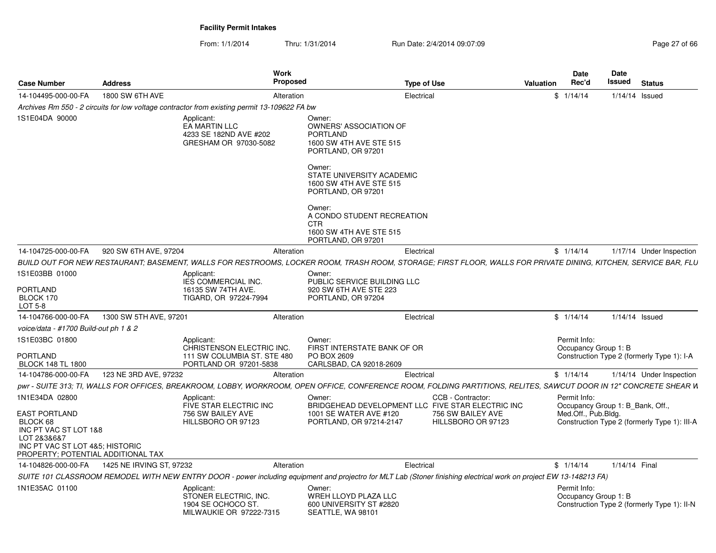From: 1/1/2014Thru: 1/31/2014 Run Date: 2/4/2014 09:07:09 Research 2010 12:00 Page 27 of 66

| <b>Case Number</b>                                                                                                                                | <b>Address</b>                               | Work<br><b>Proposed</b>                                                                                                                                             |                                                                                                         | <b>Type of Use</b>                      | Valuation | Date<br>Rec'd        | <b>Date</b><br>Issued<br><b>Status</b>                                           |
|---------------------------------------------------------------------------------------------------------------------------------------------------|----------------------------------------------|---------------------------------------------------------------------------------------------------------------------------------------------------------------------|---------------------------------------------------------------------------------------------------------|-----------------------------------------|-----------|----------------------|----------------------------------------------------------------------------------|
| 14-104495-000-00-FA                                                                                                                               | 1800 SW 6TH AVE                              | Alteration                                                                                                                                                          |                                                                                                         | Electrical                              |           | \$1/14/14            | $1/14/14$ Issued                                                                 |
|                                                                                                                                                   |                                              | Archives Rm 550 - 2 circuits for low voltage contractor from existing permit 13-109622 FA bw                                                                        |                                                                                                         |                                         |           |                      |                                                                                  |
| 1S1E04DA 90000                                                                                                                                    |                                              | Applicant:<br>EA MARTIN LLC<br>4233 SE 182ND AVE #202<br>GRESHAM OR 97030-5082                                                                                      | Owner:<br>OWNERS' ASSOCIATION OF<br>PORTLAND<br>1600 SW 4TH AVE STE 515<br>PORTLAND, OR 97201<br>Owner: |                                         |           |                      |                                                                                  |
|                                                                                                                                                   |                                              |                                                                                                                                                                     | STATE UNIVERSITY ACADEMIC<br>1600 SW 4TH AVE STE 515<br>PORTLAND, OR 97201                              |                                         |           |                      |                                                                                  |
|                                                                                                                                                   |                                              |                                                                                                                                                                     | Owner:<br>A CONDO STUDENT RECREATION<br><b>CTR</b>                                                      |                                         |           |                      |                                                                                  |
|                                                                                                                                                   |                                              |                                                                                                                                                                     | 1600 SW 4TH AVE STE 515<br>PORTLAND, OR 97201                                                           |                                         |           |                      |                                                                                  |
| 14-104725-000-00-FA                                                                                                                               | 920 SW 6TH AVE, 97204                        | Alteration                                                                                                                                                          |                                                                                                         | Electrical                              |           | \$1/14/14            | 1/17/14 Under Inspection                                                         |
|                                                                                                                                                   |                                              | BUILD OUT FOR NEW RESTAURANT; BASEMENT, WALLS FOR RESTROOMS, LOCKER ROOM, TRASH ROOM, STORAGE; FIRST FLOOR, WALLS FOR PRIVATE DINING, KITCHEN, SERVICE BAR, FLU     |                                                                                                         |                                         |           |                      |                                                                                  |
| 1S1E03BB 01000                                                                                                                                    |                                              | Applicant:                                                                                                                                                          | Owner:                                                                                                  |                                         |           |                      |                                                                                  |
| <b>PORTLAND</b><br>BLOCK 170<br>LOT 5-8                                                                                                           |                                              | <b>IES COMMERCIAL INC.</b><br>16135 SW 74TH AVE.<br>TIGARD, OR 97224-7994                                                                                           | PUBLIC SERVICE BUILDING LLC<br>920 SW 6TH AVE STE 223<br>PORTLAND, OR 97204                             |                                         |           |                      |                                                                                  |
| 14-104766-000-00-FA                                                                                                                               | 1300 SW 5TH AVE, 97201                       | Alteration                                                                                                                                                          |                                                                                                         | Electrical                              |           | \$1/14/14            | $1/14/14$ Issued                                                                 |
| voice/data - #1700 Build-out ph 1 & 2                                                                                                             |                                              |                                                                                                                                                                     |                                                                                                         |                                         |           |                      |                                                                                  |
| 1S1E03BC 01800                                                                                                                                    |                                              | Applicant:                                                                                                                                                          | Owner:                                                                                                  |                                         |           | Permit Info:         |                                                                                  |
| <b>PORTLAND</b><br><b>BLOCK 148 TL 1800</b>                                                                                                       |                                              | CHRISTENSON ELECTRIC INC.<br>111 SW COLUMBIA ST. STE 480<br>PORTLAND OR 97201-5838                                                                                  | FIRST INTERSTATE BANK OF OR<br>PO BOX 2609<br>CARLSBAD, CA 92018-2609                                   |                                         |           | Occupancy Group 1: B | Construction Type 2 (formerly Type 1): I-A                                       |
| 14-104786-000-00-FA                                                                                                                               | 123 NE 3RD AVE, 97232                        | Alteration                                                                                                                                                          |                                                                                                         | Electrical                              |           | \$1/14/14            | 1/14/14 Under Inspection                                                         |
|                                                                                                                                                   |                                              | pwr - SUITE 313: TI, WALLS FOR OFFICES, BREAKROOM, LOBBY, WORKROOM, OPEN OFFICE, CONFERENCE ROOM, FOLDING PARTITIONS, RELITES, SAWCUT DOOR IN 12" CONCRETE SHEAR W  |                                                                                                         |                                         |           |                      |                                                                                  |
| 1N1E34DA 02800                                                                                                                                    |                                              | Applicant:                                                                                                                                                          | Owner:                                                                                                  | CCB - Contractor:                       |           | Permit Info:         |                                                                                  |
| <b>EAST PORTLAND</b><br>BLOCK 68<br>INC PT VAC ST LOT 1&8<br>LOT 2&3&6&7<br>INC PT VAC ST LOT 4&5: HISTORIC<br>PROPERTY; POTENTIAL ADDITIONAL TAX |                                              | FIVE STAR ELECTRIC INC<br>756 SW BAILEY AVE<br>HILLSBORO OR 97123                                                                                                   | BRIDGEHEAD DEVELOPMENT LLC FIVE STAR ELECTRIC INC<br>1001 SE WATER AVE #120<br>PORTLAND, OR 97214-2147  | 756 SW BAILEY AVE<br>HILLSBORO OR 97123 |           | Med.Off., Pub.Bldg.  | Occupancy Group 1: B Bank, Off.,<br>Construction Type 2 (formerly Type 1): III-A |
|                                                                                                                                                   | 14-104826-000-00-FA 1425 NE IRVING ST, 97232 | Alteration                                                                                                                                                          |                                                                                                         | Electrical                              |           | \$1/14/14            | 1/14/14 Final                                                                    |
|                                                                                                                                                   |                                              | SUITE 101 CLASSROOM REMODEL WITH NEW ENTRY DOOR - power including equipment and projectro for MLT Lab (Stoner finishing electrical work on project EW 13-148213 FA) |                                                                                                         |                                         |           |                      |                                                                                  |
| 1N1E35AC 01100                                                                                                                                    |                                              | Applicant:<br>STONER ELECTRIC, INC.<br>1904 SE OCHOCO ST.<br>MILWAUKIE OR 97222-7315                                                                                | Owner:<br>WREH LLOYD PLAZA LLC<br>600 UNIVERSITY ST #2820<br>SEATTLE, WA 98101                          |                                         |           | Permit Info:         | Occupancy Group 1: B<br>Construction Type 2 (formerly Type 1): II-N              |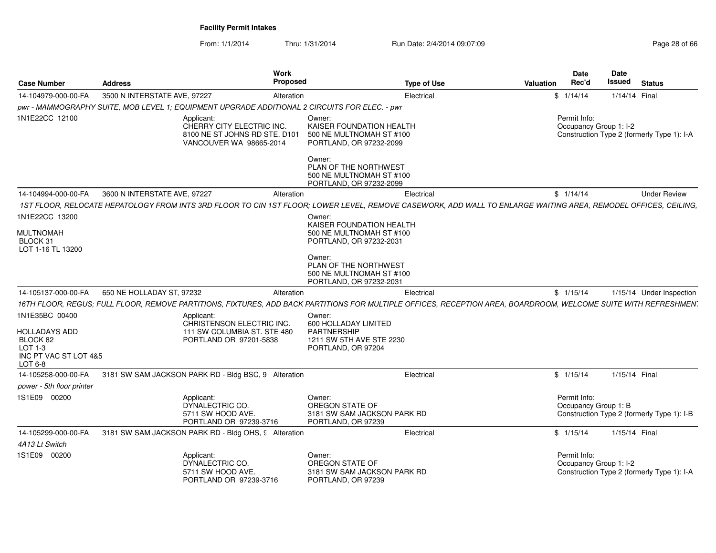From: 1/1/2014Thru: 1/31/2014 Run Date: 2/4/2014 09:07:09 Research 2010 12:00 Page 28 of 66

| <b>Case Number</b>                                                                                | <b>Address</b>                                                                                                                                                  | Work<br><b>Proposed</b>                                             | <b>Type of Use</b>                                                                                                                                              | <b>Valuation</b> | Date<br>Rec'd | Date<br>Issued         | <b>Status</b>                              |
|---------------------------------------------------------------------------------------------------|-----------------------------------------------------------------------------------------------------------------------------------------------------------------|---------------------------------------------------------------------|-----------------------------------------------------------------------------------------------------------------------------------------------------------------|------------------|---------------|------------------------|--------------------------------------------|
| 14-104979-000-00-FA                                                                               | 3500 N INTERSTATE AVE, 97227                                                                                                                                    | Alteration                                                          | Electrical                                                                                                                                                      | \$1/14/14        |               | 1/14/14 Final          |                                            |
|                                                                                                   | pwr - MAMMOGRAPHY SUITE, MOB LEVEL 1; EQUIPMENT UPGRADE ADDITIONAL 2 CIRCUITS FOR ELEC. - pwr                                                                   |                                                                     |                                                                                                                                                                 |                  |               |                        |                                            |
| 1N1E22CC 12100                                                                                    | Applicant:<br>CHERRY CITY ELECTRIC INC.<br>8100 NE ST JOHNS RD STE. D101<br>VANCOUVER WA 98665-2014                                                             | Owner:<br>Owner:                                                    | KAISER FOUNDATION HEALTH<br>500 NE MULTNOMAH ST #100<br>PORTLAND, OR 97232-2099<br>PLAN OF THE NORTHWEST<br>500 NE MULTNOMAH ST #100<br>PORTLAND, OR 97232-2099 |                  | Permit Info:  | Occupancy Group 1: I-2 | Construction Type 2 (formerly Type 1): I-A |
| 14-104994-000-00-FA                                                                               | 3600 N INTERSTATE AVE, 97227                                                                                                                                    | Alteration                                                          | Electrical                                                                                                                                                      | \$1/14/14        |               |                        | <b>Under Review</b>                        |
|                                                                                                   | 1ST FLOOR, RELOCATE HEPATOLOGY FROM INTS 3RD FLOOR TO CIN 1ST FLOOR; LOWER LEVEL, REMOVE CASEWORK, ADD WALL TO ENLARGE WAITING AREA, REMODEL OFFICES, CEILING,  |                                                                     |                                                                                                                                                                 |                  |               |                        |                                            |
| 1N1E22CC 13200                                                                                    |                                                                                                                                                                 | Owner:                                                              |                                                                                                                                                                 |                  |               |                        |                                            |
| <b>MULTNOMAH</b><br>BLOCK 31<br>LOT 1-16 TL 13200                                                 |                                                                                                                                                                 |                                                                     | KAISER FOUNDATION HEALTH<br>500 NE MULTNOMAH ST #100<br>PORTLAND, OR 97232-2031                                                                                 |                  |               |                        |                                            |
|                                                                                                   |                                                                                                                                                                 | Owner:                                                              | PLAN OF THE NORTHWEST<br>500 NE MULTNOMAH ST #100<br>PORTLAND, OR 97232-2031                                                                                    |                  |               |                        |                                            |
| 14-105137-000-00-FA                                                                               | 650 NE HOLLADAY ST, 97232                                                                                                                                       | Alteration                                                          | Electrical                                                                                                                                                      | \$1/15/14        |               |                        | 1/15/14 Under Inspection                   |
|                                                                                                   | 16TH FLOOR, REGUS; FULL FLOOR, REMOVE PARTITIONS, FIXTURES, ADD BACK PARTITIONS FOR MULTIPLE OFFICES, RECEPTION AREA, BOARDROOM, WELCOME SUITE WITH REFRESHMEN' |                                                                     |                                                                                                                                                                 |                  |               |                        |                                            |
| 1N1E35BC 00400<br><b>HOLLADAYS ADD</b><br>BLOCK 82<br>LOT 1-3<br>INC PT VAC ST LOT 4&5<br>LOT 6-8 | Applicant:<br>CHRISTENSON ELECTRIC INC.<br>111 SW COLUMBIA ST. STE 480<br>PORTLAND OR 97201-5838                                                                | Owner:<br>600 HOLLADAY LIMITED<br>PARTNERSHIP<br>PORTLAND, OR 97204 | 1211 SW 5TH AVE STE 2230                                                                                                                                        |                  |               |                        |                                            |
| 14-105258-000-00-FA                                                                               | 3181 SW SAM JACKSON PARK RD - Bldg BSC, 9 Alteration                                                                                                            |                                                                     | Electrical                                                                                                                                                      | \$1/15/14        |               | 1/15/14 Final          |                                            |
| power - 5th floor printer                                                                         |                                                                                                                                                                 |                                                                     |                                                                                                                                                                 |                  |               |                        |                                            |
| 1S1E09 00200                                                                                      | Applicant:<br>DYNALECTRIC CO.<br>5711 SW HOOD AVE.<br>PORTLAND OR 97239-3716                                                                                    | Owner:<br>OREGON STATE OF<br>PORTLAND, OR 97239                     | 3181 SW SAM JACKSON PARK RD                                                                                                                                     |                  | Permit Info:  | Occupancy Group 1: B   | Construction Type 2 (formerly Type 1): I-B |
| 14-105299-000-00-FA                                                                               | 3181 SW SAM JACKSON PARK RD - Bldg OHS, 9 Alteration                                                                                                            |                                                                     | Electrical                                                                                                                                                      | \$1/15/14        |               | 1/15/14 Final          |                                            |
| 4A13 Lt Switch                                                                                    |                                                                                                                                                                 |                                                                     |                                                                                                                                                                 |                  |               |                        |                                            |
| 1S1E09 00200                                                                                      | Applicant:<br>DYNALECTRIC CO.<br>5711 SW HOOD AVE.<br>PORTLAND OR 97239-3716                                                                                    | Owner:<br>OREGON STATE OF<br>PORTLAND, OR 97239                     | 3181 SW SAM JACKSON PARK RD                                                                                                                                     |                  | Permit Info:  | Occupancy Group 1: I-2 | Construction Type 2 (formerly Type 1): I-A |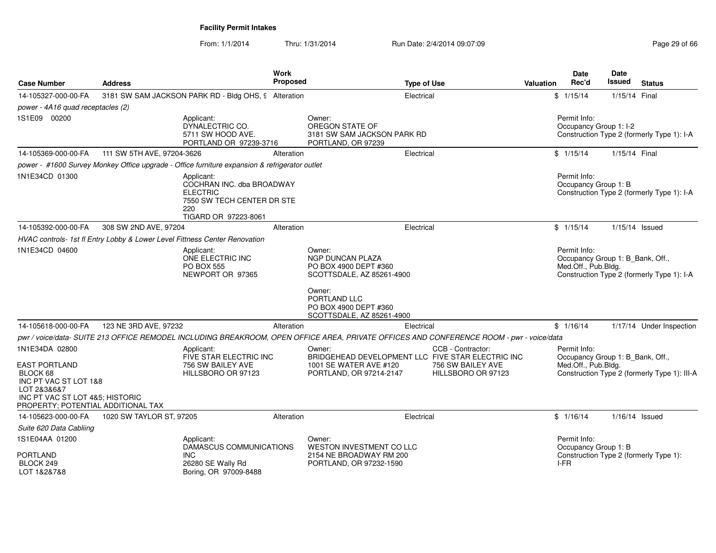From: 1/1/2014Thru: 1/31/2014 Run Date: 2/4/2014 09:07:09 Research 2010 12:00 Page 29 of 66

| <b>Case Number</b>                                                                                                                                                  | <b>Address</b>             |                                                                                                                         | <b>Work</b><br><b>Proposed</b> |                                                                                                                                          | <b>Type of Use</b> |                                                              | <b>Valuation</b> | <b>Date</b><br>Rec'd                                                    | Date<br>Issued | <b>Status</b>                                |
|---------------------------------------------------------------------------------------------------------------------------------------------------------------------|----------------------------|-------------------------------------------------------------------------------------------------------------------------|--------------------------------|------------------------------------------------------------------------------------------------------------------------------------------|--------------------|--------------------------------------------------------------|------------------|-------------------------------------------------------------------------|----------------|----------------------------------------------|
| 14-105327-000-00-FA                                                                                                                                                 |                            | 3181 SW SAM JACKSON PARK RD - Bldg OHS, 9 Alteration                                                                    |                                |                                                                                                                                          | Electrical         |                                                              |                  | \$1/15/14                                                               | 1/15/14 Final  |                                              |
| power - 4A16 quad receptacles (2)                                                                                                                                   |                            |                                                                                                                         |                                |                                                                                                                                          |                    |                                                              |                  |                                                                         |                |                                              |
| 1S1E09 00200                                                                                                                                                        |                            | Applicant:<br>DYNALECTRIC CO.<br>5711 SW HOOD AVE.<br>PORTLAND OR 97239-3716                                            |                                | Owner:<br>OREGON STATE OF<br>3181 SW SAM JACKSON PARK RD<br>PORTLAND, OR 97239                                                           |                    |                                                              |                  | Permit Info:<br>Occupancy Group 1: I-2                                  |                | Construction Type 2 (formerly Type 1): I-A   |
| 14-105369-000-00-FA                                                                                                                                                 | 111 SW 5TH AVE, 97204-3626 |                                                                                                                         | Alteration                     |                                                                                                                                          | Electrical         |                                                              |                  | \$1/15/14                                                               | 1/15/14 Final  |                                              |
|                                                                                                                                                                     |                            | power - #1600 Survey Monkey Office upgrade - Office furniture expansion & refrigerator outlet                           |                                |                                                                                                                                          |                    |                                                              |                  |                                                                         |                |                                              |
| 1N1E34CD 01300                                                                                                                                                      |                            | Applicant:<br>COCHRAN INC. dba BROADWAY<br><b>ELECTRIC</b><br>7550 SW TECH CENTER DR STE<br>220<br>TIGARD OR 97223-8061 |                                |                                                                                                                                          |                    |                                                              |                  | Permit Info:<br>Occupancy Group 1: B                                    |                | Construction Type 2 (formerly Type 1): I-A   |
| 14-105392-000-00-FA                                                                                                                                                 | 308 SW 2ND AVE, 97204      |                                                                                                                         | Alteration                     |                                                                                                                                          | Electrical         |                                                              |                  | \$1/15/14                                                               |                | 1/15/14 Issued                               |
|                                                                                                                                                                     |                            | HVAC controls- 1st fl Entry Lobby & Lower Level Fittness Center Renovation                                              |                                |                                                                                                                                          |                    |                                                              |                  |                                                                         |                |                                              |
| 1N1E34CD 04600                                                                                                                                                      |                            | Applicant:<br>ONE ELECTRIC INC<br><b>PO BOX 555</b><br>NEWPORT OR 97365                                                 |                                | Owner:<br><b>NGP DUNCAN PLAZA</b><br>PO BOX 4900 DEPT #360<br>SCOTTSDALE, AZ 85261-4900                                                  |                    |                                                              |                  | Permit Info:<br>Occupancy Group 1: B_Bank, Off.,<br>Med.Off., Pub.Bldg. |                | Construction Type 2 (formerly Type 1): I-A   |
|                                                                                                                                                                     |                            |                                                                                                                         |                                | Owner:<br>PORTLAND LLC<br>PO BOX 4900 DEPT #360<br>SCOTTSDALE, AZ 85261-4900                                                             |                    |                                                              |                  |                                                                         |                |                                              |
| 14-105618-000-00-FA                                                                                                                                                 | 123 NE 3RD AVE, 97232      |                                                                                                                         | Alteration                     |                                                                                                                                          | Electrical         |                                                              |                  | \$1/16/14                                                               |                | 1/17/14 Under Inspection                     |
|                                                                                                                                                                     |                            |                                                                                                                         |                                | pwr / voice/data- SUITE 213 OFFICE REMODEL INCLUDING BREAKROOM, OPEN OFFICE AREA, PRIVATE OFFICES AND CONFERENCE ROOM - pwr - voice/data |                    |                                                              |                  |                                                                         |                |                                              |
| 1N1E34DA 02800<br><b>EAST PORTLAND</b><br>BLOCK 68<br>INC PT VAC ST LOT 1&8<br>LOT 2&3&6&7<br>INC PT VAC ST LOT 4&5; HISTORIC<br>PROPERTY; POTENTIAL ADDITIONAL TAX |                            | Applicant:<br>FIVE STAR ELECTRIC INC<br>756 SW BAILEY AVE<br>HILLSBORO OR 97123                                         |                                | Owner:<br>BRIDGEHEAD DEVELOPMENT LLC FIVE STAR ELECTRIC INC<br>1001 SE WATER AVE #120<br>PORTLAND, OR 97214-2147                         |                    | CCB - Contractor:<br>756 SW BAILEY AVE<br>HILLSBORO OR 97123 |                  | Permit Info:<br>Occupancy Group 1: B Bank, Off.,<br>Med.Off., Pub.Bldg. |                | Construction Type 2 (formerly Type 1): III-A |
| 14-105623-000-00-FA                                                                                                                                                 | 1020 SW TAYLOR ST, 97205   |                                                                                                                         | Alteration                     |                                                                                                                                          | Electrical         |                                                              |                  | \$1/16/14                                                               |                | $1/16/14$ Issued                             |
| Suite 620 Data Cabliing                                                                                                                                             |                            |                                                                                                                         |                                |                                                                                                                                          |                    |                                                              |                  |                                                                         |                |                                              |
| 1S1E04AA 01200<br><b>PORTLAND</b>                                                                                                                                   |                            | Applicant:<br>DAMASCUS COMMUNICATIONS<br><b>INC</b>                                                                     |                                | Owner:<br>WESTON INVESTMENT CO LLC<br>2154 NE BROADWAY RM 200                                                                            |                    |                                                              |                  | Permit Info:<br>Occupancy Group 1: B                                    |                | Construction Type 2 (formerly Type 1):       |
| BLOCK 249<br>LOT 1&2&7&8                                                                                                                                            |                            | 26280 SE Wally Rd<br>Boring, OR 97009-8488                                                                              |                                | PORTLAND, OR 97232-1590                                                                                                                  |                    |                                                              |                  | I-FR                                                                    |                |                                              |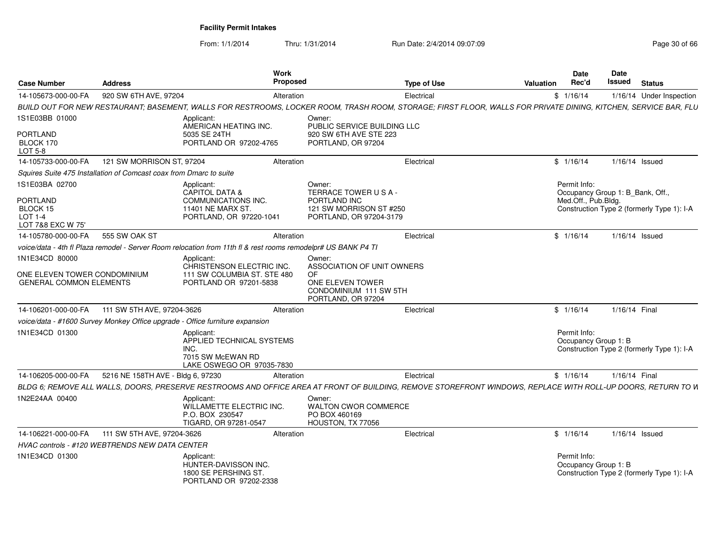From: 1/1/2014Thru: 1/31/2014 Run Date: 2/4/2014 09:07:09 Research 2010 12:00 Page 30 of 66

| <b>Case Number</b>                                             | <b>Address</b>                                                     | Work<br>Proposed                                                                                                                                                |                                                                                                       | <b>Type of Use</b> | Valuation | <b>Date</b><br>Rec'd                             | Date<br><b>Issued</b> | <b>Status</b>                              |
|----------------------------------------------------------------|--------------------------------------------------------------------|-----------------------------------------------------------------------------------------------------------------------------------------------------------------|-------------------------------------------------------------------------------------------------------|--------------------|-----------|--------------------------------------------------|-----------------------|--------------------------------------------|
| 14-105673-000-00-FA                                            | 920 SW 6TH AVE, 97204                                              | Alteration                                                                                                                                                      |                                                                                                       | Electrical         |           | \$1/16/14                                        |                       | 1/16/14 Under Inspection                   |
|                                                                |                                                                    | BUILD OUT FOR NEW RESTAURANT; BASEMENT, WALLS FOR RESTROOMS, LOCKER ROOM, TRASH ROOM, STORAGE; FIRST FLOOR, WALLS FOR PRIVATE DINING, KITCHEN, SERVICE BAR, FLU |                                                                                                       |                    |           |                                                  |                       |                                            |
| 1S1E03BB 01000                                                 |                                                                    | Applicant:<br>AMERICAN HEATING INC.                                                                                                                             | Owner:<br>PUBLIC SERVICE BUILDING LLC                                                                 |                    |           |                                                  |                       |                                            |
| PORTLAND<br>BLOCK 170<br>LOT 5-8                               |                                                                    | 5035 SE 24TH<br>PORTLAND OR 97202-4765                                                                                                                          | 920 SW 6TH AVE STE 223<br>PORTLAND, OR 97204                                                          |                    |           |                                                  |                       |                                            |
| 14-105733-000-00-FA                                            | 121 SW MORRISON ST, 97204                                          | Alteration                                                                                                                                                      |                                                                                                       | Electrica          |           | \$1/16/14                                        |                       | $1/16/14$ Issued                           |
|                                                                | Squires Suite 475 Installation of Comcast coax from Dmarc to suite |                                                                                                                                                                 |                                                                                                       |                    |           |                                                  |                       |                                            |
| 1S1E03BA 02700                                                 |                                                                    | Applicant:<br>CAPITOL DATA &                                                                                                                                    | Owner:<br>TERRACE TOWER USA-                                                                          |                    |           | Permit Info:<br>Occupancy Group 1: B_Bank, Off., |                       |                                            |
| <b>PORTLAND</b><br>BLOCK 15<br>LOT $1-4$<br>LOT 7&8 EXC W 75'  |                                                                    | COMMUNICATIONS INC.<br>11401 NE MARX ST.<br>PORTLAND, OR 97220-1041                                                                                             | PORTLAND INC<br>121 SW MORRISON ST #250<br>PORTLAND, OR 97204-3179                                    |                    |           | Med.Off., Pub.Bldg.                              |                       | Construction Type 2 (formerly Type 1): I-A |
| 14-105780-000-00-FA                                            | 555 SW OAK ST                                                      | Alteration                                                                                                                                                      |                                                                                                       | Electrical         |           | \$1/16/14                                        |                       | $1/16/14$ Issued                           |
|                                                                |                                                                    | voice/data - 4th fl Plaza remodel - Server Room relocation from 11th fl & rest rooms remodelpr# US BANK P4 Tl                                                   |                                                                                                       |                    |           |                                                  |                       |                                            |
| 1N1E34CD 80000                                                 |                                                                    | Applicant:                                                                                                                                                      | Owner:                                                                                                |                    |           |                                                  |                       |                                            |
| ONE ELEVEN TOWER CONDOMINIUM<br><b>GENERAL COMMON ELEMENTS</b> |                                                                    | CHRISTENSON ELECTRIC INC.<br>111 SW COLUMBIA ST. STE 480<br>PORTLAND OR 97201-5838                                                                              | ASSOCIATION OF UNIT OWNERS<br>OF.<br>ONE ELEVEN TOWER<br>CONDOMINIUM 111 SW 5TH<br>PORTLAND, OR 97204 |                    |           |                                                  |                       |                                            |
| 14-106201-000-00-FA                                            | 111 SW 5TH AVE, 97204-3626                                         | Alteration                                                                                                                                                      |                                                                                                       | Electrical         |           | \$1/16/14                                        |                       | 1/16/14 Final                              |
|                                                                |                                                                    | voice/data - #1600 Survey Monkey Office upgrade - Office furniture expansion                                                                                    |                                                                                                       |                    |           |                                                  |                       |                                            |
| 1N1E34CD 01300                                                 |                                                                    | Applicant:<br>APPLIED TECHNICAL SYSTEMS<br>INC.<br>7015 SW McEWAN RD<br>LAKE OSWEGO OR 97035-7830                                                               |                                                                                                       |                    |           | Permit Info:<br>Occupancy Group 1: B             |                       | Construction Type 2 (formerly Type 1): I-A |
| 14-106205-000-00-FA                                            | 5216 NE 158TH AVE - Bldg 6, 97230                                  | Alteration                                                                                                                                                      |                                                                                                       | Electrical         |           | \$1/16/14                                        |                       | 1/16/14 Final                              |
|                                                                |                                                                    | BLDG 6; REMOVE ALL WALLS, DOORS, PRESERVE RESTROOMS AND OFFICE AREA AT FRONT OF BUILDING, REMOVE STOREFRONT WINDOWS, REPLACE WITH ROLL-UP DOORS, RETURN TO IN   |                                                                                                       |                    |           |                                                  |                       |                                            |
| 1N2E24AA 00400                                                 |                                                                    | Applicant:<br>WILLAMETTE ELECTRIC INC.<br>P.O. BOX 230547<br>TIGARD, OR 97281-0547                                                                              | Owner:<br><b>WALTON CWOR COMMERCE</b><br>PO BOX 460169<br>HOUSTON, TX 77056                           |                    |           |                                                  |                       |                                            |
| 14-106221-000-00-FA                                            | 111 SW 5TH AVE, 97204-3626                                         | Alteration                                                                                                                                                      |                                                                                                       | Electrical         |           | \$1/16/14                                        |                       | 1/16/14 Issued                             |
|                                                                | HVAC controls - #120 WEBTRENDS NEW DATA CENTER                     |                                                                                                                                                                 |                                                                                                       |                    |           |                                                  |                       |                                            |
| 1N1E34CD 01300                                                 |                                                                    | Applicant:<br>HUNTER-DAVISSON INC.<br>1800 SE PERSHING ST.<br>PORTLAND OR 97202-2338                                                                            |                                                                                                       |                    |           | Permit Info:<br>Occupancy Group 1: B             |                       | Construction Type 2 (formerly Type 1): I-A |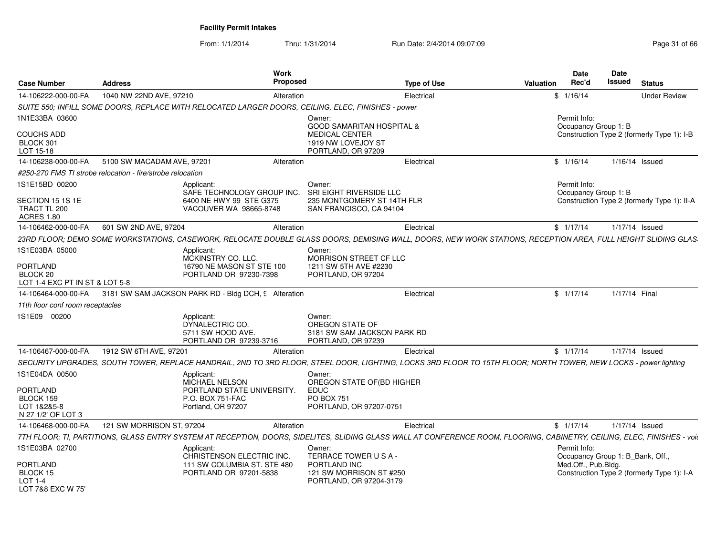From: 1/1/2014Thru: 1/31/2014 Run Date: 2/4/2014 09:07:09 Research 2010 12:00 Page 31 of 66

| <b>Case Number</b>                                          | <b>Address</b>                                             | Work<br><b>Proposed</b>                                                                                                                                                  |                                                                                | <b>Type of Use</b> | Valuation | <b>Date</b><br>Rec'd                             | <b>Date</b><br><b>Issued</b> | <b>Status</b>                               |
|-------------------------------------------------------------|------------------------------------------------------------|--------------------------------------------------------------------------------------------------------------------------------------------------------------------------|--------------------------------------------------------------------------------|--------------------|-----------|--------------------------------------------------|------------------------------|---------------------------------------------|
| 14-106222-000-00-FA                                         | 1040 NW 22ND AVE, 97210                                    | Alteration                                                                                                                                                               |                                                                                | Electrical         |           | \$1/16/14                                        |                              | <b>Under Review</b>                         |
|                                                             |                                                            | SUITE 550; INFILL SOME DOORS, REPLACE WITH RELOCATED LARGER DOORS, CEILING, ELEC, FINISHES - power                                                                       |                                                                                |                    |           |                                                  |                              |                                             |
| 1N1E33BA 03600                                              |                                                            |                                                                                                                                                                          | Owner:<br><b>GOOD SAMARITAN HOSPITAL &amp;</b>                                 |                    |           | Permit Info:<br>Occupancy Group 1: B             |                              |                                             |
| <b>COUCHS ADD</b><br>BLOCK 301<br>LOT 15-18                 |                                                            |                                                                                                                                                                          | <b>MEDICAL CENTER</b><br>1919 NW LOVEJOY ST<br>PORTLAND, OR 97209              |                    |           |                                                  |                              | Construction Type 2 (formerly Type 1): I-B  |
| 14-106238-000-00-FA                                         | 5100 SW MACADAM AVE, 97201                                 | Alteration                                                                                                                                                               |                                                                                | Electrical         |           | \$1/16/14                                        |                              | $1/16/14$ Issued                            |
|                                                             | #250-270 FMS TI strobe relocation - fire/strobe relocation |                                                                                                                                                                          |                                                                                |                    |           |                                                  |                              |                                             |
| 1S1E15BD 00200                                              |                                                            | Applicant:<br>SAFE TECHNOLOGY GROUP INC.                                                                                                                                 | Owner:<br>SRI EIGHT RIVERSIDE LLC                                              |                    |           | Permit Info:<br>Occupancy Group 1: B             |                              |                                             |
| SECTION 15 1S 1E<br>TRACT TL 200<br><b>ACRES 1.80</b>       |                                                            | 6400 NE HWY 99 STE G375<br>VACOUVER WA 98665-8748                                                                                                                        | 235 MONTGOMERY ST 14TH FLR<br>SAN FRANCISCO, CA 94104                          |                    |           |                                                  |                              | Construction Type 2 (formerly Type 1): II-A |
| 14-106462-000-00-FA                                         | 601 SW 2ND AVE, 97204                                      | Alteration                                                                                                                                                               |                                                                                | Electrical         |           | \$1/17/14                                        |                              | 1/17/14 Issued                              |
|                                                             |                                                            | 23RD FLOOR; DEMO SOME WORKSTATIONS, CASEWORK, RELOCATE DOUBLE GLASS DOORS, DEMISING WALL, DOORS, NEW WORK STATIONS, RECEPTION AREA, FULL HEIGHT SLIDING GLAS.            |                                                                                |                    |           |                                                  |                              |                                             |
| 1S1E03BA 05000                                              |                                                            | Applicant:<br>MCKINSTRY CO. LLC.                                                                                                                                         | Owner:<br><b>MORRISON STREET CF LLC</b>                                        |                    |           |                                                  |                              |                                             |
| PORTLAND<br>BLOCK 20<br>LOT 1-4 EXC PT IN ST & LOT 5-8      |                                                            | 16790 NE MASON ST STE 100<br>PORTLAND OR 97230-7398                                                                                                                      | 1211 SW 5TH AVE #2230<br>PORTLAND, OR 97204                                    |                    |           |                                                  |                              |                                             |
| 14-106464-000-00-FA                                         |                                                            | 3181 SW SAM JACKSON PARK RD - Bldg DCH, 9 Alteration                                                                                                                     |                                                                                | Electrical         |           | \$1/17/14                                        | 1/17/14 Final                |                                             |
| 11th floor conf room receptacles                            |                                                            |                                                                                                                                                                          |                                                                                |                    |           |                                                  |                              |                                             |
| IS1E09 00200                                                |                                                            | Applicant:<br>DYNALECTRIC CO.<br>5711 SW HOOD AVE.<br>PORTLAND OR 97239-3716                                                                                             | Owner:<br>OREGON STATE OF<br>3181 SW SAM JACKSON PARK RD<br>PORTLAND, OR 97239 |                    |           |                                                  |                              |                                             |
| 14-106467-000-00-FA                                         | 1912 SW 6TH AVE, 97201                                     | Alteration                                                                                                                                                               |                                                                                | Electrical         |           | \$1/17/14                                        |                              | 1/17/14 Issued                              |
|                                                             |                                                            | SECURITY UPGRADES, SOUTH TOWER, REPLACE HANDRAIL, 2ND TO 3RD FLOOR, STEEL DOOR, LIGHTING, LOCKS 3RD FLOOR TO 15TH FLOOR; NORTH TOWER, NEW LOCKS - power lighting         |                                                                                |                    |           |                                                  |                              |                                             |
| 1S1E04DA 00500<br>PORTLAND                                  |                                                            | Applicant:<br><b>MICHAEL NELSON</b><br>PORTLAND STATE UNIVERSITY.                                                                                                        | Owner:<br>OREGON STATE OF(BD HIGHER<br><b>EDUC</b>                             |                    |           |                                                  |                              |                                             |
| BLOCK 159<br>LOT 1&2&5-8<br>N 27 1/2' OF LOT 3              |                                                            | P.O. BOX 751-FAC<br>Portland, OR 97207                                                                                                                                   | <b>PO BOX 751</b><br>PORTLAND, OR 97207-0751                                   |                    |           |                                                  |                              |                                             |
| 14-106468-000-00-FA                                         | 121 SW MORRISON ST, 97204                                  | Alteration                                                                                                                                                               |                                                                                | Electrical         |           | \$1/17/14                                        |                              | 1/17/14 Issued                              |
|                                                             |                                                            | 7TH FLOOR; TI, PARTITIONS, GLASS ENTRY SYSTEM AT RECEPTION, DOORS, SIDELITES, SLIDING GLASS WALL AT CONFERENCE ROOM, FLOORING, CABINETRY, CEILING, ELEC, FINISHES - voio |                                                                                |                    |           |                                                  |                              |                                             |
| 1S1E03BA 02700                                              |                                                            | Applicant:<br>CHRISTENSON ELECTRIC INC.                                                                                                                                  | Owner:<br>TERRACE TOWER USA-                                                   |                    |           | Permit Info:<br>Occupancy Group 1: B_Bank, Off., |                              |                                             |
| PORTLAND<br>BLOCK 15<br>LOT 1-4<br><b>LOT 788 FXC W 75'</b> |                                                            | 111 SW COLUMBIA ST. STE 480<br>PORTLAND OR 97201-5838                                                                                                                    | PORTLAND INC<br>121 SW MORRISON ST #250<br>PORTLAND, OR 97204-3179             |                    |           | Med.Off., Pub.Bldg.                              |                              | Construction Type 2 (formerly Type 1): I-A  |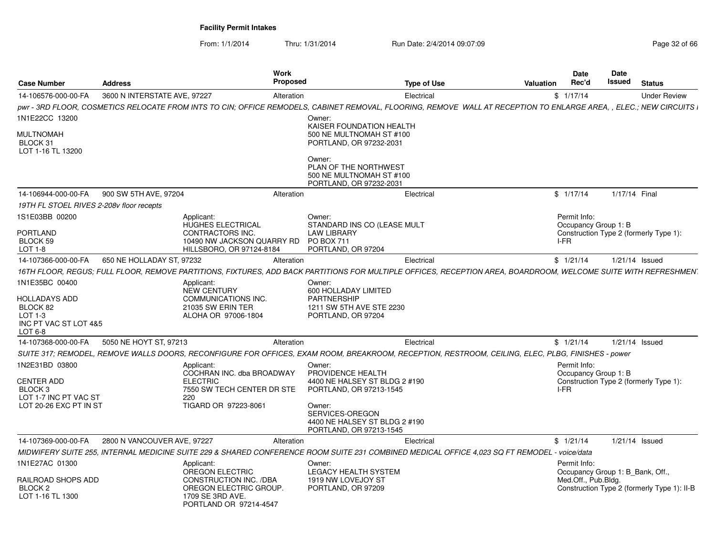From: 1/1/2014Thru: 1/31/2014 Run Date: 2/4/2014 09:07:09 Research 2010 12:00 Page 32 of 66

| <b>Case Number</b>                                           | <b>Address</b>                                                                                                                                                    | Work<br><b>Proposed</b>                                                                                                     | Type of Use                   | <b>Valuation</b> | <b>Date</b><br>Rec'd                                    | Date<br>Issued   | <b>Status</b>                               |
|--------------------------------------------------------------|-------------------------------------------------------------------------------------------------------------------------------------------------------------------|-----------------------------------------------------------------------------------------------------------------------------|-------------------------------|------------------|---------------------------------------------------------|------------------|---------------------------------------------|
| 14-106576-000-00-FA                                          | 3600 N INTERSTATE AVE, 97227                                                                                                                                      | Alteration                                                                                                                  | Electrical                    | \$1/17/14        |                                                         |                  | <b>Under Review</b>                         |
|                                                              | DWI-3RD FLOOR, COSMETICS RELOCATE FROM INTS TO CIN; OFFICE REMODELS, CABINET REMOVAL, FLOORING, REMOVE WALL AT RECEPTION TO ENLARGE AREA, , ELEC.; NEW CIRCUITS i |                                                                                                                             |                               |                  |                                                         |                  |                                             |
| 1N1E22CC 13200                                               |                                                                                                                                                                   | Owner:                                                                                                                      |                               |                  |                                                         |                  |                                             |
| MULTNOMAH<br>BLOCK 31<br>LOT 1-16 TL 13200                   |                                                                                                                                                                   | 500 NE MULTNOMAH ST #100<br>PORTLAND, OR 97232-2031                                                                         | KAISER FOUNDATION HEALTH      |                  |                                                         |                  |                                             |
|                                                              |                                                                                                                                                                   | Owner:<br>PLAN OF THE NORTHWEST<br>500 NE MULTNOMAH ST #100<br>PORTLAND, OR 97232-2031                                      |                               |                  |                                                         |                  |                                             |
| 14-106944-000-00-FA                                          | 900 SW 5TH AVE, 97204                                                                                                                                             | Alteration                                                                                                                  | Electrical                    | \$1/17/14        |                                                         | 1/17/14 Final    |                                             |
| 19TH FL STOEL RIVES 2-208v floor recepts                     |                                                                                                                                                                   |                                                                                                                             |                               |                  |                                                         |                  |                                             |
| 1S1E03BB 00200<br>PORTLAND<br>BLOCK 59<br>LOT 1-8            | Applicant:<br><b>HUGHES ELECTRICAL</b><br><b>CONTRACTORS INC.</b>                                                                                                 | Owner:<br><b>LAW LIBRARY</b><br>PO BOX 711<br>10490 NW JACKSON QUARRY RD<br>HILLSBORO, OR 97124-8184<br>PORTLAND, OR 97204  | STANDARD INS CO (LEASE MULT   | I-FR             | Permit Info:<br>Occupancy Group 1: B                    |                  | Construction Type 2 (formerly Type 1):      |
|                                                              |                                                                                                                                                                   |                                                                                                                             |                               |                  |                                                         |                  |                                             |
| 14-107366-000-00-FA                                          | 650 NE HOLLADAY ST, 97232                                                                                                                                         | Alteration                                                                                                                  | Electrical                    | \$1/21/14        |                                                         | $1/21/14$ Issued |                                             |
|                                                              | 16TH FLOOR, REGUS; FULL FLOOR, REMOVE PARTITIONS, FIXTURES, ADD BACK PARTITIONS FOR MULTIPLE OFFICES, RECEPTION AREA, BOARDROOM, WELCOME SUITE WITH REFRESHMEN'   |                                                                                                                             |                               |                  |                                                         |                  |                                             |
| 1N1E35BC 00400                                               | Applicant:<br><b>NEW CENTURY</b>                                                                                                                                  | Owner:<br>600 HOLLADAY LIMITED                                                                                              |                               |                  |                                                         |                  |                                             |
| HOLLADAYS ADD                                                | <b>COMMUNICATIONS INC.</b>                                                                                                                                        | <b>PARTNERSHIP</b>                                                                                                          |                               |                  |                                                         |                  |                                             |
| BLOCK 82<br>LOT $1-3$                                        | 21035 SW ERIN TER<br>ALOHA OR 97006-1804                                                                                                                          | 1211 SW 5TH AVE STE 2230<br>PORTLAND, OR 97204                                                                              |                               |                  |                                                         |                  |                                             |
| INC PT VAC ST LOT 4&5<br>LOT 6-8                             |                                                                                                                                                                   |                                                                                                                             |                               |                  |                                                         |                  |                                             |
| 14-107368-000-00-FA                                          | 5050 NE HOYT ST, 97213                                                                                                                                            | Alteration                                                                                                                  | Electrical                    | \$1/21/14        |                                                         | $1/21/14$ Issued |                                             |
|                                                              | SUITE 317; REMODEL, REMOVE WALLS DOORS, RECONFIGURE FOR OFFICES, EXAM ROOM, BREAKROOM, RECEPTION, RESTROOM, CEILING, ELEC, PLBG, FINISHES - power                 |                                                                                                                             |                               |                  |                                                         |                  |                                             |
| 1N2E31BD 03800<br>CENTER ADD<br>BLOCK <sub>3</sub>           | Applicant:<br><b>ELECTRIC</b>                                                                                                                                     | Owner:<br>COCHRAN INC. dba BROADWAY<br>PROVIDENCE HEALTH<br>PORTLAND, OR 97213-1545<br>7550 SW TECH CENTER DR STE           | 4400 NE HALSEY ST BLDG 2 #190 | I-FR             | Permit Info:<br>Occupancy Group 1: B                    |                  | Construction Type 2 (formerly Type 1):      |
| LOT 1-7 INC PT VAC ST<br>LOT 20-26 EXC PT IN ST              | 220<br>TIGARD OR 97223-8061                                                                                                                                       | Owner:<br>SERVICES-OREGON<br>PORTLAND, OR 97213-1545                                                                        | 4400 NE HALSEY ST BLDG 2 #190 |                  |                                                         |                  |                                             |
| 14-107369-000-00-FA                                          | 2800 N VANCOUVER AVE, 97227                                                                                                                                       | Alteration                                                                                                                  | Electrical                    | \$1/21/14        |                                                         | $1/21/14$ Issued |                                             |
|                                                              | MIDWIFERY SUITE 255, INTERNAL MEDICINE SUITE 229 & SHARED CONFERENCE ROOM SUITE 231 COMBINED MEDICAL OFFICE 4.023 SQ FT REMODEL - voice/data                      |                                                                                                                             |                               |                  |                                                         |                  |                                             |
| 1N1E27AC 01300                                               | Applicant:                                                                                                                                                        | Owner:                                                                                                                      |                               |                  | Permit Info:                                            |                  |                                             |
| RAILROAD SHOPS ADD<br>BLOCK <sub>2</sub><br>LOT 1-16 TL 1300 | OREGON ELECTRIC<br>CONSTRUCTION INC. /DBA<br>1709 SE 3RD AVE.                                                                                                     | <b>LEGACY HEALTH SYSTEM</b><br>1919 NW LOVEJOY ST<br>OREGON ELECTRIC GROUP.<br>PORTLAND, OR 97209<br>PORTLAND OR 97214-4547 |                               |                  | Occupancy Group 1: B_Bank, Off.,<br>Med.Off., Pub.Bldg. |                  | Construction Type 2 (formerly Type 1): II-B |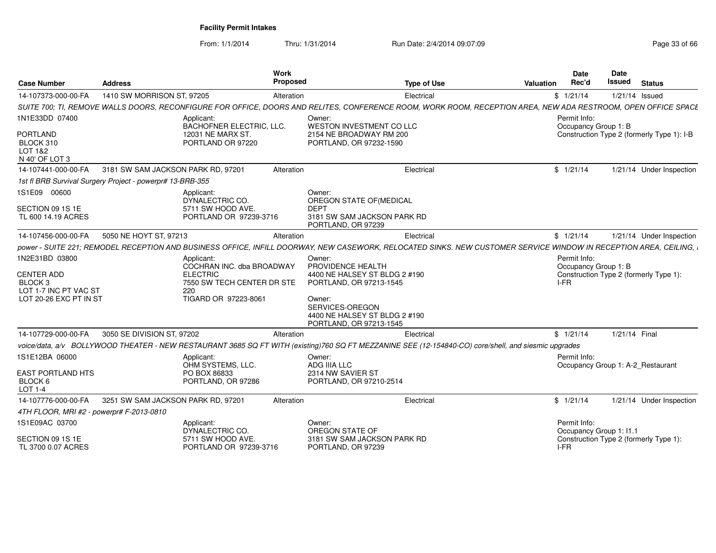From: 1/1/2014

Thru: 1/31/2014 Run Date: 2/4/2014 09:07:09 Research 2010 12:00 Page 33 of 66

| <b>Case Number</b>                                                                                           | <b>Address</b>                     |                                                                                                                         | Work<br>Proposed | <b>Type of Use</b>                                                                                                                                                               | Valuation | Date<br>Rec'd                                | Date<br>Issued | <b>Status</b>                              |
|--------------------------------------------------------------------------------------------------------------|------------------------------------|-------------------------------------------------------------------------------------------------------------------------|------------------|----------------------------------------------------------------------------------------------------------------------------------------------------------------------------------|-----------|----------------------------------------------|----------------|--------------------------------------------|
| 14-107373-000-00-FA                                                                                          | 1410 SW MORRISON ST, 97205         |                                                                                                                         | Alteration       | Electrical                                                                                                                                                                       |           | \$1/21/14                                    | 1/21/14 Issued |                                            |
|                                                                                                              |                                    |                                                                                                                         |                  | SUITE 700; TI, REMOVE WALLS DOORS, RECONFIGURE FOR OFFICE, DOORS AND RELITES, CONFERENCE ROOM, WORK ROOM, RECEPTION AREA, NEW ADA RESTROOM, OPEN OFFICE SPACE                    |           |                                              |                |                                            |
| 1N1E33DD 07400                                                                                               |                                    | Applicant:<br>BACHOFNER ELECTRIC, LLC.                                                                                  |                  | Owner:<br>WESTON INVESTMENT CO LLC                                                                                                                                               |           | Permit Info:<br>Occupancy Group 1: B         |                |                                            |
| PORTLAND<br>BLOCK 310<br>LOT 1&2<br>N 40' OF LOT 3                                                           |                                    | 12031 NE MARX ST.<br>PORTLAND OR 97220                                                                                  |                  | 2154 NE BROADWAY RM 200<br>PORTLAND, OR 97232-1590                                                                                                                               |           |                                              |                | Construction Type 2 (formerly Type 1): I-B |
| 14-107441-000-00-FA                                                                                          | 3181 SW SAM JACKSON PARK RD, 97201 |                                                                                                                         | Alteration       | Electrical                                                                                                                                                                       |           | \$1/21/14                                    |                | 1/21/14 Under Inspection                   |
| 1st fl BRB Survival Surgery Project - powerpr# 13-BRB-355                                                    |                                    |                                                                                                                         |                  |                                                                                                                                                                                  |           |                                              |                |                                            |
| 1S1E09 00600                                                                                                 |                                    | Applicant:<br>DYNALECTRIC CO.                                                                                           |                  | Owner:<br>OREGON STATE OF (MEDICAL                                                                                                                                               |           |                                              |                |                                            |
| SECTION 09 1S 1E<br>TL 600 14.19 ACRES                                                                       |                                    | 5711 SW HOOD AVE.<br>PORTLAND OR 97239-3716                                                                             |                  | <b>DEPT</b><br>3181 SW SAM JACKSON PARK RD<br>PORTLAND, OR 97239                                                                                                                 |           |                                              |                |                                            |
| 14-107456-000-00-FA                                                                                          | 5050 NE HOYT ST, 97213             |                                                                                                                         | Alteration       | Electrical                                                                                                                                                                       |           | \$1/21/14                                    |                | 1/21/14 Under Inspection                   |
|                                                                                                              |                                    |                                                                                                                         |                  | power - SUITE 221; REMODEL RECEPTION AND BUSINESS OFFICE, INFILL DOORWAY, NEW CASEWORK, RELOCATED SINKS. NEW CUSTOMER SERVICE WINDOW IN RECEPTION AREA, CEILING, I               |           |                                              |                |                                            |
| 1N2E31BD 03800<br><b>CENTER ADD</b><br>BLOCK <sub>3</sub><br>LOT 1-7 INC PT VAC ST<br>LOT 20-26 EXC PT IN ST |                                    | Applicant:<br>COCHRAN INC. dba BROADWAY<br><b>ELECTRIC</b><br>7550 SW TECH CENTER DR STE<br>220<br>TIGARD OR 97223-8061 |                  | Owner:<br>PROVIDENCE HEALTH<br>4400 NE HALSEY ST BLDG 2 #190<br>PORTLAND, OR 97213-1545<br>Owner:<br>SERVICES-OREGON<br>4400 NE HALSEY ST BLDG 2 #190<br>PORTLAND, OR 97213-1545 |           | Permit Info:<br>Occupancy Group 1: B<br>I-FR |                | Construction Type 2 (formerly Type 1):     |
| 14-107729-000-00-FA                                                                                          | 3050 SE DIVISION ST, 97202         |                                                                                                                         | Alteration       | Electrical                                                                                                                                                                       |           | \$1/21/14                                    | 1/21/14 Final  |                                            |
|                                                                                                              |                                    |                                                                                                                         |                  | voice/data, a/v BOLLYWOOD THEATER - NEW RESTAURANT 3685 SQ FT WITH (existing)760 SQ FT MEZZANINE SEE (12-154840-CO) core/shell, and siesmic upgrades                             |           |                                              |                |                                            |
| 1S1E12BA 06000                                                                                               |                                    | Applicant:<br>OHM SYSTEMS, LLC.                                                                                         |                  | Owner:<br>ADG IIIA LLC                                                                                                                                                           |           | Permit Info:                                 |                | Occupancy Group 1: A-2 Restaurant          |
| <b>EAST PORTLAND HTS</b><br>BLOCK 6<br><b>LOT 1-4</b>                                                        |                                    | PO BOX 86833<br>PORTLAND, OR 97286                                                                                      |                  | 2314 NW SAVIER ST<br>PORTLAND, OR 97210-2514                                                                                                                                     |           |                                              |                |                                            |
| 14-107776-000-00-FA                                                                                          | 3251 SW SAM JACKSON PARK RD, 97201 |                                                                                                                         | Alteration       | Electrical                                                                                                                                                                       |           | \$1/21/14                                    |                | 1/21/14 Under Inspection                   |
| 4TH FLOOR, MRI #2 - powerpr# F-2013-0810                                                                     |                                    |                                                                                                                         |                  |                                                                                                                                                                                  |           |                                              |                |                                            |
| 1S1E09AC 03700                                                                                               |                                    | Applicant:<br>DYNALECTRIC CO.                                                                                           |                  | Owner:<br>OREGON STATE OF                                                                                                                                                        |           | Permit Info:<br>Occupancy Group 1: I1.1      |                |                                            |
| SECTION 09 1S 1E<br>TL 3700 0.07 ACRES                                                                       |                                    | 5711 SW HOOD AVE.<br>PORTLAND OR 97239-3716                                                                             |                  | 3181 SW SAM JACKSON PARK RD<br>PORTLAND, OR 97239                                                                                                                                |           | I-FR                                         |                | Construction Type 2 (formerly Type 1):     |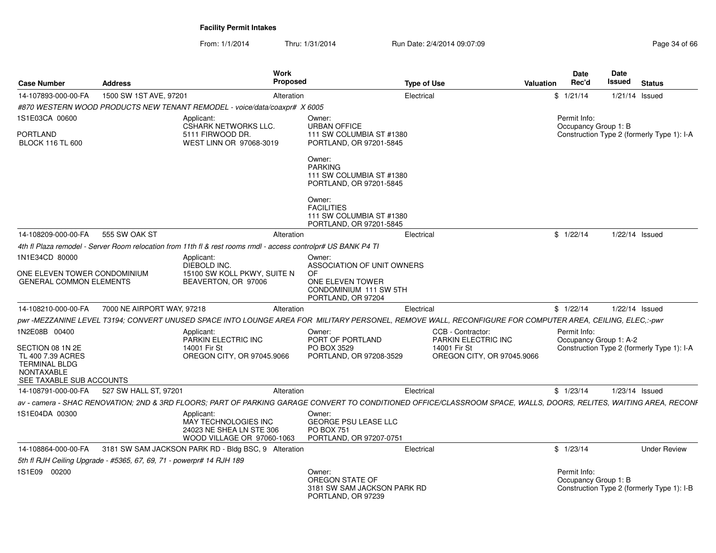From: 1/1/2014Thru: 1/31/2014 Run Date: 2/4/2014 09:07:09 Research 2010 12:00 Page 34 of 66

| <b>Case Number</b>                                                                                             | <b>Address</b>                                                       |                                                                                                                | Work<br><b>Proposed</b>                                                            | <b>Type of Use</b>          |                                                                                                                                                                    | Valuation | <b>Date</b><br>Rec'd                   | Date<br>Issued | <b>Status</b>                              |
|----------------------------------------------------------------------------------------------------------------|----------------------------------------------------------------------|----------------------------------------------------------------------------------------------------------------|------------------------------------------------------------------------------------|-----------------------------|--------------------------------------------------------------------------------------------------------------------------------------------------------------------|-----------|----------------------------------------|----------------|--------------------------------------------|
| 14-107893-000-00-FA                                                                                            | 1500 SW 1ST AVE, 97201                                               |                                                                                                                | Alteration                                                                         | Electrical                  |                                                                                                                                                                    |           | \$1/21/14                              |                | $1/21/14$ Issued                           |
|                                                                                                                |                                                                      | #870 WESTERN WOOD PRODUCTS NEW TENANT REMODEL - voice/data/coaxpr# X 6005                                      |                                                                                    |                             |                                                                                                                                                                    |           |                                        |                |                                            |
| 1S1E03CA 00600                                                                                                 |                                                                      | Applicant:<br><b>CSHARK NETWORKS LLC.</b>                                                                      | Owner:<br><b>URBAN OFFICE</b>                                                      |                             |                                                                                                                                                                    |           | Permit Info:<br>Occupancy Group 1: B   |                |                                            |
| PORTLAND<br><b>BLOCK 116 TL 600</b>                                                                            |                                                                      | 5111 FIRWOOD DR.<br>WEST LINN OR 97068-3019                                                                    | 111 SW COLUMBIA ST #1380<br>PORTLAND, OR 97201-5845                                |                             |                                                                                                                                                                    |           |                                        |                | Construction Type 2 (formerly Type 1): I-A |
|                                                                                                                |                                                                      |                                                                                                                | Owner:<br><b>PARKING</b><br>111 SW COLUMBIA ST #1380<br>PORTLAND, OR 97201-5845    |                             |                                                                                                                                                                    |           |                                        |                |                                            |
|                                                                                                                |                                                                      |                                                                                                                | Owner:<br><b>FACILITIES</b><br>111 SW COLUMBIA ST #1380<br>PORTLAND, OR 97201-5845 |                             |                                                                                                                                                                    |           |                                        |                |                                            |
| 14-108209-000-00-FA                                                                                            | 555 SW OAK ST                                                        |                                                                                                                | Alteration                                                                         | Electrical                  |                                                                                                                                                                    |           | \$1/22/14                              |                | 1/22/14 Issued                             |
|                                                                                                                |                                                                      | 4th fl Plaza remodel - Server Room relocation from 11th fl & rest rooms rmdl - access controlpr# US BANK P4 Tl |                                                                                    |                             |                                                                                                                                                                    |           |                                        |                |                                            |
| 1N1E34CD 80000                                                                                                 |                                                                      | Applicant:<br>DIEBOLD INC.                                                                                     | Owner:                                                                             | ASSOCIATION OF UNIT OWNERS  |                                                                                                                                                                    |           |                                        |                |                                            |
| ONE ELEVEN TOWER CONDOMINIUM<br><b>GENERAL COMMON ELEMENTS</b>                                                 |                                                                      | 15100 SW KOLL PKWY, SUITE N<br>BEAVERTON, OR 97006                                                             | 0F<br>ONE ELEVEN TOWER<br>CONDOMINIUM 111 SW 5TH<br>PORTLAND, OR 97204             |                             |                                                                                                                                                                    |           |                                        |                |                                            |
| 14-108210-000-00-FA                                                                                            | 7000 NE AIRPORT WAY, 97218                                           |                                                                                                                | Alteration                                                                         | Electrical                  |                                                                                                                                                                    |           | \$1/22/14                              |                | 1/22/14 Issued                             |
|                                                                                                                |                                                                      |                                                                                                                |                                                                                    |                             | pwr-MEZZANINE LEVEL T3194; CONVERT UNUSED SPACE INTO LOUNGE AREA FOR MILITARY PERSONEL, REMOVE WALL, RECONFIGURE FOR COMPUTER AREA, CEILING, ELEC,:-pwr            |           |                                        |                |                                            |
| 1N2E08B 00400                                                                                                  |                                                                      | Applicant:<br>PARKIN ELECTRIC INC                                                                              | Owner:<br>PORT OF PORTLAND                                                         |                             | CCB - Contractor:<br>PARKIN ELECTRIC INC                                                                                                                           |           | Permit Info:<br>Occupancy Group 1: A-2 |                |                                            |
| SECTION 08 1N 2E<br>TL 400 7.39 ACRES<br><b>TERMINAL BLDG</b><br><b>NONTAXABLE</b><br>SEE TAXABLE SUB ACCOUNTS |                                                                      | 14001 Fir St<br>OREGON CITY, OR 97045.9066                                                                     | PO BOX 3529<br>PORTLAND, OR 97208-3529                                             |                             | 14001 Fir St<br>OREGON CITY, OR 97045.9066                                                                                                                         |           |                                        |                | Construction Type 2 (formerly Type 1): I-A |
| 14-108791-000-00-FA                                                                                            | 527 SW HALL ST, 97201                                                |                                                                                                                | Alteration                                                                         | Electrical                  |                                                                                                                                                                    |           | \$1/23/14                              |                | 1/23/14 Issued                             |
|                                                                                                                |                                                                      |                                                                                                                |                                                                                    |                             | av - camera - SHAC RENOVATION: 2ND & 3RD FLOORS: PART OF PARKING GARAGE CONVERT TO CONDITIONED OFFICE/CLASSROOM SPACE, WALLS, DOORS, RELITES, WAITING AREA, RECONF |           |                                        |                |                                            |
| 1S1E04DA 00300                                                                                                 |                                                                      | Applicant:<br>MAY TECHNOLOGIES INC<br>24023 NE SHEA LN STE 306<br>WOOD VILLAGE OR 97060-1063                   | Owner:<br>GEORGE PSU LEASE LLC<br><b>PO BOX 751</b><br>PORTLAND, OR 97207-0751     |                             |                                                                                                                                                                    |           |                                        |                |                                            |
| 14-108864-000-00-FA                                                                                            |                                                                      | 3181 SW SAM JACKSON PARK RD - Bldg BSC, 9 Alteration                                                           |                                                                                    | Electrical                  |                                                                                                                                                                    |           | \$1/23/14                              |                | <b>Under Review</b>                        |
|                                                                                                                | 5th fl RJH Ceiling Upgrade - #5365, 67, 69, 71 - powerpr# 14 RJH 189 |                                                                                                                |                                                                                    |                             |                                                                                                                                                                    |           |                                        |                |                                            |
| 1S1E09 00200                                                                                                   |                                                                      |                                                                                                                | Owner:<br>OREGON STATE OF<br>PORTLAND, OR 97239                                    | 3181 SW SAM JACKSON PARK RD |                                                                                                                                                                    |           | Permit Info:<br>Occupancy Group 1: B   |                | Construction Type 2 (formerly Type 1): I-B |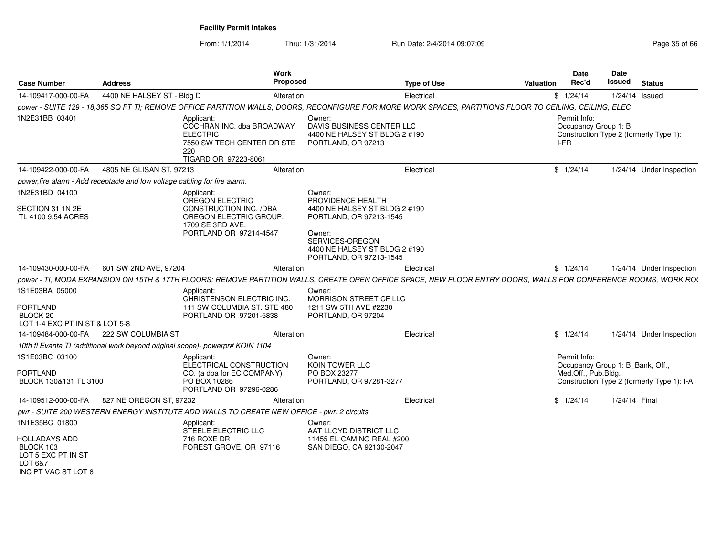From: 1/1/2014Thru: 1/31/2014 Run Date: 2/4/2014 09:07:09 Research 2010 12:00 Page 35 of 66

| <b>Case Number</b>                                                                        | <b>Address</b>                                                             | Work<br><b>Proposed</b>                                                                                                                                         |                                                                                                                  | <b>Type of Use</b> | <b>Valuation</b> | Date<br>Rec'd                                | Date<br>Issued                   | <b>Status</b>                              |
|-------------------------------------------------------------------------------------------|----------------------------------------------------------------------------|-----------------------------------------------------------------------------------------------------------------------------------------------------------------|------------------------------------------------------------------------------------------------------------------|--------------------|------------------|----------------------------------------------|----------------------------------|--------------------------------------------|
| 14-109417-000-00-FA                                                                       | 4400 NE HALSEY ST - Bldg D                                                 | Alteration                                                                                                                                                      |                                                                                                                  | Electrical         |                  | \$1/24/14                                    | 1/24/14 Issued                   |                                            |
|                                                                                           |                                                                            | power - SUITE 129 - 18,365 SQ FT TI; REMOVE OFFICE PARTITION WALLS, DOORS, RECONFIGURE FOR MORE WORK SPACES, PARTITIONS FLOOR TO CEILING, CEILING, ELEC         |                                                                                                                  |                    |                  |                                              |                                  |                                            |
| 1N2E31BB 03401                                                                            |                                                                            | Applicant:<br>COCHRAN INC. dba BROADWAY<br><b>ELECTRIC</b><br>7550 SW TECH CENTER DR STE<br>220<br>TIGARD OR 97223-8061                                         | Owner:<br>DAVIS BUSINESS CENTER LLC<br>4400 NE HALSEY ST BLDG 2 #190<br>PORTLAND, OR 97213                       |                    |                  | Permit Info:<br>Occupancy Group 1: B<br>I-FR |                                  | Construction Type 2 (formerly Type 1):     |
| 14-109422-000-00-FA                                                                       | 4805 NE GLISAN ST. 97213                                                   | Alteration                                                                                                                                                      |                                                                                                                  | Electrical         |                  | \$1/24/14                                    |                                  | 1/24/14 Under Inspection                   |
|                                                                                           | power, fire alarm - Add receptacle and low voltage cabling for fire alarm. |                                                                                                                                                                 |                                                                                                                  |                    |                  |                                              |                                  |                                            |
| 1N2E31BD 04100<br>SECTION 31 1N 2E                                                        |                                                                            | Applicant:<br>OREGON ELECTRIC<br>CONSTRUCTION INC. /DBA                                                                                                         | Owner:<br>PROVIDENCE HEALTH<br>4400 NE HALSEY ST BLDG 2 #190                                                     |                    |                  |                                              |                                  |                                            |
| TL 4100 9.54 ACRES                                                                        |                                                                            | OREGON ELECTRIC GROUP.<br>1709 SE 3RD AVE.<br>PORTLAND OR 97214-4547                                                                                            | PORTLAND, OR 97213-1545<br>Owner:<br>SERVICES-OREGON<br>4400 NE HALSEY ST BLDG 2 #190<br>PORTLAND, OR 97213-1545 |                    |                  |                                              |                                  |                                            |
| 14-109430-000-00-FA                                                                       | 601 SW 2ND AVE, 97204                                                      | Alteration                                                                                                                                                      |                                                                                                                  | Electrical         |                  | \$1/24/14                                    |                                  | 1/24/14 Under Inspection                   |
|                                                                                           |                                                                            | power - TI, MODA EXPANSION ON 15TH & 17TH FLOORS; REMOVE PARTITION WALLS, CREATE OPEN OFFICE SPACE, NEW FLOOR ENTRY DOORS, WALLS FOR CONFERENCE ROOMS, WORK ROU |                                                                                                                  |                    |                  |                                              |                                  |                                            |
| 1S1E03BA 05000<br><b>PORTLAND</b><br>BLOCK 20<br>LOT 1-4 EXC PT IN ST & LOT 5-8           |                                                                            | Applicant:<br>CHRISTENSON ELECTRIC INC.<br>111 SW COLUMBIA ST. STE 480<br>PORTLAND OR 97201-5838                                                                | Owner:<br>MORRISON STREET CF LLC<br>1211 SW 5TH AVE #2230<br>PORTLAND, OR 97204                                  |                    |                  |                                              |                                  |                                            |
| 14-109484-000-00-FA                                                                       | 222 SW COLUMBIA ST                                                         | Alteration                                                                                                                                                      |                                                                                                                  | Electrical         |                  | \$1/24/14                                    |                                  | 1/24/14 Under Inspection                   |
|                                                                                           |                                                                            | 10th fl Evanta TI (additional work beyond original scope)- powerpr# KOIN 1104                                                                                   |                                                                                                                  |                    |                  |                                              |                                  |                                            |
| 1S1E03BC 03100<br>PORTLAND<br>BLOCK 130&131 TL 3100                                       |                                                                            | Applicant:<br>ELECTRICAL CONSTRUCTION<br>CO. (a dba for EC COMPANY)<br>PO BOX 10286<br>PORTLAND OR 97296-0286                                                   | Owner:<br>KOIN TOWER LLC<br>PO BOX 23277<br>PORTLAND, OR 97281-3277                                              |                    |                  | Permit Info:<br>Med.Off., Pub.Bldg.          | Occupancy Group 1: B_Bank, Off., | Construction Type 2 (formerly Type 1): I-A |
| 14-109512-000-00-FA                                                                       | 827 NE OREGON ST, 97232                                                    | Alteration                                                                                                                                                      |                                                                                                                  | Electrical         |                  | \$1/24/14                                    | 1/24/14 Final                    |                                            |
|                                                                                           |                                                                            | pwr - SUITE 200 WESTERN ENERGY INSTITUTE ADD WALLS TO CREATE NEW OFFICE - pwr: 2 circuits                                                                       |                                                                                                                  |                    |                  |                                              |                                  |                                            |
| 1N1E35BC 01800                                                                            |                                                                            | Applicant:<br>STEELE ELECTRIC LLC                                                                                                                               | Owner:<br>AAT LLOYD DISTRICT LLC                                                                                 |                    |                  |                                              |                                  |                                            |
| <b>HOLLADAYS ADD</b><br>BLOCK 103<br>LOT 5 EXC PT IN ST<br>LOT 6&7<br>INC PT VAC ST LOT 8 |                                                                            | 716 ROXE DR<br>FOREST GROVE, OR 97116                                                                                                                           | 11455 EL CAMINO REAL #200<br>SAN DIEGO, CA 92130-2047                                                            |                    |                  |                                              |                                  |                                            |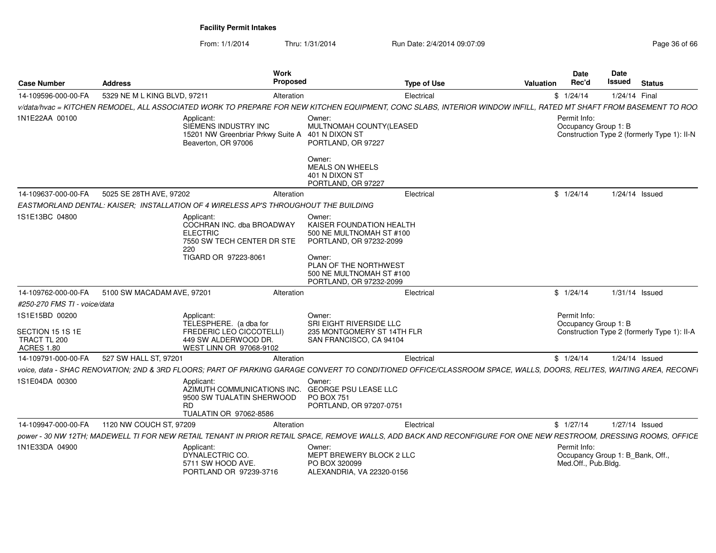From: 1/1/2014Thru: 1/31/2014 Run Date: 2/4/2014 09:07:09 Research 2010 12:00 Page 36 of 66

| <b>Case Number</b>                                                      | <b>Address</b>               | Work<br>Proposed                                                                                                                                                    |                                                                                                                                                                                     | <b>Type of Use</b> | Valuation | Date<br>Rec'd                                                           | <b>Date</b><br>Issued | <b>Status</b>                               |
|-------------------------------------------------------------------------|------------------------------|---------------------------------------------------------------------------------------------------------------------------------------------------------------------|-------------------------------------------------------------------------------------------------------------------------------------------------------------------------------------|--------------------|-----------|-------------------------------------------------------------------------|-----------------------|---------------------------------------------|
| 14-109596-000-00-FA                                                     | 5329 NE M L KING BLVD, 97211 | Alteration                                                                                                                                                          |                                                                                                                                                                                     | Electrical         |           | \$1/24/14                                                               | 1/24/14 Final         |                                             |
|                                                                         |                              | v/data/hvac = KITCHEN REMODEL, ALL ASSOCIATED WORK TO PREPARE FOR NEW KITCHEN EQUIPMENT, CONC SLABS, INTERIOR WINDOW INFILL, RATED MT SHAFT FROM BASEMENT TO ROO    |                                                                                                                                                                                     |                    |           |                                                                         |                       |                                             |
| 1N1E22AA 00100                                                          |                              | Applicant:<br>SIEMENS INDUSTRY INC<br>15201 NW Greenbriar Prkwy Suite A 401 N DIXON ST<br>Beaverton, OR 97006                                                       | Owner:<br>MULTNOMAH COUNTY(LEASED<br>PORTLAND, OR 97227<br>Owner:<br><b>MEALS ON WHEELS</b><br>401 N DIXON ST<br>PORTLAND, OR 97227                                                 |                    |           | Permit Info:<br>Occupancy Group 1: B                                    |                       | Construction Type 2 (formerly Type 1): II-N |
| 14-109637-000-00-FA                                                     | 5025 SE 28TH AVE, 97202      | Alteration                                                                                                                                                          |                                                                                                                                                                                     | Electrical         |           | \$1/24/14                                                               |                       | 1/24/14 Issued                              |
|                                                                         |                              | EASTMORLAND DENTAL: KAISER; INSTALLATION OF 4 WIRELESS AP'S THROUGHOUT THE BUILDING                                                                                 |                                                                                                                                                                                     |                    |           |                                                                         |                       |                                             |
| 1S1E13BC 04800                                                          |                              | Applicant:<br>COCHRAN INC. dba BROADWAY<br><b>ELECTRIC</b><br>7550 SW TECH CENTER DR STE<br>220<br>TIGARD OR 97223-8061                                             | Owner:<br>KAISER FOUNDATION HEALTH<br>500 NE MULTNOMAH ST #100<br>PORTLAND, OR 97232-2099<br>Owner:<br>PLAN OF THE NORTHWEST<br>500 NE MULTNOMAH ST #100<br>PORTLAND, OR 97232-2099 |                    |           |                                                                         |                       |                                             |
| 14-109762-000-00-FA                                                     | 5100 SW MACADAM AVE, 97201   | Alteration                                                                                                                                                          |                                                                                                                                                                                     | Electrical         |           | \$1/24/14                                                               |                       | 1/31/14 Issued                              |
| #250-270 FMS TI - voice/data                                            |                              |                                                                                                                                                                     |                                                                                                                                                                                     |                    |           |                                                                         |                       |                                             |
| 1S1E15BD 00200<br>SECTION 15 1S 1E<br>TRACT TL 200<br><b>ACRES 1.80</b> |                              | Applicant:<br>TELESPHERE. (a dba for<br>FREDERIC LEO CICCOTELLI)<br>449 SW ALDERWOOD DR.<br>WEST LINN OR 97068-9102                                                 | Owner:<br>SRI EIGHT RIVERSIDE LLC<br>235 MONTGOMERY ST 14TH FLR<br>SAN FRANCISCO, CA 94104                                                                                          |                    |           | Permit Info:<br>Occupancy Group 1: B                                    |                       | Construction Type 2 (formerly Type 1): II-A |
| 14-109791-000-00-FA                                                     | 527 SW HALL ST, 97201        | Alteration                                                                                                                                                          |                                                                                                                                                                                     | Electrical         |           | \$1/24/14                                                               |                       | 1/24/14 Issued                              |
|                                                                         |                              | voice, data - SHAC RENOVATION; 2ND & 3RD FLOORS; PART OF PARKING GARAGE CONVERT TO CONDITIONED OFFICE/CLASSROOM SPACE, WALLS, DOORS, RELITES, WAITING AREA, RECONFI |                                                                                                                                                                                     |                    |           |                                                                         |                       |                                             |
| 1S1E04DA 00300                                                          |                              | Applicant:<br>AZIMUTH COMMUNICATIONS INC.<br>9500 SW TUALATIN SHERWOOD<br><b>RD</b><br>TUALATIN OR 97062-8586                                                       | Owner:<br><b>GEORGE PSU LEASE LLC</b><br><b>PO BOX 751</b><br>PORTLAND, OR 97207-0751                                                                                               |                    |           |                                                                         |                       |                                             |
| 14-109947-000-00-FA                                                     | 1120 NW COUCH ST, 97209      | Alteration                                                                                                                                                          |                                                                                                                                                                                     | Electrical         |           | \$1/27/14                                                               |                       | 1/27/14 Issued                              |
|                                                                         |                              | power - 30 NW 12TH; MADEWELL TI FOR NEW RETAIL TENANT IN PRIOR RETAIL SPACE, REMOVE WALLS, ADD BACK AND RECONFIGURE FOR ONE NEW RESTROOM, DRESSING ROOMS, OFFICE    |                                                                                                                                                                                     |                    |           |                                                                         |                       |                                             |
| 1N1E33DA 04900                                                          |                              | Applicant:<br>DYNALECTRIC CO.<br>5711 SW HOOD AVE.<br>PORTLAND OR 97239-3716                                                                                        | Owner:<br>MEPT BREWERY BLOCK 2 LLC<br>PO BOX 320099<br>ALEXANDRIA, VA 22320-0156                                                                                                    |                    |           | Permit Info:<br>Occupancy Group 1: B_Bank, Off.,<br>Med.Off., Pub.Bldg. |                       |                                             |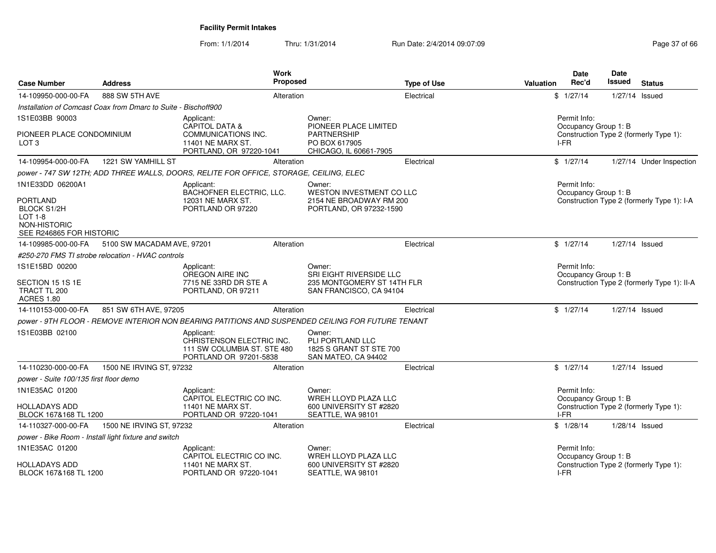From: 1/1/2014Thru: 1/31/2014 Run Date: 2/4/2014 09:07:09 Research 2010 12:00 Page 37 of 66

|                                                                             |                                                                | <b>Work</b>                                                                                       |                                                                                            |                    |                  | <b>Date</b>                          | Date   |                                             |
|-----------------------------------------------------------------------------|----------------------------------------------------------------|---------------------------------------------------------------------------------------------------|--------------------------------------------------------------------------------------------|--------------------|------------------|--------------------------------------|--------|---------------------------------------------|
| <b>Case Number</b>                                                          | <b>Address</b>                                                 | <b>Proposed</b>                                                                                   |                                                                                            | <b>Type of Use</b> | <b>Valuation</b> | Rec'd                                | Issued | <b>Status</b>                               |
| 14-109950-000-00-FA                                                         | 888 SW 5TH AVE                                                 | Alteration                                                                                        |                                                                                            | Electrical         |                  | \$1/27/14                            |        | 1/27/14 Issued                              |
|                                                                             | Installation of Comcast Coax from Dmarc to Suite - Bischoff900 |                                                                                                   |                                                                                            |                    |                  |                                      |        |                                             |
| 1S1E03BB 90003                                                              |                                                                | Applicant:<br><b>CAPITOL DATA &amp;</b>                                                           | Owner:<br>PIONEER PLACE LIMITED                                                            |                    |                  | Permit Info:<br>Occupancy Group 1: B |        |                                             |
| PIONEER PLACE CONDOMINIUM<br>LOT 3                                          |                                                                | COMMUNICATIONS INC.<br>11401 NE MARX ST.<br>PORTLAND, OR 97220-1041                               | <b>PARTNERSHIP</b><br>PO BOX 617905<br>CHICAGO, IL 60661-7905                              |                    |                  | I-FR                                 |        | Construction Type 2 (formerly Type 1):      |
| 14-109954-000-00-FA                                                         | 1221 SW YAMHILL ST                                             | Alteration                                                                                        |                                                                                            | Electrical         |                  | \$1/27/14                            |        | 1/27/14 Under Inspection                    |
|                                                                             |                                                                | power - 747 SW 12TH; ADD THREE WALLS, DOORS, RELITE FOR OFFICE, STORAGE, CEILING, ELEC            |                                                                                            |                    |                  |                                      |        |                                             |
| 1N1E33DD 06200A1<br><b>PORTLAND</b>                                         |                                                                | Applicant:<br>BACHOFNER ELECTRIC, LLC.<br>12031 NE MARX ST.                                       | Owner:<br>WESTON INVESTMENT CO LLC<br>2154 NE BROADWAY RM 200                              |                    |                  | Permit Info:<br>Occupancy Group 1: B |        | Construction Type 2 (formerly Type 1): I-A  |
| <b>BLOCK S1/2H</b><br>$LOT 1-8$<br>NON-HISTORIC<br>SEE R246865 FOR HISTORIC |                                                                | PORTLAND OR 97220                                                                                 | PORTLAND, OR 97232-1590                                                                    |                    |                  |                                      |        |                                             |
| 14-109985-000-00-FA                                                         | 5100 SW MACADAM AVE, 97201                                     | Alteration                                                                                        |                                                                                            | Electrical         |                  | \$1/27/14                            |        | 1/27/14 Issued                              |
|                                                                             | #250-270 FMS TI strobe relocation - HVAC controls              |                                                                                                   |                                                                                            |                    |                  |                                      |        |                                             |
| 1S1E15BD 00200<br>SECTION 15 1S 1E<br>TRACT TL 200                          |                                                                | Applicant:<br>OREGON AIRE INC<br>7715 NE 33RD DR STE A<br>PORTLAND, OR 97211                      | Owner:<br>SRI EIGHT RIVERSIDE LLC<br>235 MONTGOMERY ST 14TH FLR<br>SAN FRANCISCO, CA 94104 |                    |                  | Permit Info:<br>Occupancy Group 1: B |        | Construction Type 2 (formerly Type 1): II-A |
| <b>ACRES 1.80</b>                                                           |                                                                |                                                                                                   |                                                                                            |                    |                  |                                      |        |                                             |
| 14-110153-000-00-FA                                                         | 851 SW 6TH AVE, 97205                                          | Alteration                                                                                        |                                                                                            | Electrical         |                  | \$1/27/14                            |        | 1/27/14 Issued                              |
|                                                                             |                                                                | power - 9TH FLOOR - REMOVE INTERIOR NON BEARING PATITIONS AND SUSPENDED CEILING FOR FUTURE TENANT |                                                                                            |                    |                  |                                      |        |                                             |
| 1S1E03BB 02100                                                              |                                                                | Applicant:<br>CHRISTENSON ELECTRIC INC.<br>111 SW COLUMBIA ST. STE 480<br>PORTLAND OR 97201-5838  | Owner:<br>PLI PORTLAND LLC<br>1825 S GRANT ST STE 700<br>SAN MATEO, CA 94402               |                    |                  |                                      |        |                                             |
| 14-110230-000-00-FA                                                         | 1500 NE IRVING ST, 97232                                       | Alteration                                                                                        |                                                                                            | Electrical         |                  | \$1/27/14                            |        | 1/27/14 Issued                              |
| power - Suite 100/135 first floor demo                                      |                                                                |                                                                                                   |                                                                                            |                    |                  |                                      |        |                                             |
| 1N1E35AC 01200                                                              |                                                                | Applicant:<br>CAPITOL ELECTRIC CO INC.                                                            | Owner:<br>WREH LLOYD PLAZA LLC                                                             |                    |                  | Permit Info:<br>Occupancy Group 1: B |        |                                             |
| <b>HOLLADAYS ADD</b><br>BLOCK 167&168 TL 1200                               |                                                                | 11401 NE MARX ST.<br>PORTLAND OR 97220-1041                                                       | 600 UNIVERSITY ST #2820<br>SEATTLE, WA 98101                                               |                    |                  | I-FR                                 |        | Construction Type 2 (formerly Type 1):      |
| 14-110327-000-00-FA                                                         | 1500 NE IRVING ST, 97232                                       | Alteration                                                                                        |                                                                                            | Electrical         |                  | \$1/28/14                            |        | $1/28/14$ Issued                            |
|                                                                             | power - Bike Room - Install light fixture and switch           |                                                                                                   |                                                                                            |                    |                  |                                      |        |                                             |
| 1N1E35AC 01200<br><b>HOLLADAYS ADD</b>                                      |                                                                | Applicant:<br>CAPITOL ELECTRIC CO INC.<br>11401 NE MARX ST.                                       | Owner:<br>WREH LLOYD PLAZA LLC<br>600 UNIVERSITY ST #2820                                  |                    |                  | Permit Info:<br>Occupancy Group 1: B |        | Construction Type 2 (formerly Type 1):      |
| BLOCK 167&168 TL 1200                                                       |                                                                | PORTLAND OR 97220-1041                                                                            | SEATTLE, WA 98101                                                                          |                    |                  | I-FR                                 |        |                                             |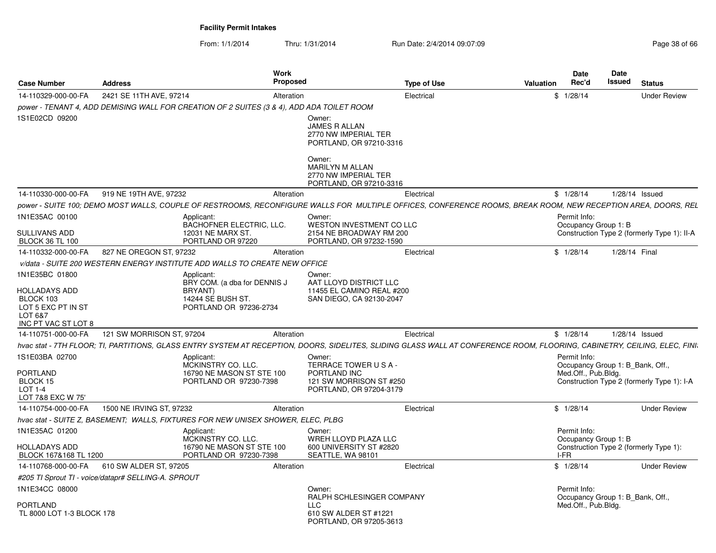From: 1/1/2014Thru: 1/31/2014 Run Date: 2/4/2014 09:07:09 Research 2010 12:00 Page 38 of 66

| <b>Case Number</b>                                                                   | <b>Address</b>                                                                                                                                                            | Work<br><b>Proposed</b>      |                                                                                                                                                            | <b>Type of Use</b> | <b>Valuation</b> | <b>Date</b><br>Rec'd                                    | Date<br>Issued | <b>Status</b>                               |
|--------------------------------------------------------------------------------------|---------------------------------------------------------------------------------------------------------------------------------------------------------------------------|------------------------------|------------------------------------------------------------------------------------------------------------------------------------------------------------|--------------------|------------------|---------------------------------------------------------|----------------|---------------------------------------------|
| 14-110329-000-00-FA                                                                  | 2421 SE 11TH AVE, 97214                                                                                                                                                   | Alteration                   |                                                                                                                                                            | Electrical         |                  | \$1/28/14                                               |                | <b>Under Review</b>                         |
|                                                                                      | power - TENANT 4, ADD DEMISING WALL FOR CREATION OF 2 SUITES (3 & 4), ADD ADA TOILET ROOM                                                                                 |                              |                                                                                                                                                            |                    |                  |                                                         |                |                                             |
| 1S1E02CD 09200                                                                       |                                                                                                                                                                           |                              | Owner:<br>JAMES R ALLAN<br>2770 NW IMPERIAL TER<br>PORTLAND, OR 97210-3316<br>Owner:<br>MARILYN M ALLAN<br>2770 NW IMPERIAL TER<br>PORTLAND, OR 97210-3316 |                    |                  |                                                         |                |                                             |
| 14-110330-000-00-FA                                                                  | 919 NE 19TH AVE, 97232                                                                                                                                                    | Alteration                   |                                                                                                                                                            | Electrical         |                  | \$1/28/14                                               |                | $1/28/14$ Issued                            |
|                                                                                      | power - SUITE 100; DEMO MOST WALLS, COUPLE OF RESTROOMS, RECONFIGURE WALLS FOR MULTIPLE OFFICES, CONFERENCE ROOMS, BREAK ROOM, NEW RECEPTION AREA, DOORS, REL             |                              |                                                                                                                                                            |                    |                  |                                                         |                |                                             |
| 1N1E35AC 00100                                                                       | Applicant:                                                                                                                                                                |                              | Owner:                                                                                                                                                     |                    |                  | Permit Info:                                            |                |                                             |
| <b>SULLIVANS ADD</b><br><b>BLOCK 36 TL 100</b>                                       | 12031 NE MARX ST.<br>PORTLAND OR 97220                                                                                                                                    | BACHOFNER ELECTRIC, LLC.     | <b>WESTON INVESTMENT CO LLC</b><br>2154 NE BROADWAY RM 200<br>PORTLAND, OR 97232-1590                                                                      |                    |                  | Occupancy Group 1: B                                    |                | Construction Type 2 (formerly Type 1): II-A |
| 14-110332-000-00-FA                                                                  | 827 NE OREGON ST, 97232                                                                                                                                                   | Alteration                   |                                                                                                                                                            | Electrical         |                  | \$1/28/14                                               | 1/28/14 Final  |                                             |
|                                                                                      | v/data - SUITE 200 WESTERN ENERGY INSTITUTE ADD WALLS TO CREATE NEW OFFICE                                                                                                |                              |                                                                                                                                                            |                    |                  |                                                         |                |                                             |
| 1N1E35BC 01800<br><b>HOLLADAYS ADD</b><br>BLOCK 103<br>LOT 5 EXC PT IN ST<br>LOT 6&7 | Applicant:<br>BRYANT)<br>14244 SE BUSH ST.<br>PORTLAND OR 97236-2734                                                                                                      | BRY COM. (a dba for DENNIS J | Owner:<br>AAT LLOYD DISTRICT LLC<br>11455 EL CAMINO REAL #200<br>SAN DIEGO, CA 92130-2047                                                                  |                    |                  |                                                         |                |                                             |
| INC PT VAC ST LOT 8<br>14-110751-000-00-FA                                           | 121 SW MORRISON ST, 97204                                                                                                                                                 | Alteration                   |                                                                                                                                                            | Electrical         |                  | \$1/28/14                                               |                | 1/28/14 Issued                              |
|                                                                                      | hvac stat - 7TH FLOOR; TI, PARTITIONS, GLASS ENTRY SYSTEM AT RECEPTION, DOORS, SIDELITES, SLIDING GLASS WALL AT CONFERENCE ROOM, FLOORING, CABINETRY, CEILING, ELEC, FINI |                              |                                                                                                                                                            |                    |                  |                                                         |                |                                             |
| 1S1E03BA 02700                                                                       | Applicant:                                                                                                                                                                |                              | Owner:                                                                                                                                                     |                    |                  | Permit Info:                                            |                |                                             |
| <b>PORTLAND</b><br>BLOCK 15<br>$LOT 1-4$<br>LOT 7&8 EXC W 75'                        | MCKINSTRY CO. LLC.<br>PORTLAND OR 97230-7398                                                                                                                              | 16790 NE MASON ST STE 100    | TERRACE TOWER USA-<br>PORTLAND INC<br>121 SW MORRISON ST #250<br>PORTLAND, OR 97204-3179                                                                   |                    |                  | Occupancy Group 1: B_Bank, Off.,<br>Med.Off., Pub.Bldg. |                | Construction Type 2 (formerly Type 1): I-A  |
| 14-110754-000-00-FA                                                                  | 1500 NE IRVING ST. 97232                                                                                                                                                  | Alteration                   |                                                                                                                                                            | Electrical         |                  | \$1/28/14                                               |                | <b>Under Review</b>                         |
|                                                                                      | hvac stat - SUITE Z, BASEMENT; WALLS, FIXTURES FOR NEW UNISEX SHOWER, ELEC, PLBG                                                                                          |                              |                                                                                                                                                            |                    |                  |                                                         |                |                                             |
| 1N1E35AC 01200                                                                       | Applicant:<br>MCKINSTRY CO. LLC.                                                                                                                                          |                              | Owner:<br>WREH LLOYD PLAZA LLC                                                                                                                             |                    |                  | Permit Info:<br>Occupancy Group 1: B                    |                |                                             |
| <b>HOLLADAYS ADD</b><br>BLOCK 167&168 TL 1200                                        | PORTLAND OR 97230-7398                                                                                                                                                    | 16790 NE MASON ST STE 100    | 600 UNIVERSITY ST #2820<br>SEATTLE, WA 98101                                                                                                               |                    |                  | I-FR                                                    |                | Construction Type 2 (formerly Type 1):      |
| 14-110768-000-00-FA                                                                  | 610 SW ALDER ST, 97205                                                                                                                                                    | Alteration                   |                                                                                                                                                            | Electrical         |                  | \$1/28/14                                               |                | <b>Under Review</b>                         |
|                                                                                      | #205 TI Sprout TI - voice/datapr# SELLING-A. SPROUT                                                                                                                       |                              |                                                                                                                                                            |                    |                  |                                                         |                |                                             |
| 1N1E34CC 08000                                                                       |                                                                                                                                                                           |                              | Owner:<br>RALPH SCHLESINGER COMPANY                                                                                                                        |                    |                  | Permit Info:<br>Occupancy Group 1: B_Bank, Off.,        |                |                                             |
| <b>PORTLAND</b><br>TL 8000 LOT 1-3 BLOCK 178                                         |                                                                                                                                                                           |                              | <b>LLC</b><br>610 SW ALDER ST #1221<br>PORTLAND, OR 97205-3613                                                                                             |                    |                  | Med.Off., Pub.Bldg.                                     |                |                                             |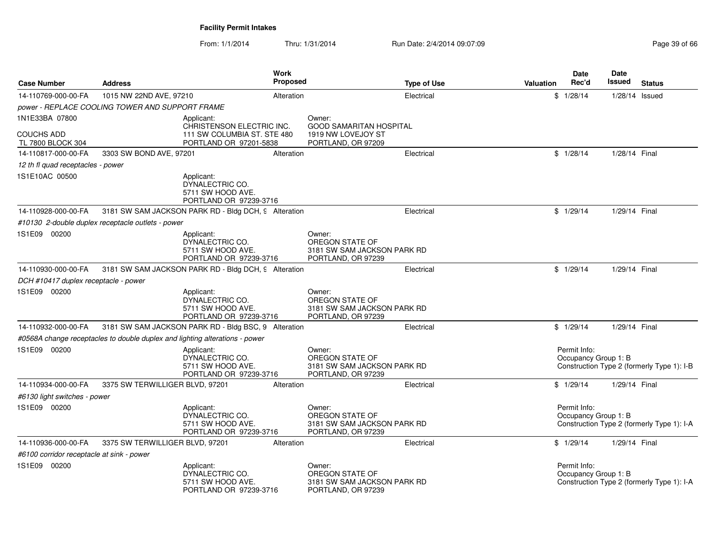From: 1/1/2014Thru: 1/31/2014 Run Date: 2/4/2014 09:07:09 Research 2010 12:00 Page 39 of 66

| <b>Case Number</b>                        | <b>Address</b>                                    | <b>Work</b><br><b>Proposed</b>                                                     |        | <b>Type of Use</b>                                                         | <b>Valuation</b> | Date<br>Rec'd                        | Date<br>Issued | <b>Status</b>                              |
|-------------------------------------------|---------------------------------------------------|------------------------------------------------------------------------------------|--------|----------------------------------------------------------------------------|------------------|--------------------------------------|----------------|--------------------------------------------|
| 14-110769-000-00-FA                       | 1015 NW 22ND AVE, 97210                           | Alteration                                                                         |        | Electrical                                                                 |                  | \$1/28/14                            | 1/28/14 Issued |                                            |
|                                           | power - REPLACE COOLING TOWER AND SUPPORT FRAME   |                                                                                    |        |                                                                            |                  |                                      |                |                                            |
| 1N1E33BA 07800                            |                                                   | Applicant:                                                                         | Owner: |                                                                            |                  |                                      |                |                                            |
| <b>COUCHS ADD</b><br>TL 7800 BLOCK 304    |                                                   | CHRISTENSON ELECTRIC INC.<br>111 SW COLUMBIA ST. STE 480<br>PORTLAND OR 97201-5838 |        | <b>GOOD SAMARITAN HOSPITAL</b><br>1919 NW LOVEJOY ST<br>PORTLAND, OR 97209 |                  |                                      |                |                                            |
| 14-110817-000-00-FA                       | 3303 SW BOND AVE, 97201                           | Alteration                                                                         |        | Electrical                                                                 |                  | \$1/28/14                            | 1/28/14 Final  |                                            |
| 12 th fl quad receptacles - power         |                                                   |                                                                                    |        |                                                                            |                  |                                      |                |                                            |
| 1S1E10AC 00500                            |                                                   | Applicant:<br>DYNALECTRIC CO.<br>5711 SW HOOD AVE.<br>PORTLAND OR 97239-3716       |        |                                                                            |                  |                                      |                |                                            |
| 14-110928-000-00-FA                       |                                                   | 3181 SW SAM JACKSON PARK RD - Bldg DCH, 9 Alteration                               |        | Electrical                                                                 |                  | \$1/29/14                            | 1/29/14 Final  |                                            |
|                                           | #10130 2-double duplex receptacle outlets - power |                                                                                    |        |                                                                            |                  |                                      |                |                                            |
| 1S1E09 00200                              |                                                   | Applicant:<br>DYNALECTRIC CO.<br>5711 SW HOOD AVE.<br>PORTLAND OR 97239-3716       | Owner: | OREGON STATE OF<br>3181 SW SAM JACKSON PARK RD<br>PORTLAND, OR 97239       |                  |                                      |                |                                            |
| 14-110930-000-00-FA                       |                                                   | 3181 SW SAM JACKSON PARK RD - Bldg DCH, 9 Alteration                               |        | Electrical                                                                 |                  | \$1/29/14                            | 1/29/14 Final  |                                            |
| DCH #10417 duplex receptacle - power      |                                                   |                                                                                    |        |                                                                            |                  |                                      |                |                                            |
| 1S1E09 00200                              |                                                   | Applicant:<br>DYNALECTRIC CO.<br>5711 SW HOOD AVE.<br>PORTLAND OR 97239-3716       | Owner: | OREGON STATE OF<br>3181 SW SAM JACKSON PARK RD<br>PORTLAND, OR 97239       |                  |                                      |                |                                            |
| 14-110932-000-00-FA                       |                                                   | 3181 SW SAM JACKSON PARK RD - Bldg BSC, 9 Alteration                               |        | Electrical                                                                 |                  | \$1/29/14                            | 1/29/14 Final  |                                            |
|                                           |                                                   | #0568A change receptacles to double duplex and lighting alterations - power        |        |                                                                            |                  |                                      |                |                                            |
| 1S1E09 00200                              |                                                   | Applicant:<br>DYNALECTRIC CO.<br>5711 SW HOOD AVE.<br>PORTLAND OR 97239-3716       | Owner: | OREGON STATE OF<br>3181 SW SAM JACKSON PARK RD<br>PORTLAND, OR 97239       |                  | Permit Info:<br>Occupancy Group 1: B |                | Construction Type 2 (formerly Type 1): I-B |
| 14-110934-000-00-FA                       | 3375 SW TERWILLIGER BLVD, 97201                   | Alteration                                                                         |        | Electrical                                                                 |                  | \$1/29/14                            | 1/29/14 Final  |                                            |
| #6130 light switches - power              |                                                   |                                                                                    |        |                                                                            |                  |                                      |                |                                            |
| 1S1E09 00200                              |                                                   | Applicant:<br>DYNALECTRIC CO.<br>5711 SW HOOD AVE.<br>PORTLAND OR 97239-3716       | Owner: | OREGON STATE OF<br>3181 SW SAM JACKSON PARK RD<br>PORTLAND, OR 97239       |                  | Permit Info:<br>Occupancy Group 1: B |                | Construction Type 2 (formerly Type 1): I-A |
| 14-110936-000-00-FA                       | 3375 SW TERWILLIGER BLVD, 97201                   | Alteration                                                                         |        | Electrical                                                                 |                  | \$1/29/14                            | 1/29/14 Final  |                                            |
| #6100 corridor receptacle at sink - power |                                                   |                                                                                    |        |                                                                            |                  |                                      |                |                                            |
| 1S1E09 00200                              |                                                   | Applicant:<br>DYNALECTRIC CO.<br>5711 SW HOOD AVE.<br>PORTLAND OR 97239-3716       | Owner: | OREGON STATE OF<br>3181 SW SAM JACKSON PARK RD<br>PORTLAND, OR 97239       |                  | Permit Info:<br>Occupancy Group 1: B |                | Construction Type 2 (formerly Type 1): I-A |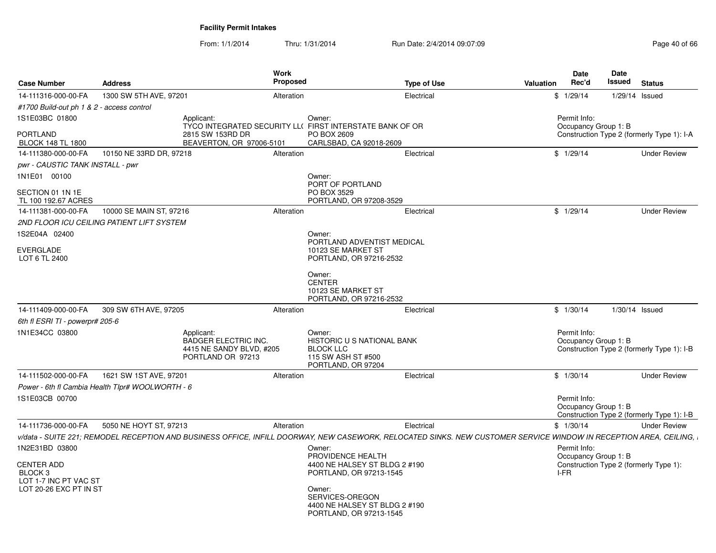From: 1/1/2014Thru: 1/31/2014 Run Date: 2/4/2014 09:07:09 Research 2010 12:00 Page 40 of 66

| <b>Case Number</b>                              | <b>Address</b>                                   |                                                                                                                                                                   | <b>Work</b><br>Proposed |                                                                                                      | <b>Type of Use</b> | <b>Valuation</b> |      | Date<br>Rec'd                        | Date<br>Issued   | <b>Status</b>                              |
|-------------------------------------------------|--------------------------------------------------|-------------------------------------------------------------------------------------------------------------------------------------------------------------------|-------------------------|------------------------------------------------------------------------------------------------------|--------------------|------------------|------|--------------------------------------|------------------|--------------------------------------------|
| 14-111316-000-00-FA                             | 1300 SW 5TH AVE, 97201                           |                                                                                                                                                                   | Alteration              |                                                                                                      | Electrical         |                  |      | \$1/29/14                            | 1/29/14 Issued   |                                            |
| #1700 Build-out ph 1 & 2 - access control       |                                                  |                                                                                                                                                                   |                         |                                                                                                      |                    |                  |      |                                      |                  |                                            |
| 1S1E03BC 01800                                  |                                                  | Applicant:<br>TYCO INTEGRATED SECURITY LL(FIRST INTERSTATE BANK OF OR                                                                                             |                         | Owner:                                                                                               |                    |                  |      | Permit Info:<br>Occupancy Group 1: B |                  |                                            |
| <b>PORTLAND</b><br><b>BLOCK 148 TL 1800</b>     |                                                  | 2815 SW 153RD DR<br>BEAVERTON, OR 97006-5101                                                                                                                      |                         | PO BOX 2609<br>CARLSBAD, CA 92018-2609                                                               |                    |                  |      |                                      |                  | Construction Type 2 (formerly Type 1): I-A |
| 14-111380-000-00-FA                             | 10150 NE 33RD DR, 97218                          |                                                                                                                                                                   | Alteration              |                                                                                                      | Electrical         |                  |      | \$1/29/14                            |                  | <b>Under Review</b>                        |
| pwr - CAUSTIC TANK INSTALL - pwr                |                                                  |                                                                                                                                                                   |                         |                                                                                                      |                    |                  |      |                                      |                  |                                            |
| 1N1E01 00100                                    |                                                  |                                                                                                                                                                   |                         | Owner:<br>PORT OF PORTLAND                                                                           |                    |                  |      |                                      |                  |                                            |
| SECTION 01 1N 1E<br>TL 100 192.67 ACRES         |                                                  |                                                                                                                                                                   |                         | PO BOX 3529<br>PORTLAND, OR 97208-3529                                                               |                    |                  |      |                                      |                  |                                            |
| 14-111381-000-00-FA                             | 10000 SE MAIN ST, 97216                          |                                                                                                                                                                   | Alteration              |                                                                                                      | Electrical         |                  |      | \$1/29/14                            |                  | <b>Under Review</b>                        |
|                                                 | 2ND FLOOR ICU CEILING PATIENT LIFT SYSTEM        |                                                                                                                                                                   |                         |                                                                                                      |                    |                  |      |                                      |                  |                                            |
| 1S2E04A 02400                                   |                                                  |                                                                                                                                                                   |                         | Owner:<br>PORTLAND ADVENTIST MEDICAL                                                                 |                    |                  |      |                                      |                  |                                            |
| <b>EVERGLADE</b><br>LOT 6 TL 2400               |                                                  |                                                                                                                                                                   |                         | 10123 SE MARKET ST<br>PORTLAND, OR 97216-2532                                                        |                    |                  |      |                                      |                  |                                            |
|                                                 |                                                  |                                                                                                                                                                   |                         | Owner:<br><b>CENTER</b><br>10123 SE MARKET ST<br>PORTLAND, OR 97216-2532                             |                    |                  |      |                                      |                  |                                            |
| 14-111409-000-00-FA                             | 309 SW 6TH AVE, 97205                            |                                                                                                                                                                   | Alteration              |                                                                                                      | Electrical         |                  |      | \$1/30/14                            | $1/30/14$ Issued |                                            |
| 6th fl ESRI TI - powerpr# 205-6                 |                                                  |                                                                                                                                                                   |                         |                                                                                                      |                    |                  |      |                                      |                  |                                            |
| 1N1E34CC 03800                                  |                                                  | Applicant:<br>BADGER ELECTRIC INC.<br>4415 NE SANDY BLVD, #205<br>PORTLAND OR 97213                                                                               |                         | Owner:<br>HISTORIC U S NATIONAL BANK<br><b>BLOCK LLC</b><br>115 SW ASH ST #500<br>PORTLAND, OR 97204 |                    |                  |      | Permit Info:<br>Occupancy Group 1: B |                  | Construction Type 2 (formerly Type 1): I-B |
| 14-111502-000-00-FA                             | 1621 SW 1ST AVE, 97201                           |                                                                                                                                                                   | Alteration              |                                                                                                      | Electrical         |                  |      | \$1/30/14                            |                  | <b>Under Review</b>                        |
|                                                 | Power - 6th fl Cambia Health Tlpr# WOOLWORTH - 6 |                                                                                                                                                                   |                         |                                                                                                      |                    |                  |      |                                      |                  |                                            |
| 1S1E03CB 00700                                  |                                                  |                                                                                                                                                                   |                         |                                                                                                      |                    |                  |      | Permit Info:<br>Occupancy Group 1: B |                  | Construction Type 2 (formerly Type 1): I-B |
| 14-111736-000-00-FA                             | 5050 NE HOYT ST, 97213                           |                                                                                                                                                                   | Alteration              |                                                                                                      | Electrical         |                  |      | \$1/30/14                            |                  | <b>Under Review</b>                        |
|                                                 |                                                  | v/data - SUITE 221; REMODEL RECEPTION AND BUSINESS OFFICE, INFILL DOORWAY, NEW CASEWORK, RELOCATED SINKS. NEW CUSTOMER SERVICE WINDOW IN RECEPTION AREA, CEILING, |                         |                                                                                                      |                    |                  |      |                                      |                  |                                            |
| 1N2E31BD 03800                                  |                                                  |                                                                                                                                                                   |                         | Owner:<br>PROVIDENCE HEALTH                                                                          |                    |                  |      | Permit Info:<br>Occupancy Group 1: B |                  |                                            |
| <b>CENTER ADD</b><br>BLOCK <sub>3</sub>         |                                                  |                                                                                                                                                                   |                         | 4400 NE HALSEY ST BLDG 2 #190<br>PORTLAND, OR 97213-1545                                             |                    |                  | I-FR |                                      |                  | Construction Type 2 (formerly Type 1):     |
| LOT 1-7 INC PT VAC ST<br>LOT 20-26 EXC PT IN ST |                                                  |                                                                                                                                                                   |                         | Owner:<br>SERVICES-OREGON<br>4400 NE HALSEY ST BLDG 2 #190<br>PORTLAND, OR 97213-1545                |                    |                  |      |                                      |                  |                                            |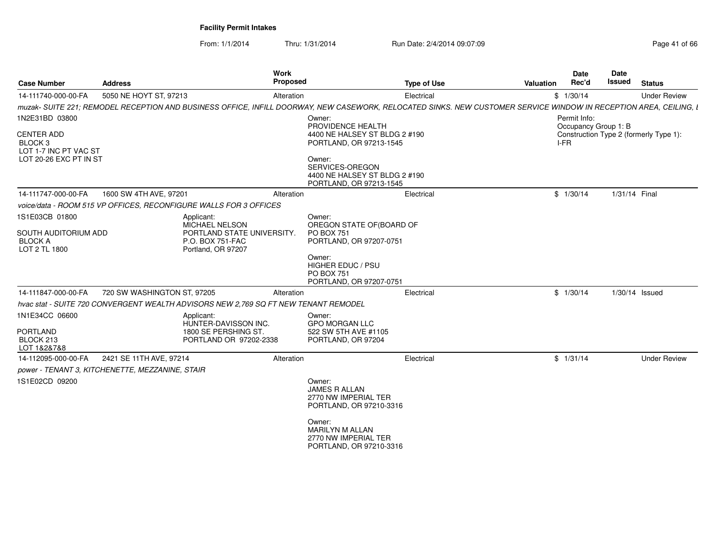From: 1/1/2014Thru: 1/31/2014 Run Date: 2/4/2014 09:07:09 Research 2010 12:00 Page 41 of 66

| <b>Case Number</b>                                      | <b>Address</b>                                  | Work                                                                                                                                                              | <b>Proposed</b>                                                                       | <b>Type of Use</b> | Valuation | Date<br>Rec'd | Date<br>Issued       | <b>Status</b>                          |
|---------------------------------------------------------|-------------------------------------------------|-------------------------------------------------------------------------------------------------------------------------------------------------------------------|---------------------------------------------------------------------------------------|--------------------|-----------|---------------|----------------------|----------------------------------------|
| 14-111740-000-00-FA                                     | 5050 NE HOYT ST, 97213                          | Alteration                                                                                                                                                        |                                                                                       | Electrical         |           | \$1/30/14     |                      | <b>Under Review</b>                    |
|                                                         |                                                 | muzak- SUITE 221; REMODEL RECEPTION AND BUSINESS OFFICE, INFILL DOORWAY, NEW CASEWORK, RELOCATED SINKS. NEW CUSTOMER SERVICE WINDOW IN RECEPTION AREA, CEILING, I |                                                                                       |                    |           |               |                      |                                        |
| 1N2E31BD 03800                                          |                                                 |                                                                                                                                                                   | Owner:                                                                                |                    |           | Permit Info:  |                      |                                        |
| CENTER ADD<br>BLOCK <sub>3</sub>                        |                                                 |                                                                                                                                                                   | PROVIDENCE HEALTH<br>4400 NE HALSEY ST BLDG 2 #190<br>PORTLAND, OR 97213-1545         |                    |           | I-FR          | Occupancy Group 1: B | Construction Type 2 (formerly Type 1): |
| LOT 1-7 INC PT VAC ST<br>LOT 20-26 EXC PT IN ST         |                                                 |                                                                                                                                                                   | Owner:<br>SERVICES-OREGON<br>4400 NE HALSEY ST BLDG 2 #190<br>PORTLAND, OR 97213-1545 |                    |           |               |                      |                                        |
| 14-111747-000-00-FA                                     | 1600 SW 4TH AVE, 97201                          | Alteration                                                                                                                                                        |                                                                                       | Electrical         |           | \$1/30/14     | 1/31/14 Final        |                                        |
|                                                         |                                                 | voice/data - ROOM 515 VP OFFICES, RECONFIGURE WALLS FOR 3 OFFICES                                                                                                 |                                                                                       |                    |           |               |                      |                                        |
| 1S1E03CB 01800                                          |                                                 | Applicant:<br>MICHAEL NELSON                                                                                                                                      | Owner:<br>OREGON STATE OF (BOARD OF                                                   |                    |           |               |                      |                                        |
| SOUTH AUDITORIUM ADD<br><b>BLOCK A</b><br>LOT 2 TL 1800 |                                                 | PORTLAND STATE UNIVERSITY.<br>P.O. BOX 751-FAC<br>Portland, OR 97207                                                                                              | <b>PO BOX 751</b><br>PORTLAND, OR 97207-0751                                          |                    |           |               |                      |                                        |
|                                                         |                                                 |                                                                                                                                                                   | Owner:<br>HIGHER EDUC / PSU<br><b>PO BOX 751</b><br>PORTLAND, OR 97207-0751           |                    |           |               |                      |                                        |
| 14-111847-000-00-FA                                     | 720 SW WASHINGTON ST, 97205                     | Alteration                                                                                                                                                        |                                                                                       | Electrical         |           | \$1/30/14     |                      | 1/30/14 Issued                         |
|                                                         |                                                 | hvac stat - SUITE 720 CONVERGENT WEALTH ADVISORS NEW 2.769 SQ FT NEW TENANT REMODEL                                                                               |                                                                                       |                    |           |               |                      |                                        |
| 1N1E34CC 06600                                          |                                                 | Applicant:<br>HUNTER-DAVISSON INC.                                                                                                                                | Owner:<br><b>GPO MORGAN LLC</b>                                                       |                    |           |               |                      |                                        |
| <b>PORTLAND</b><br>BLOCK 213<br>LOT 1&2&7&8             |                                                 | 1800 SE PERSHING ST.<br>PORTLAND OR 97202-2338                                                                                                                    | 522 SW 5TH AVE #1105<br>PORTLAND, OR 97204                                            |                    |           |               |                      |                                        |
| 14-112095-000-00-FA                                     | 2421 SE 11TH AVE, 97214                         | Alteration                                                                                                                                                        |                                                                                       | Electrical         |           | \$1/31/14     |                      | <b>Under Review</b>                    |
|                                                         | power - TENANT 3, KITCHENETTE, MEZZANINE, STAIR |                                                                                                                                                                   |                                                                                       |                    |           |               |                      |                                        |
| 1S1E02CD 09200                                          |                                                 |                                                                                                                                                                   | Owner:<br><b>JAMES R ALLAN</b><br>2770 NW IMPERIAL TER<br>PORTLAND, OR 97210-3316     |                    |           |               |                      |                                        |
|                                                         |                                                 |                                                                                                                                                                   | Owner:<br>MARILYN M ALLAN<br>2770 NW IMPERIAL TER<br>PORTLAND, OR 97210-3316          |                    |           |               |                      |                                        |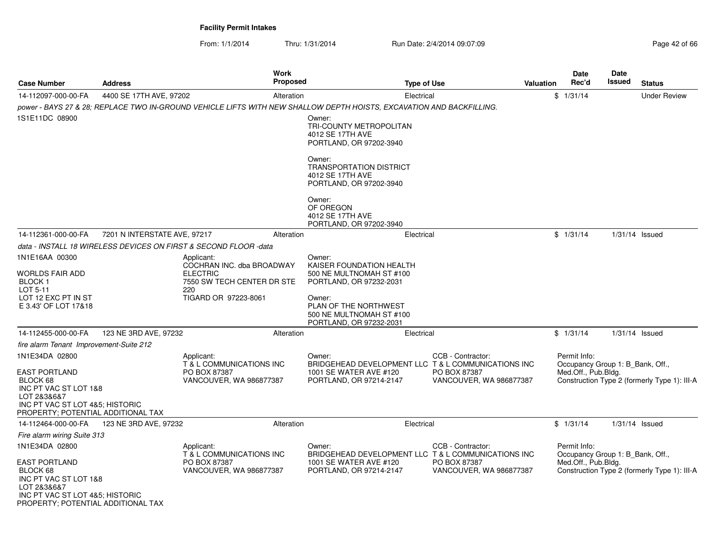From: 1/1/2014Thru: 1/31/2014 Run Date: 2/4/2014 09:07:09 Research 2010 12:00 Page 42 of 66

| <b>Case Number</b>                                                                                                                                | <b>Address</b>               | <b>Work</b><br><b>Proposed</b>                                                                                       |                                                                                         | Type of Use                             | Valuation           | <b>Date</b><br>Rec'd                             | Date<br><b>Issued</b>                        | <b>Status</b>                                |
|---------------------------------------------------------------------------------------------------------------------------------------------------|------------------------------|----------------------------------------------------------------------------------------------------------------------|-----------------------------------------------------------------------------------------|-----------------------------------------|---------------------|--------------------------------------------------|----------------------------------------------|----------------------------------------------|
| 14-112097-000-00-FA                                                                                                                               | 4400 SE 17TH AVE, 97202      | Alteration                                                                                                           |                                                                                         | Electrical                              |                     | \$1/31/14                                        |                                              | <b>Under Review</b>                          |
| 1S1E11DC 08900                                                                                                                                    |                              | power - BAYS 27 & 28; REPLACE TWO IN-GROUND VEHICLE LIFTS WITH NEW SHALLOW DEPTH HOISTS, EXCAVATION AND BACKFILLING. | Owner:<br>TRI-COUNTY METROPOLITAN                                                       |                                         |                     |                                                  |                                              |                                              |
|                                                                                                                                                   |                              |                                                                                                                      | 4012 SE 17TH AVE<br>PORTLAND, OR 97202-3940                                             |                                         |                     |                                                  |                                              |                                              |
|                                                                                                                                                   |                              |                                                                                                                      | Owner:<br><b>TRANSPORTATION DISTRICT</b><br>4012 SE 17TH AVE<br>PORTLAND, OR 97202-3940 |                                         |                     |                                                  |                                              |                                              |
|                                                                                                                                                   |                              |                                                                                                                      | Owner:<br>OF OREGON<br>4012 SE 17TH AVE<br>PORTLAND, OR 97202-3940                      |                                         |                     |                                                  |                                              |                                              |
| 14-112361-000-00-FA                                                                                                                               | 7201 N INTERSTATE AVE, 97217 | Alteration                                                                                                           |                                                                                         | Electrical                              |                     | \$1/31/14                                        |                                              | $1/31/14$ Issued                             |
|                                                                                                                                                   |                              | data - INSTALL 18 WIRELESS DEVICES ON FIRST & SECOND FLOOR -data                                                     |                                                                                         |                                         |                     |                                                  |                                              |                                              |
| 1N1E16AA 00300                                                                                                                                    |                              | Applicant:                                                                                                           | Owner:                                                                                  |                                         |                     |                                                  |                                              |                                              |
| WORLDS FAIR ADD                                                                                                                                   |                              | COCHRAN INC. dba BROADWAY<br><b>ELECTRIC</b>                                                                         | KAISER FOUNDATION HEALTH<br>500 NE MULTNOMAH ST #100                                    |                                         |                     |                                                  |                                              |                                              |
| <b>BLOCK1</b><br>LOT 5-11                                                                                                                         |                              | 7550 SW TECH CENTER DR STE<br>220                                                                                    | PORTLAND, OR 97232-2031                                                                 |                                         |                     |                                                  |                                              |                                              |
| LOT 12 EXC PT IN ST<br>E 3.43' OF LOT 17&18                                                                                                       |                              | TIGARD OR 97223-8061                                                                                                 | Owner:<br>PLAN OF THE NORTHWEST<br>500 NE MULTNOMAH ST #100<br>PORTLAND, OR 97232-2031  |                                         |                     |                                                  |                                              |                                              |
| 14-112455-000-00-FA                                                                                                                               | 123 NE 3RD AVE, 97232        | Alteration                                                                                                           |                                                                                         | Electrical                              |                     | \$1/31/14                                        |                                              | $1/31/14$ Issued                             |
| fire alarm Tenant Improvement-Suite 212                                                                                                           |                              |                                                                                                                      |                                                                                         |                                         |                     |                                                  |                                              |                                              |
| 1N1E34DA 02800                                                                                                                                    |                              | Applicant:<br>T & L COMMUNICATIONS INC                                                                               | Owner:<br>BRIDGEHEAD DEVELOPMENT LLC T & L COMMUNICATIONS INC                           | CCB - Contractor:                       |                     | Permit Info:<br>Occupancy Group 1: B_Bank, Off., |                                              |                                              |
| <b>EAST PORTLAND</b><br>BLOCK 68<br>INC PT VAC ST LOT 1&8<br>LOT 2&3&6&7<br>INC PT VAC ST LOT 4&5; HISTORIC<br>PROPERTY; POTENTIAL ADDITIONAL TAX |                              | PO BOX 87387<br>VANCOUVER, WA 986877387                                                                              | 1001 SE WATER AVE #120<br>PORTLAND, OR 97214-2147                                       | PO BOX 87387<br>VANCOUVER, WA 986877387 |                     | Med.Off., Pub.Bldg.                              |                                              | Construction Type 2 (formerly Type 1): III-A |
| 14-112464-000-00-FA                                                                                                                               | 123 NE 3RD AVE, 97232        | Alteration                                                                                                           |                                                                                         | Electrical                              |                     | \$1/31/14                                        |                                              | $1/31/14$ Issued                             |
| Fire alarm wiring Suite 313                                                                                                                       |                              |                                                                                                                      |                                                                                         |                                         |                     |                                                  |                                              |                                              |
| 1N1E34DA 02800                                                                                                                                    |                              | Applicant:<br>T & L COMMUNICATIONS INC                                                                               | Owner:<br>BRIDGEHEAD DEVELOPMENT LLC T & L COMMUNICATIONS INC                           | CCB - Contractor:                       |                     | Permit Info:<br>Occupancy Group 1: B_Bank, Off., |                                              |                                              |
| <b>EAST PORTLAND</b><br>BLOCK 68<br>INC PT VAC ST LOT 1&8<br>LOT 2&3&6&7<br>INC PT VAC ST LOT 4&5; HISTORIC<br>PROPERTY; POTENTIAL ADDITIONAL TAX |                              | PO BOX 87387<br>VANCOUVER, WA 986877387                                                                              | 1001 SE WATER AVE #120<br>PORTLAND, OR 97214-2147                                       | PO BOX 87387<br>VANCOUVER, WA 986877387 | Med.Off., Pub.Bldg. |                                                  | Construction Type 2 (formerly Type 1): III-A |                                              |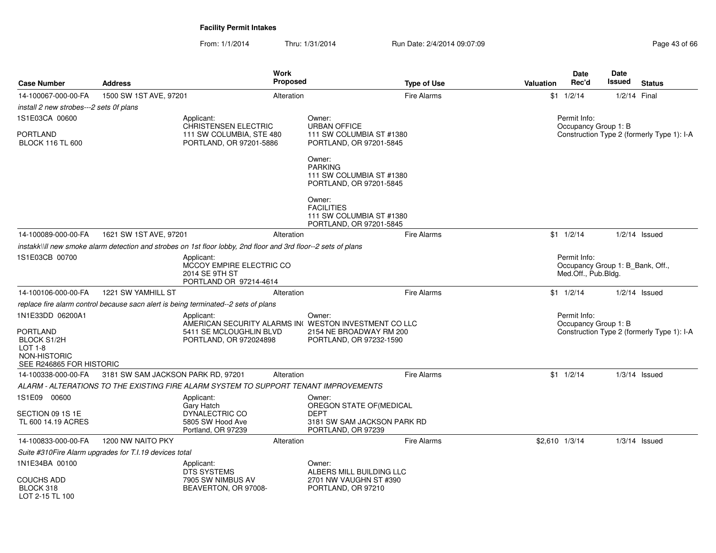From: 1/1/2014Thru: 1/31/2014 Run Date: 2/4/2014 09:07:09 Research 2010 12:00 Page 43 of 66

| <b>Case Number</b>                                     | <b>Address</b>                                                                     | Work<br><b>Proposed</b>                                                                                                 |                                                                                                       | <b>Type of Use</b> | <b>Valuation</b>                                                   | <b>Date</b><br>Rec'd                                                    | Date<br>Issued | <b>Status</b>                              |  |
|--------------------------------------------------------|------------------------------------------------------------------------------------|-------------------------------------------------------------------------------------------------------------------------|-------------------------------------------------------------------------------------------------------|--------------------|--------------------------------------------------------------------|-------------------------------------------------------------------------|----------------|--------------------------------------------|--|
| 14-100067-000-00-FA                                    | 1500 SW 1ST AVE, 97201                                                             | Alteration                                                                                                              |                                                                                                       | <b>Fire Alarms</b> |                                                                    | $$1 \t1/2/14$                                                           | 1/2/14 Final   |                                            |  |
| install 2 new strobes---2 sets 0f plans                |                                                                                    |                                                                                                                         |                                                                                                       |                    |                                                                    |                                                                         |                |                                            |  |
| 1S1E03CA 00600                                         |                                                                                    | Applicant:                                                                                                              | Owner:                                                                                                |                    |                                                                    | Permit Info:                                                            |                |                                            |  |
| PORTLAND<br><b>BLOCK 116 TL 600</b>                    |                                                                                    | <b>CHRISTENSEN ELECTRIC</b><br>111 SW COLUMBIA, STE 480<br>PORTLAND, OR 97201-5886                                      | <b>URBAN OFFICE</b><br>111 SW COLUMBIA ST #1380<br>PORTLAND, OR 97201-5845                            |                    | Occupancy Group 1: B<br>Construction Type 2 (formerly Type 1): I-A |                                                                         |                |                                            |  |
|                                                        |                                                                                    |                                                                                                                         | Owner:<br><b>PARKING</b><br>111 SW COLUMBIA ST #1380<br>PORTLAND, OR 97201-5845                       |                    |                                                                    |                                                                         |                |                                            |  |
|                                                        |                                                                                    |                                                                                                                         | Owner:<br><b>FACILITIES</b><br>111 SW COLUMBIA ST #1380<br>PORTLAND, OR 97201-5845                    |                    |                                                                    |                                                                         |                |                                            |  |
| 14-100089-000-00-FA                                    | 1621 SW 1ST AVE, 97201                                                             | Alteration                                                                                                              |                                                                                                       | <b>Fire Alarms</b> |                                                                    | $$1 \t1/2/14$                                                           |                | $1/2/14$ Issued                            |  |
|                                                        |                                                                                    | instakk\\ll new smoke alarm detection and strobes on 1st floor lobby, 2nd floor and 3rd floor--2 sets of plans          |                                                                                                       |                    |                                                                    |                                                                         |                |                                            |  |
| 1S1E03CB 00700                                         | Applicant:<br>MCCOY EMPIRE ELECTRIC CO<br>2014 SE 9TH ST<br>PORTLAND OR 97214-4614 |                                                                                                                         |                                                                                                       |                    |                                                                    | Permit Info:<br>Occupancy Group 1: B Bank, Off.,<br>Med.Off., Pub.Bldg. |                |                                            |  |
| 14-100106-000-00-FA                                    | 1221 SW YAMHILL ST                                                                 | Alteration                                                                                                              |                                                                                                       | <b>Fire Alarms</b> |                                                                    | $$1 \t1/2/14$                                                           |                | $1/2/14$ Issued                            |  |
|                                                        |                                                                                    | replace fire alarm control because sacn alert is being terminated--2 sets of plans                                      |                                                                                                       |                    |                                                                    |                                                                         |                |                                            |  |
| 1N1E33DD 06200A1<br>PORTLAND<br><b>BLOCK S1/2H</b>     |                                                                                    | Applicant:<br>AMERICAN SECURITY ALARMS IN WESTON INVESTMENT CO LLC<br>5411 SE MCLOUGHLIN BLVD<br>PORTLAND, OR 972024898 | Owner:<br>2154 NE BROADWAY RM 200<br>PORTLAND, OR 97232-1590                                          |                    |                                                                    | Permit Info:<br>Occupancy Group 1: B                                    |                | Construction Type 2 (formerly Type 1): I-A |  |
| $LOT 1-8$<br>NON-HISTORIC<br>SEE R246865 FOR HISTORIC  |                                                                                    |                                                                                                                         |                                                                                                       |                    |                                                                    |                                                                         |                |                                            |  |
| 14-100338-000-00-FA                                    | 3181 SW SAM JACKSON PARK RD, 97201                                                 | Alteration                                                                                                              |                                                                                                       | <b>Fire Alarms</b> |                                                                    | $$1 \t1/2/14$                                                           |                | $1/3/14$ Issued                            |  |
|                                                        |                                                                                    | ALARM - ALTERATIONS TO THE EXISTING FIRE ALARM SYSTEM TO SUPPORT TENANT IMPROVEMENTS                                    |                                                                                                       |                    |                                                                    |                                                                         |                |                                            |  |
| 1S1E09 00600<br>SECTION 09 1S 1E<br>TL 600 14.19 ACRES |                                                                                    | Applicant:<br>Gary Hatch<br>DYNALECTRIC CO<br>5805 SW Hood Ave<br>Portland, OR 97239                                    | Owner:<br>OREGON STATE OF(MEDICAL<br><b>DEPT</b><br>3181 SW SAM JACKSON PARK RD<br>PORTLAND, OR 97239 |                    |                                                                    |                                                                         |                |                                            |  |
| 14-100833-000-00-FA                                    | 1200 NW NAITO PKY                                                                  | Alteration                                                                                                              |                                                                                                       | Fire Alarms        | \$2,610 1/3/14                                                     |                                                                         |                | $1/3/14$ Issued                            |  |
|                                                        | Suite #310Fire Alarm upgrades for T.I.19 devices total                             |                                                                                                                         |                                                                                                       |                    |                                                                    |                                                                         |                |                                            |  |
| 1N1E34BA 00100                                         |                                                                                    | Applicant:<br>DTS SYSTEMS                                                                                               | Owner:<br>ALBERS MILL BUILDING LLC                                                                    |                    |                                                                    |                                                                         |                |                                            |  |
| COUCHS ADD<br>BLOCK 318<br>LOT 2-15 TL 100             |                                                                                    | 7905 SW NIMBUS AV<br>BEAVERTON, OR 97008-                                                                               | 2701 NW VAUGHN ST #390<br>PORTLAND, OR 97210                                                          |                    |                                                                    |                                                                         |                |                                            |  |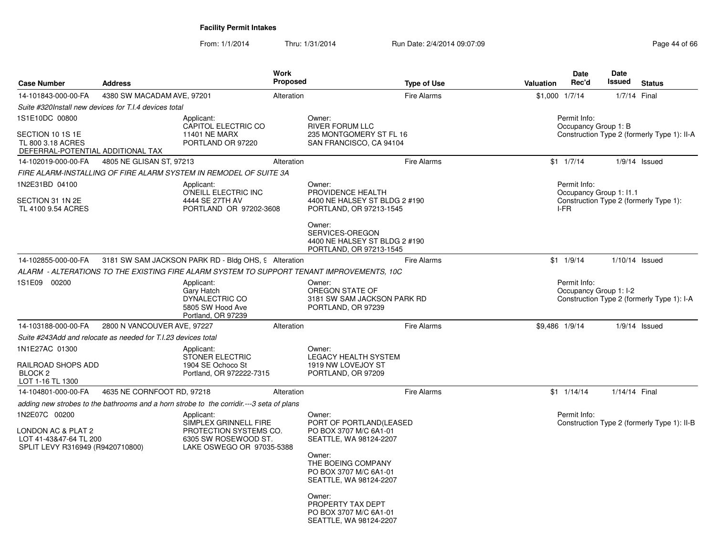From: 1/1/2014Thru: 1/31/2014 Run Date: 2/4/2014 09:07:09 Research 2010 12:00 Page 44 of 66

| <b>Case Number</b>                                                                                | <b>Address</b>                                                    | Work<br><b>Proposed</b>                                                                                            | <b>Type of Use</b>                                                                                                                                                                                                                                           | Valuation         | Date<br>Rec'd                           | Date<br>Issued<br><b>Status</b>             |
|---------------------------------------------------------------------------------------------------|-------------------------------------------------------------------|--------------------------------------------------------------------------------------------------------------------|--------------------------------------------------------------------------------------------------------------------------------------------------------------------------------------------------------------------------------------------------------------|-------------------|-----------------------------------------|---------------------------------------------|
| 14-101843-000-00-FA                                                                               | 4380 SW MACADAM AVE, 97201                                        | Alteration                                                                                                         | <b>Fire Alarms</b>                                                                                                                                                                                                                                           | $$1,000$ $1/7/14$ |                                         | 1/7/14 Final                                |
|                                                                                                   | Suite #320Install new devices for T.I.4 devices total             |                                                                                                                    |                                                                                                                                                                                                                                                              |                   |                                         |                                             |
| 1S1E10DC 00800<br>SECTION 10 1S 1E<br>TL 800 3.18 ACRES<br>DEFERRAL-POTENTIAL ADDITIONAL TAX      |                                                                   | Applicant:<br>CAPITOL ELECTRIC CO<br><b>11401 NE MARX</b><br>PORTLAND OR 97220                                     | Owner:<br><b>RIVER FORUM LLC</b><br>235 MONTGOMERY ST FL 16<br>SAN FRANCISCO, CA 94104                                                                                                                                                                       |                   | Permit Info:<br>Occupancy Group 1: B    | Construction Type 2 (formerly Type 1): II-A |
| 14-102019-000-00-FA                                                                               | 4805 NE GLISAN ST, 97213                                          | Alteration                                                                                                         | <b>Fire Alarms</b>                                                                                                                                                                                                                                           |                   | $$1 \t1/7/14$                           | $1/9/14$ Issued                             |
|                                                                                                   | FIRE ALARM-INSTALLING OF FIRE ALARM SYSTEM IN REMODEL OF SUITE 3A |                                                                                                                    |                                                                                                                                                                                                                                                              |                   |                                         |                                             |
| 1N2E31BD 04100                                                                                    |                                                                   | Applicant:<br>O'NEILL ELECTRIC INC                                                                                 | Owner:<br>PROVIDENCE HEALTH                                                                                                                                                                                                                                  |                   | Permit Info:<br>Occupancy Group 1: I1.1 |                                             |
| SECTION 31 1N 2E<br>TL 4100 9.54 ACRES                                                            |                                                                   | 4444 SE 27TH AV<br>PORTLAND OR 97202-3608                                                                          | 4400 NE HALSEY ST BLDG 2 #190<br>PORTLAND, OR 97213-1545                                                                                                                                                                                                     |                   | I-FR                                    | Construction Type 2 (formerly Type 1):      |
|                                                                                                   |                                                                   |                                                                                                                    | Owner:<br>SERVICES-OREGON<br>4400 NE HALSEY ST BLDG 2 #190<br>PORTLAND, OR 97213-1545                                                                                                                                                                        |                   |                                         |                                             |
| 14-102855-000-00-FA                                                                               |                                                                   | 3181 SW SAM JACKSON PARK RD - Bldg OHS, 9 Alteration                                                               | <b>Fire Alarms</b>                                                                                                                                                                                                                                           |                   | $$1 \quad 1/9/14$                       | $1/10/14$ Issued                            |
|                                                                                                   |                                                                   | ALARM  - ALTERATIONS TO THE EXISTING FIRE ALARM SYSTEM TO SUPPORT TENANT IMPROVEMENTS. 10C                         |                                                                                                                                                                                                                                                              |                   |                                         |                                             |
| 1S1E09 00200                                                                                      |                                                                   | Applicant:<br>Gary Hatch<br>DYNALECTRIC CO<br>5805 SW Hood Ave<br>Portland, OR 97239                               | Owner:<br>OREGON STATE OF<br>3181 SW SAM JACKSON PARK RD<br>PORTLAND, OR 97239                                                                                                                                                                               |                   | Permit Info:<br>Occupancy Group 1: I-2  | Construction Type 2 (formerly Type 1): I-A  |
| 14-103188-000-00-FA                                                                               | 2800 N VANCOUVER AVE, 97227                                       | Alteration                                                                                                         | <b>Fire Alarms</b>                                                                                                                                                                                                                                           | \$9,486 1/9/14    |                                         | $1/9/14$ Issued                             |
|                                                                                                   | Suite #243Add and relocate as needed for T.I.23 devices total     |                                                                                                                    |                                                                                                                                                                                                                                                              |                   |                                         |                                             |
| 1N1E27AC 01300<br>RAILROAD SHOPS ADD<br>BLOCK <sub>2</sub><br>LOT 1-16 TL 1300                    |                                                                   | Applicant:<br>STONER ELECTRIC<br>1904 SE Ochoco St<br>Portland, OR 972222-7315                                     | Owner:<br><b>LEGACY HEALTH SYSTEM</b><br>1919 NW LOVEJOY ST<br>PORTLAND, OR 97209                                                                                                                                                                            |                   |                                         |                                             |
| 14-104801-000-00-FA                                                                               | 4635 NE CORNFOOT RD, 97218                                        | Alteration                                                                                                         | <b>Fire Alarms</b>                                                                                                                                                                                                                                           |                   | $$1 \quad 1/14/14$                      | 1/14/14 Final                               |
|                                                                                                   |                                                                   | adding new strobes to the bathrooms and a horn strobe to the corridir.---3 seta of plans                           |                                                                                                                                                                                                                                                              |                   |                                         |                                             |
| 1N2E07C 00200<br>LONDON AC & PLAT 2<br>LOT 41-43&47-64 TL 200<br>SPLIT LEVY R316949 (R9420710800) |                                                                   | Applicant:<br>SIMPLEX GRINNELL FIRE<br>PROTECTION SYSTEMS CO.<br>6305 SW ROSEWOOD ST.<br>LAKE OSWEGO OR 97035-5388 | Owner:<br>PORT OF PORTLAND(LEASED<br>PO BOX 3707 M/C 6A1-01<br>SEATTLE, WA 98124-2207<br>Owner:<br>THE BOEING COMPANY<br>PO BOX 3707 M/C 6A1-01<br>SEATTLE, WA 98124-2207<br>Owner:<br>PROPERTY TAX DEPT<br>PO BOX 3707 M/C 6A1-01<br>SEATTLE, WA 98124-2207 |                   | Permit Info:                            | Construction Type 2 (formerly Type 1): II-B |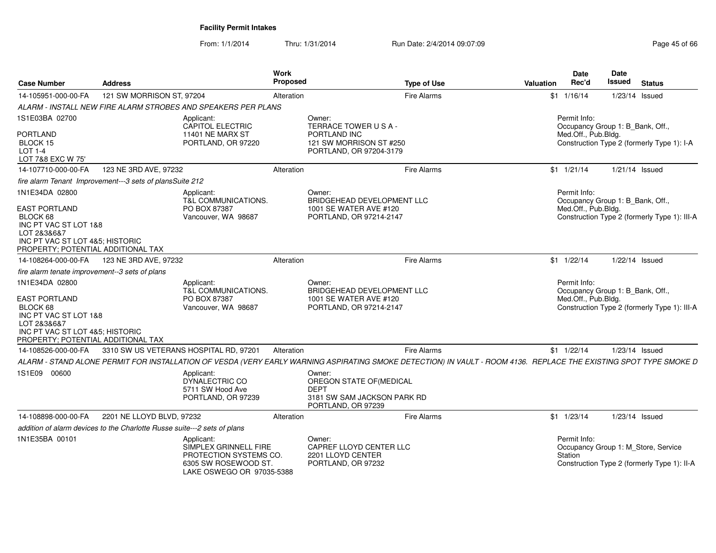From: 1/1/2014Thru: 1/31/2014 Run Date: 2/4/2014 09:07:09 Research 2010 12:00 Page 45 of 66

| <b>Case Number</b>                                                                                                                                                  | <b>Address</b>                                                           |                                                                                                                    | Work<br>Proposed | <b>Type of Use</b>                                                                                                                                                | <b>Valuation</b> | <b>Date</b><br>Rec'd                | Date<br>Issued                   | <b>Status</b>                                                                      |
|---------------------------------------------------------------------------------------------------------------------------------------------------------------------|--------------------------------------------------------------------------|--------------------------------------------------------------------------------------------------------------------|------------------|-------------------------------------------------------------------------------------------------------------------------------------------------------------------|------------------|-------------------------------------|----------------------------------|------------------------------------------------------------------------------------|
| 14-105951-000-00-FA                                                                                                                                                 | 121 SW MORRISON ST, 97204                                                |                                                                                                                    | Alteration       | <b>Fire Alarms</b>                                                                                                                                                |                  | $$1 \quad 1/16/14$                  | $1/23/14$ Issued                 |                                                                                    |
|                                                                                                                                                                     |                                                                          | ALARM - INSTALL NEW FIRE ALARM STROBES AND SPEAKERS PER PLANS                                                      |                  |                                                                                                                                                                   |                  |                                     |                                  |                                                                                    |
| 1S1E03BA 02700                                                                                                                                                      |                                                                          | Applicant:<br>CAPITOL ELECTRIC                                                                                     |                  | Owner:<br>TERRACE TOWER USA-                                                                                                                                      |                  | Permit Info:                        | Occupancy Group 1: B_Bank, Off., |                                                                                    |
| PORTLAND<br>BLOCK 15<br><b>LOT 1-4</b><br>LOT 7&8 EXC W 75'                                                                                                         |                                                                          | 11401 NE MARX ST<br>PORTLAND, OR 97220                                                                             |                  | PORTLAND INC<br>121 SW MORRISON ST #250<br>PORTLAND, OR 97204-3179                                                                                                |                  | Med.Off., Pub.Bldg.                 |                                  | Construction Type 2 (formerly Type 1): I-A                                         |
| 14-107710-000-00-FA                                                                                                                                                 | 123 NE 3RD AVE, 97232                                                    |                                                                                                                    | Alteration       | <b>Fire Alarms</b>                                                                                                                                                |                  | $$1 \t1/21/14$                      | $1/21/14$ Issued                 |                                                                                    |
|                                                                                                                                                                     | fire alarm Tenant Improvement---3 sets of plansSuite 212                 |                                                                                                                    |                  |                                                                                                                                                                   |                  |                                     |                                  |                                                                                    |
| 1N1E34DA 02800<br><b>EAST PORTLAND</b><br>BLOCK 68<br>INC PT VAC ST LOT 1&8<br>LOT 2&3&6&7<br>INC PT VAC ST LOT 4&5; HISTORIC<br>PROPERTY: POTENTIAL ADDITIONAL TAX |                                                                          | Applicant:<br>T&L COMMUNICATIONS.<br>PO BOX 87387<br>Vancouver, WA 98687                                           |                  | Owner:<br>BRIDGEHEAD DEVELOPMENT LLC<br>1001 SE WATER AVE #120<br>PORTLAND, OR 97214-2147                                                                         |                  | Permit Info:<br>Med.Off., Pub.Bldg. | Occupancy Group 1: B_Bank, Off., | Construction Type 2 (formerly Type 1): III-A                                       |
| 14-108264-000-00-FA                                                                                                                                                 | 123 NE 3RD AVE, 97232                                                    |                                                                                                                    | Alteration       | <b>Fire Alarms</b>                                                                                                                                                |                  | $$1 \quad 1/22/14$                  | 1/22/14 Issued                   |                                                                                    |
| fire alarm tenate improvement--3 sets of plans                                                                                                                      |                                                                          |                                                                                                                    |                  |                                                                                                                                                                   |                  |                                     |                                  |                                                                                    |
| 1N1E34DA 02800<br><b>EAST PORTLAND</b><br>BLOCK 68<br>INC PT VAC ST LOT 1&8<br>LOT 2&3&6&7<br>INC PT VAC ST LOT 4&5; HISTORIC<br>PROPERTY; POTENTIAL ADDITIONAL TAX |                                                                          | Applicant:<br>T&L COMMUNICATIONS.<br>PO BOX 87387<br>Vancouver, WA 98687                                           |                  | Owner:<br><b>BRIDGEHEAD DEVELOPMENT LLC</b><br>1001 SE WATER AVE #120<br>PORTLAND, OR 97214-2147                                                                  |                  | Permit Info:<br>Med.Off., Pub.Bldg. | Occupancy Group 1: B_Bank, Off., | Construction Type 2 (formerly Type 1): III-A                                       |
| 14-108526-000-00-FA                                                                                                                                                 |                                                                          | 3310 SW US VETERANS HOSPITAL RD, 97201                                                                             | Alteration       | <b>Fire Alarms</b>                                                                                                                                                |                  | $$1 \t1/22/14$                      | 1/23/14 Issued                   |                                                                                    |
|                                                                                                                                                                     |                                                                          |                                                                                                                    |                  | ALARM - STAND ALONE PERMIT FOR INSTALLATION OF VESDA (VERY EARLY WARNING ASPIRATING SMOKE DETECTION) IN VAULT - ROOM 4136. REPLACE THE EXISTING SPOT TYPE SMOKE D |                  |                                     |                                  |                                                                                    |
| 1S1E09 00600                                                                                                                                                        |                                                                          | Applicant:<br>DYNALECTRIC CO<br>5711 SW Hood Ave<br>PORTLAND, OR 97239                                             |                  | Owner:<br>OREGON STATE OF (MEDICAL<br><b>DEPT</b><br>3181 SW SAM JACKSON PARK RD<br>PORTLAND, OR 97239                                                            |                  |                                     |                                  |                                                                                    |
| 14-108898-000-00-FA                                                                                                                                                 | 2201 NE LLOYD BLVD, 97232                                                |                                                                                                                    | Alteration       | Fire Alarms                                                                                                                                                       |                  | $$1$ $1/23/14$                      | 1/23/14 Issued                   |                                                                                    |
|                                                                                                                                                                     | addition of alarm devices to the Charlotte Russe suite---2 sets of plans |                                                                                                                    |                  |                                                                                                                                                                   |                  |                                     |                                  |                                                                                    |
| 1N1E35BA 00101                                                                                                                                                      |                                                                          | Applicant:<br>SIMPLEX GRINNELL FIRE<br>PROTECTION SYSTEMS CO.<br>6305 SW ROSEWOOD ST.<br>LAKE OSWEGO OR 97035-5388 |                  | Owner:<br>CAPREF LLOYD CENTER LLC<br>2201 LLOYD CENTER<br>PORTLAND, OR 97232                                                                                      |                  | Permit Info:<br>Station             |                                  | Occupancy Group 1: M_Store, Service<br>Construction Type 2 (formerly Type 1): II-A |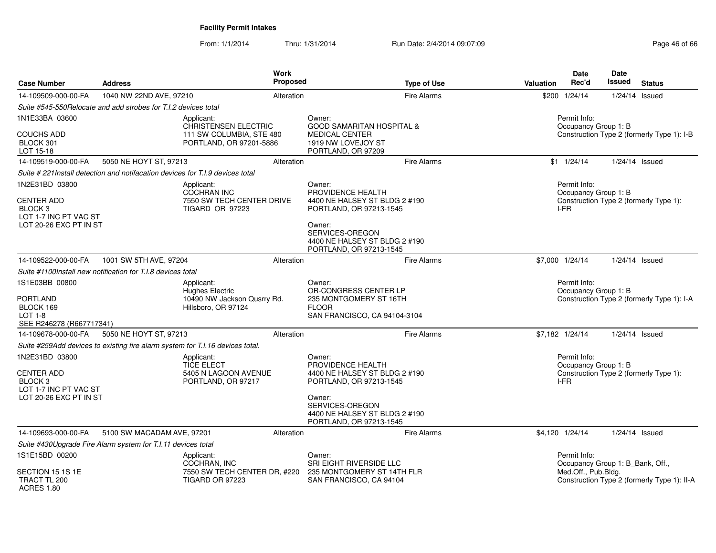From: 1/1/2014Thru: 1/31/2014 Run Date: 2/4/2014 09:07:09 Research 2010 12:00 Page 46 of 66

| <b>Case Number</b>                                                    | <b>Address</b>                                                                 |                                                         | Work<br>Proposed | <b>Type of Use</b>                                                                    | Valuation | Date<br>Rec'd                                    | Date<br>Issued                             | <b>Status</b>                               |  |  |
|-----------------------------------------------------------------------|--------------------------------------------------------------------------------|---------------------------------------------------------|------------------|---------------------------------------------------------------------------------------|-----------|--------------------------------------------------|--------------------------------------------|---------------------------------------------|--|--|
| 14-109509-000-00-FA                                                   | 1040 NW 22ND AVE, 97210                                                        |                                                         | Alteration       | Fire Alarms                                                                           |           | \$200 1/24/14                                    | $1/24/14$ Issued                           |                                             |  |  |
|                                                                       | Suite #545-550Relocate and add strobes for T.I.2 devices total                 |                                                         |                  |                                                                                       |           |                                                  |                                            |                                             |  |  |
| 1N1E33BA 03600                                                        |                                                                                | Applicant:<br>CHRISTENSEN ELECTRIC                      |                  | Owner:<br><b>GOOD SAMARITAN HOSPITAL &amp;</b>                                        |           | Permit Info:<br>Occupancy Group 1: B             |                                            |                                             |  |  |
| <b>COUCHS ADD</b><br>BLOCK 301<br>LOT 15-18                           |                                                                                | 111 SW COLUMBIA, STE 480<br>PORTLAND, OR 97201-5886     |                  | <b>MEDICAL CENTER</b><br>1919 NW LOVEJOY ST<br>PORTLAND, OR 97209                     |           |                                                  | Construction Type 2 (formerly Type 1): I-B |                                             |  |  |
| 14-109519-000-00-FA                                                   | 5050 NE HOYT ST, 97213                                                         |                                                         | Alteration       | <b>Fire Alarms</b>                                                                    |           | $$1 \quad 1/24/14$                               | $1/24/14$ Issued                           |                                             |  |  |
|                                                                       | Suite # 221 Install detection and notifacation devices for T.I.9 devices total |                                                         |                  |                                                                                       |           |                                                  |                                            |                                             |  |  |
| 1N2E31BD 03800                                                        |                                                                                | Applicant:<br>COCHRAN INC                               |                  | Owner:<br>PROVIDENCE HEALTH                                                           |           | Permit Info:<br>Occupancy Group 1: B             |                                            |                                             |  |  |
| <b>CENTER ADD</b><br>BLOCK <sub>3</sub><br>LOT 1-7 INC PT VAC ST      |                                                                                | 7550 SW TECH CENTER DRIVE<br><b>TIGARD OR 97223</b>     |                  | 4400 NE HALSEY ST BLDG 2 #190<br>PORTLAND, OR 97213-1545                              |           | Construction Type 2 (formerly Type 1):<br>I-FR   |                                            |                                             |  |  |
| LOT 20-26 EXC PT IN ST                                                |                                                                                |                                                         |                  | Owner:<br>SERVICES-OREGON<br>4400 NE HALSEY ST BLDG 2 #190<br>PORTLAND, OR 97213-1545 |           |                                                  |                                            |                                             |  |  |
| 14-109522-000-00-FA                                                   | 1001 SW 5TH AVE, 97204                                                         |                                                         | Alteration       | <b>Fire Alarms</b>                                                                    |           | \$7,000 1/24/14                                  | $1/24/14$ Issued                           |                                             |  |  |
|                                                                       | Suite #1100Install new notification for T.I.8 devices total                    |                                                         |                  |                                                                                       |           |                                                  |                                            |                                             |  |  |
| 1S1E03BB 00800<br><b>PORTLAND</b>                                     | Applicant:<br><b>Hughes Electric</b>                                           |                                                         |                  | Owner:<br>OR-CONGRESS CENTER LP<br>235 MONTGOMERY ST 16TH                             |           | Permit Info:<br>Occupancy Group 1: B             |                                            | Construction Type 2 (formerly Type 1): I-A  |  |  |
| BLOCK 169<br>$LOT 1-8$<br>SEE R246278 (R667717341)                    |                                                                                | 10490 NW Jackson Qusrry Rd.<br>Hillsboro, OR 97124      |                  | <b>FLOOR</b><br>SAN FRANCISCO, CA 94104-3104                                          |           |                                                  |                                            |                                             |  |  |
| 14-109678-000-00-FA                                                   | 5050 NE HOYT ST, 97213                                                         |                                                         | Alteration       | <b>Fire Alarms</b>                                                                    |           | \$7,182 1/24/14                                  | $1/24/14$ Issued                           |                                             |  |  |
|                                                                       | Suite #259Add devices to existing fire alarm system for T.I.16 devices total.  |                                                         |                  |                                                                                       |           |                                                  |                                            |                                             |  |  |
| 1N2E31BD 03800<br><b>CENTER ADD</b>                                   |                                                                                | Applicant:<br><b>TICE ELECT</b><br>5405 N LAGOON AVENUE |                  | Owner:<br>PROVIDENCE HEALTH<br>4400 NE HALSEY ST BLDG 2 #190                          |           | Permit Info:<br>Occupancy Group 1: B             |                                            | Construction Type 2 (formerly Type 1):      |  |  |
| BLOCK <sub>3</sub><br>LOT 1-7 INC PT VAC ST<br>LOT 20-26 EXC PT IN ST |                                                                                | PORTLAND, OR 97217                                      |                  | PORTLAND, OR 97213-1545<br>Owner:                                                     |           | I-FR                                             |                                            |                                             |  |  |
|                                                                       |                                                                                |                                                         |                  | SERVICES-OREGON<br>4400 NE HALSEY ST BLDG 2 #190<br>PORTLAND, OR 97213-1545           |           |                                                  |                                            |                                             |  |  |
| 14-109693-000-00-FA                                                   | 5100 SW MACADAM AVE, 97201                                                     |                                                         | Alteration       | <b>Fire Alarms</b>                                                                    |           | \$4,120 1/24/14                                  | $1/24/14$ Issued                           |                                             |  |  |
|                                                                       | Suite #430Upgrade Fire Alarm system for T.I.11 devices total                   |                                                         |                  |                                                                                       |           |                                                  |                                            |                                             |  |  |
| 1S1E15BD 00200                                                        |                                                                                | Applicant:<br>COCHRAN, INC                              |                  | Owner:<br>SRI EIGHT RIVERSIDE LLC                                                     |           | Permit Info:<br>Occupancy Group 1: B_Bank, Off., |                                            |                                             |  |  |
| SECTION 15 1S 1E<br>TRACT TL 200<br><b>ACRES 1.80</b>                 |                                                                                | 7550 SW TECH CENTER DR, #220<br><b>TIGARD OR 97223</b>  |                  | 235 MONTGOMERY ST 14TH FLR<br>SAN FRANCISCO, CA 94104                                 |           | Med.Off., Pub.Bldg.                              |                                            | Construction Type 2 (formerly Type 1): II-A |  |  |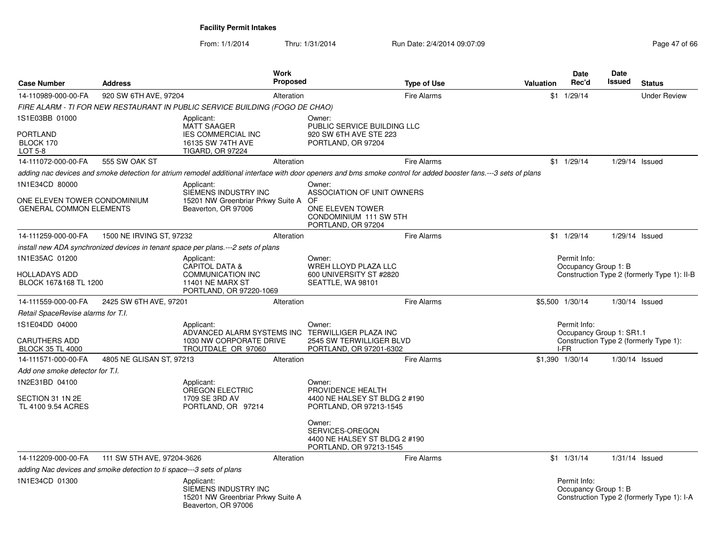From: 1/1/2014Thru: 1/31/2014 Run Date: 2/4/2014 09:07:09 Research 2010 12:00 Page 47 of 66

| <b>Case Number</b>                                             | <b>Address</b>                                                        |                                                                                                | Work<br><b>Proposed</b> |                                                                                       | <b>Type of Use</b>                                                                                                                                               | Valuation | <b>Date</b><br>Rec'd                     | <b>Date</b><br>Issued | <b>Status</b>                               |
|----------------------------------------------------------------|-----------------------------------------------------------------------|------------------------------------------------------------------------------------------------|-------------------------|---------------------------------------------------------------------------------------|------------------------------------------------------------------------------------------------------------------------------------------------------------------|-----------|------------------------------------------|-----------------------|---------------------------------------------|
| 14-110989-000-00-FA                                            | 920 SW 6TH AVE, 97204                                                 |                                                                                                | Alteration              |                                                                                       | <b>Fire Alarms</b>                                                                                                                                               |           | $$1 \quad 1/29/14$                       |                       | <b>Under Review</b>                         |
|                                                                |                                                                       | FIRE ALARM - TI FOR NEW RESTAURANT IN PUBLIC SERVICE BUILDING (FOGO DE CHAO)                   |                         |                                                                                       |                                                                                                                                                                  |           |                                          |                       |                                             |
| 1S1E03BB 01000                                                 |                                                                       | Applicant:<br><b>MATT SAAGER</b>                                                               |                         | Owner:<br>PUBLIC SERVICE BUILDING LLC                                                 |                                                                                                                                                                  |           |                                          |                       |                                             |
| <b>PORTLAND</b><br>BLOCK 170<br>LOT 5-8                        |                                                                       | <b>IES COMMERCIAL INC</b><br>16135 SW 74TH AVE<br><b>TIGARD, OR 97224</b>                      |                         | 920 SW 6TH AVE STE 223<br>PORTLAND, OR 97204                                          |                                                                                                                                                                  |           |                                          |                       |                                             |
| 14-111072-000-00-FA                                            | 555 SW OAK ST                                                         |                                                                                                | Alteration              |                                                                                       | <b>Fire Alarms</b>                                                                                                                                               |           | $$1 \quad 1/29/14$                       | 1/29/14 Issued        |                                             |
|                                                                |                                                                       |                                                                                                |                         |                                                                                       | adding nac devices and smoke detection for atrium remodel additional interface with door openers and bms smoke control for added booster fans.---3 sets of plans |           |                                          |                       |                                             |
| 1N1E34CD 80000                                                 |                                                                       | Applicant:<br>SIEMENS INDUSTRY INC                                                             |                         | Owner:<br>ASSOCIATION OF UNIT OWNERS                                                  |                                                                                                                                                                  |           |                                          |                       |                                             |
| ONE ELEVEN TOWER CONDOMINIUM<br><b>GENERAL COMMON ELEMENTS</b> |                                                                       | 15201 NW Greenbriar Prkwy Suite A<br>Beaverton, OR 97006                                       |                         | OF<br>ONE ELEVEN TOWER<br>CONDOMINIUM 111 SW 5TH<br>PORTLAND, OR 97204                |                                                                                                                                                                  |           |                                          |                       |                                             |
| 14-111259-000-00-FA                                            | 1500 NE IRVING ST, 97232                                              |                                                                                                | Alteration              |                                                                                       | <b>Fire Alarms</b>                                                                                                                                               |           | $$1 \quad 1/29/14$                       | 1/29/14 Issued        |                                             |
|                                                                |                                                                       | install new ADA synchronized devices in tenant space per plans.---2 sets of plans              |                         |                                                                                       |                                                                                                                                                                  |           |                                          |                       |                                             |
| 1N1E35AC 01200                                                 |                                                                       | Applicant:<br><b>CAPITOL DATA &amp;</b>                                                        |                         | Owner:<br>WREH LLOYD PLAZA LLC                                                        |                                                                                                                                                                  |           | Permit Info:<br>Occupancy Group 1: B     |                       |                                             |
| HOLLADAYS ADD<br>BLOCK 167&168 TL 1200                         |                                                                       | <b>COMMUNICATION INC</b><br>11401 NE MARX ST<br>PORTLAND, OR 97220-1069                        |                         | 600 UNIVERSITY ST #2820<br>SEATTLE, WA 98101                                          |                                                                                                                                                                  |           |                                          |                       | Construction Type 2 (formerly Type 1): II-B |
| 14-111559-000-00-FA                                            | 2425 SW 6TH AVE, 97201                                                |                                                                                                | Alteration              |                                                                                       | <b>Fire Alarms</b>                                                                                                                                               |           | \$5,500 1/30/14                          | $1/30/14$ Issued      |                                             |
| Retail SpaceRevise alarms for T.I.                             |                                                                       |                                                                                                |                         |                                                                                       |                                                                                                                                                                  |           |                                          |                       |                                             |
| 1S1E04DD 04000                                                 |                                                                       | Applicant:<br>ADVANCED ALARM SYSTEMS INC                                                       |                         | Owner:<br><b>TERWILLIGER PLAZA INC</b>                                                |                                                                                                                                                                  |           | Permit Info:<br>Occupancy Group 1: SR1.1 |                       |                                             |
| CARUTHERS ADD<br><b>BLOCK 35 TL 4000</b>                       |                                                                       | 1030 NW CORPORATE DRIVE<br>TROUTDALE OR 97060                                                  |                         | 2545 SW TERWILLIGER BLVD<br>PORTLAND, OR 97201-6302                                   |                                                                                                                                                                  |           | I-FR                                     |                       | Construction Type 2 (formerly Type 1):      |
| 14-111571-000-00-FA                                            | 4805 NE GLISAN ST, 97213                                              |                                                                                                | Alteration              |                                                                                       | <b>Fire Alarms</b>                                                                                                                                               |           | \$1,390 1/30/14                          | 1/30/14 Issued        |                                             |
| Add one smoke detector for T.I.                                |                                                                       |                                                                                                |                         |                                                                                       |                                                                                                                                                                  |           |                                          |                       |                                             |
| 1N2E31BD 04100                                                 |                                                                       | Applicant:<br>OREGON ELECTRIC                                                                  |                         | Owner:<br>PROVIDENCE HEALTH                                                           |                                                                                                                                                                  |           |                                          |                       |                                             |
| SECTION 31 1N 2E<br>TL 4100 9.54 ACRES                         |                                                                       | 1709 SE 3RD AV<br>PORTLAND, OR 97214                                                           |                         | 4400 NE HALSEY ST BLDG 2 #190<br>PORTLAND, OR 97213-1545                              |                                                                                                                                                                  |           |                                          |                       |                                             |
|                                                                |                                                                       |                                                                                                |                         | Owner:<br>SERVICES-OREGON<br>4400 NE HALSEY ST BLDG 2 #190<br>PORTLAND, OR 97213-1545 |                                                                                                                                                                  |           |                                          |                       |                                             |
| 14-112209-000-00-FA                                            | 111 SW 5TH AVE, 97204-3626                                            |                                                                                                | Alteration              |                                                                                       | <b>Fire Alarms</b>                                                                                                                                               |           | $$1 \quad 1/31/14$                       | $1/31/14$ Issued      |                                             |
|                                                                | adding Nac devices and smoike detection to ti space---3 sets of plans |                                                                                                |                         |                                                                                       |                                                                                                                                                                  |           |                                          |                       |                                             |
| 1N1E34CD 01300                                                 |                                                                       | Applicant:<br>SIEMENS INDUSTRY INC<br>15201 NW Greenbriar Prkwy Suite A<br>Beaverton, OR 97006 |                         |                                                                                       |                                                                                                                                                                  |           | Permit Info:<br>Occupancy Group 1: B     |                       | Construction Type 2 (formerly Type 1): I-A  |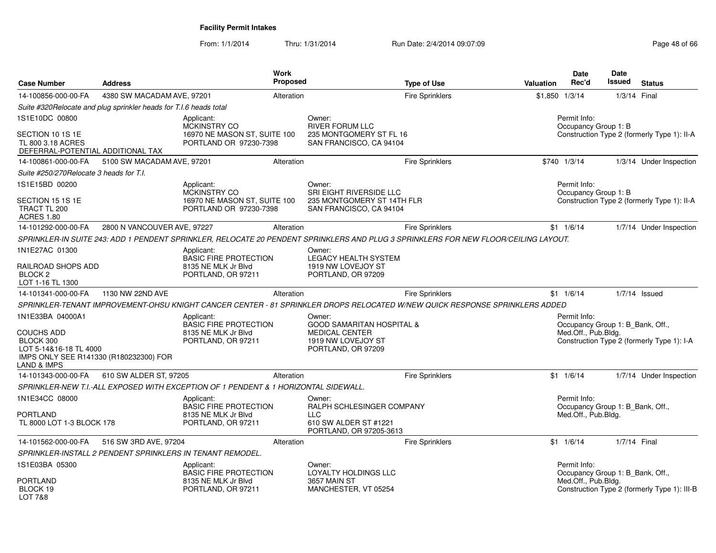From: 1/1/2014Thru: 1/31/2014 Run Date: 2/4/2014 09:07:09 Research 2010 12:00 Page 48 of 66

| <b>Case Number</b>                                                                           | <b>Address</b>                                                    | Work                                                                                | <b>Proposed</b> |                                                                                                                                     | <b>Type of Use</b>     | <b>Valuation</b>  | <b>Date</b><br>Rec'd                                                    | <b>Date</b><br>Issued | <b>Status</b>                                |
|----------------------------------------------------------------------------------------------|-------------------------------------------------------------------|-------------------------------------------------------------------------------------|-----------------|-------------------------------------------------------------------------------------------------------------------------------------|------------------------|-------------------|-------------------------------------------------------------------------|-----------------------|----------------------------------------------|
| 14-100856-000-00-FA                                                                          | 4380 SW MACADAM AVE, 97201                                        |                                                                                     | Alteration      |                                                                                                                                     | <b>Fire Sprinklers</b> | $$1,850$ $1/3/14$ |                                                                         | 1/3/14 Final          |                                              |
|                                                                                              | Suite #320Relocate and plug sprinkler heads for T.I.6 heads total |                                                                                     |                 |                                                                                                                                     |                        |                   |                                                                         |                       |                                              |
| 1S1E10DC 00800                                                                               |                                                                   | Applicant:<br><b>MCKINSTRY CO</b>                                                   |                 | Owner:<br><b>RIVER FORUM LLC</b>                                                                                                    |                        |                   | Permit Info:<br>Occupancy Group 1: B                                    |                       |                                              |
| SECTION 10 1S 1E<br>TL 800 3.18 ACRES<br>DEFERRAL-POTENTIAL ADDITIONAL TAX                   |                                                                   | 16970 NE MASON ST, SUITE 100<br>PORTLAND OR 97230-7398                              |                 | 235 MONTGOMERY ST FL 16<br>SAN FRANCISCO, CA 94104                                                                                  |                        |                   |                                                                         |                       | Construction Type 2 (formerly Type 1): II-A  |
| 14-100861-000-00-FA                                                                          | 5100 SW MACADAM AVE, 97201                                        |                                                                                     | Alteration      |                                                                                                                                     | Fire Sprinklers        |                   | \$740 1/3/14                                                            |                       | 1/3/14 Under Inspection                      |
| Suite #250/270Relocate 3 heads for T.I.                                                      |                                                                   |                                                                                     |                 |                                                                                                                                     |                        |                   |                                                                         |                       |                                              |
| 1S1E15BD 00200                                                                               |                                                                   | Applicant:<br>MCKINSTRY CO                                                          |                 | Owner:<br>SRI EIGHT RIVERSIDE LLC                                                                                                   |                        |                   | Permit Info:<br>Occupancy Group 1: B                                    |                       |                                              |
| SECTION 15 1S 1E<br>TRACT TL 200<br><b>ACRES 1.80</b>                                        |                                                                   | 16970 NE MASON ST, SUITE 100<br>PORTLAND OR 97230-7398                              |                 | 235 MONTGOMERY ST 14TH FLR<br>SAN FRANCISCO, CA 94104                                                                               |                        |                   |                                                                         |                       | Construction Type 2 (formerly Type 1): II-A  |
| 14-101292-000-00-FA                                                                          | 2800 N VANCOUVER AVE, 97227                                       |                                                                                     | Alteration      |                                                                                                                                     | <b>Fire Sprinklers</b> |                   | $$1 \quad 1/6/14$                                                       |                       | 1/7/14 Under Inspection                      |
|                                                                                              |                                                                   |                                                                                     |                 | SPRINKLER-IN SUITE 243: ADD 1 PENDENT SPRINKLER, RELOCATE 20 PENDENT SPRINKLERS AND PLUG 3 SPRINKLERS FOR NEW FLOOR/CEILING LAYOUT. |                        |                   |                                                                         |                       |                                              |
| 1N1E27AC 01300                                                                               |                                                                   | Applicant:<br><b>BASIC FIRE PROTECTION</b>                                          |                 | Owner:<br><b>LEGACY HEALTH SYSTEM</b>                                                                                               |                        |                   |                                                                         |                       |                                              |
| RAILROAD SHOPS ADD<br>BLOCK <sub>2</sub><br>LOT 1-16 TL 1300                                 |                                                                   | 8135 NE MLK Jr Blvd<br>PORTLAND, OR 97211                                           |                 | 1919 NW LOVEJOY ST<br>PORTLAND, OR 97209                                                                                            |                        |                   |                                                                         |                       |                                              |
| 14-101341-000-00-FA                                                                          | 1130 NW 22ND AVE                                                  |                                                                                     | Alteration      |                                                                                                                                     | <b>Fire Sprinklers</b> |                   | $$1 \quad 1/6/14$                                                       |                       | $1/7/14$ Issued                              |
|                                                                                              |                                                                   |                                                                                     |                 | SPRINKLER-TENANT IMPROVEMENT-OHSU KNIGHT CANCER CENTER - 81 SPRINKLER DROPS RELOCATED W/NEW QUICK RESPONSE SPRINKLERS ADDED         |                        |                   |                                                                         |                       |                                              |
| 1N1E33BA 04000A1<br><b>COUCHS ADD</b>                                                        |                                                                   | Applicant:<br><b>BASIC FIRE PROTECTION</b><br>8135 NE MLK Jr Blvd                   |                 | Owner:<br><b>GOOD SAMARITAN HOSPITAL &amp;</b><br><b>MEDICAL CENTER</b>                                                             |                        |                   | Permit Info:<br>Occupancy Group 1: B_Bank, Off.,<br>Med.Off., Pub.Bldg. |                       |                                              |
| BLOCK 300<br>LOT 5-14&16-18 TL 4000<br>IMPS ONLY SEE R141330 (R180232300) FOR<br>LAND & IMPS |                                                                   | PORTLAND, OR 97211                                                                  |                 | 1919 NW LOVEJOY ST<br>PORTLAND, OR 97209                                                                                            |                        |                   |                                                                         |                       | Construction Type 2 (formerly Type 1): I-A   |
| 14-101343-000-00-FA                                                                          | 610 SW ALDER ST, 97205                                            |                                                                                     | Alteration      |                                                                                                                                     | <b>Fire Sprinklers</b> |                   | $$1 \quad 1/6/14$                                                       |                       | 1/7/14 Under Inspection                      |
|                                                                                              |                                                                   | SPRINKLER-NEW T.I.-ALL EXPOSED WITH EXCEPTION OF 1 PENDENT & 1 HORIZONTAL SIDEWALL. |                 |                                                                                                                                     |                        |                   |                                                                         |                       |                                              |
| 1N1E34CC 08000<br>PORTLAND                                                                   |                                                                   | Applicant:<br><b>BASIC FIRE PROTECTION</b><br>8135 NE MLK Jr Blvd                   |                 | Owner:<br>RALPH SCHLESINGER COMPANY<br><b>LLC</b>                                                                                   |                        |                   | Permit Info:<br>Occupancy Group 1: B_Bank, Off.,<br>Med.Off., Pub.Bldg. |                       |                                              |
| TL 8000 LOT 1-3 BLOCK 178                                                                    |                                                                   | PORTLAND, OR 97211                                                                  |                 | 610 SW ALDER ST #1221<br>PORTLAND, OR 97205-3613                                                                                    |                        |                   |                                                                         |                       |                                              |
| 14-101562-000-00-FA                                                                          | 516 SW 3RD AVE, 97204                                             |                                                                                     | Alteration      |                                                                                                                                     | <b>Fire Sprinklers</b> |                   | $$1 \quad 1/6/14$                                                       | 1/7/14 Final          |                                              |
|                                                                                              |                                                                   | SPRINKLER-INSTALL 2 PENDENT SPRINKLERS IN TENANT REMODEL.                           |                 |                                                                                                                                     |                        |                   |                                                                         |                       |                                              |
| 1S1E03BA 05300                                                                               |                                                                   | Applicant:<br><b>BASIC FIRE PROTECTION</b>                                          |                 | Owner:<br>LOYALTY HOLDINGS LLC                                                                                                      |                        |                   | Permit Info:<br>Occupancy Group 1: B_Bank, Off.,                        |                       |                                              |
| <b>PORTLAND</b><br>BLOCK 19<br><b>LOT 7&amp;8</b>                                            |                                                                   | 8135 NE MLK Jr Blvd<br>PORTLAND, OR 97211                                           |                 | 3657 MAIN ST<br>MANCHESTER, VT 05254                                                                                                |                        |                   | Med.Off., Pub.Bldg.                                                     |                       | Construction Type 2 (formerly Type 1): III-B |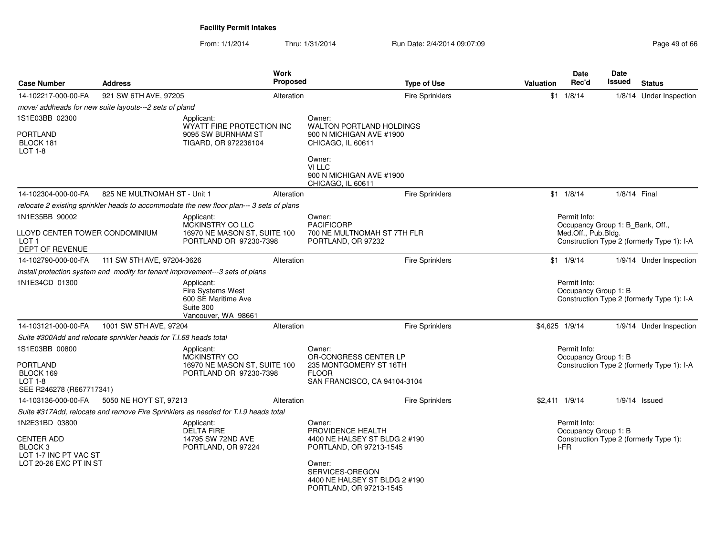From: 1/1/2014Thru: 1/31/2014 Run Date: 2/4/2014 09:07:09 Research 2010 12:00 Page 49 of 66

| <b>Case Number</b>                                                                                | <b>Address</b>                                                    |                                                                                                   | Work<br>Proposed |                                                                                                                                                                                  | <b>Type of Use</b>     | <b>Valuation</b> | Date<br>Rec'd                                | Date<br>Issued                   | <b>Status</b>                              |
|---------------------------------------------------------------------------------------------------|-------------------------------------------------------------------|---------------------------------------------------------------------------------------------------|------------------|----------------------------------------------------------------------------------------------------------------------------------------------------------------------------------|------------------------|------------------|----------------------------------------------|----------------------------------|--------------------------------------------|
| 14-102217-000-00-FA                                                                               | 921 SW 6TH AVE, 97205                                             |                                                                                                   | Alteration       |                                                                                                                                                                                  | <b>Fire Sprinklers</b> |                  | $$1 \t1/8/14$                                |                                  | 1/8/14 Under Inspection                    |
|                                                                                                   | move/ addheads for new suite layouts---2 sets of pland            |                                                                                                   |                  |                                                                                                                                                                                  |                        |                  |                                              |                                  |                                            |
| 1S1E03BB 02300                                                                                    |                                                                   | Applicant:                                                                                        |                  | Owner:                                                                                                                                                                           |                        |                  |                                              |                                  |                                            |
| <b>PORTLAND</b><br>BLOCK 181<br><b>LOT 1-8</b>                                                    |                                                                   | WYATT FIRE PROTECTION INC<br>9095 SW BURNHAM ST<br>TIGARD, OR 972236104                           |                  | <b>WALTON PORTLAND HOLDINGS</b><br>900 N MICHIGAN AVE #1900<br>CHICAGO, IL 60611                                                                                                 |                        |                  |                                              |                                  |                                            |
|                                                                                                   |                                                                   |                                                                                                   |                  | Owner:<br>VI LLC<br>900 N MICHIGAN AVE #1900<br>CHICAGO, IL 60611                                                                                                                |                        |                  |                                              |                                  |                                            |
| 14-102304-000-00-FA                                                                               | 825 NE MULTNOMAH ST - Unit 1                                      |                                                                                                   | Alteration       |                                                                                                                                                                                  | Fire Sprinklers        |                  | $$1 \quad 1/8/14$                            | 1/8/14 Final                     |                                            |
|                                                                                                   |                                                                   | relocate 2 existing sprinkler heads to accommodate the new floor plan--- 3 sets of plans          |                  |                                                                                                                                                                                  |                        |                  |                                              |                                  |                                            |
| 1N1E35BB 90002<br>LLOYD CENTER TOWER CONDOMINIUM<br>LOT <sub>1</sub><br>DEPT OF REVENUE           |                                                                   | Applicant:<br>MCKINSTRY CO LLC<br>16970 NE MASON ST, SUITE 100<br>PORTLAND OR 97230-7398          |                  | Owner:<br><b>PACIFICORP</b><br>700 NE MULTNOMAH ST 7TH FLR<br>PORTLAND, OR 97232                                                                                                 |                        |                  | Permit Info:<br>Med.Off., Pub.Bldg.          | Occupancy Group 1: B Bank, Off., | Construction Type 2 (formerly Type 1): I-A |
| 14-102790-000-00-FA                                                                               | 111 SW 5TH AVE, 97204-3626                                        |                                                                                                   | Alteration       |                                                                                                                                                                                  | Fire Sprinklers        |                  | $$1 \quad 1/9/14$                            |                                  | 1/9/14 Under Inspection                    |
|                                                                                                   |                                                                   | install protection system and modify for tenant improvement---3 sets of plans                     |                  |                                                                                                                                                                                  |                        |                  |                                              |                                  |                                            |
| 1N1E34CD 01300                                                                                    |                                                                   | Applicant:<br><b>Fire Systems West</b><br>600 SE Maritime Ave<br>Suite 300<br>Vancouver, WA 98661 |                  |                                                                                                                                                                                  |                        |                  | Permit Info:<br>Occupancy Group 1: B         |                                  | Construction Type 2 (formerly Type 1): I-A |
| 14-103121-000-00-FA                                                                               | 1001 SW 5TH AVE, 97204                                            |                                                                                                   | Alteration       |                                                                                                                                                                                  | <b>Fire Sprinklers</b> | \$4,625 1/9/14   |                                              |                                  | 1/9/14 Under Inspection                    |
|                                                                                                   | Suite #300Add and relocate sprinkler heads for T.I.68 heads total |                                                                                                   |                  |                                                                                                                                                                                  |                        |                  |                                              |                                  |                                            |
| 1S1E03BB 00800<br>PORTLAND<br>BLOCK 169<br>$LOT 1-8$<br>SEE R246278 (R667717341)                  |                                                                   | Applicant:<br>MCKINSTRY CO<br>16970 NE MASON ST, SUITE 100<br>PORTLAND OR 97230-7398              |                  | Owner:<br>OR-CONGRESS CENTER LP<br>235 MONTGOMERY ST 16TH<br><b>FLOOR</b><br>SAN FRANCISCO, CA 94104-3104                                                                        |                        |                  | Permit Info:<br>Occupancy Group 1: B         |                                  | Construction Type 2 (formerly Type 1): I-A |
| 14-103136-000-00-FA                                                                               | 5050 NE HOYT ST, 97213                                            |                                                                                                   | Alteration       |                                                                                                                                                                                  | <b>Fire Sprinklers</b> | \$2,411 1/9/14   |                                              |                                  | $1/9/14$ Issued                            |
|                                                                                                   |                                                                   | Suite #317Add, relocate and remove Fire Sprinklers as needed for T.I.9 heads total                |                  |                                                                                                                                                                                  |                        |                  |                                              |                                  |                                            |
| 1N2E31BD 03800<br><b>CENTER ADD</b><br>BLOCK 3<br>LOT 1-7 INC PT VAC ST<br>LOT 20-26 EXC PT IN ST |                                                                   | Applicant:<br><b>DELTA FIRE</b><br>14795 SW 72ND AVE<br>PORTLAND, OR 97224                        |                  | Owner:<br>PROVIDENCE HEALTH<br>4400 NE HALSEY ST BLDG 2 #190<br>PORTLAND, OR 97213-1545<br>Owner:<br>SERVICES-OREGON<br>4400 NE HALSEY ST BLDG 2 #190<br>PORTLAND, OR 97213-1545 |                        |                  | Permit Info:<br>Occupancy Group 1: B<br>I-FR |                                  | Construction Type 2 (formerly Type 1):     |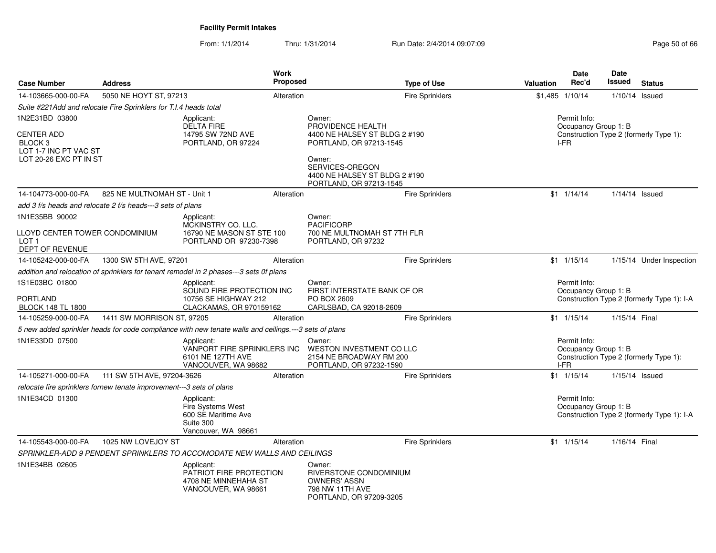From: 1/1/2014Thru: 1/31/2014 Run Date: 2/4/2014 09:07:09 Research 2010 12:00 Page 50 of 66

| <b>Case Number</b>                                                                         | <b>Address</b>                                                       | <b>Work</b><br>Proposed                                                                               |                                                                                                                                                                        | <b>Type of Use</b>     | <b>Valuation</b> | Date<br>Rec'd                                | Date<br>Issued   | <b>Status</b>                              |
|--------------------------------------------------------------------------------------------|----------------------------------------------------------------------|-------------------------------------------------------------------------------------------------------|------------------------------------------------------------------------------------------------------------------------------------------------------------------------|------------------------|------------------|----------------------------------------------|------------------|--------------------------------------------|
| 14-103665-000-00-FA                                                                        | 5050 NE HOYT ST, 97213                                               | Alteration                                                                                            |                                                                                                                                                                        | <b>Fire Sprinklers</b> |                  | $$1,485$ $1/10/14$                           | 1/10/14 Issued   |                                            |
|                                                                                            | Suite #221Add and relocate Fire Sprinklers for T.I.4 heads total     |                                                                                                       |                                                                                                                                                                        |                        |                  |                                              |                  |                                            |
| 1N2E31BD 03800                                                                             |                                                                      | Applicant:                                                                                            | Owner:                                                                                                                                                                 |                        |                  | Permit Info:                                 |                  |                                            |
| <b>CENTER ADD</b><br>BLOCK <sub>3</sub><br>LOT 1-7 INC PT VAC ST<br>LOT 20-26 EXC PT IN ST |                                                                      | <b>DELTA FIRE</b><br>14795 SW 72ND AVE<br>PORTLAND, OR 97224                                          | PROVIDENCE HEALTH<br>4400 NE HALSEY ST BLDG 2 #190<br>PORTLAND, OR 97213-1545<br>Owner:<br>SERVICES-OREGON<br>4400 NE HALSEY ST BLDG 2 #190<br>PORTLAND, OR 97213-1545 |                        |                  | Occupancy Group 1: B<br>I-FR                 |                  | Construction Type 2 (formerly Type 1):     |
| 14-104773-000-00-FA                                                                        | 825 NE MULTNOMAH ST - Unit 1                                         | Alteration                                                                                            |                                                                                                                                                                        | <b>Fire Sprinklers</b> |                  | $$1 \quad 1/14/14$                           | $1/14/14$ Issued |                                            |
|                                                                                            | add 3 f/s heads and relocate 2 f/s heads---3 sets of plans           |                                                                                                       |                                                                                                                                                                        |                        |                  |                                              |                  |                                            |
| 1N1E35BB 90002<br>LLOYD CENTER TOWER CONDOMINIUM                                           |                                                                      | Applicant:<br>MCKINSTRY CO. LLC.<br>16790 NE MASON ST STE 100                                         | Owner:<br><b>PACIFICORP</b><br>700 NE MULTNOMAH ST 7TH FLR                                                                                                             |                        |                  |                                              |                  |                                            |
| LOT 1<br>DEPT OF REVENUE                                                                   |                                                                      | PORTLAND OR 97230-7398                                                                                | PORTLAND, OR 97232                                                                                                                                                     |                        |                  |                                              |                  |                                            |
| 14-105242-000-00-FA                                                                        | 1300 SW 5TH AVE, 97201                                               | Alteration                                                                                            |                                                                                                                                                                        | <b>Fire Sprinklers</b> |                  | $$1 \quad 1/15/14$                           |                  | 1/15/14 Under Inspection                   |
|                                                                                            |                                                                      | addition and relocation of sprinklers for tenant remodel in 2 phases---3 sets 0f plans                |                                                                                                                                                                        |                        |                  |                                              |                  |                                            |
| 1S1E03BC 01800<br>PORTLAND<br><b>BLOCK 148 TL 1800</b>                                     |                                                                      | Applicant:<br>SOUND FIRE PROTECTION INC<br>10756 SE HIGHWAY 212<br>CLACKAMAS, OR 970159162            | Owner:<br>FIRST INTERSTATE BANK OF OR<br>PO BOX 2609<br>CARLSBAD, CA 92018-2609                                                                                        |                        |                  | Permit Info:<br>Occupancy Group 1: B         |                  | Construction Type 2 (formerly Type 1): I-A |
| 14-105259-000-00-FA                                                                        | 1411 SW MORRISON ST, 97205                                           | Alteration                                                                                            |                                                                                                                                                                        | Fire Sprinklers        |                  | $$1 \quad 1/15/14$                           | 1/15/14 Final    |                                            |
|                                                                                            |                                                                      | 5 new added sprinkler heads for code compliance with new tenate walls and ceilings.---3 sets of plans |                                                                                                                                                                        |                        |                  |                                              |                  |                                            |
| 1N1E33DD 07500                                                                             |                                                                      | Applicant:<br>VANPORT FIRE SPRINKLERS INC<br>6101 NE 127TH AVE<br>VANCOUVER, WA 98682                 | Owner:<br>WESTON INVESTMENT CO LLC<br>2154 NE BROADWAY RM 200<br>PORTLAND, OR 97232-1590                                                                               |                        |                  | Permit Info:<br>Occupancy Group 1: B<br>I-FR |                  | Construction Type 2 (formerly Type 1):     |
| 14-105271-000-00-FA                                                                        | 111 SW 5TH AVE, 97204-3626                                           | Alteration                                                                                            |                                                                                                                                                                        | <b>Fire Sprinklers</b> |                  | \$1 1/15/14                                  | $1/15/14$ Issued |                                            |
|                                                                                            | relocate fire sprinklers fornew tenate improvement---3 sets of plans |                                                                                                       |                                                                                                                                                                        |                        |                  |                                              |                  |                                            |
| 1N1E34CD 01300                                                                             |                                                                      | Applicant:<br><b>Fire Systems West</b><br>600 SE Maritime Ave<br>Suite 300<br>Vancouver, WA 98661     |                                                                                                                                                                        |                        |                  | Permit Info:<br>Occupancy Group 1: B         |                  | Construction Type 2 (formerly Type 1): I-A |
| 14-105543-000-00-FA                                                                        | 1025 NW LOVEJOY ST                                                   | Alteration                                                                                            |                                                                                                                                                                        | <b>Fire Sprinklers</b> |                  | $$1 \quad 1/15/14$                           | 1/16/14 Final    |                                            |
|                                                                                            |                                                                      | SPRINKLER-ADD 9 PENDENT SPRINKLERS TO ACCOMODATE NEW WALLS AND CEILINGS                               |                                                                                                                                                                        |                        |                  |                                              |                  |                                            |
| 1N1E34BB 02605                                                                             |                                                                      | Applicant:<br>PATRIOT FIRE PROTECTION<br>4708 NE MINNEHAHA ST<br>VANCOUVER, WA 98661                  | Owner:<br>RIVERSTONE CONDOMINIUM<br><b>OWNERS' ASSN</b><br>798 NW 11TH AVE<br>PORTLAND, OR 97209-3205                                                                  |                        |                  |                                              |                  |                                            |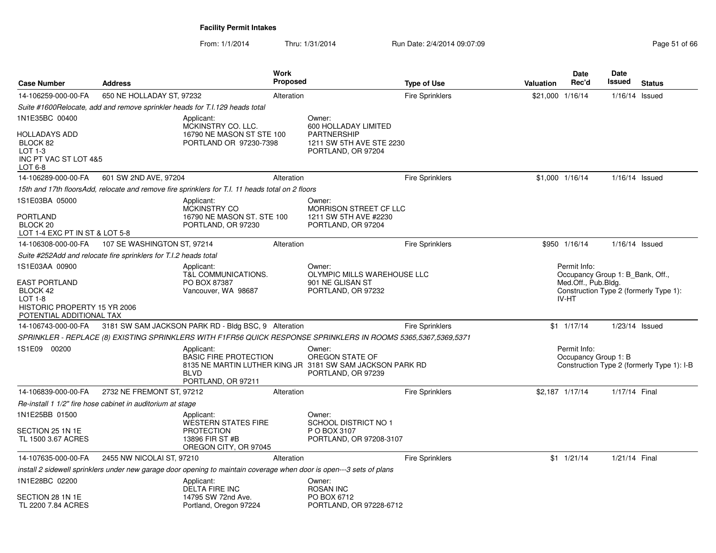From: 1/1/2014Thru: 1/31/2014 Run Date: 2/4/2014 09:07:09 Research 2010 12:00 Page 51 of 66

| <b>Case Number</b>                                                                                        | <b>Address</b>                                                   |                                                                                                                      | <b>Work</b><br>Proposed |                                                                                                                | <b>Type of Use</b>     | Valuation | <b>Date</b><br>Rec'd                                             | Date<br>Issued   | <b>Status</b>                              |
|-----------------------------------------------------------------------------------------------------------|------------------------------------------------------------------|----------------------------------------------------------------------------------------------------------------------|-------------------------|----------------------------------------------------------------------------------------------------------------|------------------------|-----------|------------------------------------------------------------------|------------------|--------------------------------------------|
| 14-106259-000-00-FA                                                                                       | 650 NE HOLLADAY ST, 97232                                        |                                                                                                                      | Alteration              |                                                                                                                | <b>Fire Sprinklers</b> |           | \$21,000 1/16/14                                                 | $1/16/14$ Issued |                                            |
|                                                                                                           |                                                                  | Suite #1600Relocate, add and remove sprinkler heads for T.I.129 heads total                                          |                         |                                                                                                                |                        |           |                                                                  |                  |                                            |
| 1N1E35BC 00400                                                                                            |                                                                  | Applicant:                                                                                                           |                         | Owner:                                                                                                         |                        |           |                                                                  |                  |                                            |
| HOLLADAYS ADD<br>BLOCK 82<br>LOT $1-3$<br>INC PT VAC ST LOT 4&5<br>LOT 6-8                                |                                                                  | MCKINSTRY CO. LLC.<br>16790 NE MASON ST STE 100<br>PORTLAND OR 97230-7398                                            |                         | 600 HOLLADAY LIMITED<br>PARTNERSHIP<br>1211 SW 5TH AVE STE 2230<br>PORTLAND, OR 97204                          |                        |           |                                                                  |                  |                                            |
| 14-106289-000-00-FA                                                                                       | 601 SW 2ND AVE, 97204                                            |                                                                                                                      | Alteration              |                                                                                                                | <b>Fire Sprinklers</b> |           | \$1,000 1/16/14                                                  | $1/16/14$ Issued |                                            |
|                                                                                                           |                                                                  | 15th and 17th floorsAdd, relocate and remove fire sprinklers for T.I. 11 heads total on 2 floors                     |                         |                                                                                                                |                        |           |                                                                  |                  |                                            |
| 1S1E03BA 05000<br><b>PORTLAND</b><br>BLOCK <sub>20</sub><br>LOT 1-4 EXC PT IN ST & LOT 5-8                |                                                                  | Applicant:<br><b>MCKINSTRY CO</b><br>16790 NE MASON ST. STE 100<br>PORTLAND, OR 97230                                |                         | Owner:<br>MORRISON STREET CF LLC<br>1211 SW 5TH AVE #2230<br>PORTLAND, OR 97204                                |                        |           |                                                                  |                  |                                            |
| 14-106308-000-00-FA                                                                                       | 107 SE WASHINGTON ST, 97214                                      |                                                                                                                      | Alteration              |                                                                                                                | Fire Sprinklers        |           | \$950 1/16/14                                                    | $1/16/14$ Issued |                                            |
|                                                                                                           | Suite #252Add and relocate fire sprinklers for T.I.2 heads total |                                                                                                                      |                         |                                                                                                                |                        |           |                                                                  |                  |                                            |
| 1S1E03AA 00900                                                                                            |                                                                  | Applicant:                                                                                                           |                         | Owner:                                                                                                         |                        |           | Permit Info:                                                     |                  |                                            |
| <b>EAST PORTLAND</b><br>BLOCK 42<br>$LOT 1-8$<br>HISTORIC PROPERTY 15 YR 2006<br>POTENTIAL ADDITIONAL TAX |                                                                  | T&L COMMUNICATIONS.<br>PO BOX 87387<br>Vancouver, WA 98687                                                           |                         | OLYMPIC MILLS WAREHOUSE LLC<br>901 NE GLISAN ST<br>PORTLAND, OR 97232                                          |                        |           | Occupancy Group 1: B Bank, Off.,<br>Med.Off., Pub.Bldg.<br>IV-HT |                  | Construction Type 2 (formerly Type 1):     |
| 14-106743-000-00-FA                                                                                       |                                                                  | 3181 SW SAM JACKSON PARK RD - Bldg BSC, 9 Alteration                                                                 |                         |                                                                                                                | <b>Fire Sprinklers</b> |           | \$1 1/17/14                                                      | 1/23/14 Issued   |                                            |
|                                                                                                           |                                                                  |                                                                                                                      |                         | SPRINKLER - REPLACE (8) EXISTING SPRINKLERS WITH F1FR56 QUICK RESPONSE SPRINKLERS IN ROOMS 5365,5367,5369,5371 |                        |           |                                                                  |                  |                                            |
| 1S1E09 00200                                                                                              |                                                                  | Applicant:<br><b>BASIC FIRE PROTECTION</b><br><b>BLVD</b><br>PORTLAND, OR 97211                                      |                         | Owner:<br>OREGON STATE OF<br>8135 NE MARTIN LUTHER KING JR 3181 SW SAM JACKSON PARK RD<br>PORTLAND, OR 97239   |                        |           | Permit Info:<br>Occupancy Group 1: B                             |                  | Construction Type 2 (formerly Type 1): I-B |
| 14-106839-000-00-FA                                                                                       | 2732 NE FREMONT ST, 97212                                        |                                                                                                                      | Alteration              |                                                                                                                | Fire Sprinklers        |           | \$2,187 1/17/14                                                  | 1/17/14 Final    |                                            |
|                                                                                                           | Re-install 1 1/2" fire hose cabinet in auditorium at stage       |                                                                                                                      |                         |                                                                                                                |                        |           |                                                                  |                  |                                            |
| 1N1E25BB 01500                                                                                            |                                                                  | Applicant:                                                                                                           |                         | Owner:                                                                                                         |                        |           |                                                                  |                  |                                            |
| SECTION 25 1N 1E<br>TL 1500 3.67 ACRES                                                                    |                                                                  | <b>WESTERN STATES FIRE</b><br><b>PROTECTION</b><br>13896 FIR ST #B<br>OREGON CITY, OR 97045                          |                         | SCHOOL DISTRICT NO 1<br>P O BOX 3107<br>PORTLAND, OR 97208-3107                                                |                        |           |                                                                  |                  |                                            |
| 14-107635-000-00-FA                                                                                       | 2455 NW NICOLAI ST, 97210                                        |                                                                                                                      | Alteration              |                                                                                                                | <b>Fire Sprinklers</b> |           | $$1 \t1/21/14$                                                   | 1/21/14 Final    |                                            |
|                                                                                                           |                                                                  | install 2 sidewell sprinklers under new garage door opening to maintain coverage when door is open---3 sets of plans |                         |                                                                                                                |                        |           |                                                                  |                  |                                            |
| 1N1E28BC 02200<br>SECTION 28 1N 1E                                                                        |                                                                  | Applicant:<br><b>DELTA FIRE INC</b><br>14795 SW 72nd Ave.                                                            |                         | Owner:<br><b>ROSAN INC</b><br>PO BOX 6712                                                                      |                        |           |                                                                  |                  |                                            |
| TL 2200 7.84 ACRES                                                                                        |                                                                  | Portland, Oregon 97224                                                                                               |                         | PORTLAND, OR 97228-6712                                                                                        |                        |           |                                                                  |                  |                                            |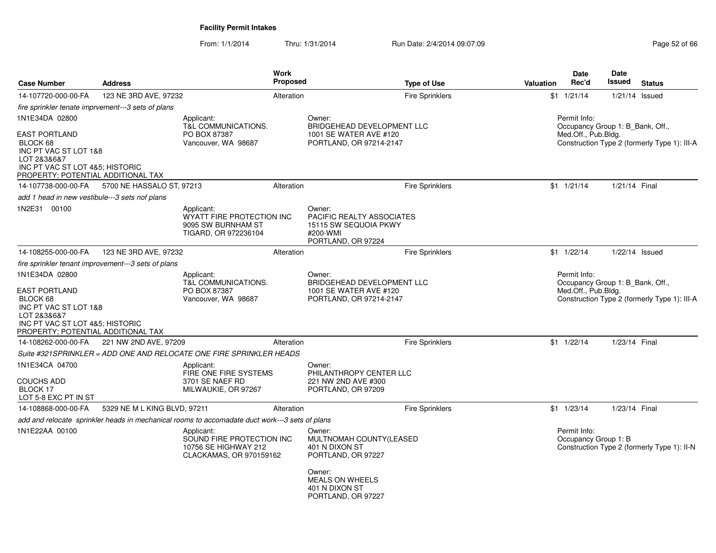From: 1/1/2014

Thru: 1/31/2014 Run Date: 2/4/2014 09:07:09 Research 2010 2014 09:07:09

| <b>Case Number</b>                                                                                                                                                  | <b>Address</b>                                      |                                                                                                | <b>Work</b><br><b>Proposed</b> | <b>Type of Use</b>                                                                             | Valuation | Date<br>Rec'd                                                           | <b>Date</b><br><b>Issued</b> | <b>Status</b>                                |
|---------------------------------------------------------------------------------------------------------------------------------------------------------------------|-----------------------------------------------------|------------------------------------------------------------------------------------------------|--------------------------------|------------------------------------------------------------------------------------------------|-----------|-------------------------------------------------------------------------|------------------------------|----------------------------------------------|
| 14-107720-000-00-FA                                                                                                                                                 | 123 NE 3RD AVE, 97232                               |                                                                                                | Alteration                     | <b>Fire Sprinklers</b>                                                                         |           | $$1 \t1/21/14$                                                          | $1/21/14$ Issued             |                                              |
| fire sprinkler tenate imprvement---3 sets of plans                                                                                                                  |                                                     |                                                                                                |                                |                                                                                                |           |                                                                         |                              |                                              |
| 1N1E34DA 02800                                                                                                                                                      |                                                     | Applicant:<br>T&L COMMUNICATIONS.                                                              |                                | Owner:<br>BRIDGEHEAD DEVELOPMENT LLC                                                           |           | Permit Info:<br>Occupancy Group 1: B_Bank, Off.,                        |                              |                                              |
| <b>EAST PORTLAND</b><br>BLOCK 68<br>INC PT VAC ST LOT 1&8<br>LOT 2&3&6&7<br>INC PT VAC ST LOT 4&5; HISTORIC<br>PROPERTY; POTENTIAL ADDITIONAL TAX                   |                                                     | PO BOX 87387<br>Vancouver, WA 98687                                                            |                                | 1001 SE WATER AVE #120<br>PORTLAND, OR 97214-2147                                              |           | Med.Off., Pub.Bldg.                                                     |                              | Construction Type 2 (formerly Type 1): III-A |
| 14-107738-000-00-FA                                                                                                                                                 | 5700 NE HASSALO ST, 97213                           |                                                                                                | Alteration                     | <b>Fire Sprinklers</b>                                                                         |           | $$1 \t1/21/14$                                                          | 1/21/14 Final                |                                              |
| add 1 head in new vestibule---3 sets nof plans                                                                                                                      |                                                     |                                                                                                |                                |                                                                                                |           |                                                                         |                              |                                              |
| 1N2E31 00100                                                                                                                                                        |                                                     | Applicant:<br>WYATT FIRE PROTECTION INC<br>9095 SW BURNHAM ST<br>TIGARD, OR 972236104          |                                | Owner:<br>PACIFIC REALTY ASSOCIATES<br>15115 SW SEQUOIA PKWY<br>#200-WMI<br>PORTLAND, OR 97224 |           |                                                                         |                              |                                              |
| 14-108255-000-00-FA                                                                                                                                                 | 123 NE 3RD AVE, 97232                               |                                                                                                | Alteration                     | Fire Sprinklers                                                                                |           | $$1$ $1/22/14$                                                          | 1/22/14 Issued               |                                              |
|                                                                                                                                                                     | fire sprinkler tenant improvement---3 sets of plans |                                                                                                |                                |                                                                                                |           |                                                                         |                              |                                              |
| 1N1E34DA 02800<br><b>EAST PORTLAND</b><br>BLOCK 68<br>INC PT VAC ST LOT 1&8<br>LOT 2&3&6&7<br>INC PT VAC ST LOT 4&5; HISTORIC<br>PROPERTY; POTENTIAL ADDITIONAL TAX |                                                     | Applicant:<br>T&L COMMUNICATIONS.<br>PO BOX 87387<br>Vancouver, WA 98687                       |                                | Owner:<br>BRIDGEHEAD DEVELOPMENT LLC<br>1001 SE WATER AVE #120<br>PORTLAND, OR 97214-2147      |           | Permit Info:<br>Occupancy Group 1: B_Bank, Off.,<br>Med.Off., Pub.Bldg. |                              | Construction Type 2 (formerly Type 1): III-A |
| 14-108262-000-00-FA                                                                                                                                                 | 221 NW 2ND AVE, 97209                               |                                                                                                | Alteration                     | <b>Fire Sprinklers</b>                                                                         |           | $$1 \quad 1/22/14$                                                      | 1/23/14 Final                |                                              |
|                                                                                                                                                                     |                                                     | Suite #321SPRINKLER = ADD ONE AND RELOCATE ONE FIRE SPRINKLER HEADS                            |                                |                                                                                                |           |                                                                         |                              |                                              |
| 1N1E34CA 04700<br><b>COUCHS ADD</b><br>BLOCK 17<br>LOT 5-8 EXC PT IN ST                                                                                             |                                                     | Applicant:<br>FIRE ONE FIRE SYSTEMS<br>3701 SE NAEF RD<br>MILWAUKIE, OR 97267                  |                                | Owner:<br>PHILANTHROPY CENTER LLC<br>221 NW 2ND AVE #300<br>PORTLAND, OR 97209                 |           |                                                                         |                              |                                              |
| 14-108868-000-00-FA                                                                                                                                                 | 5329 NE M L KING BLVD, 97211                        |                                                                                                | Alteration                     | Fire Sprinklers                                                                                |           | $$1 \quad 1/23/14$                                                      | 1/23/14 Final                |                                              |
|                                                                                                                                                                     |                                                     | add and relocate sprinkler heads in mechanical rooms to accomadate duct work---3 sets of plans |                                |                                                                                                |           |                                                                         |                              |                                              |
| 1N1E22AA 00100                                                                                                                                                      |                                                     | Applicant:<br>SOUND FIRE PROTECTION INC<br>10756 SE HIGHWAY 212<br>CLACKAMAS, OR 970159162     |                                | Owner:<br>MULTNOMAH COUNTY(LEASED<br>401 N DIXON ST<br>PORTLAND, OR 97227                      |           | Permit Info:<br>Occupancy Group 1: B                                    |                              | Construction Type 2 (formerly Type 1): II-N  |
|                                                                                                                                                                     |                                                     |                                                                                                |                                | Owner:<br><b>MEALS ON WHEELS</b><br>401 N DIXON ST<br>PORTLAND, OR 97227                       |           |                                                                         |                              |                                              |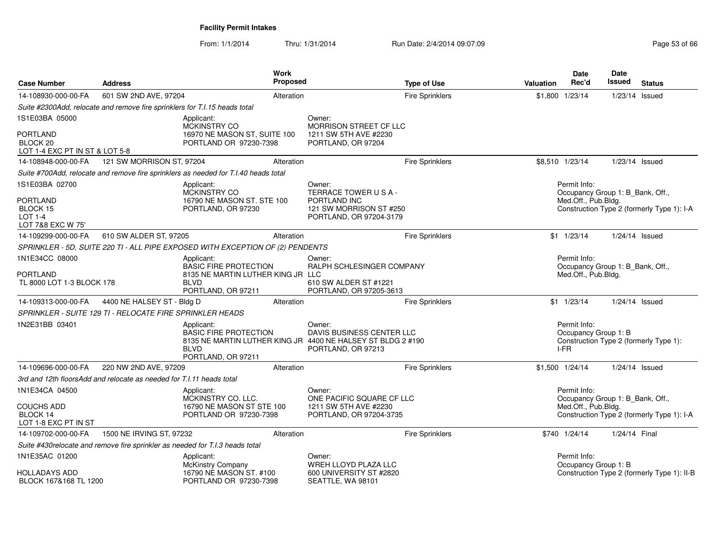From: 1/1/2014Thru: 1/31/2014 Run Date: 2/4/2014 09:07:09 Research 2010 12:00 Page 53 of 66

| <b>Case Number</b>                                                       | <b>Address</b>                                                               | Work<br>Proposed                                                                                                                               |                                                                    | <b>Type of Use</b>     | <b>Valuation</b> | <b>Date</b><br>Rec'd                             | <b>Date</b><br>Issued | <b>Status</b>                               |
|--------------------------------------------------------------------------|------------------------------------------------------------------------------|------------------------------------------------------------------------------------------------------------------------------------------------|--------------------------------------------------------------------|------------------------|------------------|--------------------------------------------------|-----------------------|---------------------------------------------|
| 14-108930-000-00-FA                                                      | 601 SW 2ND AVE, 97204                                                        | Alteration                                                                                                                                     |                                                                    | <b>Fire Sprinklers</b> |                  | \$1,800 1/23/14                                  | 1/23/14 Issued        |                                             |
|                                                                          | Suite #2300Add, relocate and remove fire sprinklers for T.I.15 heads total   |                                                                                                                                                |                                                                    |                        |                  |                                                  |                       |                                             |
| 1S1E03BA 05000                                                           |                                                                              | Applicant:<br>MCKINSTRY CO                                                                                                                     | Owner:<br>MORRISON STREET CF LLC                                   |                        |                  |                                                  |                       |                                             |
| <b>PORTLAND</b><br>BLOCK <sub>20</sub><br>LOT 1-4 EXC PT IN ST & LOT 5-8 |                                                                              | 16970 NE MASON ST, SUITE 100<br>PORTLAND OR 97230-7398                                                                                         | 1211 SW 5TH AVE #2230<br>PORTLAND, OR 97204                        |                        |                  |                                                  |                       |                                             |
| 14-108948-000-00-FA                                                      | 121 SW MORRISON ST, 97204                                                    | Alteration                                                                                                                                     |                                                                    | <b>Fire Sprinklers</b> |                  | \$8,510 1/23/14                                  | 1/23/14 Issued        |                                             |
|                                                                          |                                                                              | Suite #700Add, relocate and remove fire sprinklers as needed for T.I.40 heads total                                                            |                                                                    |                        |                  |                                                  |                       |                                             |
| 1S1E03BA 02700                                                           |                                                                              | Applicant:<br>MCKINSTRY CO                                                                                                                     | Owner:<br>TERRACE TOWER USA-                                       |                        |                  | Permit Info:<br>Occupancy Group 1: B_Bank, Off., |                       |                                             |
| <b>PORTLAND</b><br>BLOCK 15<br>LOT 1-4<br>LOT 7&8 EXC W 75'              |                                                                              | 16790 NE MASON ST. STE 100<br>PORTLAND, OR 97230                                                                                               | PORTLAND INC<br>121 SW MORRISON ST #250<br>PORTLAND, OR 97204-3179 |                        |                  | Med.Off., Pub.Bldg.                              |                       | Construction Type 2 (formerly Type 1): I-A  |
| 14-109299-000-00-FA                                                      | 610 SW ALDER ST, 97205                                                       | Alteration                                                                                                                                     |                                                                    | <b>Fire Sprinklers</b> |                  | $$1 \t1/23/14$                                   |                       | $1/24/14$ Issued                            |
|                                                                          |                                                                              | SPRINKLER - 5D, SUITE 220 TI - ALL PIPE EXPOSED WITH EXCEPTION OF (2) PENDENTS                                                                 |                                                                    |                        |                  |                                                  |                       |                                             |
| 1N1E34CC 08000                                                           |                                                                              | Applicant:<br><b>BASIC FIRE PROTECTION</b>                                                                                                     | Owner:<br>RALPH SCHLESINGER COMPANY                                |                        |                  | Permit Info:<br>Occupancy Group 1: B_Bank, Off., |                       |                                             |
| <b>PORTLAND</b><br>TL 8000 LOT 1-3 BLOCK 178                             |                                                                              | 8135 NE MARTIN LUTHER KING JR LLC<br><b>BIVD</b><br>PORTLAND, OR 97211                                                                         | 610 SW ALDER ST #1221<br>PORTLAND, OR 97205-3613                   |                        |                  | Med.Off., Pub.Bldg.                              |                       |                                             |
| 14-109313-000-00-FA                                                      | 4400 NE HALSEY ST - Bldg D                                                   | Alteration                                                                                                                                     |                                                                    | Fire Sprinklers        |                  | $$1$ $1/23/14$                                   |                       | 1/24/14 Issued                              |
|                                                                          | SPRINKLER - SUITE 129 TI - RELOCATE FIRE SPRINKLER HEADS                     |                                                                                                                                                |                                                                    |                        |                  |                                                  |                       |                                             |
| 1N2E31BB 03401                                                           |                                                                              | Applicant:<br><b>BASIC FIRE PROTECTION</b><br>8135 NE MARTIN LUTHER KING JR 4400 NE HALSEY ST BLDG 2 #190<br><b>BLVD</b><br>PORTLAND, OR 97211 | Owner:<br>DAVIS BUSINESS CENTER LLC<br>PORTLAND, OR 97213          |                        |                  | Permit Info:<br>Occupancy Group 1: B<br>I-FR     |                       | Construction Type 2 (formerly Type 1):      |
| 14-109696-000-00-FA                                                      | 220 NW 2ND AVE, 97209                                                        | Alteration                                                                                                                                     |                                                                    | <b>Fire Sprinklers</b> |                  | \$1,500 1/24/14                                  | 1/24/14 Issued        |                                             |
|                                                                          | 3rd and 12th floorsAdd and relocate as needed for T.I.11 heads total         |                                                                                                                                                |                                                                    |                        |                  |                                                  |                       |                                             |
| 1N1E34CA 04500                                                           |                                                                              | Applicant:<br>MCKINSTRY CO. LLC.                                                                                                               | Owner:<br>ONE PACIFIC SQUARE CF LLC                                |                        |                  | Permit Info:<br>Occupancy Group 1: B_Bank, Off., |                       |                                             |
| <b>COUCHS ADD</b><br>BLOCK 14<br>LOT 1-8 EXC PT IN ST                    |                                                                              | 16790 NE MASON ST STE 100<br>PORTLAND OR 97230-7398                                                                                            | 1211 SW 5TH AVE #2230<br>PORTLAND, OR 97204-3735                   |                        |                  | Med.Off., Pub.Bldg.                              |                       | Construction Type 2 (formerly Type 1): I-A  |
| 14-109702-000-00-FA                                                      | 1500 NE IRVING ST, 97232                                                     | Alteration                                                                                                                                     |                                                                    | <b>Fire Sprinklers</b> |                  | \$740 1/24/14                                    | 1/24/14 Final         |                                             |
|                                                                          | Suite #430relocate and remove fire sprinkler as needed for T.I.3 heads total |                                                                                                                                                |                                                                    |                        |                  |                                                  |                       |                                             |
| 1N1E35AC 01200<br><b>HOLLADAYS ADD</b>                                   |                                                                              | Applicant:<br>McKinstry Company<br>16790 NE MASON ST. #100                                                                                     | Owner:<br>WREH LLOYD PLAZA LLC<br>600 UNIVERSITY ST #2820          |                        |                  | Permit Info:<br>Occupancy Group 1: B             |                       | Construction Type 2 (formerly Type 1): II-B |
| BLOCK 167&168 TL 1200                                                    |                                                                              | PORTLAND OR 97230-7398                                                                                                                         | SEATTLE, WA 98101                                                  |                        |                  |                                                  |                       |                                             |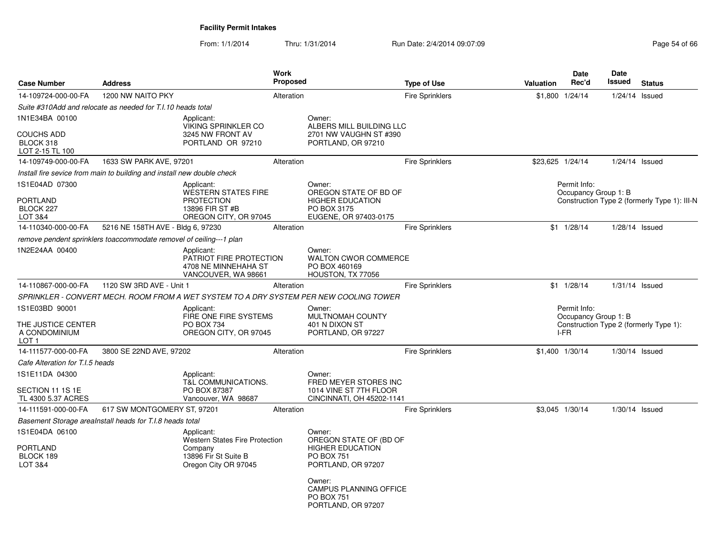From: 1/1/2014Thru: 1/31/2014 Run Date: 2/4/2014 09:07:09 Research 2010 12:00 Page 54 of 66

| <b>Case Number</b>                                                        | <b>Address</b>                                                         |                                                                                                         | Work<br><b>Proposed</b> |                                                                                                                                                                                | <b>Type of Use</b>     | <b>Valuation</b> | <b>Date</b><br>Rec'd                         | <b>Date</b><br><b>Issued</b> | <b>Status</b>                                |
|---------------------------------------------------------------------------|------------------------------------------------------------------------|---------------------------------------------------------------------------------------------------------|-------------------------|--------------------------------------------------------------------------------------------------------------------------------------------------------------------------------|------------------------|------------------|----------------------------------------------|------------------------------|----------------------------------------------|
| 14-109724-000-00-FA                                                       | 1200 NW NAITO PKY                                                      |                                                                                                         | Alteration              |                                                                                                                                                                                | <b>Fire Sprinklers</b> |                  | \$1,800 1/24/14                              | 1/24/14 Issued               |                                              |
|                                                                           | Suite #310Add and relocate as needed for T.I.10 heads total            |                                                                                                         |                         |                                                                                                                                                                                |                        |                  |                                              |                              |                                              |
| 1N1E34BA 00100                                                            |                                                                        | Applicant:                                                                                              |                         | Owner:                                                                                                                                                                         |                        |                  |                                              |                              |                                              |
| <b>COUCHS ADD</b><br>BLOCK 318<br>LOT 2-15 TL 100                         |                                                                        | <b>VIKING SPRINKLER CO</b><br>3245 NW FRONT AV<br>PORTLAND OR 97210                                     |                         | ALBERS MILL BUILDING LLC<br>2701 NW VAUGHN ST #390<br>PORTLAND, OR 97210                                                                                                       |                        |                  |                                              |                              |                                              |
| 14-109749-000-00-FA                                                       | 1633 SW PARK AVE, 97201                                                |                                                                                                         | Alteration              |                                                                                                                                                                                | <b>Fire Sprinklers</b> | \$23,625 1/24/14 |                                              | $1/24/14$ Issued             |                                              |
|                                                                           | Install fire sevice from main to building and install new double check |                                                                                                         |                         |                                                                                                                                                                                |                        |                  |                                              |                              |                                              |
| 1S1E04AD 07300<br><b>PORTLAND</b><br>BLOCK 227                            |                                                                        | Applicant:<br><b>WESTERN STATES FIRE</b><br><b>PROTECTION</b><br>13896 FIR ST #B                        |                         | Owner:<br>OREGON STATE OF BD OF<br><b>HIGHER EDUCATION</b><br>PO BOX 3175                                                                                                      |                        |                  | Permit Info:<br>Occupancy Group 1: B         |                              | Construction Type 2 (formerly Type 1): III-N |
| LOT 3&4<br>14-110340-000-00-FA                                            | 5216 NE 158TH AVE - Bldg 6, 97230                                      | OREGON CITY, OR 97045                                                                                   | Alteration              | EUGENE, OR 97403-0175                                                                                                                                                          | <b>Fire Sprinklers</b> |                  | $$1 \quad 1/28/14$                           | 1/28/14 Issued               |                                              |
|                                                                           | remove pendent sprinklers toaccommodate removel of ceiling---1 plan    |                                                                                                         |                         |                                                                                                                                                                                |                        |                  |                                              |                              |                                              |
| 1N2E24AA 00400                                                            |                                                                        | Applicant:                                                                                              |                         | Owner:                                                                                                                                                                         |                        |                  |                                              |                              |                                              |
|                                                                           |                                                                        | PATRIOT FIRE PROTECTION<br>4708 NE MINNEHAHA ST<br>VANCOUVER, WA 98661                                  |                         | <b>WALTON CWOR COMMERCE</b><br>PO BOX 460169<br>HOUSTON, TX 77056                                                                                                              |                        |                  |                                              |                              |                                              |
| 14-110867-000-00-FA                                                       | 1120 SW 3RD AVE - Unit 1                                               |                                                                                                         | Alteration              |                                                                                                                                                                                | <b>Fire Sprinklers</b> |                  | $$1 \quad 1/28/14$                           | $1/31/14$ Issued             |                                              |
|                                                                           |                                                                        |                                                                                                         |                         | SPRINKLER - CONVERT MECH. ROOM FROM A WET SYSTEM TO A DRY SYSTEM PER NEW COOLING TOWER                                                                                         |                        |                  |                                              |                              |                                              |
| 1S1E03BD 90001<br>THE JUSTICE CENTER<br>A CONDOMINIUM<br>LOT <sub>1</sub> |                                                                        | Applicant:<br>FIRE ONE FIRE SYSTEMS<br>PO BOX 734<br>OREGON CITY, OR 97045                              |                         | Owner:<br>MULTNOMAH COUNTY<br>401 N DIXON ST<br>PORTLAND, OR 97227                                                                                                             |                        |                  | Permit Info:<br>Occupancy Group 1: B<br>I-FR |                              | Construction Type 2 (formerly Type 1):       |
| 14-111577-000-00-FA                                                       | 3800 SE 22ND AVE, 97202                                                |                                                                                                         | Alteration              |                                                                                                                                                                                | <b>Fire Sprinklers</b> |                  | \$1,400 1/30/14                              | $1/30/14$ Issued             |                                              |
| Cafe Alteration for T.I.5 heads                                           |                                                                        |                                                                                                         |                         |                                                                                                                                                                                |                        |                  |                                              |                              |                                              |
| 1S1E11DA 04300                                                            |                                                                        | Applicant:<br>T&L COMMUNICATIONS.                                                                       |                         | Owner:<br>FRED MEYER STORES INC                                                                                                                                                |                        |                  |                                              |                              |                                              |
| SECTION 11 1S 1E<br>TL 4300 5.37 ACRES                                    |                                                                        | PO BOX 87387<br>Vancouver, WA 98687                                                                     |                         | 1014 VINE ST 7TH FLOOR<br>CINCINNATI, OH 45202-1141                                                                                                                            |                        |                  |                                              |                              |                                              |
| 14-111591-000-00-FA                                                       | 617 SW MONTGOMERY ST, 97201                                            |                                                                                                         | Alteration              |                                                                                                                                                                                | <b>Fire Sprinklers</b> |                  | \$3,045 1/30/14                              | $1/30/14$ Issued             |                                              |
|                                                                           | Basement Storage arealnstall heads for T.I.8 heads total               |                                                                                                         |                         |                                                                                                                                                                                |                        |                  |                                              |                              |                                              |
| 1S1E04DA 06100<br><b>PORTLAND</b><br>BLOCK 189<br>LOT 3&4                 |                                                                        | Applicant:<br>Western States Fire Protection<br>Company<br>13896 Fir St Suite B<br>Oregon City OR 97045 |                         | Owner:<br>OREGON STATE OF (BD OF<br><b>HIGHER EDUCATION</b><br><b>PO BOX 751</b><br>PORTLAND, OR 97207<br>Owner:<br>CAMPUS PLANNING OFFICE<br>PO BOX 751<br>PORTLAND, OR 97207 |                        |                  |                                              |                              |                                              |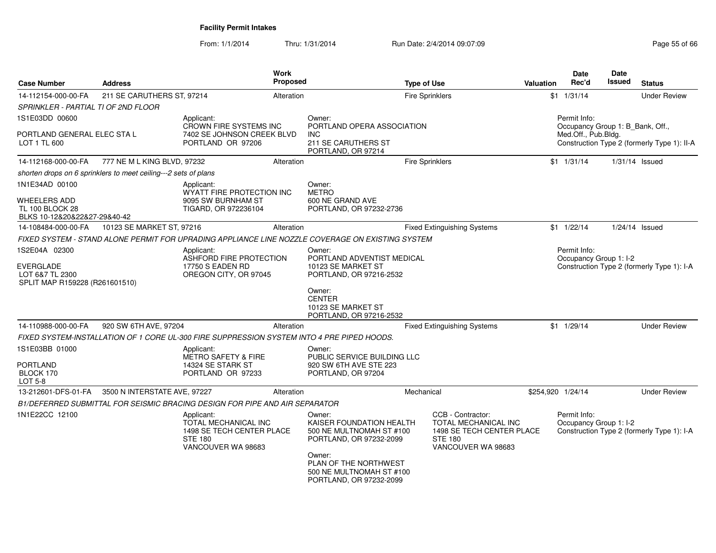From: 1/1/2014Thru: 1/31/2014 Run Date: 2/4/2014 09:07:09 Research 2010 12:00 Page 55 of 66

| <b>Case Number</b>                                                              | Address                      |                                                                                                         | <b>Work</b><br><b>Proposed</b> |                                                                                                  | <b>Type of Use</b>     |                                                                                                                | <b>Valuation</b>  | <b>Date</b><br>Rec'd                                    | Date<br>Issued | <b>Status</b>                               |
|---------------------------------------------------------------------------------|------------------------------|---------------------------------------------------------------------------------------------------------|--------------------------------|--------------------------------------------------------------------------------------------------|------------------------|----------------------------------------------------------------------------------------------------------------|-------------------|---------------------------------------------------------|----------------|---------------------------------------------|
| 14-112154-000-00-FA                                                             | 211 SE CARUTHERS ST, 97214   |                                                                                                         | Alteration                     |                                                                                                  | <b>Fire Sprinklers</b> |                                                                                                                |                   | $$1 \quad 1/31/14$                                      |                | <b>Under Review</b>                         |
| SPRINKLER - PARTIAL TI OF 2ND FLOOR                                             |                              |                                                                                                         |                                |                                                                                                  |                        |                                                                                                                |                   |                                                         |                |                                             |
| 1S1E03DD 00600                                                                  |                              | Applicant:                                                                                              |                                | Owner:                                                                                           |                        |                                                                                                                |                   | Permit Info:                                            |                |                                             |
| PORTLAND GENERAL ELEC STA L<br>LOT 1 TL 600                                     |                              | CROWN FIRE SYSTEMS INC<br>7402 SE JOHNSON CREEK BLVD<br>PORTLAND OR 97206                               |                                | PORTLAND OPERA ASSOCIATION<br><b>INC</b><br>211 SE CARUTHERS ST<br>PORTLAND, OR 97214            |                        |                                                                                                                |                   | Occupancy Group 1: B Bank, Off.,<br>Med.Off., Pub.Bldg. |                | Construction Type 2 (formerly Type 1): II-A |
| 14-112168-000-00-FA                                                             | 777 NE M L KING BLVD, 97232  |                                                                                                         | Alteration                     |                                                                                                  | Fire Sprinklers        |                                                                                                                |                   | $$1 \t1/31/14$                                          |                | $1/31/14$ Issued                            |
| shorten drops on 6 sprinklers to meet ceiling---2 sets of plans                 |                              |                                                                                                         |                                |                                                                                                  |                        |                                                                                                                |                   |                                                         |                |                                             |
| 1N1E34AD 00100                                                                  |                              | Applicant:<br>WYATT FIRE PROTECTION INC                                                                 |                                | Owner:<br><b>METRO</b>                                                                           |                        |                                                                                                                |                   |                                                         |                |                                             |
| WHEELERS ADD<br><b>TL 100 BLOCK 28</b><br>BLKS 10-12&20&22&27-29&40-42          |                              | 9095 SW BURNHAM ST<br>TIGARD, OR 972236104                                                              |                                | 600 NE GRAND AVE<br>PORTLAND, OR 97232-2736                                                      |                        |                                                                                                                |                   |                                                         |                |                                             |
| 14-108484-000-00-FA                                                             | 10123 SE MARKET ST, 97216    |                                                                                                         | Alteration                     |                                                                                                  |                        | <b>Fixed Extinguishing Systems</b>                                                                             |                   | $$1$ $1/22/14$                                          |                | 1/24/14 Issued                              |
|                                                                                 |                              |                                                                                                         |                                | FIXED SYSTEM - STAND ALONE PERMIT FOR UPRADING APPLIANCE LINE NOZZLE COVERAGE ON EXISTING SYSTEM |                        |                                                                                                                |                   |                                                         |                |                                             |
| 1S2E04A 02300<br>EVERGLADE<br>LOT 6&7 TL 2300<br>SPLIT MAP R159228 (R261601510) |                              | Applicant:<br>ASHFORD FIRE PROTECTION<br>17750 S EADEN RD<br>OREGON CITY, OR 97045                      |                                | Owner:<br>PORTLAND ADVENTIST MEDICAL<br>10123 SE MARKET ST<br>PORTLAND, OR 97216-2532<br>Owner:  |                        |                                                                                                                |                   | Permit Info:<br>Occupancy Group 1: I-2                  |                | Construction Type 2 (formerly Type 1): I-A  |
|                                                                                 |                              |                                                                                                         |                                | <b>CENTER</b><br>10123 SE MARKET ST<br>PORTLAND, OR 97216-2532                                   |                        |                                                                                                                |                   |                                                         |                |                                             |
| 14-110988-000-00-FA                                                             | 920 SW 6TH AVE, 97204        |                                                                                                         | Alteration                     |                                                                                                  |                        | <b>Fixed Extinguishing Systems</b>                                                                             |                   | $$1$ 1/29/14                                            |                | <b>Under Review</b>                         |
|                                                                                 |                              | FIXED SYSTEM-INSTALLATION OF 1 CORE UL-300 FIRE SUPPRESSION SYSTEM INTO 4 PRE PIPED HOODS.              |                                |                                                                                                  |                        |                                                                                                                |                   |                                                         |                |                                             |
| 1S1E03BB 01000<br>PORTLAND<br>BLOCK 170<br>LOT 5-8                              |                              | Applicant:<br><b>METRO SAFETY &amp; FIRE</b><br>14324 SE STARK ST<br>PORTLAND OR 97233                  |                                | Owner:<br>PUBLIC SERVICE BUILDING LLC<br>920 SW 6TH AVE STE 223<br>PORTLAND, OR 97204            |                        |                                                                                                                |                   |                                                         |                |                                             |
| 13-212601-DFS-01-FA                                                             | 3500 N INTERSTATE AVE, 97227 |                                                                                                         | Alteration                     |                                                                                                  | Mechanical             |                                                                                                                | \$254,920 1/24/14 |                                                         |                | <b>Under Review</b>                         |
|                                                                                 |                              | B1/DEFERRED SUBMITTAL FOR SEISMIC BRACING DESIGN FOR PIPE AND AIR SEPARATOR                             |                                |                                                                                                  |                        |                                                                                                                |                   |                                                         |                |                                             |
| 1N1E22CC 12100                                                                  |                              | Applicant:<br>TOTAL MECHANICAL INC<br>1498 SE TECH CENTER PLACE<br><b>STE 180</b><br>VANCOUVER WA 98683 |                                | Owner:<br>KAISER FOUNDATION HEALTH<br>500 NE MULTNOMAH ST #100<br>PORTLAND, OR 97232-2099        |                        | CCB - Contractor:<br>TOTAL MECHANICAL INC<br>1498 SE TECH CENTER PLACE<br><b>STE 180</b><br>VANCOUVER WA 98683 |                   | Permit Info:<br>Occupancy Group 1: I-2                  |                | Construction Type 2 (formerly Type 1): I-A  |
|                                                                                 |                              |                                                                                                         |                                | Owner:<br>PLAN OF THE NORTHWEST<br>500 NE MULTNOMAH ST #100<br>PORTLAND, OR 97232-2099           |                        |                                                                                                                |                   |                                                         |                |                                             |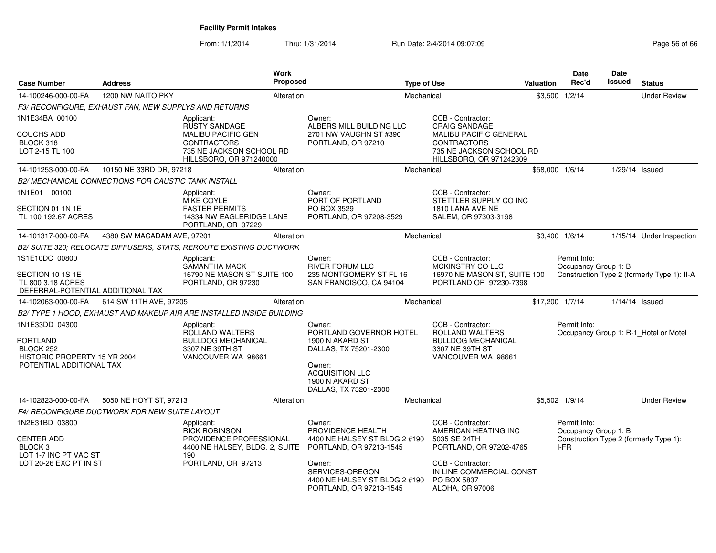From: 1/1/2014Thru: 1/31/2014 Run Date: 2/4/2014 09:07:09 Research 2010 12:00 Page 56 of 66

| <b>Case Number</b>                                                             | <b>Address</b>                                        | Work                                                                                                   | Proposed   |                                                                                       | <b>Type of Use</b> |                                                                                                            | <b>Valuation</b> | Date<br>Rec'd   | Date<br>Issued       | <b>Status</b>                               |
|--------------------------------------------------------------------------------|-------------------------------------------------------|--------------------------------------------------------------------------------------------------------|------------|---------------------------------------------------------------------------------------|--------------------|------------------------------------------------------------------------------------------------------------|------------------|-----------------|----------------------|---------------------------------------------|
| 14-100246-000-00-FA                                                            | 1200 NW NAITO PKY                                     |                                                                                                        | Alteration |                                                                                       | Mechanical         |                                                                                                            |                  | \$3,500 1/2/14  |                      | <b>Under Review</b>                         |
|                                                                                | F3/ RECONFIGURE, EXHAUST FAN, NEW SUPPLYS AND RETURNS |                                                                                                        |            |                                                                                       |                    |                                                                                                            |                  |                 |                      |                                             |
| 1N1E34BA 00100                                                                 |                                                       | Applicant:<br>RUSTY SANDAGE                                                                            |            | Owner:<br>ALBERS MILL BUILDING LLC                                                    |                    | CCB - Contractor:<br><b>CRAIG SANDAGE</b>                                                                  |                  |                 |                      |                                             |
| <b>COUCHS ADD</b><br>BLOCK 318<br>LOT 2-15 TL 100                              |                                                       | <b>MALIBU PACIFIC GEN</b><br><b>CONTRACTORS</b><br>735 NE JACKSON SCHOOL RD<br>HILLSBORO, OR 971240000 |            | 2701 NW VAUGHN ST #390<br>PORTLAND, OR 97210                                          |                    | <b>MALIBU PACIFIC GENERAL</b><br><b>CONTRACTORS</b><br>735 NE JACKSON SCHOOL RD<br>HILLSBORO, OR 971242309 |                  |                 |                      |                                             |
| 14-101253-000-00-FA                                                            | 10150 NE 33RD DR, 97218                               |                                                                                                        | Alteration |                                                                                       | Mechanical         |                                                                                                            |                  | \$58,000 1/6/14 |                      | 1/29/14 Issued                              |
|                                                                                | B2/ MECHANICAL CONNECTIONS FOR CAUSTIC TANK INSTALL   |                                                                                                        |            |                                                                                       |                    |                                                                                                            |                  |                 |                      |                                             |
| 1N1E01 00100                                                                   |                                                       | Applicant:<br><b>MIKE COYLE</b>                                                                        |            | Owner:<br>PORT OF PORTLAND                                                            |                    | CCB - Contractor:<br>STETTLER SUPPLY CO INC                                                                |                  |                 |                      |                                             |
| SECTION 01 1N 1E<br>TL 100 192.67 ACRES                                        |                                                       | <b>FASTER PERMITS</b><br>14334 NW EAGLERIDGE LANE<br>PORTLAND, OR 97229                                |            | PO BOX 3529<br>PORTLAND, OR 97208-3529                                                |                    | 1810 LANA AVE NE<br>SALEM, OR 97303-3198                                                                   |                  |                 |                      |                                             |
| 14-101317-000-00-FA                                                            | 4380 SW MACADAM AVE, 97201                            |                                                                                                        | Alteration |                                                                                       | Mechanical         |                                                                                                            |                  | \$3,400 1/6/14  |                      | 1/15/14 Under Inspection                    |
|                                                                                |                                                       | B2/ SUITE 320; RELOCATE DIFFUSERS, STATS, REROUTE EXISTING DUCTWORK                                    |            |                                                                                       |                    |                                                                                                            |                  |                 |                      |                                             |
| 1S1E10DC 00800                                                                 |                                                       | Applicant:                                                                                             |            | Owner:                                                                                |                    | CCB - Contractor:                                                                                          |                  | Permit Info:    |                      |                                             |
| SECTION 10 1S 1E<br>TL 800 3.18 ACRES<br>DEFERRAL-POTENTIAL ADDITIONAL TAX     |                                                       | SAMANTHA MACK<br>16790 NE MASON ST SUITE 100<br>PORTLAND, OR 97230                                     |            | <b>RIVER FORUM LLC</b><br>235 MONTGOMERY ST FL 16<br>SAN FRANCISCO, CA 94104          |                    | MCKINSTRY CO LLC<br>16970 NE MASON ST, SUITE 100<br>PORTLAND OR 97230-7398                                 |                  |                 | Occupancy Group 1: B | Construction Type 2 (formerly Type 1): II-A |
| 14-102063-000-00-FA                                                            | 614 SW 11TH AVE, 97205                                |                                                                                                        | Alteration |                                                                                       | Mechanical         |                                                                                                            |                  | \$17,200 1/7/14 | 1/14/14 Issued       |                                             |
|                                                                                |                                                       | B2/ TYPE 1 HOOD, EXHAUST AND MAKEUP AIR ARE INSTALLED INSIDE BUILDING                                  |            |                                                                                       |                    |                                                                                                            |                  |                 |                      |                                             |
| 1N1E33DD 04300<br><b>PORTLAND</b><br>BLOCK 252<br>HISTORIC PROPERTY 15 YR 2004 |                                                       | Applicant:<br>ROLLAND WALTERS<br><b>BULLDOG MECHANICAL</b><br>3307 NE 39TH ST<br>VANCOUVER WA 98661    |            | Owner:<br>PORTLAND GOVERNOR HOTEL<br>1900 N AKARD ST<br>DALLAS, TX 75201-2300         |                    | CCB - Contractor:<br>ROLLAND WALTERS<br><b>BULLDOG MECHANICAL</b><br>3307 NE 39TH ST<br>VANCOUVER WA 98661 |                  | Permit Info:    |                      | Occupancy Group 1: R-1_Hotel or Motel       |
| POTENTIAL ADDITIONAL TAX                                                       |                                                       |                                                                                                        |            | Owner:<br><b>ACQUISITION LLC</b><br>1900 N AKARD ST<br>DALLAS, TX 75201-2300          |                    |                                                                                                            |                  |                 |                      |                                             |
| 14-102823-000-00-FA                                                            | 5050 NE HOYT ST, 97213                                |                                                                                                        | Alteration |                                                                                       | Mechanical         |                                                                                                            |                  | \$5,502 1/9/14  |                      | <b>Under Review</b>                         |
|                                                                                | F4/ RECONFIGURE DUCTWORK FOR NEW SUITE LAYOUT         |                                                                                                        |            |                                                                                       |                    |                                                                                                            |                  |                 |                      |                                             |
| 1N2E31BD 03800                                                                 |                                                       | Applicant:<br><b>RICK ROBINSON</b>                                                                     |            | Owner:<br>PROVIDENCE HEALTH                                                           |                    | CCB - Contractor:<br>AMERICAN HEATING INC                                                                  |                  | Permit Info:    | Occupancy Group 1: B |                                             |
| <b>CENTER ADD</b><br>BLOCK <sub>3</sub><br>LOT 1-7 INC PT VAC ST               |                                                       | PROVIDENCE PROFESSIONAL<br>4400 NE HALSEY, BLDG. 2, SUITE<br>190                                       |            | 4400 NE HALSEY ST BLDG 2 #190<br>PORTLAND, OR 97213-1545                              |                    | 5035 SE 24TH<br>PORTLAND, OR 97202-4765                                                                    |                  | I-FR            |                      | Construction Type 2 (formerly Type 1):      |
| LOT 20-26 EXC PT IN ST                                                         |                                                       | PORTLAND, OR 97213                                                                                     |            | Owner:<br>SERVICES-OREGON<br>4400 NE HALSEY ST BLDG 2 #190<br>PORTLAND, OR 97213-1545 |                    | CCB - Contractor:<br>IN LINE COMMERCIAL CONST<br><b>PO BOX 5837</b><br>ALOHA, OR 97006                     |                  |                 |                      |                                             |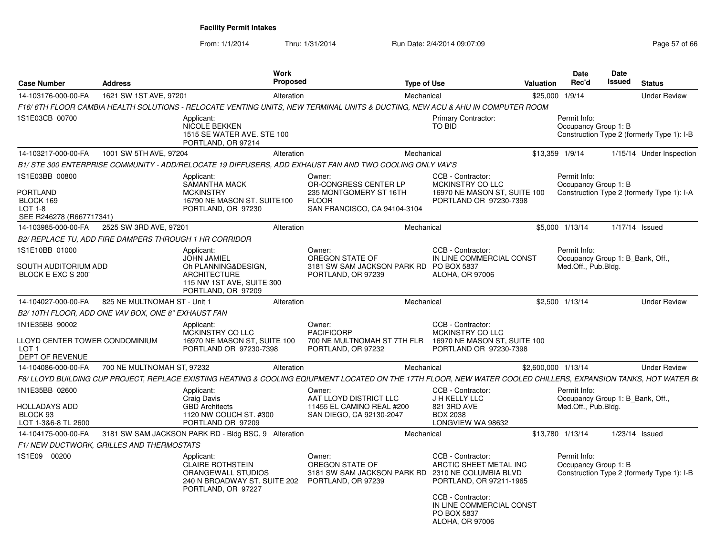From: 1/1/2014Thru: 1/31/2014 Run Date: 2/4/2014 09:07:09 Research 2010 12:00 Page 57 of 66

| <b>Case Number</b>                                                                      | <b>Address</b>                                         |                                                                                                                                   | <b>Work</b><br>Proposed |                                                                                                                                                                  | <b>Type of Use</b> |                                                                                                                                                  | Valuation | <b>Date</b><br>Rec'd                                                    | <b>Date</b><br>Issued | <b>Status</b>                              |
|-----------------------------------------------------------------------------------------|--------------------------------------------------------|-----------------------------------------------------------------------------------------------------------------------------------|-------------------------|------------------------------------------------------------------------------------------------------------------------------------------------------------------|--------------------|--------------------------------------------------------------------------------------------------------------------------------------------------|-----------|-------------------------------------------------------------------------|-----------------------|--------------------------------------------|
| 14-103176-000-00-FA                                                                     | 1621 SW 1ST AVE, 97201                                 |                                                                                                                                   | Alteration              |                                                                                                                                                                  | Mechanical         |                                                                                                                                                  | \$25,000  | 1/9/14                                                                  |                       | <b>Under Review</b>                        |
|                                                                                         |                                                        |                                                                                                                                   |                         | F16/ 6TH FLOOR CAMBIA HEALTH SOLUTIONS - RELOCATE VENTING UNITS. NEW TERMINAL UNITS & DUCTING. NEW ACU & AHU IN COMPUTER ROOM                                    |                    |                                                                                                                                                  |           |                                                                         |                       |                                            |
| 1S1E03CB 00700                                                                          |                                                        | Applicant:<br><b>NICOLE BEKKEN</b><br>1515 SE WATER AVE. STE 100<br>PORTLAND, OR 97214                                            |                         |                                                                                                                                                                  | TO BID             | <b>Primary Contractor:</b>                                                                                                                       |           | Permit Info:<br>Occupancy Group 1: B                                    |                       | Construction Type 2 (formerly Type 1): I-B |
| 14-103217-000-00-FA                                                                     | 1001 SW 5TH AVE, 97204                                 |                                                                                                                                   | Alteration              |                                                                                                                                                                  | Mechanical         |                                                                                                                                                  |           | \$13,359 1/9/14                                                         |                       | 1/15/14 Under Inspection                   |
|                                                                                         |                                                        |                                                                                                                                   |                         | B1/ STE 300 ENTERPRISE COMMUNITY - ADD/RELOCATE 19 DIFFUSERS, ADD EXHAUST FAN AND TWO COOLING ONLY VAV'S                                                         |                    |                                                                                                                                                  |           |                                                                         |                       |                                            |
| 1S1E03BB 00800<br>PORTLAND<br>BLOCK 169<br>LOT 1-8<br>SEE R246278 (R667717341)          |                                                        | Applicant:<br><b>SAMANTHA MACK</b><br><b>MCKINSTRY</b><br>16790 NE MASON ST. SUITE100<br>PORTLAND, OR 97230                       |                         | Owner:<br>OR-CONGRESS CENTER LP<br>235 MONTGOMERY ST 16TH<br><b>FLOOR</b><br>SAN FRANCISCO, CA 94104-3104                                                        |                    | CCB - Contractor:<br>MCKINSTRY CO LLC<br>16970 NE MASON ST, SUITE 100<br>PORTLAND OR 97230-7398                                                  |           | Permit Info:<br>Occupancy Group 1: B                                    |                       | Construction Type 2 (formerly Type 1): I-A |
| 14-103985-000-00-FA                                                                     | 2525 SW 3RD AVE, 97201                                 |                                                                                                                                   | Alteration              |                                                                                                                                                                  | Mechanical         |                                                                                                                                                  |           | \$5,000 1/13/14                                                         |                       | 1/17/14 Issued                             |
|                                                                                         | B2/ REPLACE TU, ADD FIRE DAMPERS THROUGH 1 HR CORRIDOR |                                                                                                                                   |                         |                                                                                                                                                                  |                    |                                                                                                                                                  |           |                                                                         |                       |                                            |
| 1S1E10BB 01000<br>SOUTH AUDITORIUM ADD<br>BLOCK E EXC S 200'                            |                                                        | Applicant:<br><b>JOHN JAMIEL</b><br>Oh PLANNING&DESIGN,<br><b>ARCHITECTURE</b><br>115 NW 1ST AVE, SUITE 300<br>PORTLAND, OR 97209 |                         | Owner:<br>OREGON STATE OF<br>3181 SW SAM JACKSON PARK RD PO BOX 5837<br>PORTLAND, OR 97239                                                                       |                    | CCB - Contractor:<br>IN LINE COMMERCIAL CONST<br>ALOHA, OR 97006                                                                                 |           | Permit Info:<br>Occupancy Group 1: B Bank, Off.,<br>Med.Off., Pub.Bldg. |                       |                                            |
| 14-104027-000-00-FA                                                                     | 825 NE MULTNOMAH ST - Unit 1                           |                                                                                                                                   | Alteration              |                                                                                                                                                                  | Mechanical         |                                                                                                                                                  |           | \$2,500 1/13/14                                                         |                       | <b>Under Review</b>                        |
|                                                                                         | B2/10TH FLOOR, ADD ONE VAV BOX, ONE 8" EXHAUST FAN     |                                                                                                                                   |                         |                                                                                                                                                                  |                    |                                                                                                                                                  |           |                                                                         |                       |                                            |
| 1N1E35BB 90002<br>LLOYD CENTER TOWER CONDOMINIUM<br>LOT <sub>1</sub><br>DEPT OF REVENUE |                                                        | Applicant:<br>MCKINSTRY CO LLC<br>16970 NE MASON ST. SUITE 100<br>PORTLAND OR 97230-7398                                          |                         | Owner:<br><b>PACIFICORP</b><br>700 NE MULTNOMAH ST 7TH FLR<br>PORTLAND, OR 97232                                                                                 |                    | CCB - Contractor:<br>MCKINSTRY CO LLC<br>16970 NE MASON ST, SUITE 100<br>PORTLAND OR 97230-7398                                                  |           |                                                                         |                       |                                            |
| 14-104086-000-00-FA                                                                     | 700 NE MULTNOMAH ST, 97232                             |                                                                                                                                   | Alteration              |                                                                                                                                                                  | Mechanical         |                                                                                                                                                  |           | \$2,600,000 1/13/14                                                     |                       | <b>Under Review</b>                        |
|                                                                                         |                                                        |                                                                                                                                   |                         | F8/ LLOYD BUILDING CUP PROJECT. REPLACE EXISTING HEATING & COOLING EQIUPMENT LOCATED ON THE 17TH FLOOR. NEW WATER COOLED CHILLERS. EXPANSION TANKS. HOT WATER B( |                    |                                                                                                                                                  |           |                                                                         |                       |                                            |
| 1N1E35BB 02600<br><b>HOLLADAYS ADD</b><br>BLOCK 93<br>LOT 1-3&6-8 TL 2600               |                                                        | Applicant:<br>Craig Davis<br><b>GBD</b> Architects<br>1120 NW COUCH ST. #300<br>PORTLAND OR 97209                                 |                         | Owner:<br>AAT LLOYD DISTRICT LLC<br>11455 EL CAMINO REAL #200<br>SAN DIEGO, CA 92130-2047                                                                        | <b>BOX 2038</b>    | CCB - Contractor:<br>J H KELLY LLC<br>821 3RD AVE<br>LONGVIEW WA 98632                                                                           |           | Permit Info:<br>Occupancy Group 1: B_Bank, Off.,<br>Med.Off., Pub.Bldg. |                       |                                            |
| 14-104175-000-00-FA                                                                     |                                                        | 3181 SW SAM JACKSON PARK RD - Bldg BSC, 9 Alteration                                                                              |                         |                                                                                                                                                                  | Mechanical         |                                                                                                                                                  |           | \$13,780 1/13/14                                                        |                       | $1/23/14$ Issued                           |
|                                                                                         | F1/ NEW DUCTWORK, GRILLES AND THERMOSTATS              |                                                                                                                                   |                         |                                                                                                                                                                  |                    |                                                                                                                                                  |           |                                                                         |                       |                                            |
| 1S1E09 00200                                                                            |                                                        | Applicant:<br><b>CLAIRE ROTHSTEIN</b><br>ORANGEWALL STUDIOS<br>240 N BROADWAY ST. SUITE 202<br>PORTLAND, OR 97227                 |                         | Owner:<br>OREGON STATE OF<br>3181 SW SAM JACKSON PARK RD<br>PORTLAND, OR 97239                                                                                   |                    | CCB - Contractor:<br>ARCTIC SHEET METAL INC<br>2310 NE COLUMBIA BLVD<br>PORTLAND, OR 97211-1965<br>CCB - Contractor:<br>IN LINE COMMERCIAL CONST |           | Permit Info:<br>Occupancy Group 1: B                                    |                       | Construction Type 2 (formerly Type 1): I-B |
|                                                                                         |                                                        |                                                                                                                                   |                         |                                                                                                                                                                  |                    | PO BOX 5837<br>ALOHA, OR 97006                                                                                                                   |           |                                                                         |                       |                                            |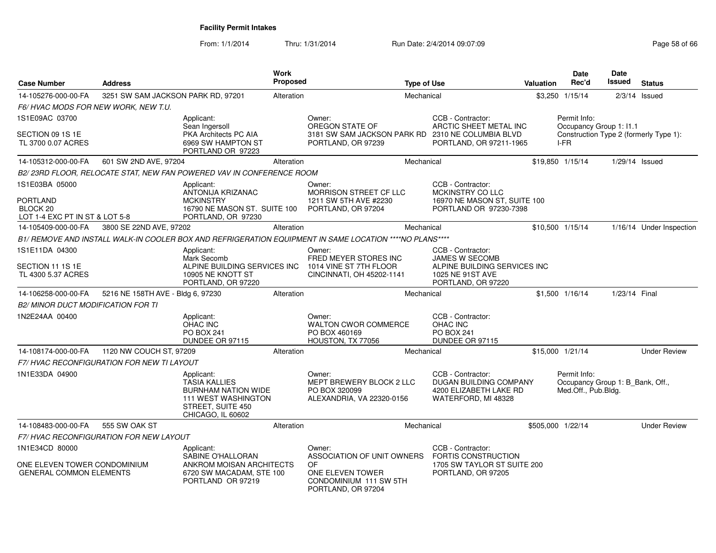From: 1/1/2014Thru: 1/31/2014 Run Date: 2/4/2014 09:07:09 Research 2010 12:00 Page 58 of 66

| <b>Case Number</b>                                                                         | <b>Address</b>                             |                                                                                                                                          | <b>Work</b><br><b>Proposed</b> |                                                                                                         | <b>Type of Use</b> |                                                                                                        | Valuation | Date<br>Rec'd                                                           | Date<br><b>Issued</b> | <b>Status</b>                          |
|--------------------------------------------------------------------------------------------|--------------------------------------------|------------------------------------------------------------------------------------------------------------------------------------------|--------------------------------|---------------------------------------------------------------------------------------------------------|--------------------|--------------------------------------------------------------------------------------------------------|-----------|-------------------------------------------------------------------------|-----------------------|----------------------------------------|
| 14-105276-000-00-FA                                                                        | 3251 SW SAM JACKSON PARK RD, 97201         |                                                                                                                                          | Alteration                     |                                                                                                         | Mechanical         |                                                                                                        |           | \$3,250 1/15/14                                                         |                       | $2/3/14$ Issued                        |
| F6/ HVAC MODS FOR NEW WORK, NEW T.U.                                                       |                                            |                                                                                                                                          |                                |                                                                                                         |                    |                                                                                                        |           |                                                                         |                       |                                        |
| 1S1E09AC 03700                                                                             |                                            | Applicant:<br>Sean Ingersoll                                                                                                             |                                | Owner:<br>OREGON STATE OF                                                                               |                    | CCB - Contractor:<br>ARCTIC SHEET METAL INC                                                            |           | Permit Info:<br>Occupancy Group 1: I1.1                                 |                       |                                        |
| SECTION 09 1S 1E<br>TL 3700 0.07 ACRES                                                     |                                            | <b>PKA Architects PC AIA</b><br>6969 SW HAMPTON ST<br>PORTLAND OR 97223                                                                  |                                | 3181 SW SAM JACKSON PARK RD 2310 NE COLUMBIA BLVD<br>PORTLAND, OR 97239                                 |                    | PORTLAND, OR 97211-1965                                                                                |           | I-FR                                                                    |                       | Construction Type 2 (formerly Type 1): |
| 14-105312-000-00-FA                                                                        | 601 SW 2ND AVE, 97204                      |                                                                                                                                          | Alteration                     |                                                                                                         | Mechanical         |                                                                                                        |           | \$19,850 1/15/14                                                        | 1/29/14 Issued        |                                        |
|                                                                                            |                                            | B2/23RD FLOOR, RELOCATE STAT, NEW FAN POWERED VAV IN CONFERENCE ROOM                                                                     |                                |                                                                                                         |                    |                                                                                                        |           |                                                                         |                       |                                        |
| 1S1E03BA 05000<br><b>PORTLAND</b><br>BLOCK <sub>20</sub><br>LOT 1-4 EXC PT IN ST & LOT 5-8 |                                            | Applicant:<br><b>ANTONIJA KRIZANAC</b><br><b>MCKINSTRY</b><br>16790 NE MASON ST. SUITE 100<br>PORTLAND, OR 97230                         |                                | Owner:<br>MORRISON STREET CF LLC<br>1211 SW 5TH AVE #2230<br>PORTLAND, OR 97204                         |                    | CCB - Contractor:<br><b>MCKINSTRY CO LLC</b><br>16970 NE MASON ST, SUITE 100<br>PORTLAND OR 97230-7398 |           |                                                                         |                       |                                        |
| 14-105409-000-00-FA                                                                        | 3800 SE 22ND AVE, 97202                    |                                                                                                                                          | Alteration                     |                                                                                                         | Mechanical         |                                                                                                        |           | \$10,500 1/15/14                                                        |                       | 1/16/14 Under Inspection               |
|                                                                                            |                                            |                                                                                                                                          |                                | B1/ REMOVE AND INSTALL WALK-IN COOLER BOX AND REFRIGERATION EQUIPMENT IN SAME LOCATION ****NO PLANS**** |                    |                                                                                                        |           |                                                                         |                       |                                        |
| 1S1E11DA 04300                                                                             |                                            | Applicant:<br>Mark Secomb                                                                                                                |                                | Owner:<br>FRED MEYER STORES INC                                                                         |                    | CCB - Contractor:<br>JAMES W SECOMB                                                                    |           |                                                                         |                       |                                        |
| SECTION 11 1S 1E<br>TL 4300 5.37 ACRES                                                     |                                            | ALPINE BUILDING SERVICES INC<br>10905 NE KNOTT ST<br>PORTLAND, OR 97220                                                                  |                                | 1014 VINE ST 7TH FLOOR<br>CINCINNATI, OH 45202-1141                                                     |                    | ALPINE BUILDING SERVICES INC<br>1025 NE 91ST AVE<br>PORTLAND, OR 97220                                 |           |                                                                         |                       |                                        |
| 14-106258-000-00-FA                                                                        | 5216 NE 158TH AVE - Bldg 6, 97230          |                                                                                                                                          | Alteration                     |                                                                                                         | Mechanical         |                                                                                                        |           | \$1,500 1/16/14                                                         | 1/23/14 Final         |                                        |
| B2/ MINOR DUCT MODIFICATION FOR TI                                                         |                                            |                                                                                                                                          |                                |                                                                                                         |                    |                                                                                                        |           |                                                                         |                       |                                        |
| 1N2E24AA 00400                                                                             |                                            | Applicant:<br><b>OHAC INC</b><br><b>PO BOX 241</b><br>DUNDEE OR 97115                                                                    |                                | Owner:<br><b>WALTON CWOR COMMERCE</b><br>PO BOX 460169<br>HOUSTON, TX 77056                             |                    | CCB - Contractor:<br>OHAC INC<br>PO BOX 241<br>DUNDEE OR 97115                                         |           |                                                                         |                       |                                        |
| 14-108174-000-00-FA                                                                        | 1120 NW COUCH ST, 97209                    |                                                                                                                                          | Alteration                     |                                                                                                         | Mechanical         |                                                                                                        |           | \$15,000 1/21/14                                                        |                       | <b>Under Review</b>                    |
|                                                                                            | F7/ HVAC RECONFIGURATION FOR NEW TI LAYOUT |                                                                                                                                          |                                |                                                                                                         |                    |                                                                                                        |           |                                                                         |                       |                                        |
| 1N1E33DA 04900                                                                             |                                            | Applicant:<br><b>TASIA KALLIES</b><br><b>BURNHAM NATION WIDE</b><br><b>111 WEST WASHINGTON</b><br>STREET, SUITE 450<br>CHICAGO, IL 60602 |                                | Owner:<br>MEPT BREWERY BLOCK 2 LLC<br>PO BOX 320099<br>ALEXANDRIA, VA 22320-0156                        |                    | CCB - Contractor:<br>DUGAN BUILDING COMPANY<br>4200 ELIZABETH LAKE RD<br>WATERFORD, MI 48328           |           | Permit Info:<br>Occupancy Group 1: B_Bank, Off.,<br>Med.Off., Pub.Bldg. |                       |                                        |
| 14-108483-000-00-FA                                                                        | 555 SW OAK ST                              |                                                                                                                                          | Alteration                     |                                                                                                         | Mechanical         |                                                                                                        |           | \$505,000 1/22/14                                                       |                       | <b>Under Review</b>                    |
|                                                                                            | F7/ HVAC RECONFIGURATION FOR NEW LAYOUT    |                                                                                                                                          |                                |                                                                                                         |                    |                                                                                                        |           |                                                                         |                       |                                        |
| 1N1E34CD 80000                                                                             |                                            | Applicant:<br>SABINE O'HALLORAN                                                                                                          |                                | Owner:<br>ASSOCIATION OF UNIT OWNERS                                                                    |                    | CCB - Contractor:<br><b>FORTIS CONSTRUCTION</b>                                                        |           |                                                                         |                       |                                        |
| ONE ELEVEN TOWER CONDOMINIUM<br><b>GENERAL COMMON ELEMENTS</b>                             |                                            | ANKROM MOISAN ARCHITECTS<br>6720 SW MACADAM, STE 100<br>PORTLAND OR 97219                                                                |                                | <b>OF</b><br>ONE ELEVEN TOWER<br>CONDOMINIUM 111 SW 5TH<br>PORTLAND, OR 97204                           |                    | 1705 SW TAYLOR ST SUITE 200<br>PORTLAND, OR 97205                                                      |           |                                                                         |                       |                                        |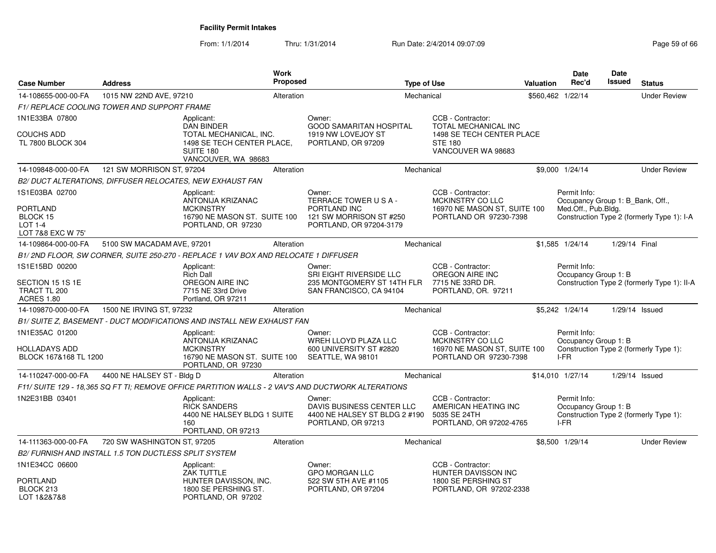From: 1/1/2014Thru: 1/31/2014 Run Date: 2/4/2014 09:07:09 Research 2010 12:00 Page 59 of 66

| <b>Case Number</b>                                                 | <b>Address</b>                                        |                                                                                                               | Work<br>Proposed |                                                                                                    | <b>Type of Use</b> |                                                                                                  | <b>Valuation</b> | Date<br>Rec'd                                           | Date<br><b>Issued</b> | <b>Status</b>                               |
|--------------------------------------------------------------------|-------------------------------------------------------|---------------------------------------------------------------------------------------------------------------|------------------|----------------------------------------------------------------------------------------------------|--------------------|--------------------------------------------------------------------------------------------------|------------------|---------------------------------------------------------|-----------------------|---------------------------------------------|
| 14-108655-000-00-FA                                                | 1015 NW 22ND AVE, 97210                               |                                                                                                               | Alteration       |                                                                                                    | Mechanical         |                                                                                                  |                  | \$560,462 1/22/14                                       |                       | <b>Under Review</b>                         |
|                                                                    | F1/ REPLACE COOLING TOWER AND SUPPORT FRAME           |                                                                                                               |                  |                                                                                                    |                    |                                                                                                  |                  |                                                         |                       |                                             |
| 1N1E33BA 07800                                                     |                                                       | Applicant:                                                                                                    |                  | Owner:                                                                                             |                    | CCB - Contractor:                                                                                |                  |                                                         |                       |                                             |
| <b>COUCHS ADD</b><br>TL 7800 BLOCK 304                             |                                                       | <b>DAN BINDER</b><br>TOTAL MECHANICAL, INC.<br>1498 SE TECH CENTER PLACE,<br>SUITE 180<br>VANCOUVER, WA 98683 |                  | <b>GOOD SAMARITAN HOSPITAL</b><br>1919 NW LOVEJOY ST<br>PORTLAND, OR 97209                         |                    | <b>TOTAL MECHANICAL INC</b><br>1498 SE TECH CENTER PLACE<br><b>STE 180</b><br>VANCOUVER WA 98683 |                  |                                                         |                       |                                             |
| 14-109848-000-00-FA                                                | 121 SW MORRISON ST, 97204                             |                                                                                                               | Alteration       |                                                                                                    | Mechanical         |                                                                                                  |                  | \$9,000 1/24/14                                         |                       | <b>Under Review</b>                         |
|                                                                    |                                                       | B2/ DUCT ALTERATIONS, DIFFUSER RELOCATES, NEW EXHAUST FAN                                                     |                  |                                                                                                    |                    |                                                                                                  |                  |                                                         |                       |                                             |
| 1S1E03BA 02700                                                     |                                                       | Applicant:                                                                                                    |                  | Owner:                                                                                             |                    | CCB - Contractor:                                                                                |                  | Permit Info:                                            |                       |                                             |
| <b>PORTLAND</b><br>BLOCK 15<br><b>LOT 1-4</b><br>LOT 7&8 EXC W 75' |                                                       | ANTONIJA KRIZANAC<br><b>MCKINSTRY</b><br>16790 NE MASON ST. SUITE 100<br>PORTLAND, OR 97230                   |                  | TERRACE TOWER USA-<br>PORTLAND INC<br>121 SW MORRISON ST #250<br>PORTLAND, OR 97204-3179           |                    | MCKINSTRY CO LLC<br>16970 NE MASON ST, SUITE 100<br>PORTLAND OR 97230-7398                       |                  | Occupancy Group 1: B_Bank, Off.,<br>Med.Off., Pub.Bldg. |                       | Construction Type 2 (formerly Type 1): I-A  |
| 14-109864-000-00-FA                                                | 5100 SW MACADAM AVE, 97201                            |                                                                                                               | Alteration       |                                                                                                    | Mechanical         |                                                                                                  |                  | \$1,585 1/24/14                                         | 1/29/14 Final         |                                             |
|                                                                    |                                                       | B1/2ND FLOOR, SW CORNER, SUITE 250-270 - REPLACE 1 VAV BOX AND RELOCATE 1 DIFFUSER                            |                  |                                                                                                    |                    |                                                                                                  |                  |                                                         |                       |                                             |
| 1S1E15BD 00200                                                     |                                                       | Applicant:<br><b>Rich Dall</b>                                                                                |                  | Owner:<br>SRI EIGHT RIVERSIDE LLC                                                                  |                    | CCB - Contractor:<br>OREGON AIRE INC                                                             |                  | Permit Info:<br>Occupancy Group 1: B                    |                       |                                             |
| SECTION 15 1S 1E<br>TRACT TL 200<br><b>ACRES 1.80</b>              |                                                       | <b>OREGON AIRE INC</b><br>7715 NE 33rd Drive<br>Portland, OR 97211                                            |                  | 235 MONTGOMERY ST 14TH FLR<br>SAN FRANCISCO, CA 94104                                              |                    | 7715 NE 33RD DR.<br>PORTLAND, OR. 97211                                                          |                  |                                                         |                       | Construction Type 2 (formerly Type 1): II-A |
| 14-109870-000-00-FA                                                | 1500 NE IRVING ST, 97232                              |                                                                                                               | Alteration       |                                                                                                    | Mechanical         |                                                                                                  |                  | \$5,242 1/24/14                                         |                       | $1/29/14$ Issued                            |
|                                                                    |                                                       | B1/ SUITE Z, BASEMENT - DUCT MODIFICATIONS AND INSTALL NEW EXHAUST FAN                                        |                  |                                                                                                    |                    |                                                                                                  |                  |                                                         |                       |                                             |
| 1N1E35AC 01200                                                     |                                                       | Applicant:                                                                                                    |                  | Owner:                                                                                             |                    | CCB - Contractor:                                                                                |                  | Permit Info:                                            |                       |                                             |
| <b>HOLLADAYS ADD</b><br>BLOCK 167&168 TL 1200                      |                                                       | ANTONIJA KRIZANAC<br><b>MCKINSTRY</b><br>16790 NE MASON ST. SUITE 100<br>PORTLAND, OR 97230                   |                  | WREH LLOYD PLAZA LLC<br>600 UNIVERSITY ST #2820<br>SEATTLE, WA 98101                               |                    | MCKINSTRY CO LLC<br>16970 NE MASON ST, SUITE 100<br>PORTLAND OR 97230-7398                       |                  | Occupancy Group 1: B<br>I-FR                            |                       | Construction Type 2 (formerly Type 1):      |
| 14-110247-000-00-FA                                                | 4400 NE HALSEY ST - Bldg D                            |                                                                                                               | Alteration       |                                                                                                    | Mechanical         |                                                                                                  |                  | \$14,010 1/27/14                                        |                       | $1/29/14$ Issued                            |
|                                                                    |                                                       |                                                                                                               |                  | F11/ SUITE 129 - 18,365 SQ FT TI; REMOVE OFFICE PARTITION WALLS - 2 VAV'S AND DUCTWORK ALTERATIONS |                    |                                                                                                  |                  |                                                         |                       |                                             |
| 1N2E31BB 03401                                                     |                                                       | Applicant:<br><b>RICK SANDERS</b><br>4400 NE HALSEY BLDG 1 SUITE<br>160<br>PORTLAND, OR 97213                 |                  | Owner:<br>DAVIS BUSINESS CENTER LLC<br>4400 NE HALSEY ST BLDG 2 #190<br>PORTLAND, OR 97213         |                    | CCB - Contractor:<br>AMERICAN HEATING INC<br>5035 SE 24TH<br>PORTLAND, OR 97202-4765             |                  | Permit Info:<br>Occupancy Group 1: B<br>$I-FR$          |                       | Construction Type 2 (formerly Type 1):      |
| 14-111363-000-00-FA                                                | 720 SW WASHINGTON ST, 97205                           |                                                                                                               | Alteration       |                                                                                                    | Mechanical         |                                                                                                  |                  | \$8,500 1/29/14                                         |                       | <b>Under Review</b>                         |
|                                                                    | B2/ FURNISH AND INSTALL 1.5 TON DUCTLESS SPLIT SYSTEM |                                                                                                               |                  |                                                                                                    |                    |                                                                                                  |                  |                                                         |                       |                                             |
| 1N1E34CC 06600                                                     |                                                       | Applicant:<br>ZAK TUTTLE                                                                                      |                  | Owner:<br><b>GPO MORGAN LLC</b>                                                                    |                    | CCB - Contractor:<br>HUNTER DAVISSON INC                                                         |                  |                                                         |                       |                                             |
| <b>PORTLAND</b><br>BLOCK 213<br>LOT 1&2&7&8                        |                                                       | HUNTER DAVISSON, INC.<br>1800 SE PERSHING ST.<br>PORTLAND, OR 97202                                           |                  | 522 SW 5TH AVE #1105<br>PORTLAND, OR 97204                                                         |                    | 1800 SE PERSHING ST<br>PORTLAND, OR 97202-2338                                                   |                  |                                                         |                       |                                             |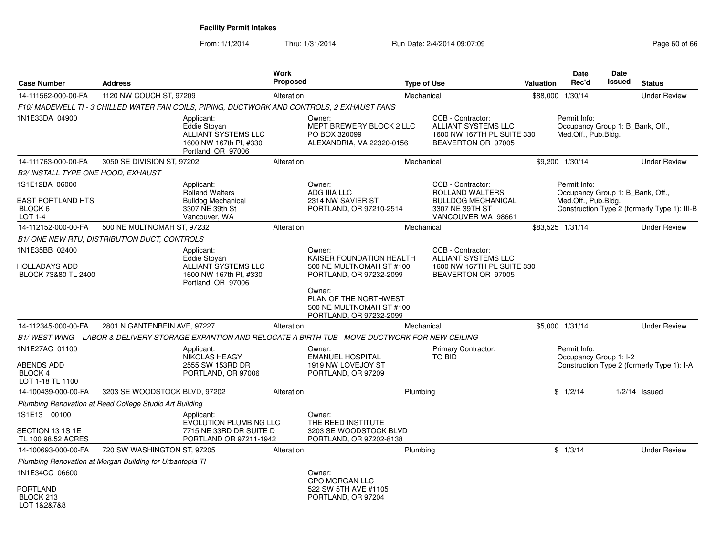From: 1/1/2014Thru: 1/31/2014 Run Date: 2/4/2014 09:07:09 Research 2010 12:00 Page 60 of 66

| <b>Case Number</b>                                                 | <b>Address</b>                                                            |                                                                                                          | Work<br>Proposed |                                                                                                            | <b>Type of Use</b> |                                                                                                     | Valuation | <b>Date</b><br>Rec'd                                                    | <b>Date</b><br>Issued | <b>Status</b>                                |
|--------------------------------------------------------------------|---------------------------------------------------------------------------|----------------------------------------------------------------------------------------------------------|------------------|------------------------------------------------------------------------------------------------------------|--------------------|-----------------------------------------------------------------------------------------------------|-----------|-------------------------------------------------------------------------|-----------------------|----------------------------------------------|
| 14-111562-000-00-FA                                                | 1120 NW COUCH ST, 97209                                                   |                                                                                                          | Alteration       |                                                                                                            | Mechanical         |                                                                                                     |           | \$88,000 1/30/14                                                        |                       | <b>Under Review</b>                          |
|                                                                    |                                                                           |                                                                                                          |                  | F10/ MADEWELL TI - 3 CHILLED WATER FAN COILS, PIPING, DUCTWORK AND CONTROLS, 2 EXHAUST FANS                |                    |                                                                                                     |           |                                                                         |                       |                                              |
| 1N1E33DA 04900                                                     |                                                                           | Applicant:<br><b>Eddie Stovan</b><br>ALLIANT SYSTEMS LLC<br>1600 NW 167th Pl, #330<br>Portland, OR 97006 |                  | Owner:<br>MEPT BREWERY BLOCK 2 LLC<br>PO BOX 320099<br>ALEXANDRIA, VA 22320-0156                           |                    | CCB - Contractor:<br><b>ALLIANT SYSTEMS LLC</b><br>1600 NW 167TH PL SUITE 330<br>BEAVERTON OR 97005 |           | Permit Info:<br>Occupancy Group 1: B Bank, Off.,<br>Med.Off., Pub.Bldg. |                       |                                              |
| 14-111763-000-00-FA                                                | 3050 SE DIVISION ST, 97202                                                |                                                                                                          | Alteration       |                                                                                                            | Mechanical         |                                                                                                     |           | \$9,200 1/30/14                                                         |                       | <b>Under Review</b>                          |
| <b>B2/ INSTALL TYPE ONE HOOD, EXHAUST</b>                          |                                                                           |                                                                                                          |                  |                                                                                                            |                    |                                                                                                     |           |                                                                         |                       |                                              |
| 1S1E12BA 06000<br><b>EAST PORTLAND HTS</b><br>BLOCK <sub>6</sub>   |                                                                           | Applicant:<br><b>Rolland Walters</b><br><b>Bulldog Mechanical</b><br>3307 NE 39th St                     |                  | Owner:<br>ADG IIIA LLC<br>2314 NW SAVIER ST<br>PORTLAND, OR 97210-2514                                     |                    | CCB - Contractor:<br>ROLLAND WALTERS<br><b>BULLDOG MECHANICAL</b><br>3307 NE 39TH ST                |           | Permit Info:<br>Occupancy Group 1: B Bank, Off.,<br>Med.Off., Pub.Bldg. |                       | Construction Type 2 (formerly Type 1): III-B |
| <b>LOT 1-4</b>                                                     |                                                                           | Vancouver, WA                                                                                            |                  |                                                                                                            |                    | VANCOUVER WA 98661                                                                                  |           |                                                                         |                       |                                              |
| 14-112152-000-00-FA                                                | 500 NE MULTNOMAH ST, 97232<br>B1/ONE NEW RTU, DISTRIBUTION DUCT, CONTROLS |                                                                                                          | Alteration       |                                                                                                            | Mechanical         |                                                                                                     |           | \$83,525 1/31/14                                                        |                       | <b>Under Review</b>                          |
| 1N1E35BB 02400                                                     |                                                                           | Applicant:                                                                                               |                  | Owner:                                                                                                     |                    | CCB - Contractor:                                                                                   |           |                                                                         |                       |                                              |
| <b>HOLLADAYS ADD</b><br>BLOCK 73&80 TL 2400                        |                                                                           | Eddie Stoyan<br>ALLIANT SYSTEMS LLC<br>1600 NW 167th PI, #330<br>Portland, OR 97006                      |                  | KAISER FOUNDATION HEALTH<br>500 NE MULTNOMAH ST #100<br>PORTLAND, OR 97232-2099<br>Owner:                  |                    | ALLIANT SYSTEMS LLC<br>1600 NW 167TH PL SUITE 330<br>BEAVERTON OR 97005                             |           |                                                                         |                       |                                              |
|                                                                    |                                                                           |                                                                                                          |                  | PLAN OF THE NORTHWEST<br>500 NE MULTNOMAH ST #100<br>PORTLAND, OR 97232-2099                               |                    |                                                                                                     |           |                                                                         |                       |                                              |
| 14-112345-000-00-FA                                                | 2801 N GANTENBEIN AVE, 97227                                              |                                                                                                          | Alteration       |                                                                                                            | Mechanical         |                                                                                                     |           | \$5,000 1/31/14                                                         |                       | <b>Under Review</b>                          |
|                                                                    |                                                                           |                                                                                                          |                  | B1/WEST WING - LABOR & DELIVERY STORAGE EXPANTION AND RELOCATE A BIRTH TUB - MOVE DUCTWORK FOR NEW CEILING |                    |                                                                                                     |           |                                                                         |                       |                                              |
| 1N1E27AC 01100<br>ABENDS ADD<br><b>BLOCK 4</b><br>LOT 1-18 TL 1100 |                                                                           | Applicant:<br><b>NIKOLAS HEAGY</b><br>2555 SW 153RD DR<br>PORTLAND, OR 97006                             |                  | Owner:<br><b>EMANUEL HOSPITAL</b><br>1919 NW LOVEJOY ST<br>PORTLAND, OR 97209                              |                    | Primary Contractor:<br>TO BID                                                                       |           | Permit Info:<br>Occupancy Group 1: I-2                                  |                       | Construction Type 2 (formerly Type 1): I-A   |
| 14-100439-000-00-FA                                                | 3203 SE WOODSTOCK BLVD, 97202                                             |                                                                                                          | Alteration       |                                                                                                            | Plumbing           |                                                                                                     |           | \$1/2/14                                                                |                       | $1/2/14$ Issued                              |
|                                                                    | Plumbing Renovation at Reed College Studio Art Building                   |                                                                                                          |                  |                                                                                                            |                    |                                                                                                     |           |                                                                         |                       |                                              |
| 1S1E13 00100                                                       |                                                                           | Applicant:<br><b>EVOLUTION PLUMBING LLC</b>                                                              |                  | Owner:<br>THE REED INSTITUTE                                                                               |                    |                                                                                                     |           |                                                                         |                       |                                              |
| SECTION 13 1S 1E<br>TL 100 98.52 ACRES                             |                                                                           | 7715 NE 33RD DR SUITE D<br>PORTLAND OR 97211-1942                                                        |                  | 3203 SE WOODSTOCK BLVD<br>PORTLAND, OR 97202-8138                                                          |                    |                                                                                                     |           |                                                                         |                       |                                              |
| 14-100693-000-00-FA                                                | 720 SW WASHINGTON ST, 97205                                               |                                                                                                          | Alteration       |                                                                                                            | Plumbing           |                                                                                                     |           | \$1/3/14                                                                |                       | <b>Under Review</b>                          |
|                                                                    | Plumbing Renovation at Morgan Building for Urbantopia TI                  |                                                                                                          |                  |                                                                                                            |                    |                                                                                                     |           |                                                                         |                       |                                              |
| 1N1E34CC 06600<br><b>PORTLAND</b><br>BLOCK 213<br>LOT 1&2&7&8      |                                                                           |                                                                                                          |                  | Owner:<br><b>GPO MORGAN LLC</b><br>522 SW 5TH AVE #1105<br>PORTLAND, OR 97204                              |                    |                                                                                                     |           |                                                                         |                       |                                              |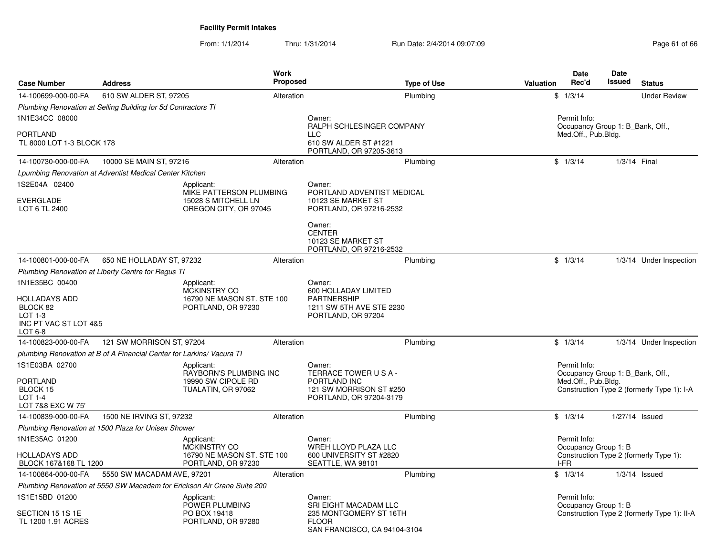From: 1/1/2014Thru: 1/31/2014 Run Date: 2/4/2014 09:07:09 Research 2010 12:00 Page 61 of 66

| <b>Case Number</b>                                                                  | <b>Address</b>                                                          | Work<br><b>Proposed</b>                                            | <b>Type of Use</b>                                                                                    | Valuation | <b>Date</b><br>Rec'd                                                    | <b>Date</b><br>Issued | <b>Status</b>                               |
|-------------------------------------------------------------------------------------|-------------------------------------------------------------------------|--------------------------------------------------------------------|-------------------------------------------------------------------------------------------------------|-----------|-------------------------------------------------------------------------|-----------------------|---------------------------------------------|
| 14-100699-000-00-FA                                                                 | 610 SW ALDER ST, 97205                                                  | Alteration                                                         | Plumbing                                                                                              |           | \$1/3/14                                                                |                       | <b>Under Review</b>                         |
|                                                                                     | Plumbing Renovation at Selling Building for 5d Contractors TI           |                                                                    |                                                                                                       |           |                                                                         |                       |                                             |
| 1N1E34CC 08000<br><b>PORTLAND</b><br>TL 8000 LOT 1-3 BLOCK 178                      |                                                                         |                                                                    | Owner:<br>RALPH SCHLESINGER COMPANY<br><b>LLC</b><br>610 SW ALDER ST #1221<br>PORTLAND, OR 97205-3613 |           | Permit Info:<br>Occupancy Group 1: B Bank, Off.,<br>Med.Off., Pub.Bldg. |                       |                                             |
| 14-100730-000-00-FA                                                                 | 10000 SE MAIN ST, 97216                                                 | Alteration                                                         | Plumbing                                                                                              |           | \$1/3/14                                                                | 1/3/14 Final          |                                             |
|                                                                                     | Lpumbing Renovation at Adventist Medical Center Kitchen                 |                                                                    |                                                                                                       |           |                                                                         |                       |                                             |
| 1S2E04A 02400                                                                       | Applicant:                                                              | MIKE PATTERSON PLUMBING                                            | Owner:<br>PORTLAND ADVENTIST MEDICAL                                                                  |           |                                                                         |                       |                                             |
| <b>EVERGLADE</b><br>LOT 6 TL 2400                                                   |                                                                         | 15028 S MITCHELL LN<br>OREGON CITY, OR 97045                       | 10123 SE MARKET ST<br>PORTLAND, OR 97216-2532                                                         |           |                                                                         |                       |                                             |
|                                                                                     |                                                                         |                                                                    | Owner:<br><b>CENTER</b><br>10123 SE MARKET ST<br>PORTLAND, OR 97216-2532                              |           |                                                                         |                       |                                             |
| 14-100801-000-00-FA                                                                 | 650 NE HOLLADAY ST, 97232                                               | Alteration                                                         | Plumbing                                                                                              |           | \$1/3/14                                                                |                       | 1/3/14 Under Inspection                     |
|                                                                                     | Plumbing Renovation at Liberty Centre for Regus TI                      |                                                                    |                                                                                                       |           |                                                                         |                       |                                             |
| 1N1E35BC 00400                                                                      | Applicant:                                                              | MCKINSTRY CO                                                       | Owner:<br>600 HOLLADAY LIMITED                                                                        |           |                                                                         |                       |                                             |
| <b>HOLLADAYS ADD</b><br>BLOCK 82<br>$LOT 1-3$<br>INC PT VAC ST LOT 4&5<br>LOT $6-8$ |                                                                         | 16790 NE MASON ST. STE 100<br>PORTLAND, OR 97230                   | <b>PARTNERSHIP</b><br>1211 SW 5TH AVE STE 2230<br>PORTLAND, OR 97204                                  |           |                                                                         |                       |                                             |
| 14-100823-000-00-FA                                                                 | 121 SW MORRISON ST, 97204                                               | Alteration                                                         | Plumbing                                                                                              |           | \$1/3/14                                                                |                       | 1/3/14 Under Inspection                     |
|                                                                                     | plumbing Renovation at B of A Financial Center for Larkins/ Vacura TI   |                                                                    |                                                                                                       |           |                                                                         |                       |                                             |
| 1S1E03BA 02700<br><b>PORTLAND</b><br>BLOCK 15<br>LOT 1-4<br>LOT 7&8 EXC W 75'       | Applicant:                                                              | RAYBORN'S PLUMBING INC<br>19990 SW CIPOLE RD<br>TUALATIN, OR 97062 | Owner:<br>TERRACE TOWER USA-<br>PORTLAND INC<br>121 SW MORRISON ST #250<br>PORTLAND, OR 97204-3179    |           | Permit Info:<br>Occupancy Group 1: B Bank, Off.,<br>Med.Off., Pub.Bldg. |                       | Construction Type 2 (formerly Type 1): I-A  |
| 14-100839-000-00-FA                                                                 | 1500 NE IRVING ST, 97232                                                | Alteration                                                         | Plumbing                                                                                              |           | \$1/3/14                                                                |                       | 1/27/14 Issued                              |
|                                                                                     | Plumbing Renovation at 1500 Plaza for Unisex Shower                     |                                                                    |                                                                                                       |           |                                                                         |                       |                                             |
| 1N1E35AC 01200                                                                      | Applicant:                                                              | <b>MCKINSTRY CO</b>                                                | Owner:<br>WREH LLOYD PLAZA LLC                                                                        |           | Permit Info:<br>Occupancy Group 1: B                                    |                       |                                             |
| <b>HOLLADAYS ADD</b><br>BLOCK 167&168 TL 1200                                       |                                                                         | 16790 NE MASON ST. STE 100<br>PORTLAND, OR 97230                   | 600 UNIVERSITY ST #2820<br>SEATTLE, WA 98101                                                          |           | I-FR                                                                    |                       | Construction Type 2 (formerly Type 1):      |
| 14-100864-000-00-FA                                                                 | 5550 SW MACADAM AVE, 97201                                              | Alteration                                                         | Plumbing                                                                                              |           | \$1/3/14                                                                |                       | $1/3/14$ Issued                             |
|                                                                                     | Plumbing Renovation at 5550 SW Macadam for Erickson Air Crane Suite 200 |                                                                    |                                                                                                       |           |                                                                         |                       |                                             |
| 1S1E15BD 01200                                                                      | Applicant:                                                              | POWER PLUMBING                                                     | Owner:<br>SRI EIGHT MACADAM LLC                                                                       |           | Permit Info:<br>Occupancy Group 1: B                                    |                       |                                             |
| SECTION 15 1S 1E<br>TL 1200 1.91 ACRES                                              |                                                                         | PO BOX 19418<br>PORTLAND, OR 97280                                 | 235 MONTGOMERY ST 16TH<br><b>FLOOR</b><br>SAN FRANCISCO, CA 94104-3104                                |           |                                                                         |                       | Construction Type 2 (formerly Type 1): II-A |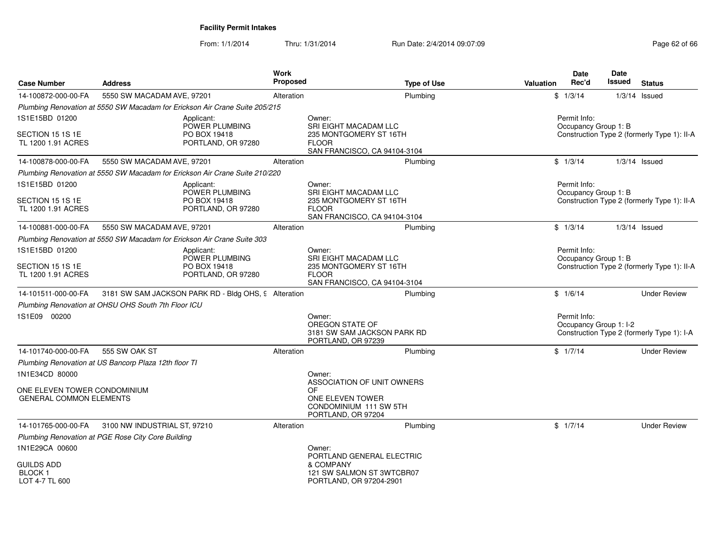From: 1/1/2014Thru: 1/31/2014 Run Date: 2/4/2014 09:07:09 Research 2010 2016 62 of 66

| <b>Case Number</b>                             | <b>Address</b>                                                              | <b>Work</b><br>Proposed | <b>Type of Use</b>                                                                                     | Valuation | Date<br>Rec'd                          | Date<br>Issued | <b>Status</b>                               |
|------------------------------------------------|-----------------------------------------------------------------------------|-------------------------|--------------------------------------------------------------------------------------------------------|-----------|----------------------------------------|----------------|---------------------------------------------|
| 14-100872-000-00-FA                            | 5550 SW MACADAM AVE, 97201                                                  | Alteration              | Plumbing                                                                                               |           | \$1/3/14                               |                | $1/3/14$ Issued                             |
|                                                | Plumbing Renovation at 5550 SW Macadam for Erickson Air Crane Suite 205/215 |                         |                                                                                                        |           |                                        |                |                                             |
| 1S1E15BD 01200                                 | Applicant:                                                                  |                         | Owner:                                                                                                 |           | Permit Info:                           |                |                                             |
| SECTION 15 1S 1E<br>TL 1200 1.91 ACRES         | POWER PLUMBING<br>PO BOX 19418<br>PORTLAND, OR 97280                        |                         | <b>SRI EIGHT MACADAM LLC</b><br>235 MONTGOMERY ST 16TH<br><b>FLOOR</b><br>SAN FRANCISCO, CA 94104-3104 |           | Occupancy Group 1: B                   |                | Construction Type 2 (formerly Type 1): II-A |
| 14-100878-000-00-FA                            | 5550 SW MACADAM AVE, 97201                                                  | Alteration              | Plumbing                                                                                               |           | \$1/3/14                               |                | $1/3/14$ Issued                             |
|                                                | Plumbing Renovation at 5550 SW Macadam for Erickson Air Crane Suite 210/220 |                         |                                                                                                        |           |                                        |                |                                             |
| 1S1E15BD 01200                                 | Applicant:<br>POWER PLUMBING                                                |                         | Owner:<br>SRI EIGHT MACADAM LLC                                                                        |           | Permit Info:<br>Occupancy Group 1: B   |                |                                             |
| SECTION 15 1S 1E<br>TL 1200 1.91 ACRES         | PO BOX 19418<br>PORTLAND, OR 97280                                          |                         | 235 MONTGOMERY ST 16TH<br><b>FLOOR</b><br>SAN FRANCISCO, CA 94104-3104                                 |           |                                        |                | Construction Type 2 (formerly Type 1): II-A |
| 14-100881-000-00-FA                            | 5550 SW MACADAM AVE, 97201                                                  | Alteration              | Plumbing                                                                                               |           | \$1/3/14                               |                | $1/3/14$ Issued                             |
|                                                | Plumbing Renovation at 5550 SW Macadam for Erickson Air Crane Suite 303     |                         |                                                                                                        |           |                                        |                |                                             |
| 1S1E15BD 01200                                 | Applicant:<br>POWER PLUMBING                                                |                         | Owner:<br>SRI EIGHT MACADAM LLC                                                                        |           | Permit Info:<br>Occupancy Group 1: B   |                |                                             |
| SECTION 15 1S 1E<br>TL 1200 1.91 ACRES         | PO BOX 19418<br>PORTLAND, OR 97280                                          |                         | 235 MONTGOMERY ST 16TH<br><b>FLOOR</b><br>SAN FRANCISCO, CA 94104-3104                                 |           |                                        |                | Construction Type 2 (formerly Type 1): II-A |
| 14-101511-000-00-FA                            | 3181 SW SAM JACKSON PARK RD - Bldg OHS, 9 Alteration                        |                         | Plumbing                                                                                               |           | \$1/6/14                               |                | <b>Under Review</b>                         |
|                                                | Plumbing Renovation at OHSU OHS South 7th Floor ICU                         |                         |                                                                                                        |           |                                        |                |                                             |
| 1S1E09 00200                                   |                                                                             |                         | Owner:<br>OREGON STATE OF<br>3181 SW SAM JACKSON PARK RD<br>PORTLAND, OR 97239                         |           | Permit Info:<br>Occupancy Group 1: I-2 |                | Construction Type 2 (formerly Type 1): I-A  |
| 14-101740-000-00-FA                            | 555 SW OAK ST                                                               | Alteration              | Plumbing                                                                                               |           | \$1/7/14                               |                | <b>Under Review</b>                         |
|                                                | Plumbing Renovation at US Bancorp Plaza 12th floor TI                       |                         |                                                                                                        |           |                                        |                |                                             |
| 1N1E34CD 80000<br>ONE ELEVEN TOWER CONDOMINIUM |                                                                             |                         | Owner:<br>ASSOCIATION OF UNIT OWNERS<br>OF.                                                            |           |                                        |                |                                             |
| <b>GENERAL COMMON ELEMENTS</b>                 |                                                                             |                         | ONE ELEVEN TOWER<br>CONDOMINIUM 111 SW 5TH<br>PORTLAND, OR 97204                                       |           |                                        |                |                                             |
| 14-101765-000-00-FA                            | 3100 NW INDUSTRIAL ST, 97210                                                | Alteration              | Plumbing                                                                                               |           | \$1/7/14                               |                | <b>Under Review</b>                         |
|                                                | Plumbing Renovation at PGE Rose City Core Building                          |                         |                                                                                                        |           |                                        |                |                                             |
| 1N1E29CA 00600                                 |                                                                             |                         | Owner:<br>PORTLAND GENERAL ELECTRIC                                                                    |           |                                        |                |                                             |
| <b>GUILDS ADD</b><br>BLOCK 1<br>LOT 4-7 TL 600 |                                                                             |                         | & COMPANY<br>121 SW SALMON ST 3WTCBR07<br>PORTLAND, OR 97204-2901                                      |           |                                        |                |                                             |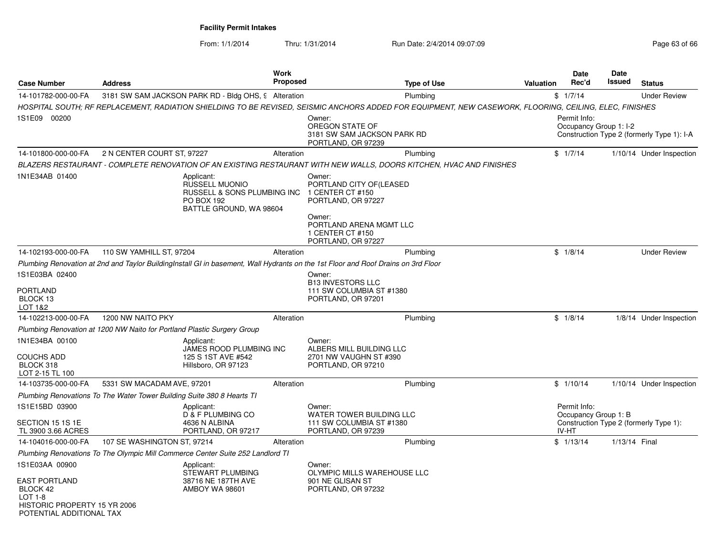From: 1/1/2014Thru: 1/31/2014 Run Date: 2/4/2014 09:07:09 Research 2010 12:00 Page 63 of 66

|                                                                                                         |                                                                         |                                                                                                                    | <b>Work</b>     |                                                                                                                                                                                                                                           |                    |                  | <b>Date</b>                            | Date          |                                            |
|---------------------------------------------------------------------------------------------------------|-------------------------------------------------------------------------|--------------------------------------------------------------------------------------------------------------------|-----------------|-------------------------------------------------------------------------------------------------------------------------------------------------------------------------------------------------------------------------------------------|--------------------|------------------|----------------------------------------|---------------|--------------------------------------------|
| <b>Case Number</b>                                                                                      | <b>Address</b>                                                          |                                                                                                                    | <b>Proposed</b> |                                                                                                                                                                                                                                           | <b>Type of Use</b> | <b>Valuation</b> | Rec'd                                  | <b>Issued</b> | <b>Status</b>                              |
| 14-101782-000-00-FA                                                                                     |                                                                         | 3181 SW SAM JACKSON PARK RD - Bldg OHS, 9 Alteration                                                               |                 |                                                                                                                                                                                                                                           | Plumbing           |                  | \$1/7/14                               |               | <b>Under Review</b>                        |
| 1S1E09 00200                                                                                            |                                                                         |                                                                                                                    |                 | HOSPITAL SOUTH; RF REPLACEMENT, RADIATION SHIELDING TO BE REVISED, SEISMIC ANCHORS ADDED FOR EQUIPMENT, NEW CASEWORK, FLOORING, CEILING, ELEC, FINISHES<br>Owner:<br>OREGON STATE OF<br>3181 SW SAM JACKSON PARK RD<br>PORTLAND, OR 97239 |                    |                  | Permit Info:<br>Occupancy Group 1: I-2 |               | Construction Type 2 (formerly Type 1): I-A |
| 14-101800-000-00-FA                                                                                     | 2 N CENTER COURT ST, 97227                                              |                                                                                                                    | Alteration      |                                                                                                                                                                                                                                           | Plumbing           |                  | \$1/7/14                               |               | 1/10/14 Under Inspection                   |
|                                                                                                         |                                                                         |                                                                                                                    |                 | BLAZERS RESTAURANT - COMPLETE RENOVATION OF AN EXISTING RESTAURANT WITH NEW WALLS, DOORS KITCHEN, HVAC AND FINISHES                                                                                                                       |                    |                  |                                        |               |                                            |
| 1N1E34AB 01400                                                                                          |                                                                         | Applicant:<br><b>RUSSELL MUONIO</b><br>RUSSELL & SONS PLUMBING INC<br><b>PO BOX 192</b><br>BATTLE GROUND, WA 98604 |                 | Owner:<br>PORTLAND CITY OF(LEASED<br>1 CENTER CT #150<br>PORTLAND, OR 97227                                                                                                                                                               |                    |                  |                                        |               |                                            |
|                                                                                                         |                                                                         |                                                                                                                    |                 | Owner:<br>PORTLAND ARENA MGMT LLC<br>1 CENTER CT #150<br>PORTLAND, OR 97227                                                                                                                                                               |                    |                  |                                        |               |                                            |
| 14-102193-000-00-FA                                                                                     | 110 SW YAMHILL ST, 97204                                                |                                                                                                                    | Alteration      |                                                                                                                                                                                                                                           | Plumbing           |                  | \$1/8/14                               |               | <b>Under Review</b>                        |
|                                                                                                         |                                                                         |                                                                                                                    |                 | Plumbing Renovation at 2nd and Taylor BuildingInstall GI in basement, Wall Hydrants on the 1st Floor and Roof Drains on 3rd Floor                                                                                                         |                    |                  |                                        |               |                                            |
| 1S1E03BA 02400<br>PORTLAND<br>BLOCK 13                                                                  |                                                                         |                                                                                                                    |                 | Owner:<br><b>B13 INVESTORS LLC</b><br>111 SW COLUMBIA ST #1380<br>PORTLAND, OR 97201                                                                                                                                                      |                    |                  |                                        |               |                                            |
| LOT 1&2<br>14-102213-000-00-FA                                                                          | 1200 NW NAITO PKY                                                       |                                                                                                                    | Alteration      |                                                                                                                                                                                                                                           | Plumbing           |                  | \$1/8/14                               |               | 1/8/14 Under Inspection                    |
|                                                                                                         | Plumbing Renovation at 1200 NW Naito for Portland Plastic Surgery Group |                                                                                                                    |                 |                                                                                                                                                                                                                                           |                    |                  |                                        |               |                                            |
| 1N1E34BA 00100                                                                                          |                                                                         | Applicant:<br>JAMES ROOD PLUMBING INC                                                                              |                 | Owner:<br>ALBERS MILL BUILDING LLC                                                                                                                                                                                                        |                    |                  |                                        |               |                                            |
| <b>COUCHS ADD</b><br>BLOCK 318<br>LOT 2-15 TL 100                                                       |                                                                         | 125 S 1ST AVE #542<br>Hillsboro, OR 97123                                                                          |                 | 2701 NW VAUGHN ST #390<br>PORTLAND, OR 97210                                                                                                                                                                                              |                    |                  |                                        |               |                                            |
| 14-103735-000-00-FA                                                                                     | 5331 SW MACADAM AVE, 97201                                              |                                                                                                                    | Alteration      |                                                                                                                                                                                                                                           | Plumbing           |                  | \$1/10/14                              |               | 1/10/14 Under Inspection                   |
|                                                                                                         | Plumbing Renovations To The Water Tower Building Suite 380 8 Hearts TI  |                                                                                                                    |                 |                                                                                                                                                                                                                                           |                    |                  |                                        |               |                                            |
| 1S1E15BD 03900                                                                                          |                                                                         | Applicant:<br><b>D &amp; F PLUMBING CO</b>                                                                         |                 | Owner:<br><b>WATER TOWER BUILDING LLC</b>                                                                                                                                                                                                 |                    |                  | Permit Info:<br>Occupancy Group 1: B   |               |                                            |
| SECTION 15 1S 1E<br>TL 3900 3.66 ACRES                                                                  |                                                                         | 4636 N ALBINA<br>PORTLAND, OR 97217                                                                                |                 | 111 SW COLUMBIA ST #1380<br>PORTLAND, OR 97239                                                                                                                                                                                            |                    |                  | IV-HT                                  |               | Construction Type 2 (formerly Type 1):     |
| 14-104016-000-00-FA                                                                                     | 107 SE WASHINGTON ST, 97214                                             |                                                                                                                    | Alteration      |                                                                                                                                                                                                                                           | Plumbing           |                  | \$1/13/14                              | 1/13/14 Final |                                            |
|                                                                                                         |                                                                         | Plumbing Renovations To The Olympic Mill Commerce Center Suite 252 Landlord TI                                     |                 |                                                                                                                                                                                                                                           |                    |                  |                                        |               |                                            |
| 1S1E03AA 00900                                                                                          |                                                                         | Applicant:<br><b>STEWART PLUMBING</b>                                                                              |                 | Owner:<br>OLYMPIC MILLS WAREHOUSE LLC                                                                                                                                                                                                     |                    |                  |                                        |               |                                            |
| <b>EAST PORTLAND</b><br>BLOCK 42<br>LOT 1-8<br>HISTORIC PROPERTY 15 YR 2006<br>POTENTIAL ADDITIONAL TAX |                                                                         | 38716 NE 187TH AVE<br><b>AMBOY WA 98601</b>                                                                        |                 | 901 NE GLISAN ST<br>PORTLAND, OR 97232                                                                                                                                                                                                    |                    |                  |                                        |               |                                            |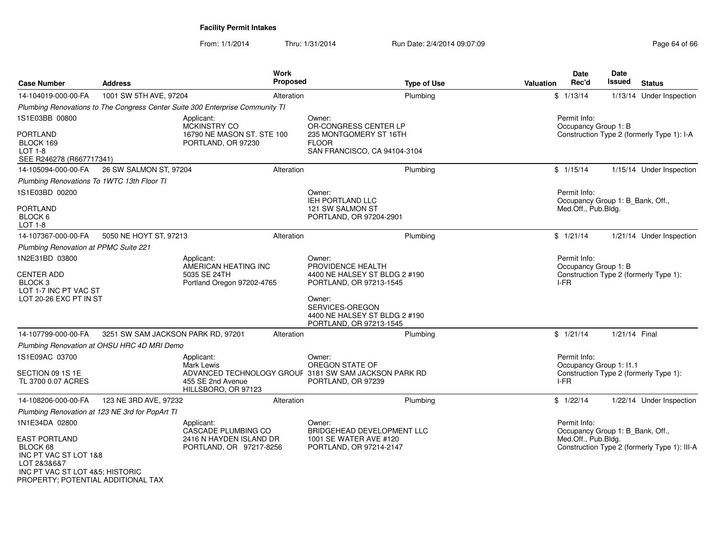From: 1/1/2014Thru: 1/31/2014 Run Date: 2/4/2014 09:07:09 Research 2010 12:00 Page 64 of 66

| <b>Case Number</b>                                                                                                                                | <b>Address</b>                                  | Work<br>Proposed                                                                                  |                                                                                                                                                   | <b>Type of Use</b>           | <b>Valuation</b>                     | <b>Date</b><br>Rec'd                             | <b>Date</b><br><b>Issued</b> | <b>Status</b>                                |
|---------------------------------------------------------------------------------------------------------------------------------------------------|-------------------------------------------------|---------------------------------------------------------------------------------------------------|---------------------------------------------------------------------------------------------------------------------------------------------------|------------------------------|--------------------------------------|--------------------------------------------------|------------------------------|----------------------------------------------|
| 14-104019-000-00-FA                                                                                                                               | 1001 SW 5TH AVE, 97204                          | Alteration                                                                                        |                                                                                                                                                   | Plumbing                     |                                      | \$1/13/14                                        |                              | 1/13/14 Under Inspection                     |
|                                                                                                                                                   |                                                 | Plumbing Renovations to The Congress Center Suite 300 Enterprise Community TI                     |                                                                                                                                                   |                              |                                      |                                                  |                              |                                              |
| 1S1E03BB 00800                                                                                                                                    |                                                 | Applicant:<br>MCKINSTRY CO                                                                        | Owner:<br>OR-CONGRESS CENTER LP                                                                                                                   |                              | Permit Info:<br>Occupancy Group 1: B |                                                  |                              |                                              |
| PORTLAND<br>BLOCK 169<br>LOT 1-8<br>SEE R246278 (R667717341)                                                                                      |                                                 | 16790 NE MASON ST. STE 100<br>PORTLAND, OR 97230                                                  | 235 MONTGOMERY ST 16TH<br><b>FLOOR</b>                                                                                                            | SAN FRANCISCO, CA 94104-3104 |                                      | Construction Type 2 (formerly Type 1): I-A       |                              |                                              |
| 14-105094-000-00-FA                                                                                                                               | 26 SW SALMON ST, 97204                          | Alteration                                                                                        |                                                                                                                                                   | Plumbing                     |                                      | \$1/15/14                                        |                              | 1/15/14 Under Inspection                     |
| Plumbing Renovations To 1WTC 13th Floor TI                                                                                                        |                                                 |                                                                                                   |                                                                                                                                                   |                              |                                      |                                                  |                              |                                              |
| 1S1E03BD 00200                                                                                                                                    |                                                 |                                                                                                   | Owner:<br><b>IEH PORTLAND LLC</b>                                                                                                                 |                              |                                      | Permit Info:<br>Occupancy Group 1: B_Bank, Off., |                              |                                              |
| <b>PORTLAND</b><br>BLOCK 6<br>LOT 1-8                                                                                                             |                                                 |                                                                                                   | 121 SW SALMON ST<br>PORTLAND, OR 97204-2901                                                                                                       |                              |                                      | Med.Off., Pub.Bldg.                              |                              |                                              |
| 14-107367-000-00-FA                                                                                                                               | 5050 NE HOYT ST, 97213                          | Alteration                                                                                        |                                                                                                                                                   | Plumbing                     |                                      | \$1/21/14                                        |                              | 1/21/14 Under Inspection                     |
| <b>Plumbing Renovation at PPMC Suite 221</b>                                                                                                      |                                                 |                                                                                                   |                                                                                                                                                   |                              |                                      |                                                  |                              |                                              |
| 1N2E31BD 03800                                                                                                                                    |                                                 | Applicant:<br>AMERICAN HEATING INC                                                                | Owner:<br>PROVIDENCE HEALTH                                                                                                                       |                              |                                      | Permit Info:<br>Occupancy Group 1: B             |                              |                                              |
| <b>CENTER ADD</b><br>BLOCK <sub>3</sub><br>LOT 1-7 INC PT VAC ST<br>LOT 20-26 EXC PT IN ST                                                        |                                                 | 5035 SE 24TH<br>Portland Oregon 97202-4765                                                        | 4400 NE HALSEY ST BLDG 2 #190<br>PORTLAND, OR 97213-1545<br>Owner:<br>SERVICES-OREGON<br>4400 NE HALSEY ST BLDG 2 #190<br>PORTLAND, OR 97213-1545 |                              |                                      | I-FR                                             |                              | Construction Type 2 (formerly Type 1):       |
| 14-107799-000-00-FA                                                                                                                               | 3251 SW SAM JACKSON PARK RD, 97201              | Alteration                                                                                        |                                                                                                                                                   | Plumbing                     |                                      | \$1/21/14                                        | 1/21/14 Final                |                                              |
|                                                                                                                                                   | Plumbing Renovation at OHSU HRC 4D MRI Demo     |                                                                                                   |                                                                                                                                                   |                              |                                      |                                                  |                              |                                              |
| 1S1E09AC 03700                                                                                                                                    |                                                 | Applicant:<br>Mark Lewis                                                                          | Owner:<br>OREGON STATE OF                                                                                                                         |                              |                                      | Permit Info:<br>Occupancy Group 1: I1.1          |                              |                                              |
| SECTION 09 1S 1E<br>TL 3700 0.07 ACRES                                                                                                            |                                                 | ADVANCED TECHNOLOGY GROUF 3181 SW SAM JACKSON PARK RD<br>455 SE 2nd Avenue<br>HILLSBORO, OR 97123 | PORTLAND, OR 97239                                                                                                                                |                              |                                      | I-FR                                             |                              | Construction Type 2 (formerly Type 1):       |
| 14-108206-000-00-FA                                                                                                                               | 123 NE 3RD AVE, 97232                           | Alteration                                                                                        |                                                                                                                                                   | Plumbing                     |                                      | \$1/22/14                                        |                              | 1/22/14 Under Inspection                     |
|                                                                                                                                                   | Plumbing Renovation at 123 NE 3rd for PopArt TI |                                                                                                   |                                                                                                                                                   |                              |                                      |                                                  |                              |                                              |
| 1N1E34DA 02800                                                                                                                                    |                                                 | Applicant:<br>CASCADE PLUMBING CO                                                                 | Owner:<br>BRIDGEHEAD DEVELOPMENT LLC                                                                                                              |                              |                                      | Permit Info:<br>Occupancy Group 1: B_Bank, Off., |                              |                                              |
| <b>EAST PORTLAND</b><br>BLOCK 68<br>INC PT VAC ST LOT 1&8<br>LOT 2&3&6&7<br>INC PT VAC ST LOT 4&5; HISTORIC<br>PROPERTY; POTENTIAL ADDITIONAL TAX |                                                 | 2416 N HAYDEN ISLAND DR<br>PORTLAND, OR 97217-8256                                                | 1001 SE WATER AVE #120<br>PORTLAND, OR 97214-2147                                                                                                 |                              |                                      | Med.Off., Pub.Bldg.                              |                              | Construction Type 2 (formerly Type 1): III-A |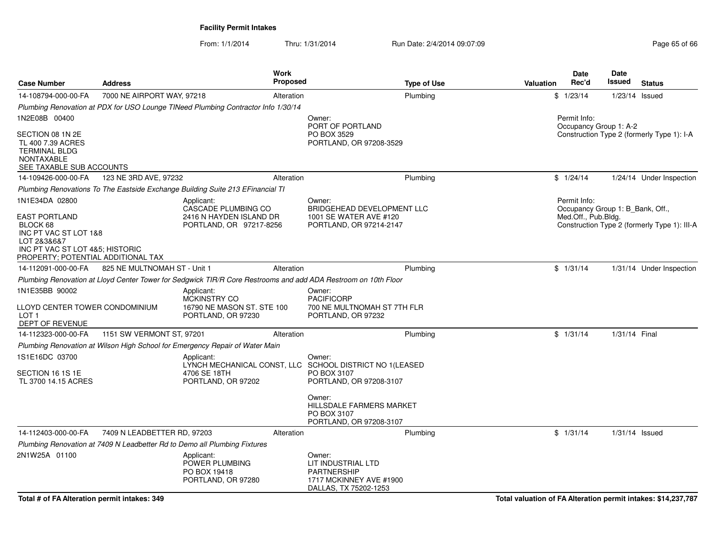From: 1/1/2014Thru: 1/31/2014 Run Date: 2/4/2014 09:07:09 Research 2010 12:00 Page 65 of 66

| <b>Case Number</b>                                                                                                                                           | <b>Address</b>               |                                                                                         | <b>Work</b><br><b>Proposed</b>                                       |                                                                                                                | <b>Type of Use</b> | Valuation                              | Date<br>Rec'd                                                           | Date<br>Issued                             | <b>Status</b>                                |
|--------------------------------------------------------------------------------------------------------------------------------------------------------------|------------------------------|-----------------------------------------------------------------------------------------|----------------------------------------------------------------------|----------------------------------------------------------------------------------------------------------------|--------------------|----------------------------------------|-------------------------------------------------------------------------|--------------------------------------------|----------------------------------------------|
| 14-108794-000-00-FA                                                                                                                                          | 7000 NE AIRPORT WAY, 97218   |                                                                                         | Alteration                                                           | Plumbing                                                                                                       |                    |                                        | \$1/23/14                                                               | $1/23/14$ Issued                           |                                              |
|                                                                                                                                                              |                              | Plumbing Renovation at PDX for USO Lounge TINeed Plumbing Contractor Info 1/30/14       |                                                                      |                                                                                                                |                    |                                        |                                                                         |                                            |                                              |
| 1N2E08B 00400<br>SECTION 08 1N 2E<br>TL 400 7.39 ACRES<br><b>TERMINAL BLDG</b>                                                                               |                              |                                                                                         | Owner:<br>PORT OF PORTLAND<br>PO BOX 3529<br>PORTLAND, OR 97208-3529 |                                                                                                                |                    | Permit Info:<br>Occupancy Group 1: A-2 |                                                                         | Construction Type 2 (formerly Type 1): I-A |                                              |
| <b>NONTAXABLE</b><br>SEE TAXABLE SUB ACCOUNTS                                                                                                                |                              |                                                                                         |                                                                      |                                                                                                                |                    |                                        |                                                                         |                                            |                                              |
| 14-109426-000-00-FA                                                                                                                                          | 123 NE 3RD AVE, 97232        |                                                                                         | Alteration                                                           | Plumbing                                                                                                       |                    |                                        | \$1/24/14                                                               |                                            | 1/24/14 Under Inspection                     |
|                                                                                                                                                              |                              | Plumbing Renovations To The Eastside Exchange Building Suite 213 EFinancial TI          |                                                                      |                                                                                                                |                    |                                        |                                                                         |                                            |                                              |
| 1N1E34DA 02800<br>EAST PORTLAND<br>BLOCK 68<br>INC PT VAC ST LOT 1&8<br>LOT 2&3&6&7<br>INC PT VAC ST LOT 4&5; HISTORIC<br>PROPERTY; POTENTIAL ADDITIONAL TAX |                              | Applicant:<br>CASCADE PLUMBING CO<br>2416 N HAYDEN ISLAND DR<br>PORTLAND, OR 97217-8256 |                                                                      | Owner:<br>BRIDGEHEAD DEVELOPMENT LLC<br>1001 SE WATER AVE #120<br>PORTLAND, OR 97214-2147                      |                    |                                        | Permit Info:<br>Occupancy Group 1: B Bank, Off.,<br>Med.Off., Pub.Bldg. |                                            | Construction Type 2 (formerly Type 1): III-A |
| 14-112091-000-00-FA                                                                                                                                          | 825 NE MULTNOMAH ST - Unit 1 |                                                                                         | Alteration                                                           | Plumbing                                                                                                       |                    |                                        | \$1/31/14                                                               |                                            | 1/31/14 Under Inspection                     |
|                                                                                                                                                              |                              |                                                                                         |                                                                      | Plumbing Renovation at Lloyd Center Tower for Sedgwick TIR/R Core Restrooms and add ADA Restroom on 10th Floor |                    |                                        |                                                                         |                                            |                                              |
| 1N1E35BB 90002<br>LLOYD CENTER TOWER CONDOMINIUM<br>LOT <sub>1</sub><br>DEPT OF REVENUE                                                                      |                              | Applicant:<br><b>MCKINSTRY CO</b><br>16790 NE MASON ST. STE 100<br>PORTLAND, OR 97230   |                                                                      | Owner:<br><b>PACIFICORP</b><br>700 NE MULTNOMAH ST 7TH FLR<br>PORTLAND, OR 97232                               |                    |                                        |                                                                         |                                            |                                              |
| 14-112323-000-00-FA                                                                                                                                          | 1151 SW VERMONT ST, 97201    |                                                                                         | Alteration                                                           | Plumbing                                                                                                       |                    |                                        | \$1/31/14                                                               | 1/31/14 Final                              |                                              |
|                                                                                                                                                              |                              | Plumbing Renovation at Wilson High School for Emergency Repair of Water Main            |                                                                      |                                                                                                                |                    |                                        |                                                                         |                                            |                                              |
| 1S1E16DC 03700<br>SECTION 16 1S 1E<br>TL 3700 14.15 ACRES                                                                                                    |                              | Applicant:<br>4706 SE 18TH<br>PORTLAND, OR 97202                                        |                                                                      | Owner:<br>LYNCH MECHANICAL CONST, LLC SCHOOL DISTRICT NO 1(LEASED<br>PO BOX 3107<br>PORTLAND, OR 97208-3107    |                    |                                        |                                                                         |                                            |                                              |
|                                                                                                                                                              |                              |                                                                                         |                                                                      | Owner:<br>HILLSDALE FARMERS MARKET<br>PO BOX 3107<br>PORTLAND, OR 97208-3107                                   |                    |                                        |                                                                         |                                            |                                              |
| 14-112403-000-00-FA                                                                                                                                          | 7409 N LEADBETTER RD, 97203  |                                                                                         | Alteration                                                           | Plumbing                                                                                                       |                    |                                        | \$1/31/14                                                               | $1/31/14$ Issued                           |                                              |
|                                                                                                                                                              |                              | Plumbing Renovation at 7409 N Leadbetter Rd to Demo all Plumbing Fixtures               |                                                                      |                                                                                                                |                    |                                        |                                                                         |                                            |                                              |
| 2N1W25A 01100                                                                                                                                                |                              | Applicant:<br>POWER PLUMBING<br>PO BOX 19418<br>PORTLAND, OR 97280                      |                                                                      | Owner:<br>LIT INDUSTRIAL LTD<br><b>PARTNERSHIP</b><br>1717 MCKINNEY AVE #1900<br>DALLAS, TX 75202-1253         |                    |                                        |                                                                         |                                            |                                              |

**Total # of FA Alteration permit intakes: 349**

**Total valuation of FA Alteration permit intakes: \$14,237,787**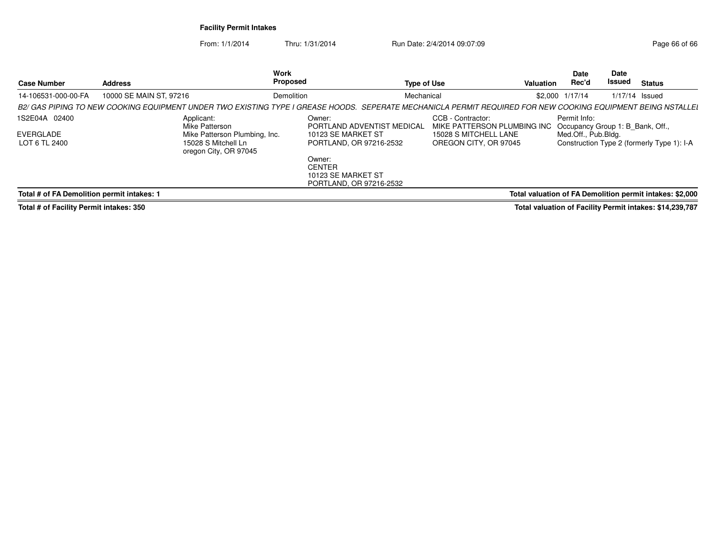From: 1/1/2014Thru: 1/31/2014 Run Date: 2/4/2014 09:07:09 Research 2010 12:00 Page 66 of 66

| <b>Case Number</b>                         | <b>Address</b>               | Work<br>Proposed                                                                                                                                             | <b>Type of Use</b>                              | <b>Valuation</b>            | Date<br><b>Date</b><br>Rec'd<br>Issued                            | <b>Status</b>    |
|--------------------------------------------|------------------------------|--------------------------------------------------------------------------------------------------------------------------------------------------------------|-------------------------------------------------|-----------------------------|-------------------------------------------------------------------|------------------|
| 14-106531-000-00-FA                        | 10000 SE MAIN ST, 97216      | Demolition                                                                                                                                                   | Mechanical                                      | \$2,000 1/17/14             |                                                                   | $1/17/14$ Issued |
|                                            |                              | B2/ GAS PIPING TO NEW COOKING EQUIPMENT UNDER TWO EXISTING TYPE I GREASE HOODS. SEPERATE MECHANICLA PERMIT REQUIRED FOR NEW COOKING EQUIPMENT BEING NSTALLEI |                                                 |                             |                                                                   |                  |
| 1S2E04A 02400                              | Applicant:<br>Mike Patterson | Owner:                                                                                                                                                       | CCB - Contractor:<br>PORTLAND ADVENTIST MEDICAL | MIKE PATTERSON PLUMBING INC | Permit Info:<br>Occupancy Group 1: B Bank, Off.,                  |                  |
| EVERGLADE<br>LOT 6 TL 2400                 |                              | Mike Patterson Plumbing, Inc.<br>10123 SE MARKET ST<br>15028 S Mitchell Ln<br>PORTLAND, OR 97216-2532<br>oregon City, OR 97045                               | 15028 S MITCHELL LANE<br>OREGON CITY, OR 97045  |                             | Med.Off., Pub.Bldg.<br>Construction Type 2 (formerly Type 1): I-A |                  |
|                                            |                              | Owner:<br><b>CENTER</b><br>10123 SE MARKET ST<br>PORTLAND, OR 97216-2532                                                                                     |                                                 |                             |                                                                   |                  |
| Total # of FA Demolition permit intakes: 1 |                              |                                                                                                                                                              |                                                 |                             | Total valuation of FA Demolition permit intakes: \$2,000          |                  |

**Total # of Facility Permit intakes: 350**

**Total valuation of Facility Permit intakes: \$14,239,787**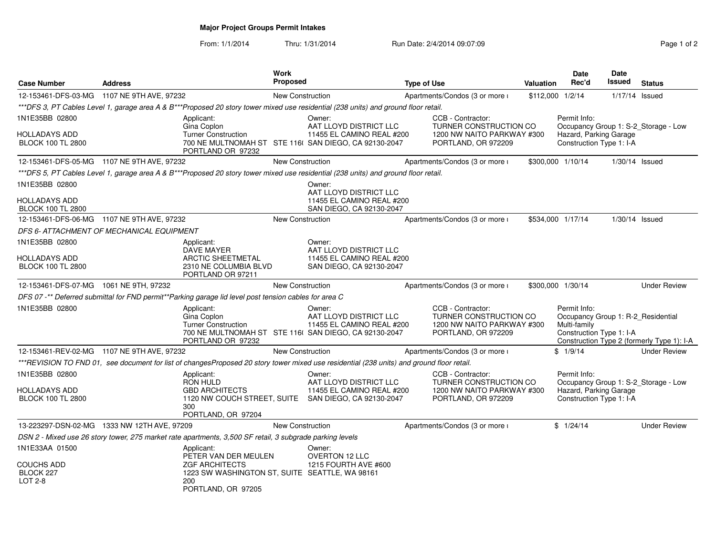**Major Project Groups Permit Intakes**

From: 1/1/2014Thru: 1/31/2014 Run Date: 2/4/2014 09:07:09

| Page 1 of 2 |  |  |
|-------------|--|--|

| <b>Case Number</b>                          | <b>Address</b> |                                                                                                          | Work<br><b>Proposed</b> |                                                                                                                                           | <b>Type of Use</b> |                                                                                                  | Valuation        | <b>Date</b><br>Rec'd                                                                           | Date<br>Issued   | <b>Status</b>                              |
|---------------------------------------------|----------------|----------------------------------------------------------------------------------------------------------|-------------------------|-------------------------------------------------------------------------------------------------------------------------------------------|--------------------|--------------------------------------------------------------------------------------------------|------------------|------------------------------------------------------------------------------------------------|------------------|--------------------------------------------|
| 12-153461-DFS-03-MG 1107 NE 9TH AVE, 97232  |                |                                                                                                          | <b>New Construction</b> |                                                                                                                                           |                    | Apartments/Condos (3 or more i                                                                   | \$112,000 1/2/14 |                                                                                                | 1/17/14 Issued   |                                            |
|                                             |                |                                                                                                          |                         | ***DFS 3, PT Cables Level 1, garage area A & B***Proposed 20 story tower mixed use residential (238 units) and ground floor retail.       |                    |                                                                                                  |                  |                                                                                                |                  |                                            |
| 1N1E35BB 02800                              |                | Applicant:                                                                                               |                         | Owner:                                                                                                                                    |                    | CCB - Contractor:                                                                                |                  | Permit Info:                                                                                   |                  |                                            |
| HOLLADAYS ADD<br><b>BLOCK 100 TL 2800</b>   |                | Gina Coplon<br><b>Turner Construction</b><br>PORTLAND OR 97232                                           |                         | AAT LLOYD DISTRICT LLC<br>11455 EL CAMINO REAL #200<br>700 NE MULTNOMAH ST STE 116( SAN DIEGO, CA 92130-2047                              |                    | TURNER CONSTRUCTION CO<br>1200 NW NAITO PARKWAY #300<br>PORTLAND, OR 972209                      |                  | Hazard, Parking Garage<br>Construction Type 1: I-A                                             |                  | Occupancy Group 1: S-2 Storage - Low       |
| 12-153461-DFS-05-MG 1107 NE 9TH AVE, 97232  |                |                                                                                                          | <b>New Construction</b> |                                                                                                                                           |                    | Apartments/Condos (3 or more i                                                                   |                  | \$300,000 1/10/14                                                                              | $1/30/14$ Issued |                                            |
|                                             |                |                                                                                                          |                         | ***DFS 5, PT Cables Level 1, garage area A & B***Proposed 20 story tower mixed use residential (238 units) and ground floor retail.       |                    |                                                                                                  |                  |                                                                                                |                  |                                            |
| 1N1E35BB 02800                              |                |                                                                                                          |                         | Owner:<br>AAT LLOYD DISTRICT LLC                                                                                                          |                    |                                                                                                  |                  |                                                                                                |                  |                                            |
| HOLLADAYS ADD<br><b>BLOCK 100 TL 2800</b>   |                |                                                                                                          |                         | 11455 EL CAMINO REAL #200<br>SAN DIEGO, CA 92130-2047                                                                                     |                    |                                                                                                  |                  |                                                                                                |                  |                                            |
| 12-153461-DFS-06-MG 1107 NE 9TH AVE, 97232  |                |                                                                                                          | <b>New Construction</b> |                                                                                                                                           |                    | Apartments/Condos (3 or more i                                                                   |                  | \$534,000 1/17/14                                                                              | $1/30/14$ Issued |                                            |
| DFS 6- ATTACHMENT OF MECHANICAL EQUIPMENT   |                |                                                                                                          |                         |                                                                                                                                           |                    |                                                                                                  |                  |                                                                                                |                  |                                            |
| 1N1E35BB 02800                              |                | Applicant:                                                                                               |                         | Owner:                                                                                                                                    |                    |                                                                                                  |                  |                                                                                                |                  |                                            |
| HOLLADAYS ADD<br><b>BLOCK 100 TL 2800</b>   |                | DAVE MAYER<br><b>ARCTIC SHEETMETAL</b><br>2310 NE COLUMBIA BLVD                                          |                         | AAT LLOYD DISTRICT LLC<br>11455 EL CAMINO REAL #200<br>SAN DIEGO, CA 92130-2047                                                           |                    |                                                                                                  |                  |                                                                                                |                  |                                            |
|                                             |                | PORTLAND OR 97211                                                                                        |                         |                                                                                                                                           |                    |                                                                                                  |                  |                                                                                                |                  |                                            |
| 12-153461-DFS-07-MG 1061 NE 9TH, 97232      |                |                                                                                                          | New Construction        |                                                                                                                                           |                    | Apartments/Condos (3 or more i                                                                   |                  | \$300,000 1/30/14                                                                              |                  | <b>Under Review</b>                        |
|                                             |                | DFS 07 -** Deferred submittal for FND permit**Parking garage lid level post tension cables for area C    |                         |                                                                                                                                           |                    |                                                                                                  |                  |                                                                                                |                  |                                            |
| 1N1E35BB 02800                              |                | Applicant:<br>Gina Coplon<br><b>Turner Construction</b><br>PORTLAND OR 97232                             |                         | Owner:<br>AAT LLOYD DISTRICT LLC<br>11455 EL CAMINO REAL #200<br>700 NE MULTNOMAH ST STE 116( SAN DIEGO, CA 92130-2047                    |                    | CCB - Contractor:<br>TURNER CONSTRUCTION CO<br>1200 NW NAITO PARKWAY #300<br>PORTLAND, OR 972209 |                  | Permit Info:<br>Occupancy Group 1: R-2_Residential<br>Multi-family<br>Construction Type 1: I-A |                  | Construction Type 2 (formerly Type 1): I-A |
| 12-153461-REV-02-MG 1107 NE 9TH AVE, 97232  |                |                                                                                                          | New Construction        |                                                                                                                                           |                    | Apartments/Condos (3 or more i                                                                   |                  | \$1/9/14                                                                                       |                  | <b>Under Review</b>                        |
|                                             |                |                                                                                                          |                         | ***REVISION TO FND 01, see document for list of changesProposed 20 story tower mixed use residential (238 units) and ground floor retail. |                    |                                                                                                  |                  |                                                                                                |                  |                                            |
| 1N1E35BB 02800<br>HOLLADAYS ADD             |                | Applicant:<br>RON HULD<br><b>GBD ARCHITECTS</b>                                                          |                         | Owner:<br>AAT LLOYD DISTRICT LLC<br>11455 EL CAMINO REAL #200                                                                             |                    | CCB - Contractor:<br>TURNER CONSTRUCTION CO<br>1200 NW NAITO PARKWAY #300                        |                  | Permit Info:<br>Hazard, Parking Garage                                                         |                  | Occupancy Group 1: S-2_Storage - Low       |
| <b>BLOCK 100 TL 2800</b>                    |                | 300<br>PORTLAND, OR 97204                                                                                |                         | 1120 NW COUCH STREET, SUITE SAN DIEGO, CA 92130-2047                                                                                      |                    | PORTLAND, OR 972209                                                                              |                  | Construction Type 1: I-A                                                                       |                  |                                            |
| 13-223297-DSN-02-MG 1333 NW 12TH AVE, 97209 |                |                                                                                                          | New Construction        |                                                                                                                                           |                    | Apartments/Condos (3 or more i                                                                   |                  | \$1/24/14                                                                                      |                  | <b>Under Review</b>                        |
|                                             |                | DSN 2 - Mixed use 26 story tower, 275 market rate apartments, 3,500 SF retail, 3 subgrade parking levels |                         |                                                                                                                                           |                    |                                                                                                  |                  |                                                                                                |                  |                                            |
| 1N1E33AA 01500                              |                | Applicant:<br>PETER VAN DER MEULEN                                                                       |                         | Owner:<br><b>OVERTON 12 LLC</b>                                                                                                           |                    |                                                                                                  |                  |                                                                                                |                  |                                            |
| COUCHS ADD<br>BLOCK 227<br>LOT 2-8          |                | <b>ZGF ARCHITECTS</b><br>1223 SW WASHINGTON ST, SUITE SEATTLE, WA 98161<br>200<br>PORTLAND, OR 97205     |                         | 1215 FOURTH AVE #600                                                                                                                      |                    |                                                                                                  |                  |                                                                                                |                  |                                            |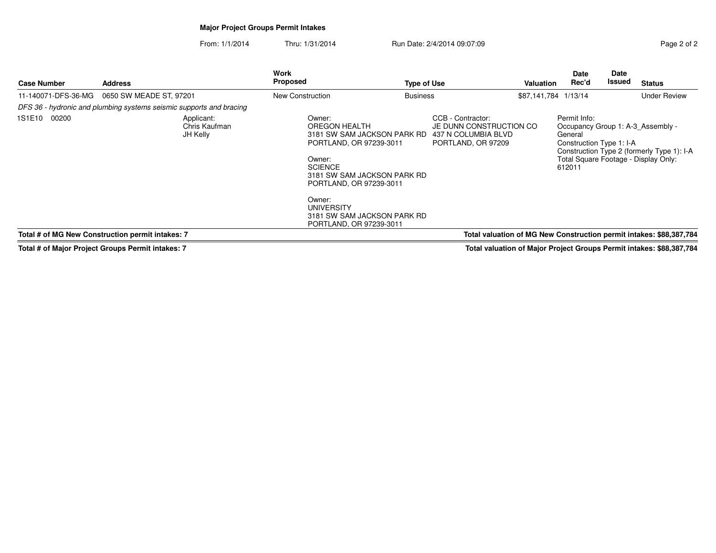# **Major Project Groups Permit Intakes**

From: 1/1/2014Thru: 1/31/2014 Run Date: 2/4/2014 09:07:09 Rege 2 of 2

| <b>Case Number</b>  | <b>Address</b>                                                      | <b>Work</b><br>Proposed                                                                                                                                                                                                                                          | <b>Type of Use</b>                                             | Valuation                                                           | <b>Date</b><br>Rec'd                                                                               | Date<br><b>Issued</b> | <b>Status</b>                                                                      |
|---------------------|---------------------------------------------------------------------|------------------------------------------------------------------------------------------------------------------------------------------------------------------------------------------------------------------------------------------------------------------|----------------------------------------------------------------|---------------------------------------------------------------------|----------------------------------------------------------------------------------------------------|-----------------------|------------------------------------------------------------------------------------|
| 11-140071-DFS-36-MG | 0650 SW MEADE ST, 97201                                             | New Construction                                                                                                                                                                                                                                                 | <b>Business</b>                                                | \$87,141,784 1/13/14                                                |                                                                                                    |                       | <b>Under Review</b>                                                                |
|                     | DFS 36 - hydronic and plumbing systems seismic supports and bracing |                                                                                                                                                                                                                                                                  |                                                                |                                                                     |                                                                                                    |                       |                                                                                    |
| 1S1E10<br>00200     | Applicant:<br>Chris Kaufman<br>JH Kelly                             | Owner:<br>OREGON HEALTH<br>3181 SW SAM JACKSON PARK RD<br>PORTLAND, OR 97239-3011<br>Owner:<br><b>SCIENCE</b><br>3181 SW SAM JACKSON PARK RD<br>PORTLAND, OR 97239-3011<br>Owner:<br><b>UNIVERSITY</b><br>3181 SW SAM JACKSON PARK RD<br>PORTLAND, OR 97239-3011 | CCB - Contractor:<br>437 N COLUMBIA BLVD<br>PORTLAND, OR 97209 | JE DUNN CONSTRUCTION CO                                             | Permit Info:<br>Occupancy Group 1: A-3 Assembly -<br>General<br>Construction Type 1: I-A<br>612011 |                       | Construction Type 2 (formerly Type 1): I-A<br>Total Square Footage - Display Only: |
|                     | Total # of MG New Construction permit intakes: 7                    |                                                                                                                                                                                                                                                                  |                                                                | Total valuation of MG New Construction permit intakes: \$88,387,784 |                                                                                                    |                       |                                                                                    |

**Total # of Major Project Groups Permit intakes: 7**

**Total valuation of Major Project Groups Permit intakes: \$88,387,784**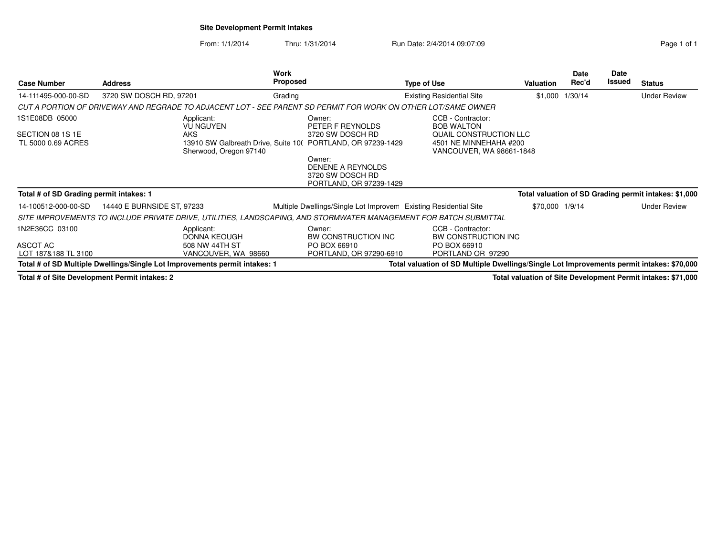## **Site Development Permit Intakes**

From: 1/1/2014Thru: 1/31/2014 Run Date: 2/4/2014 09:07:09 Run Date: 2/4/2014 09:07:09

| <b>Case Number</b>                                | <b>Address</b>                                                                                                    | Work<br><b>Proposed</b>                                                         | <b>Type of Use</b>                                                                        | Valuation       | Date<br>Rec'd   | Date<br>Issued | <b>Status</b>                                         |
|---------------------------------------------------|-------------------------------------------------------------------------------------------------------------------|---------------------------------------------------------------------------------|-------------------------------------------------------------------------------------------|-----------------|-----------------|----------------|-------------------------------------------------------|
| 14-111495-000-00-SD                               | 3720 SW DOSCH RD, 97201                                                                                           | Grading                                                                         | <b>Existing Residential Site</b>                                                          |                 | \$1,000 1/30/14 |                | <b>Under Review</b>                                   |
|                                                   | CUT A PORTION OF DRIVEWAY AND REGRADE TO ADJACENT LOT - SEE PARENT SD PERMIT FOR WORK ON OTHER LOT/SAME OWNER     |                                                                                 |                                                                                           |                 |                 |                |                                                       |
| 1S1E08DB 05000                                    | Applicant:<br><b>VU NGUYEN</b>                                                                                    | Owner:<br>PETER F REYNOLDS                                                      | CCB - Contractor:<br><b>BOB WALTON</b>                                                    |                 |                 |                |                                                       |
| SECTION 08 1S 1E<br>TL 5000 0.69 ACRES            | AKS<br>Sherwood, Oregon 97140                                                                                     | 3720 SW DOSCH RD<br>13910 SW Galbreath Drive, Suite 10( PORTLAND, OR 97239-1429 | QUAIL CONSTRUCTION LLC<br>4501 NE MINNEHAHA #200<br>VANCOUVER, WA 98661-1848              |                 |                 |                |                                                       |
|                                                   |                                                                                                                   | Owner:<br>DENENE A REYNOLDS<br>3720 SW DOSCH RD<br>PORTLAND, OR 97239-1429      |                                                                                           |                 |                 |                |                                                       |
| Total # of SD Grading permit intakes: 1           |                                                                                                                   |                                                                                 |                                                                                           |                 |                 |                | Total valuation of SD Grading permit intakes: \$1,000 |
| 14-100512-000-00-SD                               | 14440 E BURNSIDE ST, 97233                                                                                        |                                                                                 | Multiple Dwellings/Single Lot Improvem Existing Residential Site                          | \$70,000 1/9/14 |                 |                | <b>Under Review</b>                                   |
|                                                   | SITE IMPROVEMENTS TO INCLUDE PRIVATE DRIVE, UTILITIES, LANDSCAPING, AND STORMWATER MANAGEMENT FOR BATCH SUBMITTAL |                                                                                 |                                                                                           |                 |                 |                |                                                       |
| 1N2E36CC 03100<br>ASCOT AC<br>LOT 187&188 TL 3100 | Applicant:<br>DONNA KEOUGH<br>508 NW 44TH ST<br>VANCOUVER, WA 98660                                               | Owner:<br>BW CONSTRUCTION INC<br>PO BOX 66910<br>PORTLAND, OR 97290-6910        | CCB - Contractor:<br>BW CONSTRUCTION INC<br>PO BOX 66910<br>PORTLAND OR 97290             |                 |                 |                |                                                       |
|                                                   | Total # of SD Multiple Dwellings/Single Lot Improvements permit intakes: 1                                        |                                                                                 | Total valuation of SD Multiple Dwellings/Single Lot Improvements permit intakes: \$70,000 |                 |                 |                |                                                       |

**Total # of Site Development Permit intakes: 2**

**Total valuation of Site Development Permit intakes: \$71,000**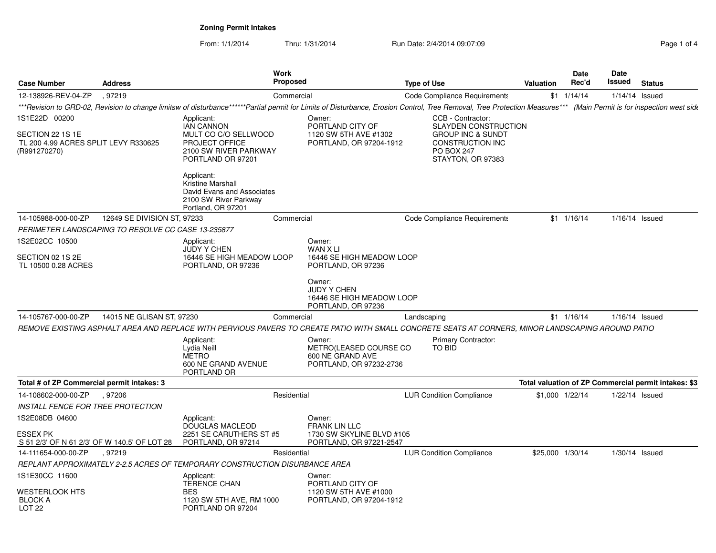**Zoning Permit Intakes**

From: 1/1/2014Thru: 1/31/2014 Run Date: 2/4/2014 09:07:09 Rege 1 of 4

| <b>Case Number</b>                                                       | <b>Address</b>              |                                                                                                                  | <b>Work</b><br><b>Proposed</b>                                                  | <b>Type of Use</b>                                                                                                                                                         | <b>Valuation</b> | Date<br>Rec'd      | Date<br>Issued | <b>Status</b>                                        |
|--------------------------------------------------------------------------|-----------------------------|------------------------------------------------------------------------------------------------------------------|---------------------------------------------------------------------------------|----------------------------------------------------------------------------------------------------------------------------------------------------------------------------|------------------|--------------------|----------------|------------------------------------------------------|
| 12-138926-REV-04-ZP                                                      | .97219                      |                                                                                                                  | Commercial                                                                      | <b>Code Compliance Requirements</b>                                                                                                                                        |                  | $$1 \quad 1/14/14$ |                | $1/14/14$ Issued                                     |
|                                                                          |                             |                                                                                                                  |                                                                                 | ***Revision to GRD-02, Revision to change limitsw of disturbance******Partial permit for Limits of Disturbance, Erosion Control, Tree Removal, Tree Protection Measures*** |                  |                    |                | (Main Permit is for inspection west side             |
| 1S1E22D 00200                                                            |                             | Applicant:                                                                                                       | Owner:                                                                          | CCB - Contractor:                                                                                                                                                          |                  |                    |                |                                                      |
| SECTION 22 1S 1E<br>TL 200 4.99 ACRES SPLIT LEVY R330625<br>(R991270270) |                             | <b>IAN CANNON</b><br>MULT CO C/O SELLWOOD<br><b>PROJECT OFFICE</b><br>2100 SW RIVER PARKWAY<br>PORTLAND OR 97201 | PORTLAND CITY OF<br>1120 SW 5TH AVE #1302<br>PORTLAND, OR 97204-1912            | <b>SLAYDEN CONSTRUCTION</b><br><b>GROUP INC &amp; SUNDT</b><br><b>CONSTRUCTION INC</b><br>PO BOX 247<br>STAYTON, OR 97383                                                  |                  |                    |                |                                                      |
|                                                                          |                             | Applicant:<br>Kristine Marshall<br>David Evans and Associates<br>2100 SW River Parkway<br>Portland, OR 97201     |                                                                                 |                                                                                                                                                                            |                  |                    |                |                                                      |
| 14-105988-000-00-ZP                                                      | 12649 SE DIVISION ST, 97233 |                                                                                                                  | Commercial                                                                      | Code Compliance Requirements                                                                                                                                               |                  | $$1 \t1/16/14$     |                | $1/16/14$ Issued                                     |
| PERIMETER LANDSCAPING TO RESOLVE CC CASE 13-235877                       |                             |                                                                                                                  |                                                                                 |                                                                                                                                                                            |                  |                    |                |                                                      |
| 1S2E02CC 10500                                                           |                             | Applicant:<br><b>JUDY Y CHEN</b>                                                                                 | Owner:<br>WAN X LI                                                              |                                                                                                                                                                            |                  |                    |                |                                                      |
| SECTION 02 1S 2E<br>TL 10500 0.28 ACRES                                  |                             | 16446 SE HIGH MEADOW LOOP<br>PORTLAND, OR 97236                                                                  | 16446 SE HIGH MEADOW LOOP<br>PORTLAND, OR 97236                                 |                                                                                                                                                                            |                  |                    |                |                                                      |
|                                                                          |                             |                                                                                                                  | Owner:<br><b>JUDY Y CHEN</b><br>16446 SE HIGH MEADOW LOOP<br>PORTLAND, OR 97236 |                                                                                                                                                                            |                  |                    |                |                                                      |
| 14-105767-000-00-ZP                                                      | 14015 NE GLISAN ST. 97230   |                                                                                                                  | Commercial                                                                      | Landscaping                                                                                                                                                                |                  | $$1 \quad 1/16/14$ |                | $1/16/14$ Issued                                     |
|                                                                          |                             |                                                                                                                  |                                                                                 | REMOVE EXISTING ASPHALT AREA AND REPLACE WITH PERVIOUS PAVERS TO CREATE PATIO WITH SMALL CONCRETE SEATS AT CORNERS, MINOR LANDSCAPING AROUND PATIO                         |                  |                    |                |                                                      |
|                                                                          |                             | Applicant:<br>Lydia Neill<br><b>METRO</b><br>600 NE GRAND AVENUE<br>PORTLAND OR                                  | Owner:<br>METRO(LEASED COURSE CO<br>600 NE GRAND AVE<br>PORTLAND, OR 97232-2736 | <b>Primary Contractor:</b><br>TO BID                                                                                                                                       |                  |                    |                |                                                      |
| Total # of ZP Commercial permit intakes: 3                               |                             |                                                                                                                  |                                                                                 |                                                                                                                                                                            |                  |                    |                | Total valuation of ZP Commercial permit intakes: \$3 |
| 14-108602-000-00-ZP                                                      | .97206                      |                                                                                                                  | Residential                                                                     | <b>LUR Condition Compliance</b>                                                                                                                                            | \$1,000 1/22/14  |                    |                | 1/22/14 Issued                                       |
| <b>INSTALL FENCE FOR TREE PROTECTION</b>                                 |                             |                                                                                                                  |                                                                                 |                                                                                                                                                                            |                  |                    |                |                                                      |
| 1S2E08DB 04600                                                           |                             | Applicant:<br>DOUGLAS MACLEOD                                                                                    | Owner:<br><b>FRANK LIN LLC</b>                                                  |                                                                                                                                                                            |                  |                    |                |                                                      |
| <b>ESSEX PK</b><br>S 51 2/3' OF N 61 2/3' OF W 140.5' OF LOT 28          |                             | 2251 SE CARUTHERS ST #5<br>PORTLAND, OR 97214                                                                    | 1730 SW SKYLINE BLVD #105<br>PORTLAND, OR 97221-2547                            |                                                                                                                                                                            |                  |                    |                |                                                      |
| 14-111654-000-00-ZP                                                      | , 97219                     |                                                                                                                  | Residential                                                                     | <b>LUR Condition Compliance</b>                                                                                                                                            | \$25,000 1/30/14 |                    |                | $1/30/14$ Issued                                     |
|                                                                          |                             | REPLANT APPROXIMATELY 2-2.5 ACRES OF TEMPORARY CONSTRUCTION DISURBANCE AREA                                      |                                                                                 |                                                                                                                                                                            |                  |                    |                |                                                      |
| 1S1E30CC 11600                                                           |                             | Applicant:                                                                                                       | Owner:                                                                          |                                                                                                                                                                            |                  |                    |                |                                                      |
| <b>WESTERLOOK HTS</b><br><b>BLOCK A</b><br>LOT <sub>22</sub>             |                             | <b>TERENCE CHAN</b><br><b>BES</b><br>1120 SW 5TH AVE, RM 1000<br>PORTLAND OR 97204                               | PORTLAND CITY OF<br>1120 SW 5TH AVE #1000<br>PORTLAND, OR 97204-1912            |                                                                                                                                                                            |                  |                    |                |                                                      |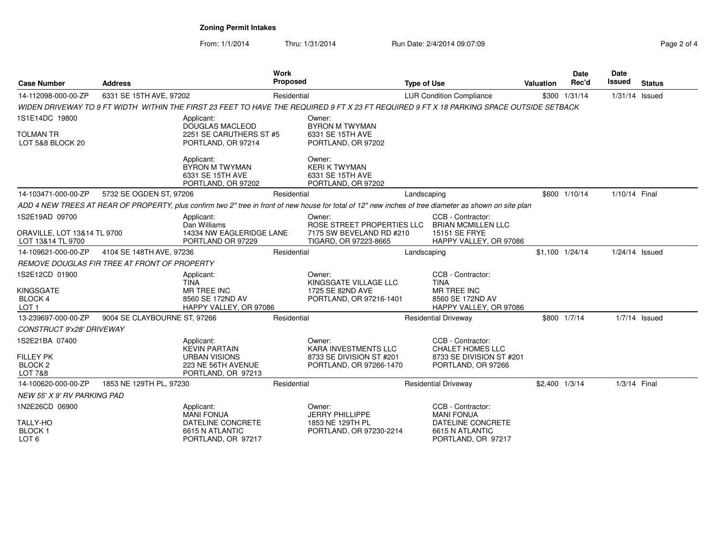**Zoning Permit Intakes**

From: 1/1/2014Thru: 1/31/2014 Run Date: 2/4/2014 09:07:09 Page 2 of 4

| Page 2 of 4 |  |  |
|-------------|--|--|
|             |  |  |

| <b>Case Number</b>                                                             | <b>Address</b>                               |                                                                                                        | <b>Work</b><br><b>Proposed</b> |                                                                                                                                          | <b>Type of Use</b> |                                                                                                                                                        | Valuation      | <b>Date</b><br>Rec'd | Date<br><b>Issued</b> | <b>Status</b> |
|--------------------------------------------------------------------------------|----------------------------------------------|--------------------------------------------------------------------------------------------------------|--------------------------------|------------------------------------------------------------------------------------------------------------------------------------------|--------------------|--------------------------------------------------------------------------------------------------------------------------------------------------------|----------------|----------------------|-----------------------|---------------|
| 14-112098-000-00-ZP                                                            | 6331 SE 15TH AVE, 97202                      |                                                                                                        |                                | Residential                                                                                                                              |                    | <b>LUR Condition Compliance</b>                                                                                                                        |                | $$300$ $1/31/14$     | $1/31/14$ Issued      |               |
|                                                                                |                                              |                                                                                                        |                                | WIDEN DRIVEWAY TO 9 FT WIDTH WITHIN THE FIRST 23 FEET TO HAVE THE REQUIRED 9 FT X 23 FT REQUIRED 9 FT X 18 PARKING SPACE OUTSIDE SETBACK |                    |                                                                                                                                                        |                |                      |                       |               |
| 1S1E14DC 19800<br><b>TOLMAN TR</b><br>LOT 5&8 BLOCK 20                         |                                              | Applicant:<br>DOUGLAS MACLEOD<br>2251 SE CARUTHERS ST #5<br>PORTLAND, OR 97214                         |                                | Owner:<br><b>BYRON M TWYMAN</b><br>6331 SE 15TH AVE<br>PORTLAND, OR 97202                                                                |                    |                                                                                                                                                        |                |                      |                       |               |
|                                                                                |                                              | Applicant:<br>BYRON M TWYMAN<br>6331 SE 15TH AVE<br>PORTLAND, OR 97202                                 |                                | Owner:<br><b>KERI K TWYMAN</b><br>6331 SE 15TH AVE<br>PORTLAND, OR 97202                                                                 |                    |                                                                                                                                                        |                |                      |                       |               |
| 14-103471-000-00-ZP                                                            | 5732 SE OGDEN ST, 97206                      |                                                                                                        | Residential                    |                                                                                                                                          | Landscaping        |                                                                                                                                                        |                | \$600 1/10/14        | 1/10/14 Final         |               |
|                                                                                |                                              |                                                                                                        |                                |                                                                                                                                          |                    | ADD 4 NEW TREES AT REAR OF PROPERTY, plus confirm two 2" tree in front of new house for total of 12" new inches of tree diameter as shown on site plan |                |                      |                       |               |
| 1S2E19AD 09700<br><b>ORAVILLE, LOT 13&amp;14 TL 9700</b><br>LOT 13&14 TL 9700  |                                              | Applicant:<br>Dan Williams<br>14334 NW EAGLERIDGE LANE<br>PORTLAND OR 97229                            |                                | Owner:<br>ROSE STREET PROPERTIES LLC<br>7175 SW BEVELAND RD #210<br>TIGARD, OR 97223-8665                                                |                    | CCB - Contractor:<br><b>BRIAN MCMILLEN LLC</b><br>15151 SE FRYE<br>HAPPY VALLEY, OR 97086                                                              |                |                      |                       |               |
| 14-109621-000-00-ZP                                                            | 4104 SE 148TH AVE, 97236                     |                                                                                                        | Residential                    |                                                                                                                                          | Landscaping        |                                                                                                                                                        |                | \$1,100 1/24/14      | 1/24/14 Issued        |               |
|                                                                                | REMOVE DOUGLAS FIR TREE AT FRONT OF PROPERTY |                                                                                                        |                                |                                                                                                                                          |                    |                                                                                                                                                        |                |                      |                       |               |
| 1S2E12CD 01900<br>KINGSGATE<br><b>BLOCK 4</b><br>LOT <sub>1</sub>              |                                              | Applicant:<br><b>TINA</b><br><b>MR TREE INC</b><br>8560 SE 172ND AV<br>HAPPY VALLEY, OR 97086          |                                | Owner:<br>KINGSGATE VILLAGE LLC<br>1725 SE 82ND AVE<br>PORTLAND, OR 97216-1401                                                           |                    | CCB - Contractor:<br><b>TINA</b><br>MR TREE INC<br>8560 SE 172ND AV<br>HAPPY VALLEY, OR 97086                                                          |                |                      |                       |               |
| 13-239697-000-00-ZP                                                            | 9004 SE CLAYBOURNE ST, 97266                 |                                                                                                        | Residential                    |                                                                                                                                          |                    | <b>Residential Driveway</b>                                                                                                                            |                | \$800 1/7/14         | $1/7/14$ Issued       |               |
| CONSTRUCT 9'x28' DRIVEWAY                                                      |                                              |                                                                                                        |                                |                                                                                                                                          |                    |                                                                                                                                                        |                |                      |                       |               |
| 1S2E21BA 07400<br><b>FILLEY PK</b><br>BLOCK <sub>2</sub><br><b>LOT 7&amp;8</b> |                                              | Applicant:<br><b>KEVIN PARTAIN</b><br><b>URBAN VISIONS</b><br>223 NE 56TH AVENUE<br>PORTLAND, OR 97213 |                                | Owner:<br><b>KARA INVESTMENTS LLC</b><br>8733 SE DIVISION ST #201<br>PORTLAND, OR 97266-1470                                             |                    | CCB - Contractor:<br><b>CHALET HOMES LLC</b><br>8733 SE DIVISION ST #201<br>PORTLAND, OR 97266                                                         |                |                      |                       |               |
| 14-100620-000-00-ZP                                                            | 1853 NE 129TH PL, 97230                      |                                                                                                        | Residential                    |                                                                                                                                          |                    | <b>Residential Driveway</b>                                                                                                                            | \$2.400 1/3/14 |                      | 1/3/14 Final          |               |
| NEW 55' X 9' RV PARKING PAD                                                    |                                              |                                                                                                        |                                |                                                                                                                                          |                    |                                                                                                                                                        |                |                      |                       |               |
| 1N2E26CD 06900<br><b>TALLY-HO</b>                                              |                                              | Applicant:<br><b>MANI FONUA</b><br>DATELINE CONCRETE                                                   |                                | Owner:<br><b>JERRY PHILLIPPE</b><br>1853 NE 129TH PL                                                                                     |                    | CCB - Contractor:<br><b>MANI FONUA</b><br>DATELINE CONCRETE                                                                                            |                |                      |                       |               |
| <b>BLOCK1</b><br>LOT <sub>6</sub>                                              |                                              | 6615 N ATLANTIC<br>PORTLAND, OR 97217                                                                  |                                | PORTLAND, OR 97230-2214                                                                                                                  |                    | 6615 N ATLANTIC<br>PORTLAND, OR 97217                                                                                                                  |                |                      |                       |               |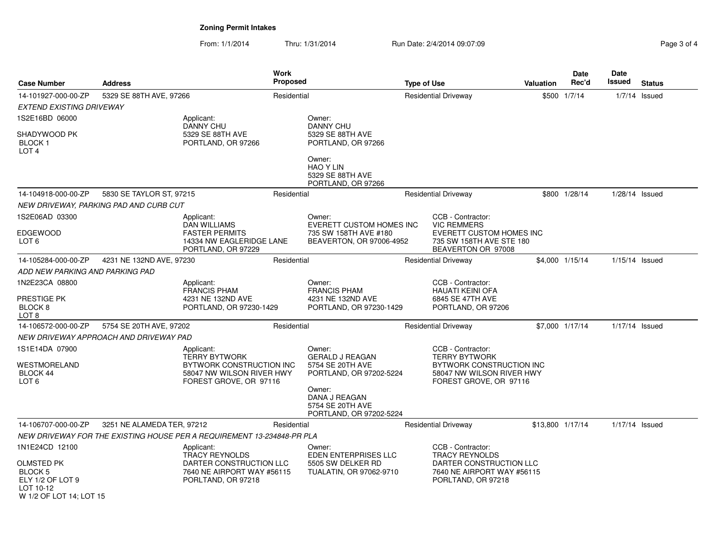# **Zoning Permit Intakes**

From: 1/1/2014Thru: 1/31/2014 Run Date: 2/4/2014 09:07:09 Reg

| Page 3 of 4 |  |  |
|-------------|--|--|
|-------------|--|--|

| <b>Case Number</b>                                                                | <b>Address</b>                         |                                                                                                                    | Work<br><b>Proposed</b> |                                                                                                | <b>Type of Use</b>                         |                                                                                                                       | <b>Valuation</b> | Date<br>Rec'd   | <b>Date</b><br>Issued | <b>Status</b>   |
|-----------------------------------------------------------------------------------|----------------------------------------|--------------------------------------------------------------------------------------------------------------------|-------------------------|------------------------------------------------------------------------------------------------|--------------------------------------------|-----------------------------------------------------------------------------------------------------------------------|------------------|-----------------|-----------------------|-----------------|
| 14-101927-000-00-ZP                                                               | 5329 SE 88TH AVE, 97266                |                                                                                                                    | Residential             |                                                                                                | <b>Residential Driveway</b>                |                                                                                                                       |                  | \$500 1/7/14    |                       | $1/7/14$ Issued |
| <b>EXTEND EXISTING DRIVEWAY</b>                                                   |                                        |                                                                                                                    |                         |                                                                                                |                                            |                                                                                                                       |                  |                 |                       |                 |
| 1S2E16BD 06000                                                                    |                                        | Applicant:                                                                                                         |                         | Owner:                                                                                         |                                            |                                                                                                                       |                  |                 |                       |                 |
| SHADYWOOD PK<br><b>BLOCK1</b><br>LOT <sub>4</sub>                                 |                                        | <b>DANNY CHU</b><br>5329 SE 88TH AVE<br>PORTLAND, OR 97266                                                         |                         | <b>DANNY CHU</b><br>5329 SE 88TH AVE<br>PORTLAND, OR 97266                                     |                                            |                                                                                                                       |                  |                 |                       |                 |
|                                                                                   |                                        |                                                                                                                    |                         | Owner:<br><b>HAO Y LIN</b><br>5329 SE 88TH AVE<br>PORTLAND, OR 97266                           |                                            |                                                                                                                       |                  |                 |                       |                 |
| 14-104918-000-00-ZP                                                               | 5830 SE TAYLOR ST, 97215               |                                                                                                                    | Residential             |                                                                                                | <b>Residential Driveway</b>                |                                                                                                                       |                  | \$800 1/28/14   | $1/28/14$ Issued      |                 |
|                                                                                   | NEW DRIVEWAY, PARKING PAD AND CURB CUT |                                                                                                                    |                         |                                                                                                |                                            |                                                                                                                       |                  |                 |                       |                 |
| 1S2E06AD 03300<br><b>EDGEWOOD</b><br>LOT 6                                        |                                        | Applicant:<br><b>DAN WILLIAMS</b><br><b>FASTER PERMITS</b><br>14334 NW EAGLERIDGE LANE<br>PORTLAND, OR 97229       |                         | Owner:<br><b>EVERETT CUSTOM HOMES INC</b><br>735 SW 158TH AVE #180<br>BEAVERTON, OR 97006-4952 |                                            | CCB - Contractor:<br><b>VIC REMMERS</b><br>EVERETT CUSTOM HOMES INC<br>735 SW 158TH AVE STE 180<br>BEAVERTON OR 97008 |                  |                 |                       |                 |
| 14-105284-000-00-ZP                                                               | 4231 NE 132ND AVE, 97230               |                                                                                                                    | Residential             |                                                                                                |                                            | <b>Residential Driveway</b>                                                                                           |                  | \$4,000 1/15/14 | 1/15/14 Issued        |                 |
| ADD NEW PARKING AND PARKING PAD                                                   |                                        |                                                                                                                    |                         |                                                                                                |                                            |                                                                                                                       |                  |                 |                       |                 |
| 1N2E23CA 08800<br>PRESTIGE PK<br>BLOCK <sub>8</sub>                               |                                        | Applicant:<br><b>FRANCIS PHAM</b><br>4231 NE 132ND AVE<br>PORTLAND, OR 97230-1429                                  |                         | Owner:<br><b>FRANCIS PHAM</b><br>4231 NE 132ND AVE<br>PORTLAND, OR 97230-1429                  |                                            | CCB - Contractor:<br><b>HAUATI KEINI OFA</b><br>6845 SE 47TH AVE<br>PORTLAND, OR 97206                                |                  |                 |                       |                 |
| LOT 8<br>14-106572-000-00-ZP                                                      | 5754 SE 20TH AVE, 97202                |                                                                                                                    | Residential             |                                                                                                |                                            | <b>Residential Driveway</b>                                                                                           |                  | \$7,000 1/17/14 | $1/17/14$ Issued      |                 |
|                                                                                   |                                        |                                                                                                                    |                         |                                                                                                |                                            |                                                                                                                       |                  |                 |                       |                 |
| 1S1E14DA 07900                                                                    | NEW DRIVEWAY APPROACH AND DRIVEWAY PAD | Applicant:                                                                                                         |                         | Owner:                                                                                         |                                            | CCB - Contractor:                                                                                                     |                  |                 |                       |                 |
| WESTMORELAND<br><b>BLOCK 44</b><br>LOT <sub>6</sub>                               |                                        | <b>TERRY BYTWORK</b><br>BYTWORK CONSTRUCTION INC<br>58047 NW WILSON RIVER HWY<br>FOREST GROVE, OR 97116            |                         | <b>GERALD J REAGAN</b><br>5754 SE 20TH AVE<br>PORTLAND, OR 97202-5224                          |                                            | <b>TERRY BYTWORK</b><br>BYTWORK CONSTRUCTION INC<br>58047 NW WILSON RIVER HWY<br>FOREST GROVE, OR 97116               |                  |                 |                       |                 |
|                                                                                   |                                        |                                                                                                                    |                         | Owner:<br>DANA J REAGAN<br>5754 SE 20TH AVE<br>PORTLAND, OR 97202-5224                         |                                            |                                                                                                                       |                  |                 |                       |                 |
| 14-106707-000-00-ZP                                                               | 3251 NE ALAMEDA TER, 97212             |                                                                                                                    | Residential             |                                                                                                |                                            | <b>Residential Driveway</b>                                                                                           | \$13,800 1/17/14 |                 | 1/17/14 Issued        |                 |
|                                                                                   |                                        | NEW DRIVEWAY FOR THE EXISTING HOUSE PER A REQUIREMENT 13-234848-PR PLA                                             |                         |                                                                                                |                                            |                                                                                                                       |                  |                 |                       |                 |
| 1N1E24CD 12100                                                                    |                                        | Applicant:<br><b>TRACY REYNOLDS</b><br>DARTER CONSTRUCTION LLC<br>7640 NE AIRPORT WAY #56115<br>PORLTAND, OR 97218 |                         | Owner:<br>EDEN ENTERPRISES LLC                                                                 | CCB - Contractor:<br><b>TRACY REYNOLDS</b> |                                                                                                                       |                  |                 |                       |                 |
| OLMSTED PK<br>BLOCK 5<br>ELY 1/2 OF LOT 9<br>LOT 10-12<br>W 1/2 OF LOT 14; LOT 15 |                                        |                                                                                                                    |                         | 5505 SW DELKER RD<br>TUALATIN, OR 97062-9710                                                   |                                            | DARTER CONSTRUCTION LLC<br>7640 NE AIRPORT WAY #56115<br>PORLTAND, OR 97218                                           |                  |                 |                       |                 |